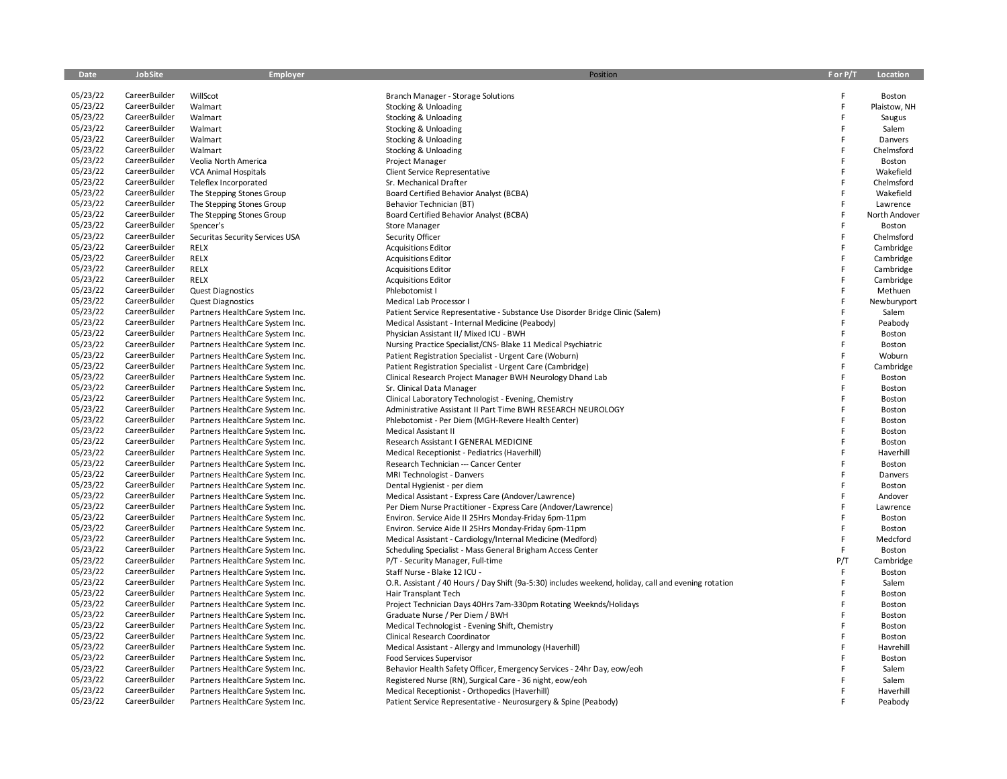| Date                 | JobSite       | <b>Employer</b>                 | Position                                                                                             | F or P/T | Location      |
|----------------------|---------------|---------------------------------|------------------------------------------------------------------------------------------------------|----------|---------------|
|                      |               |                                 |                                                                                                      |          |               |
| 05/23/22             | CareerBuilder | WillScot                        | Branch Manager - Storage Solutions                                                                   | F        | Boston        |
| 05/23/22             | CareerBuilder | Walmart                         | Stocking & Unloading                                                                                 | F<br>F   | Plaistow, NH  |
| 05/23/22             | CareerBuilder | Walmart                         | Stocking & Unloading                                                                                 |          | Saugus        |
| 05/23/22             | CareerBuilder | Walmart                         | Stocking & Unloading                                                                                 | F        | Salem         |
| 05/23/22<br>05/23/22 | CareerBuilder | Walmart                         | Stocking & Unloading                                                                                 | F<br>F   | Danvers       |
|                      | CareerBuilder | Walmart                         | Stocking & Unloading                                                                                 |          | Chelmsford    |
| 05/23/22<br>05/23/22 | CareerBuilder | Veolia North America            | Project Manager                                                                                      | F<br>F   | Boston        |
|                      | CareerBuilder | <b>VCA Animal Hospitals</b>     | Client Service Representative                                                                        | F        | Wakefield     |
| 05/23/22             | CareerBuilder | Teleflex Incorporated           | Sr. Mechanical Drafter                                                                               | F        | Chelmsford    |
| 05/23/22<br>05/23/22 | CareerBuilder | The Stepping Stones Group       | Board Certified Behavior Analyst (BCBA)                                                              | Ë        | Wakefield     |
|                      | CareerBuilder | The Stepping Stones Group       | Behavior Technician (BT)                                                                             | F        | Lawrence      |
| 05/23/22             | CareerBuilder | The Stepping Stones Group       | Board Certified Behavior Analyst (BCBA)                                                              |          | North Andover |
| 05/23/22             | CareerBuilder | Spencer's                       | <b>Store Manager</b>                                                                                 | F        | Boston        |
| 05/23/22             | CareerBuilder | Securitas Security Services USA | Security Officer                                                                                     | F        | Chelmsford    |
| 05/23/22             | CareerBuilder | <b>RELX</b>                     | <b>Acquisitions Editor</b>                                                                           | F        | Cambridge     |
| 05/23/22             | CareerBuilder | <b>RELX</b>                     | <b>Acquisitions Editor</b>                                                                           | F        | Cambridge     |
| 05/23/22             | CareerBuilder | <b>RELX</b>                     | <b>Acquisitions Editor</b>                                                                           | F        | Cambridge     |
| 05/23/22             | CareerBuilder | <b>RELX</b>                     | <b>Acquisitions Editor</b>                                                                           | F        | Cambridge     |
| 05/23/22             | CareerBuilder | <b>Quest Diagnostics</b>        | Phlebotomist I                                                                                       | F        | Methuen       |
| 05/23/22             | CareerBuilder | <b>Quest Diagnostics</b>        | Medical Lab Processor I                                                                              |          | Newburyport   |
| 05/23/22             | CareerBuilder | Partners HealthCare System Inc. | Patient Service Representative - Substance Use Disorder Bridge Clinic (Salem)                        | F        | Salem         |
| 05/23/22             | CareerBuilder | Partners HealthCare System Inc. | Medical Assistant - Internal Medicine (Peabody)                                                      |          | Peabody       |
| 05/23/22             | CareerBuilder | Partners HealthCare System Inc. | Physician Assistant II/ Mixed ICU - BWH                                                              |          | Boston        |
| 05/23/22             | CareerBuilder | Partners HealthCare System Inc. | Nursing Practice Specialist/CNS- Blake 11 Medical Psychiatric                                        | F        | Boston        |
| 05/23/22             | CareerBuilder | Partners HealthCare System Inc. | Patient Registration Specialist - Urgent Care (Woburn)                                               | Ë        | Woburn        |
| 05/23/22             | CareerBuilder | Partners HealthCare System Inc. | Patient Registration Specialist - Urgent Care (Cambridge)                                            |          | Cambridge     |
| 05/23/22             | CareerBuilder | Partners HealthCare System Inc. | Clinical Research Project Manager BWH Neurology Dhand Lab                                            |          | Boston        |
| 05/23/22             | CareerBuilder | Partners HealthCare System Inc. | Sr. Clinical Data Manager                                                                            | E        | Boston        |
| 05/23/22             | CareerBuilder | Partners HealthCare System Inc. | Clinical Laboratory Technologist - Evening, Chemistry                                                | F        | Boston        |
| 05/23/22             | CareerBuilder | Partners HealthCare System Inc. | Administrative Assistant II Part Time BWH RESEARCH NEUROLOGY                                         | F        | Boston        |
| 05/23/22             | CareerBuilder | Partners HealthCare System Inc. | Phlebotomist - Per Diem (MGH-Revere Health Center)                                                   | F        | Boston        |
| 05/23/22             | CareerBuilder | Partners HealthCare System Inc. | Medical Assistant II                                                                                 | F        | Boston        |
| 05/23/22             | CareerBuilder | Partners HealthCare System Inc. | Research Assistant I GENERAL MEDICINE                                                                | F        | Boston        |
| 05/23/22             | CareerBuilder | Partners HealthCare System Inc. | Medical Receptionist - Pediatrics (Haverhill)                                                        | F        | Haverhill     |
| 05/23/22             | CareerBuilder | Partners HealthCare System Inc. | Research Technician --- Cancer Center                                                                | Ë        | Boston        |
| 05/23/22             | CareerBuilder | Partners HealthCare System Inc. | MRI Technologist - Danvers                                                                           | F        | Danvers       |
| 05/23/22             | CareerBuilder | Partners HealthCare System Inc. | Dental Hygienist - per diem                                                                          | F        | Boston        |
| 05/23/22             | CareerBuilder | Partners HealthCare System Inc. | Medical Assistant - Express Care (Andover/Lawrence)                                                  | F        | Andover       |
| 05/23/22             | CareerBuilder | Partners HealthCare System Inc. | Per Diem Nurse Practitioner - Express Care (Andover/Lawrence)                                        | E        | Lawrence      |
| 05/23/22             | CareerBuilder | Partners HealthCare System Inc. | Environ. Service Aide II 25Hrs Monday-Friday 6pm-11pm                                                |          | Boston        |
| 05/23/22             | CareerBuilder | Partners HealthCare System Inc. | Environ. Service Aide II 25Hrs Monday-Friday 6pm-11pm                                                |          | Boston        |
| 05/23/22             | CareerBuilder | Partners HealthCare System Inc. | Medical Assistant - Cardiology/Internal Medicine (Medford)                                           | F        | Medcford      |
| 05/23/22             | CareerBuilder | Partners HealthCare System Inc. | Scheduling Specialist - Mass General Brigham Access Center                                           | F        | Boston        |
| 05/23/22             | CareerBuilder | Partners HealthCare System Inc. | P/T - Security Manager, Full-time                                                                    | P/T      | Cambridge     |
| 05/23/22             | CareerBuilder | Partners HealthCare System Inc. | Staff Nurse - Blake 12 ICU -                                                                         | F        | Boston        |
| 05/23/22             | CareerBuilder | Partners HealthCare System Inc. | O.R. Assistant / 40 Hours / Day Shift (9a-5:30) includes weekend, holiday, call and evening rotation | F        | Salem         |
| 05/23/22             | CareerBuilder | Partners HealthCare System Inc. | Hair Transplant Tech                                                                                 | F        | Boston        |
| 05/23/22             | CareerBuilder | Partners HealthCare System Inc. | Project Technician Days 40Hrs 7am-330pm Rotating Weeknds/Holidays                                    | F        | <b>Boston</b> |
| 05/23/22             | CareerBuilder | Partners HealthCare System Inc. | Graduate Nurse / Per Diem / BWH                                                                      | F        | Boston        |
| 05/23/22             | CareerBuilder | Partners HealthCare System Inc. | Medical Technologist - Evening Shift, Chemistry                                                      | F        | Boston        |
| 05/23/22             | CareerBuilder | Partners HealthCare System Inc. | Clinical Research Coordinator                                                                        | F        | Boston        |
| 05/23/22             | CareerBuilder | Partners HealthCare System Inc. | Medical Assistant - Allergy and Immunology (Haverhill)                                               | F        | Havrehill     |
| 05/23/22             | CareerBuilder | Partners HealthCare System Inc. | <b>Food Services Supervisor</b>                                                                      | F        | Boston        |
| 05/23/22             | CareerBuilder | Partners HealthCare System Inc. | Behavior Health Safety Officer, Emergency Services - 24hr Day, eow/eoh                               | Ë        | Salem         |
| 05/23/22             | CareerBuilder | Partners HealthCare System Inc. | Registered Nurse (RN), Surgical Care - 36 night, eow/eoh                                             | F        | Salem         |
| 05/23/22             | CareerBuilder | Partners HealthCare System Inc. | Medical Receptionist - Orthopedics (Haverhill)                                                       | E        | Haverhill     |
| 05/23/22             | CareerBuilder | Partners HealthCare System Inc. | Patient Service Representative - Neurosurgery & Spine (Peabody)                                      |          | Peabody       |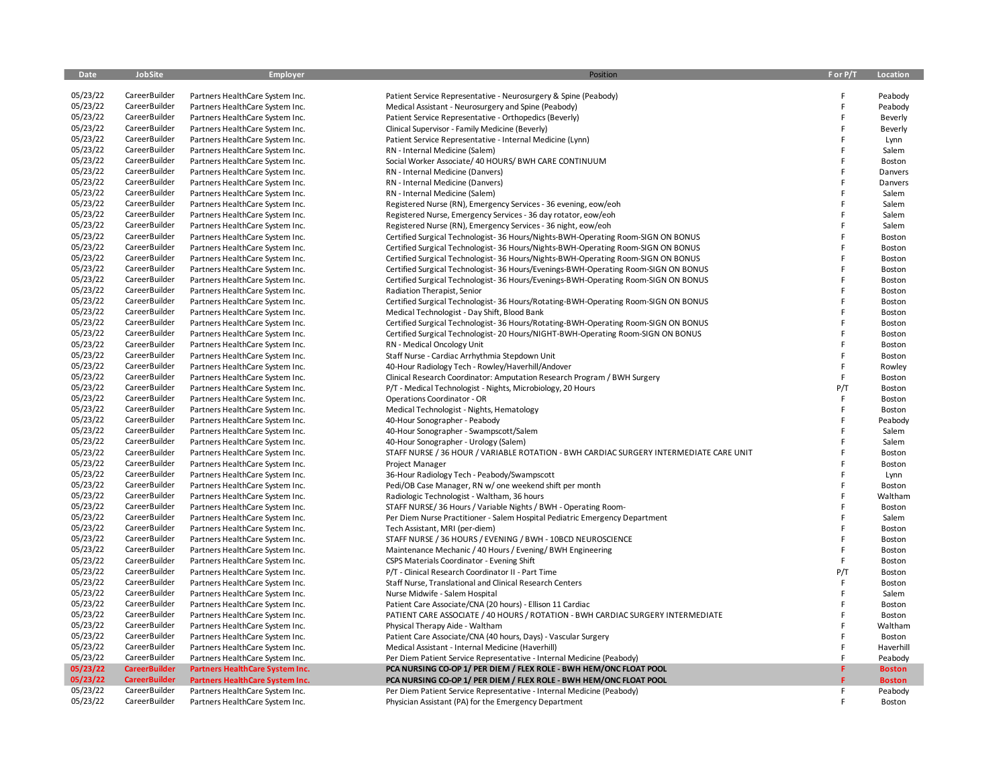| Date                 | <b>JobSite</b>                 | Employer                                                           | Position                                                                                  | F or P/T | Location           |
|----------------------|--------------------------------|--------------------------------------------------------------------|-------------------------------------------------------------------------------------------|----------|--------------------|
|                      |                                |                                                                    |                                                                                           |          |                    |
| 05/23/22<br>05/23/22 | CareerBuilder<br>CareerBuilder | Partners HealthCare System Inc.                                    | Patient Service Representative - Neurosurgery & Spine (Peabody)                           | F        | Peabody            |
| 05/23/22             | CareerBuilder                  | Partners HealthCare System Inc.                                    | Medical Assistant - Neurosurgery and Spine (Peabody)                                      | F<br>F   | Peabody            |
| 05/23/22             | CareerBuilder                  | Partners HealthCare System Inc.                                    | Patient Service Representative - Orthopedics (Beverly)                                    | F        | Beverly            |
| 05/23/22             | CareerBuilder                  | Partners HealthCare System Inc.                                    | Clinical Supervisor - Family Medicine (Beverly)                                           | F        | Beverly            |
| 05/23/22             | CareerBuilder                  | Partners HealthCare System Inc.                                    | Patient Service Representative - Internal Medicine (Lynn)                                 | F        | Lynn<br>Salem      |
| 05/23/22             | CareerBuilder                  | Partners HealthCare System Inc.                                    | RN - Internal Medicine (Salem)                                                            | F        |                    |
| 05/23/22             | CareerBuilder                  | Partners HealthCare System Inc.<br>Partners HealthCare System Inc. | Social Worker Associate/ 40 HOURS/ BWH CARE CONTINUUM<br>RN - Internal Medicine (Danvers) | F        | <b>Boston</b>      |
| 05/23/22             | CareerBuilder                  | Partners HealthCare System Inc.                                    | RN - Internal Medicine (Danvers)                                                          | F        | Danvers<br>Danvers |
| 05/23/22             | CareerBuilder                  | Partners HealthCare System Inc.                                    | RN - Internal Medicine (Salem)                                                            | F        | Salem              |
| 05/23/22             | CareerBuilder                  | Partners HealthCare System Inc.                                    | Registered Nurse (RN), Emergency Services - 36 evening, eow/eoh                           | F        | Salem              |
| 05/23/22             | CareerBuilder                  | Partners HealthCare System Inc.                                    | Registered Nurse, Emergency Services - 36 day rotator, eow/eoh                            | F        | Salem              |
| 05/23/22             | CareerBuilder                  | Partners HealthCare System Inc.                                    | Registered Nurse (RN), Emergency Services - 36 night, eow/eoh                             | F        | Salem              |
| 05/23/22             | CareerBuilder                  | Partners HealthCare System Inc.                                    | Certified Surgical Technologist- 36 Hours/Nights-BWH-Operating Room-SIGN ON BONUS         | F        | Boston             |
| 05/23/22             | CareerBuilder                  | Partners HealthCare System Inc.                                    | Certified Surgical Technologist- 36 Hours/Nights-BWH-Operating Room-SIGN ON BONUS         | F        | Boston             |
| 05/23/22             | CareerBuilder                  | Partners HealthCare System Inc.                                    | Certified Surgical Technologist- 36 Hours/Nights-BWH-Operating Room-SIGN ON BONUS         | F        | Boston             |
| 05/23/22             | CareerBuilder                  | Partners HealthCare System Inc.                                    | Certified Surgical Technologist-36 Hours/Evenings-BWH-Operating Room-SIGN ON BONUS        | F        | Boston             |
| 05/23/22             | CareerBuilder                  | Partners HealthCare System Inc.                                    | Certified Surgical Technologist- 36 Hours/Evenings-BWH-Operating Room-SIGN ON BONUS       | F        | Boston             |
| 05/23/22             | CareerBuilder                  | Partners HealthCare System Inc.                                    | Radiation Therapist, Senior                                                               | F        | Boston             |
| 05/23/22             | CareerBuilder                  | Partners HealthCare System Inc.                                    | Certified Surgical Technologist-36 Hours/Rotating-BWH-Operating Room-SIGN ON BONUS        | F        | <b>Boston</b>      |
| 05/23/22             | CareerBuilder                  | Partners HealthCare System Inc.                                    | Medical Technologist - Day Shift, Blood Bank                                              | F        | Boston             |
| 05/23/22             | CareerBuilder                  | Partners HealthCare System Inc.                                    | Certified Surgical Technologist-36 Hours/Rotating-BWH-Operating Room-SIGN ON BONUS        | F        | Boston             |
| 05/23/22             | CareerBuilder                  | Partners HealthCare System Inc.                                    | Certified Surgical Technologist-20 Hours/NIGHT-BWH-Operating Room-SIGN ON BONUS           | F        | Boston             |
| 05/23/22             | CareerBuilder                  | Partners HealthCare System Inc.                                    | RN - Medical Oncology Unit                                                                | F        | <b>Boston</b>      |
| 05/23/22             | CareerBuilder                  | Partners HealthCare System Inc.                                    | Staff Nurse - Cardiac Arrhythmia Stepdown Unit                                            | F        | Boston             |
| 05/23/22             | CareerBuilder                  | Partners HealthCare System Inc.                                    | 40-Hour Radiology Tech - Rowley/Haverhill/Andover                                         | F        | Rowley             |
| 05/23/22             | CareerBuilder                  | Partners HealthCare System Inc.                                    | Clinical Research Coordinator: Amputation Research Program / BWH Surgery                  | F        | Boston             |
| 05/23/22             | CareerBuilder                  | Partners HealthCare System Inc.                                    | P/T - Medical Technologist - Nights, Microbiology, 20 Hours                               | P/T      | Boston             |
| 05/23/22             | CareerBuilder                  | Partners HealthCare System Inc.                                    | Operations Coordinator - OR                                                               | F        | Boston             |
| 05/23/22             | CareerBuilder                  | Partners HealthCare System Inc.                                    | Medical Technologist - Nights, Hematology                                                 | F        | Boston             |
| 05/23/22             | CareerBuilder                  | Partners HealthCare System Inc.                                    | 40-Hour Sonographer - Peabody                                                             | F        | Peabody            |
| 05/23/22             | CareerBuilder                  | Partners HealthCare System Inc.                                    | 40-Hour Sonographer - Swampscott/Salem                                                    | F        | Salem              |
| 05/23/22             | CareerBuilder                  | Partners HealthCare System Inc.                                    | 40-Hour Sonographer - Urology (Salem)                                                     | F        | Salem              |
| 05/23/22             | CareerBuilder                  | Partners HealthCare System Inc.                                    | STAFF NURSE / 36 HOUR / VARIABLE ROTATION - BWH CARDIAC SURGERY INTERMEDIATE CARE UNIT    | F        | Boston             |
| 05/23/22             | CareerBuilder                  | Partners HealthCare System Inc.                                    | Project Manager                                                                           | F        | Boston             |
| 05/23/22             | CareerBuilder                  | Partners HealthCare System Inc.                                    | 36-Hour Radiology Tech - Peabody/Swampscott                                               | F        | Lynn               |
| 05/23/22             | CareerBuilder                  | Partners HealthCare System Inc.                                    | Pedi/OB Case Manager, RN w/ one weekend shift per month                                   | F        | Boston             |
| 05/23/22             | CareerBuilder                  | Partners HealthCare System Inc.                                    | Radiologic Technologist - Waltham, 36 hours                                               | F        | Waltham            |
| 05/23/22             | CareerBuilder                  | Partners HealthCare System Inc.                                    | STAFF NURSE/36 Hours / Variable Nights / BWH - Operating Room-                            | F        | Boston             |
| 05/23/22             | CareerBuilder                  | Partners HealthCare System Inc.                                    | Per Diem Nurse Practitioner - Salem Hospital Pediatric Emergency Department               | F        | Salem              |
| 05/23/22             | CareerBuilder                  | Partners HealthCare System Inc.                                    | Tech Assistant, MRI (per-diem)                                                            | F        | Boston             |
| 05/23/22             | CareerBuilder                  | Partners HealthCare System Inc.                                    | STAFF NURSE / 36 HOURS / EVENING / BWH - 10BCD NEUROSCIENCE                               | F        | <b>Boston</b>      |
| 05/23/22             | CareerBuilder                  | Partners HealthCare System Inc.                                    | Maintenance Mechanic / 40 Hours / Evening/ BWH Engineering                                | F        | Boston             |
| 05/23/22             | CareerBuilder                  | Partners HealthCare System Inc.                                    | CSPS Materials Coordinator - Evening Shift                                                | F        | <b>Boston</b>      |
| 05/23/22             | CareerBuilder                  | Partners HealthCare System Inc.                                    | P/T - Clinical Research Coordinator II - Part Time                                        | P/T      | <b>Boston</b>      |
| 05/23/22             | CareerBuilder                  | Partners HealthCare System Inc.                                    | Staff Nurse, Translational and Clinical Research Centers                                  | F        | <b>Boston</b>      |
| 05/23/22             | CareerBuilder                  | Partners HealthCare System Inc.                                    | Nurse Midwife - Salem Hospital                                                            | F        | Salem              |
| 05/23/22             | CareerBuilder                  | Partners HealthCare System Inc.                                    | Patient Care Associate/CNA (20 hours) - Ellison 11 Cardiac                                | F        | <b>Boston</b>      |
| 05/23/22             | CareerBuilder                  | Partners HealthCare System Inc.                                    | PATIENT CARE ASSOCIATE / 40 HOURS / ROTATION - BWH CARDIAC SURGERY INTERMEDIATE           | F        | Boston             |
| 05/23/22             | CareerBuilder                  | Partners HealthCare System Inc.                                    | Physical Therapy Aide - Waltham                                                           | F        | Waltham            |
| 05/23/22             | CareerBuilder                  | Partners HealthCare System Inc.                                    | Patient Care Associate/CNA (40 hours, Days) - Vascular Surgery                            | F        | Boston             |
| 05/23/22             | CareerBuilder                  | Partners HealthCare System Inc.                                    | Medical Assistant - Internal Medicine (Haverhill)                                         | F        | Haverhill          |
| 05/23/22             | CareerBuilder                  | Partners HealthCare System Inc.                                    | Per Diem Patient Service Representative - Internal Medicine (Peabody)                     | F        | Peabody            |
| 05/23/22             | <b>CareerBuilder</b>           | Partners HealthCare System Inc.                                    | PCA NURSING CO-OP 1/ PER DIEM / FLEX ROLE - BWH HEM/ONC FLOAT POOL                        |          | <b>Boston</b>      |
| 05/23/22             | <b>CareerBuilder</b>           | Partners HealthCare System Inc.                                    | PCA NURSING CO-OP 1/ PER DIEM / FLEX ROLE - BWH HEM/ONC FLOAT POOL                        |          | <b>Boston</b>      |
| 05/23/22             | CareerBuilder                  | Partners HealthCare System Inc.                                    | Per Diem Patient Service Representative - Internal Medicine (Peabody)                     | F        | Peabody            |
| 05/23/22             | CareerBuilder                  | Partners HealthCare System Inc.                                    | Physician Assistant (PA) for the Emergency Department                                     | F        | Boston             |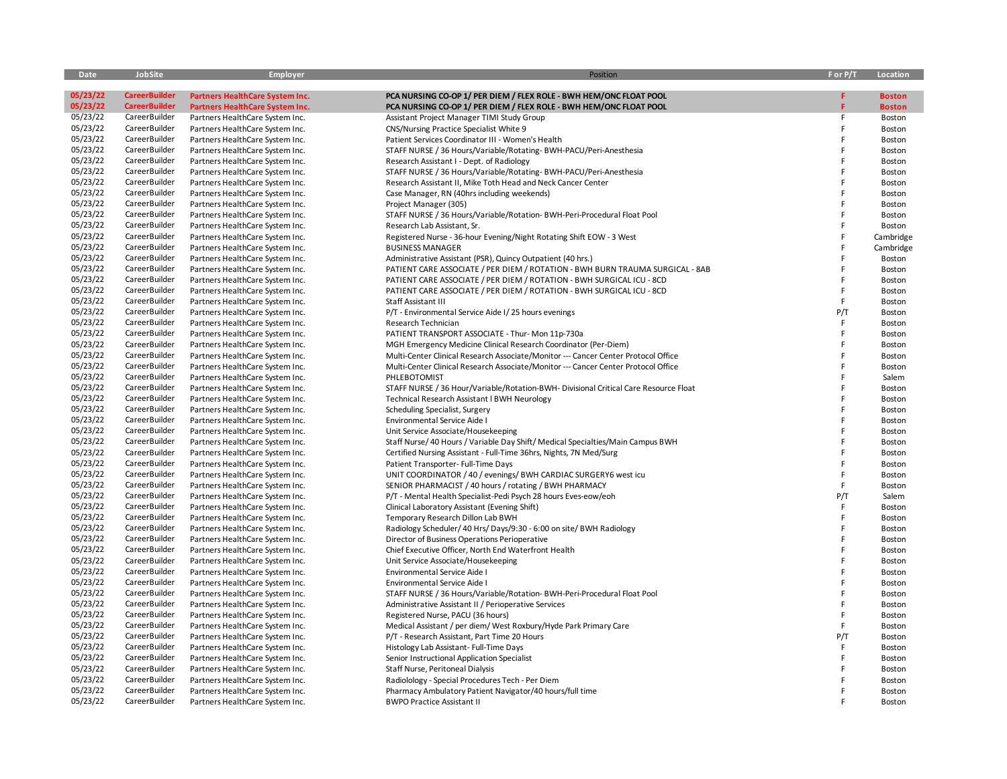| Date     | JobSite              | <b>Employer</b>                        | Position                                                                             | F or P/T | Location      |
|----------|----------------------|----------------------------------------|--------------------------------------------------------------------------------------|----------|---------------|
|          |                      |                                        |                                                                                      |          |               |
| 05/23/22 | <b>CareerBuilder</b> | <b>Partners HealthCare System Inc.</b> | PCA NURSING CO-OP 1/ PER DIEM / FLEX ROLE - BWH HEM/ONC FLOAT POOL                   | F.       | <b>Boston</b> |
| 05/23/22 | <b>CareerBuilder</b> | Partners HealthCare System Inc.        | PCA NURSING CO-OP 1/ PER DIEM / FLEX ROLE - BWH HEM/ONC FLOAT POOL                   |          | <b>Boston</b> |
| 05/23/22 | CareerBuilder        | Partners HealthCare System Inc.        | Assistant Project Manager TIMI Study Group                                           | F        | Boston        |
| 05/23/22 | CareerBuilder        | Partners HealthCare System Inc.        | CNS/Nursing Practice Specialist White 9                                              | F        | Boston        |
| 05/23/22 | CareerBuilder        | Partners HealthCare System Inc.        | Patient Services Coordinator III - Women's Health                                    |          | Boston        |
| 05/23/22 | CareerBuilder        | Partners HealthCare System Inc.        | STAFF NURSE / 36 Hours/Variable/Rotating-BWH-PACU/Peri-Anesthesia                    | F        | Boston        |
| 05/23/22 | CareerBuilder        | Partners HealthCare System Inc.        | Research Assistant I - Dept. of Radiology                                            |          | Boston        |
| 05/23/22 | CareerBuilder        | Partners HealthCare System Inc.        | STAFF NURSE / 36 Hours/Variable/Rotating-BWH-PACU/Peri-Anesthesia                    |          | Boston        |
| 05/23/22 | CareerBuilder        | Partners HealthCare System Inc.        | Research Assistant II, Mike Toth Head and Neck Cancer Center                         |          | Boston        |
| 05/23/22 | CareerBuilder        | Partners HealthCare System Inc.        | Case Manager, RN (40hrs including weekends)                                          |          | Boston        |
| 05/23/22 | CareerBuilder        | Partners HealthCare System Inc.        | Project Manager (305)                                                                |          | Boston        |
| 05/23/22 | CareerBuilder        | Partners HealthCare System Inc.        | STAFF NURSE / 36 Hours/Variable/Rotation- BWH-Peri-Procedural Float Pool             |          | Boston        |
| 05/23/22 | CareerBuilder        | Partners HealthCare System Inc.        | Research Lab Assistant, Sr.                                                          |          | Boston        |
| 05/23/22 | CareerBuilder        | Partners HealthCare System Inc.        | Registered Nurse - 36-hour Evening/Night Rotating Shift EOW - 3 West                 |          | Cambridge     |
| 05/23/22 | CareerBuilder        | Partners HealthCare System Inc.        | <b>BUSINESS MANAGER</b>                                                              |          | Cambridge     |
| 05/23/22 | CareerBuilder        | Partners HealthCare System Inc.        | Administrative Assistant (PSR), Quincy Outpatient (40 hrs.)                          | F        | Boston        |
| 05/23/22 | CareerBuilder        | Partners HealthCare System Inc.        | PATIENT CARE ASSOCIATE / PER DIEM / ROTATION - BWH BURN TRAUMA SURGICAL - 8AB        | F        | Boston        |
| 05/23/22 | CareerBuilder        | Partners HealthCare System Inc.        | PATIENT CARE ASSOCIATE / PER DIEM / ROTATION - BWH SURGICAL ICU - 8CD                | E        | Boston        |
| 05/23/22 | CareerBuilder        | Partners HealthCare System Inc.        | PATIENT CARE ASSOCIATE / PER DIEM / ROTATION - BWH SURGICAL ICU - 8CD                | F        | Boston        |
| 05/23/22 | CareerBuilder        | Partners HealthCare System Inc.        | Staff Assistant III                                                                  | F        | Boston        |
| 05/23/22 | CareerBuilder        | Partners HealthCare System Inc.        | P/T - Environmental Service Aide I/25 hours evenings                                 | P/T      | Boston        |
| 05/23/22 | CareerBuilder        |                                        | Research Technician                                                                  | E        |               |
| 05/23/22 | CareerBuilder        | Partners HealthCare System Inc.        |                                                                                      | F        | Boston        |
| 05/23/22 | CareerBuilder        | Partners HealthCare System Inc.        | PATIENT TRANSPORT ASSOCIATE - Thur- Mon 11p-730a                                     |          | Boston        |
|          |                      | Partners HealthCare System Inc.        | MGH Emergency Medicine Clinical Research Coordinator (Per-Diem)                      |          | Boston        |
| 05/23/22 | CareerBuilder        | Partners HealthCare System Inc.        | Multi-Center Clinical Research Associate/Monitor --- Cancer Center Protocol Office   |          | Boston        |
| 05/23/22 | CareerBuilder        | Partners HealthCare System Inc.        | Multi-Center Clinical Research Associate/Monitor --- Cancer Center Protocol Office   |          | Boston        |
| 05/23/22 | CareerBuilder        | Partners HealthCare System Inc.        | PHLEBOTOMIST                                                                         |          | Salem         |
| 05/23/22 | CareerBuilder        | Partners HealthCare System Inc.        | STAFF NURSE / 36 Hour/Variable/Rotation-BWH- Divisional Critical Care Resource Float |          | Boston        |
| 05/23/22 | CareerBuilder        | Partners HealthCare System Inc.        | <b>Technical Research Assistant I BWH Neurology</b>                                  | F        | Boston        |
| 05/23/22 | CareerBuilder        | Partners HealthCare System Inc.        | Scheduling Specialist, Surgery                                                       | F        | Boston        |
| 05/23/22 | CareerBuilder        | Partners HealthCare System Inc.        | Environmental Service Aide I                                                         |          | Boston        |
| 05/23/22 | CareerBuilder        | Partners HealthCare System Inc.        | Unit Service Associate/Housekeeping                                                  |          | Boston        |
| 05/23/22 | CareerBuilder        | Partners HealthCare System Inc.        | Staff Nurse/ 40 Hours / Variable Day Shift/ Medical Specialties/Main Campus BWH      |          | Boston        |
| 05/23/22 | CareerBuilder        | Partners HealthCare System Inc.        | Certified Nursing Assistant - Full-Time 36hrs, Nights, 7N Med/Surg                   |          | Boston        |
| 05/23/22 | CareerBuilder        | Partners HealthCare System Inc.        | Patient Transporter- Full-Time Days                                                  |          | Boston        |
| 05/23/22 | CareerBuilder        | Partners HealthCare System Inc.        | UNIT COORDINATOR / 40 / evenings/ BWH CARDIAC SURGERY6 west icu                      |          | Boston        |
| 05/23/22 | CareerBuilder        | Partners HealthCare System Inc.        | SENIOR PHARMACIST / 40 hours / rotating / BWH PHARMACY                               | E        | Boston        |
| 05/23/22 | CareerBuilder        | Partners HealthCare System Inc.        | P/T - Mental Health Specialist-Pedi Psych 28 hours Eves-eow/eoh                      | P/T      | Salem         |
| 05/23/22 | CareerBuilder        | Partners HealthCare System Inc.        | Clinical Laboratory Assistant (Evening Shift)                                        | F        | Boston        |
| 05/23/22 | CareerBuilder        | Partners HealthCare System Inc.        | Temporary Research Dillon Lab BWH                                                    | E        | Boston        |
| 05/23/22 | CareerBuilder        | Partners HealthCare System Inc.        | Radiology Scheduler/ 40 Hrs/ Days/9:30 - 6:00 on site/ BWH Radiology                 | F        | Boston        |
| 05/23/22 | CareerBuilder        | Partners HealthCare System Inc.        | Director of Business Operations Perioperative                                        | F        | Boston        |
| 05/23/22 | CareerBuilder        | Partners HealthCare System Inc.        | Chief Executive Officer, North End Waterfront Health                                 |          | Boston        |
| 05/23/22 | CareerBuilder        | Partners HealthCare System Inc.        | Unit Service Associate/Housekeeping                                                  |          | Boston        |
| 05/23/22 | CareerBuilder        | Partners HealthCare System Inc.        | Environmental Service Aide I                                                         |          | Boston        |
| 05/23/22 | CareerBuilder        | Partners HealthCare System Inc.        | Environmental Service Aide I                                                         |          | Boston        |
| 05/23/22 | CareerBuilder        | Partners HealthCare System Inc.        | STAFF NURSE / 36 Hours/Variable/Rotation- BWH-Peri-Procedural Float Pool             |          | Boston        |
| 05/23/22 | CareerBuilder        | Partners HealthCare System Inc.        | Administrative Assistant II / Perioperative Services                                 | F        | Boston        |
| 05/23/22 | CareerBuilder        | Partners HealthCare System Inc.        | Registered Nurse, PACU (36 hours)                                                    |          | Boston        |
| 05/23/22 | CareerBuilder        | Partners HealthCare System Inc.        | Medical Assistant / per diem/ West Roxbury/Hyde Park Primary Care                    | F        | Boston        |
| 05/23/22 | CareerBuilder        | Partners HealthCare System Inc.        | P/T - Research Assistant, Part Time 20 Hours                                         | P/T      | Boston        |
| 05/23/22 | CareerBuilder        | Partners HealthCare System Inc.        | Histology Lab Assistant- Full-Time Days                                              | F        | Boston        |
| 05/23/22 | CareerBuilder        | Partners HealthCare System Inc.        | Senior Instructional Application Specialist                                          | F        | Boston        |
| 05/23/22 | CareerBuilder        | Partners HealthCare System Inc.        | Staff Nurse, Peritoneal Dialysis                                                     |          | Boston        |
| 05/23/22 | CareerBuilder        | Partners HealthCare System Inc.        | Radiolology - Special Procedures Tech - Per Diem                                     |          | Boston        |
| 05/23/22 | CareerBuilder        | Partners HealthCare System Inc.        | Pharmacy Ambulatory Patient Navigator/40 hours/full time                             |          | Boston        |
| 05/23/22 | CareerBuilder        | Partners HealthCare System Inc.        | <b>BWPO Practice Assistant II</b>                                                    |          | Boston        |
|          |                      |                                        |                                                                                      |          |               |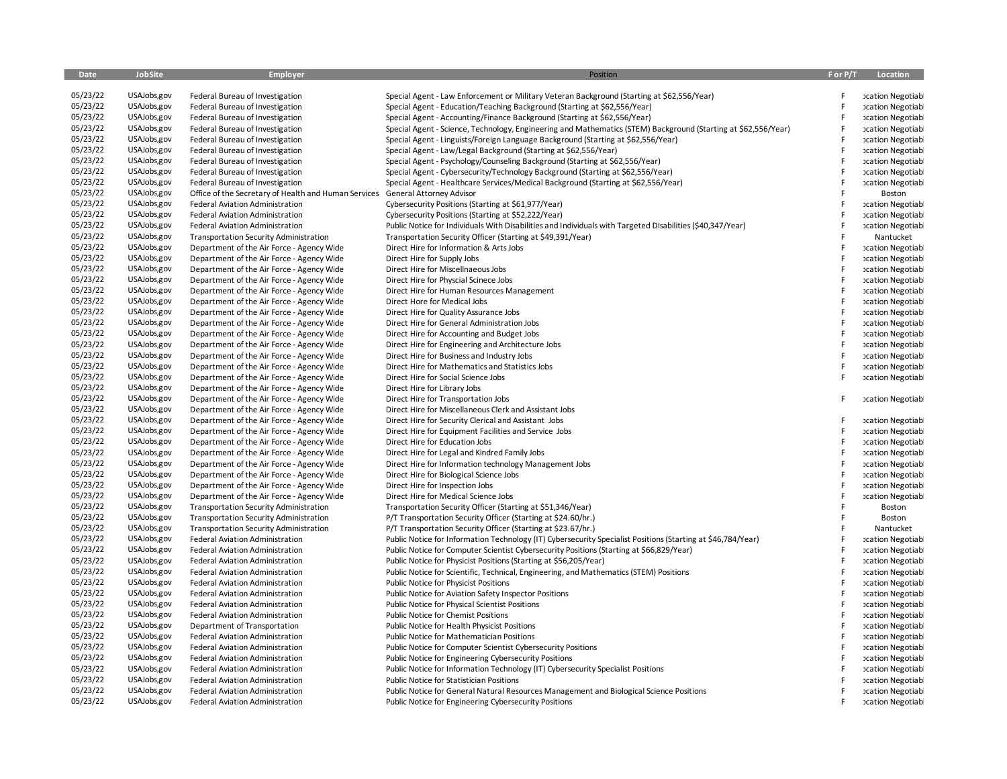| Date     | JobSite      | <b>Employer</b>                                                                  | Position                                                                                                       |   | F or P/T Location                     |
|----------|--------------|----------------------------------------------------------------------------------|----------------------------------------------------------------------------------------------------------------|---|---------------------------------------|
| 05/23/22 | USAJobs, gov | Federal Bureau of Investigation                                                  | Special Agent - Law Enforcement or Military Veteran Background (Starting at \$62,556/Year)                     | F | <b>xcation Negotiabl</b>              |
| 05/23/22 | USAJobs,gov  | Federal Bureau of Investigation                                                  | Special Agent - Education/Teaching Background (Starting at \$62,556/Year)                                      | F | <b>xcation Negotiabl</b>              |
| 05/23/22 | USAJobs,gov  | Federal Bureau of Investigation                                                  | Special Agent - Accounting/Finance Background (Starting at \$62,556/Year)                                      | F | <b>xcation Negotiabl</b>              |
| 05/23/22 | USAJobs,gov  | Federal Bureau of Investigation                                                  | Special Agent - Science, Technology, Engineering and Mathematics (STEM) Background (Starting at \$62,556/Year) | F | <b>xcation Negotiabl</b>              |
| 05/23/22 | USAJobs,gov  | Federal Bureau of Investigation                                                  | Special Agent - Linguists/Foreign Language Background (Starting at \$62,556/Year)                              |   | <b>cation Negotiabl</b>               |
| 05/23/22 | USAJobs,gov  | Federal Bureau of Investigation                                                  | Special Agent - Law/Legal Background (Starting at \$62,556/Year)                                               | F | <b>xcation Negotiabl</b>              |
| 05/23/22 | USAJobs,gov  | Federal Bureau of Investigation                                                  | Special Agent - Psychology/Counseling Background (Starting at \$62,556/Year)                                   | F | <b>xcation Negotiabl</b>              |
| 05/23/22 | USAJobs,gov  | Federal Bureau of Investigation                                                  | Special Agent - Cybersecurity/Technology Background (Starting at \$62,556/Year)                                | F | <b>xcation Negotiabl</b>              |
| 05/23/22 | USAJobs,gov  | Federal Bureau of Investigation                                                  | Special Agent - Healthcare Services/Medical Background (Starting at \$62,556/Year)                             | F | <b>xcation Negotiabl</b>              |
| 05/23/22 | USAJobs,gov  | Office of the Secretary of Health and Human Services                             | General Attorney Advisor                                                                                       | F | Boston                                |
| 05/23/22 | USAJobs,gov  | <b>Federal Aviation Administration</b>                                           | Cybersecurity Positions (Starting at \$61,977/Year)                                                            | F | <b>xcation Negotiabl</b>              |
| 05/23/22 | USAJobs,gov  | <b>Federal Aviation Administration</b>                                           | Cybersecurity Positions (Starting at \$52,222/Year)                                                            | F | <b>cation Negotiabl</b>               |
| 05/23/22 | USAJobs,gov  | Federal Aviation Administration                                                  | Public Notice for Individuals With Disabilities and Individuals with Targeted Disabilities (\$40,347/Year)     | F |                                       |
| 05/23/22 | USAJobs,gov  |                                                                                  |                                                                                                                |   | <b>xcation Negotiabl</b>              |
| 05/23/22 | USAJobs,gov  | <b>Transportation Security Administration</b>                                    | Transportation Security Officer (Starting at \$49,391/Year)                                                    | F | Nantucket                             |
|          |              | Department of the Air Force - Agency Wide                                        | Direct Hire for Information & Arts Jobs                                                                        |   | <b>xcation Negotiabl</b>              |
| 05/23/22 | USAJobs,gov  | Department of the Air Force - Agency Wide                                        | Direct Hire for Supply Jobs                                                                                    | F | <b>xcation Negotiabl</b>              |
| 05/23/22 | USAJobs,gov  | Department of the Air Force - Agency Wide                                        | Direct Hire for Miscellnaeous Jobs                                                                             |   | <b>xcation Negotiabl</b>              |
| 05/23/22 | USAJobs,gov  | Department of the Air Force - Agency Wide                                        | Direct Hire for Physcial Scinece Jobs                                                                          | F | <b>xcation Negotiabl</b>              |
| 05/23/22 | USAJobs,gov  | Department of the Air Force - Agency Wide                                        | Direct Hire for Human Resources Management                                                                     | F | <b>xcation Negotiabl</b>              |
| 05/23/22 | USAJobs,gov  | Department of the Air Force - Agency Wide                                        | Direct Hore for Medical Jobs                                                                                   | F | <b>xcation Negotiabl</b>              |
| 05/23/22 | USAJobs,gov  | Department of the Air Force - Agency Wide                                        | Direct Hire for Quality Assurance Jobs                                                                         | F | <b>xcation Negotiabl</b>              |
| 05/23/22 | USAJobs,gov  | Department of the Air Force - Agency Wide                                        | Direct Hire for General Administration Jobs                                                                    | F | <b>xcation Negotiabl</b>              |
| 05/23/22 | USAJobs,gov  | Department of the Air Force - Agency Wide                                        | Direct Hire for Accounting and Budget Jobs                                                                     | F | <b>xcation Negotiabl</b>              |
| 05/23/22 | USAJobs,gov  | Department of the Air Force - Agency Wide                                        | Direct Hire for Engineering and Architecture Jobs                                                              | F | <b>xcation Negotiabl</b>              |
| 05/23/22 | USAJobs,gov  | Department of the Air Force - Agency Wide                                        | Direct Hire for Business and Industry Jobs                                                                     | F | <b>xcation Negotiabl</b>              |
| 05/23/22 | USAJobs,gov  | Department of the Air Force - Agency Wide                                        | Direct Hire for Mathematics and Statistics Jobs                                                                |   | <b>xcation Negotiabl</b>              |
| 05/23/22 | USAJobs,gov  | Department of the Air Force - Agency Wide                                        | Direct Hire for Social Science Jobs                                                                            | F | <b>xcation Negotiabl</b>              |
| 05/23/22 | USAJobs,gov  | Department of the Air Force - Agency Wide                                        | Direct Hire for Library Jobs                                                                                   |   |                                       |
| 05/23/22 | USAJobs,gov  | Department of the Air Force - Agency Wide                                        | Direct Hire for Transportation Jobs                                                                            | F | <b>xcation Negotiabl</b>              |
| 05/23/22 | USAJobs,gov  | Department of the Air Force - Agency Wide                                        | Direct Hire for Miscellaneous Clerk and Assistant Jobs                                                         |   |                                       |
| 05/23/22 | USAJobs,gov  | Department of the Air Force - Agency Wide                                        | Direct Hire for Security Clerical and Assistant Jobs                                                           | F | <b>xcation Negotiabl</b>              |
| 05/23/22 | USAJobs,gov  | Department of the Air Force - Agency Wide                                        | Direct Hire for Equipment Facilities and Service Jobs                                                          | F | <b>xcation Negotiabl</b>              |
| 05/23/22 | USAJobs,gov  | Department of the Air Force - Agency Wide                                        | Direct Hire for Education Jobs                                                                                 |   | <b>xcation Negotiabl</b>              |
| 05/23/22 | USAJobs,gov  | Department of the Air Force - Agency Wide                                        | Direct Hire for Legal and Kindred Family Jobs                                                                  |   | <b>xcation Negotiabl</b>              |
| 05/23/22 | USAJobs,gov  | Department of the Air Force - Agency Wide                                        | Direct Hire for Information technology Management Jobs                                                         | F | <b>xcation Negotiabl</b>              |
| 05/23/22 | USAJobs,gov  | Department of the Air Force - Agency Wide                                        | Direct Hire for Biological Science Jobs                                                                        | F | <b>xcation Negotiabl</b>              |
| 05/23/22 | USAJobs,gov  | Department of the Air Force - Agency Wide                                        | Direct Hire for Inspection Jobs                                                                                | F | <b>xcation Negotiabl</b>              |
| 05/23/22 | USAJobs,gov  | Department of the Air Force - Agency Wide                                        | Direct Hire for Medical Science Jobs                                                                           |   | <b>xcation Negotiabl</b>              |
| 05/23/22 | USAJobs,gov  | <b>Transportation Security Administration</b>                                    | Transportation Security Officer (Starting at \$51,346/Year)                                                    | F | Boston                                |
| 05/23/22 | USAJobs,gov  | <b>Transportation Security Administration</b>                                    | P/T Transportation Security Officer (Starting at \$24.60/hr.)                                                  | F | Boston                                |
| 05/23/22 | USAJobs,gov  |                                                                                  | P/T Transportation Security Officer (Starting at \$23.67/hr.)                                                  |   |                                       |
| 05/23/22 | USAJobs, gov | <b>Transportation Security Administration</b><br>Federal Aviation Administration | Public Notice for Information Technology (IT) Cybersecurity Specialist Positions (Starting at \$46,784/Year)   | F | Nantucket<br><b>xcation Negotiabl</b> |
| 05/23/22 | USAJobs,gov  |                                                                                  | Public Notice for Computer Scientist Cybersecurity Positions (Starting at \$66,829/Year)                       | E |                                       |
| 05/23/22 | USAJobs,gov  | Federal Aviation Administration                                                  |                                                                                                                |   | <b>xcation Negotiabl</b>              |
|          |              | <b>Federal Aviation Administration</b>                                           | Public Notice for Physicist Positions (Starting at \$56,205/Year)                                              | F | <b>xcation Negotiabl</b>              |
| 05/23/22 | USAJobs,gov  | Federal Aviation Administration                                                  | Public Notice for Scientific, Technical, Engineering, and Mathematics (STEM) Positions                         |   | <b>xcation Negotiabl</b>              |
| 05/23/22 | USAJobs,gov  | <b>Federal Aviation Administration</b>                                           | Public Notice for Physicist Positions                                                                          | F | <b>xcation Negotiabl</b>              |
| 05/23/22 | USAJobs,gov  | <b>Federal Aviation Administration</b>                                           | Public Notice for Aviation Safety Inspector Positions                                                          | F | <b>xcation Negotiabl</b>              |
| 05/23/22 | USAJobs,gov  | <b>Federal Aviation Administration</b>                                           | Public Notice for Physical Scientist Positions                                                                 |   | <b>xcation Negotiabl</b>              |
| 05/23/22 | USAJobs,gov  | Federal Aviation Administration                                                  | Public Notice for Chemist Positions                                                                            |   | <b>xcation Negotiabl</b>              |
| 05/23/22 | USAJobs,gov  | Department of Transportation                                                     | Public Notice for Health Physicist Positions                                                                   | F | <b>xcation Negotiabl</b>              |
| 05/23/22 | USAJobs,gov  | <b>Federal Aviation Administration</b>                                           | <b>Public Notice for Mathematician Positions</b>                                                               | F | <b>xcation Negotiabl</b>              |
| 05/23/22 | USAJobs,gov  | <b>Federal Aviation Administration</b>                                           | Public Notice for Computer Scientist Cybersecurity Positions                                                   | F | <b>xcation Negotiabl</b>              |
| 05/23/22 | USAJobs,gov  | <b>Federal Aviation Administration</b>                                           | Public Notice for Engineering Cybersecurity Positions                                                          | F | <b>xcation Negotiabl</b>              |
| 05/23/22 | USAJobs,gov  | Federal Aviation Administration                                                  | Public Notice for Information Technology (IT) Cybersecurity Specialist Positions                               | F | <b>xcation Negotiabl</b>              |
| 05/23/22 | USAJobs,gov  | <b>Federal Aviation Administration</b>                                           | <b>Public Notice for Statistician Positions</b>                                                                |   | <b>xcation Negotiabl</b>              |
| 05/23/22 | USAJobs,gov  | Federal Aviation Administration                                                  | Public Notice for General Natural Resources Management and Biological Science Positions                        | F | <b>xcation Negotiabl</b>              |
| 05/23/22 | USAJobs,gov  | <b>Federal Aviation Administration</b>                                           | Public Notice for Engineering Cybersecurity Positions                                                          |   | <b>xcation Negotiabl</b>              |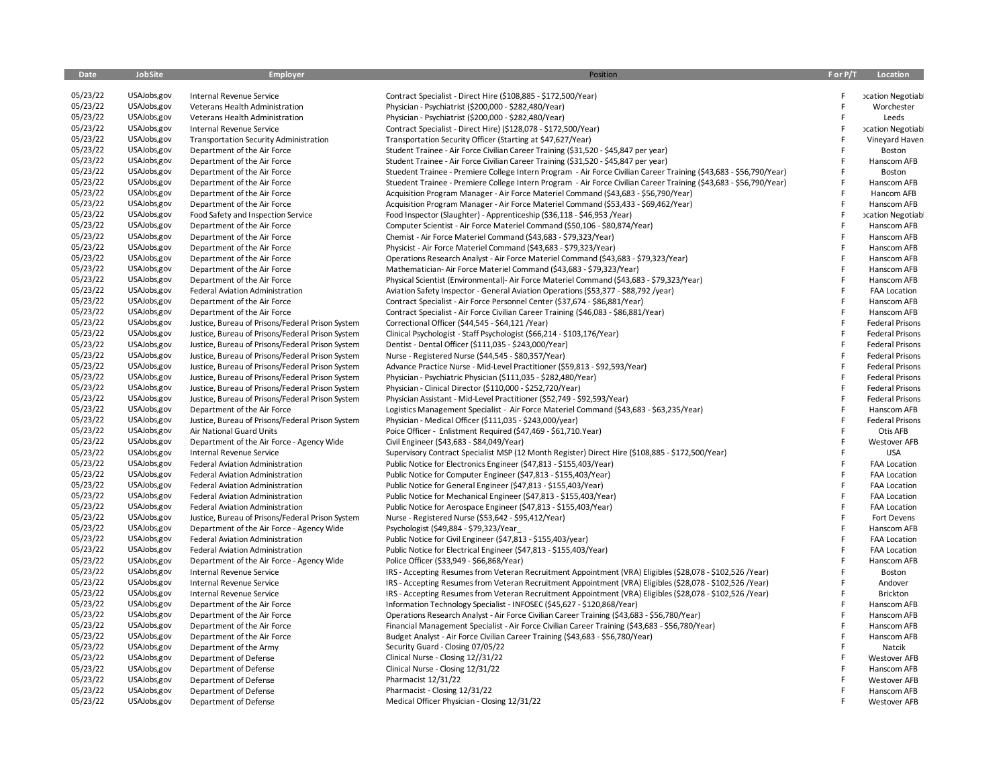| Date     | JobSite      | <b>Employer</b>                                  | Position                                                                                                           | F or P/T | Location                 |
|----------|--------------|--------------------------------------------------|--------------------------------------------------------------------------------------------------------------------|----------|--------------------------|
| 05/23/22 | USAJobs, gov | Internal Revenue Service                         | Contract Specialist - Direct Hire (\$108,885 - \$172,500/Year)                                                     | F        | <b>xcation Negotiabl</b> |
| 05/23/22 | USAJobs,gov  | Veterans Health Administration                   | Physician - Psychiatrist (\$200,000 - \$282,480/Year)                                                              | F        | Worchester               |
| 05/23/22 | USAJobs,gov  | Veterans Health Administration                   | Physician - Psychiatrist (\$200,000 - \$282,480/Year)                                                              | F        | Leeds                    |
| 05/23/22 | USAJobs,gov  | Internal Revenue Service                         | Contract Specialist - Direct Hire) (\$128,078 - \$172,500/Year)                                                    | F        | <b>xcation Negotiabl</b> |
| 05/23/22 | USAJobs,gov  | <b>Transportation Security Administration</b>    | Transportation Security Officer (Starting at \$47,627/Year)                                                        | F        | Vineyard Haven           |
| 05/23/22 | USAJobs,gov  | Department of the Air Force                      | Student Trainee - Air Force Civilian Career Training (\$31,520 - \$45,847 per year)                                | F        | Boston                   |
| 05/23/22 | USAJobs,gov  | Department of the Air Force                      | Student Trainee - Air Force Civilian Career Training (\$31,520 - \$45,847 per year)                                | F        | Hanscom AFB              |
| 05/23/22 | USAJobs,gov  | Department of the Air Force                      | Stuedent Trainee - Premiere College Intern Program - Air Force Civilian Career Training (\$43,683 - \$56,790/Year) | F        | Boston                   |
| 05/23/22 | USAJobs,gov  | Department of the Air Force                      | Stuedent Trainee - Premiere College Intern Program - Air Force Civilian Career Training (\$43,683 - \$56,790/Year) | F        | Hanscom AFB              |
| 05/23/22 | USAJobs,gov  | Department of the Air Force                      | Acquisition Program Manager - Air Force Materiel Command (\$43,683 - \$56,790/Year)                                |          | Hancom AFB               |
| 05/23/22 | USAJobs,gov  | Department of the Air Force                      | Acquisition Program Manager - Air Force Materiel Command (\$53,433 - \$69,462/Year)                                | F        | Hanscom AFB              |
| 05/23/22 | USAJobs,gov  | Food Safety and Inspection Service               | Food Inspector (Slaughter) - Apprenticeship (\$36,118 - \$46,953 /Year)                                            | F        | cation Negotiabl         |
| 05/23/22 | USAJobs,gov  | Department of the Air Force                      | Computer Scientist - Air Force Materiel Command (\$50,106 - \$80,874/Year)                                         | F        | Hanscom AFB              |
| 05/23/22 | USAJobs,gov  | Department of the Air Force                      | Chemist - Air Force Materiel Command (\$43,683 - \$79,323/Year)                                                    | F        | Hanscom AFB              |
| 05/23/22 | USAJobs,gov  | Department of the Air Force                      | Physicist - Air Force Materiel Command (\$43,683 - \$79,323/Year)                                                  | F        | Hanscom AFB              |
| 05/23/22 | USAJobs,gov  | Department of the Air Force                      | Operations Research Analyst - Air Force Materiel Command (\$43,683 - \$79,323/Year)                                | F        | Hanscom AFB              |
| 05/23/22 | USAJobs,gov  | Department of the Air Force                      | Mathematician-Air Force Materiel Command (\$43,683 - \$79,323/Year)                                                | E        | Hanscom AFB              |
| 05/23/22 | USAJobs,gov  | Department of the Air Force                      | Physical Scientist (Environmental)- Air Force Materiel Command (\$43,683 - \$79,323/Year)                          | F        | Hanscom AFB              |
| 05/23/22 | USAJobs,gov  | Federal Aviation Administration                  | Aviation Safety Inspector - General Aviation Operations (\$53,377 - \$88,792 /year)                                | F        | <b>FAA Location</b>      |
| 05/23/22 | USAJobs,gov  | Department of the Air Force                      | Contract Specialist - Air Force Personnel Center (\$37,674 - \$86,881/Year)                                        | F        | Hanscom AFB              |
| 05/23/22 | USAJobs,gov  | Department of the Air Force                      | Contract Specialist - Air Force Civilian Career Training (\$46,083 - \$86,881/Year)                                | F        | Hanscom AFB              |
| 05/23/22 | USAJobs,gov  | Justice, Bureau of Prisons/Federal Prison System | Correctional Officer (\$44,545 - \$64,121 /Year)                                                                   | F        | <b>Federal Prisons</b>   |
| 05/23/22 | USAJobs,gov  | Justice, Bureau of Prisons/Federal Prison System | Clinical Psychologist - Staff Psychologist (\$66,214 - \$103,176/Year)                                             | F        | <b>Federal Prisons</b>   |
| 05/23/22 | USAJobs,gov  | Justice, Bureau of Prisons/Federal Prison System | Dentist - Dental Officer (\$111,035 - \$243,000/Year)                                                              | F        | <b>Federal Prisons</b>   |
| 05/23/22 | USAJobs,gov  | Justice, Bureau of Prisons/Federal Prison System | Nurse - Registered Nurse (\$44,545 - \$80,357/Year)                                                                | F        | <b>Federal Prisons</b>   |
| 05/23/22 | USAJobs,gov  | Justice, Bureau of Prisons/Federal Prison System | Advance Practice Nurse - Mid-Level Practitioner (\$59,813 - \$92,593/Year)                                         | F        | <b>Federal Prisons</b>   |
| 05/23/22 | USAJobs,gov  | Justice, Bureau of Prisons/Federal Prison System | Physician - Psychiatric Physician (\$111,035 - \$282,480/Year)                                                     | F        | <b>Federal Prisons</b>   |
| 05/23/22 | USAJobs,gov  | Justice, Bureau of Prisons/Federal Prison System | Physician - Clinical Director (\$110,000 - \$252,720/Year)                                                         | F        | <b>Federal Prisons</b>   |
| 05/23/22 | USAJobs,gov  | Justice, Bureau of Prisons/Federal Prison System | Physician Assistant - Mid-Level Practitioner (\$52,749 - \$92,593/Year)                                            | F        | <b>Federal Prisons</b>   |
| 05/23/22 | USAJobs,gov  | Department of the Air Force                      | Logistics Management Specialist - Air Force Materiel Command (\$43,683 - \$63,235/Year)                            | F        | Hanscom AFB              |
| 05/23/22 | USAJobs,gov  | Justice, Bureau of Prisons/Federal Prison System | Physician - Medical Officer (\$111,035 - \$243,000/year)                                                           | F        | <b>Federal Prisons</b>   |
| 05/23/22 | USAJobs,gov  | Air National Guard Units                         | Poice Officer - Enlistment Required (\$47,469 - \$61,710.Year)                                                     | F        | Otis AFB                 |
| 05/23/22 | USAJobs,gov  | Department of the Air Force - Agency Wide        | Civil Engineer (\$43,683 - \$84,049/Year)                                                                          | F        | <b>Westover AFB</b>      |
| 05/23/22 | USAJobs,gov  | Internal Revenue Service                         | Supervisory Contract Specialist MSP (12 Month Register) Direct Hire (\$108,885 - \$172,500/Year)                   | F        | <b>USA</b>               |
| 05/23/22 | USAJobs,gov  | <b>Federal Aviation Administration</b>           | Public Notice for Electronics Engineer (\$47,813 - \$155,403/Year)                                                 | F        | <b>FAA Location</b>      |
| 05/23/22 | USAJobs,gov  | <b>Federal Aviation Administration</b>           | Public Notice for Computer Engineer (\$47,813 - \$155,403/Year)                                                    | F        | <b>FAA Location</b>      |
| 05/23/22 | USAJobs,gov  | <b>Federal Aviation Administration</b>           | Public Notice for General Engineer (\$47,813 - \$155,403/Year)                                                     | E        | <b>FAA Location</b>      |
| 05/23/22 | USAJobs,gov  | <b>Federal Aviation Administration</b>           | Public Notice for Mechanical Engineer (\$47,813 - \$155,403/Year)                                                  | F        | <b>FAA Location</b>      |
| 05/23/22 | USAJobs,gov  | Federal Aviation Administration                  | Public Notice for Aerospace Engineer (\$47,813 - \$155,403/Year)                                                   | F        | <b>FAA Location</b>      |
| 05/23/22 | USAJobs,gov  | Justice, Bureau of Prisons/Federal Prison System | Nurse - Registered Nurse (\$53,642 - \$95,412/Year)                                                                | F        | Fort Devens              |
| 05/23/22 | USAJobs,gov  | Department of the Air Force - Agency Wide        | Psychologist (\$49,884 - \$79,323/Year                                                                             | F        | Hanscom AFB              |
| 05/23/22 | USAJobs,gov  | Federal Aviation Administration                  | Public Notice for Civil Engineer (\$47,813 - \$155,403/year)                                                       |          | FAA Location             |
| 05/23/22 | USAJobs,gov  | Federal Aviation Administration                  | Public Notice for Electrical Engineer (\$47,813 - \$155,403/Year)                                                  |          | <b>FAA Location</b>      |
| 05/23/22 | USAJobs,gov  | Department of the Air Force - Agency Wide        | Police Officer (\$33,949 - \$66,868/Year)                                                                          | F        | Hanscom AFB              |
| 05/23/22 | USAJobs,gov  | Internal Revenue Service                         | IRS - Accepting Resumes from Veteran Recruitment Appointment (VRA) Eligibles (\$28,078 - \$102,526 /Year)          | E        | Boston                   |
| 05/23/22 | USAJobs,gov  | Internal Revenue Service                         | IRS - Accepting Resumes from Veteran Recruitment Appointment (VRA) Eligibles (\$28,078 - \$102,526 /Year)          | F        | Andover                  |
| 05/23/22 | USAJobs,gov  | Internal Revenue Service                         | IRS - Accepting Resumes from Veteran Recruitment Appointment (VRA) Eligibles (\$28,078 - \$102,526 /Year)          | F        | Brickton                 |
| 05/23/22 | USAJobs,gov  | Department of the Air Force                      | Information Technology Specialist - INFOSEC (\$45,627 - \$120,868/Year)                                            | E        | Hanscom AFB              |
| 05/23/22 | USAJobs,gov  | Department of the Air Force                      | Operations Research Analyst - Air Force Civilian Career Training (\$43,683 - \$56,780/Year)                        | E        | Hanscom AFB              |
| 05/23/22 | USAJobs,gov  | Department of the Air Force                      | Financial Management Specialist - Air Force Civilian Career Training (\$43,683 - \$56,780/Year)                    |          | Hanscom AFB              |
| 05/23/22 | USAJobs,gov  | Department of the Air Force                      | Budget Analyst - Air Force Civilian Career Training (\$43,683 - \$56,780/Year)                                     | F        | Hanscom AFB              |
| 05/23/22 | USAJobs,gov  | Department of the Army                           | Security Guard - Closing 07/05/22                                                                                  | F        | Natcik                   |
| 05/23/22 | USAJobs,gov  | Department of Defense                            | Clinical Nurse - Closing 12//31/22                                                                                 | F        | <b>Westover AFB</b>      |
| 05/23/22 | USAJobs,gov  | Department of Defense                            | Clinical Nurse - Closing 12/31/22                                                                                  |          | Hanscom AFB              |
| 05/23/22 | USAJobs,gov  | Department of Defense                            | Pharmacist 12/31/22                                                                                                |          | <b>Westover AFB</b>      |
| 05/23/22 | USAJobs,gov  | Department of Defense                            | Pharmacist - Closing 12/31/22                                                                                      |          | Hanscom AFB              |
| 05/23/22 | USAJobs,gov  | Department of Defense                            | Medical Officer Physician - Closing 12/31/22                                                                       | F        | <b>Westover AFB</b>      |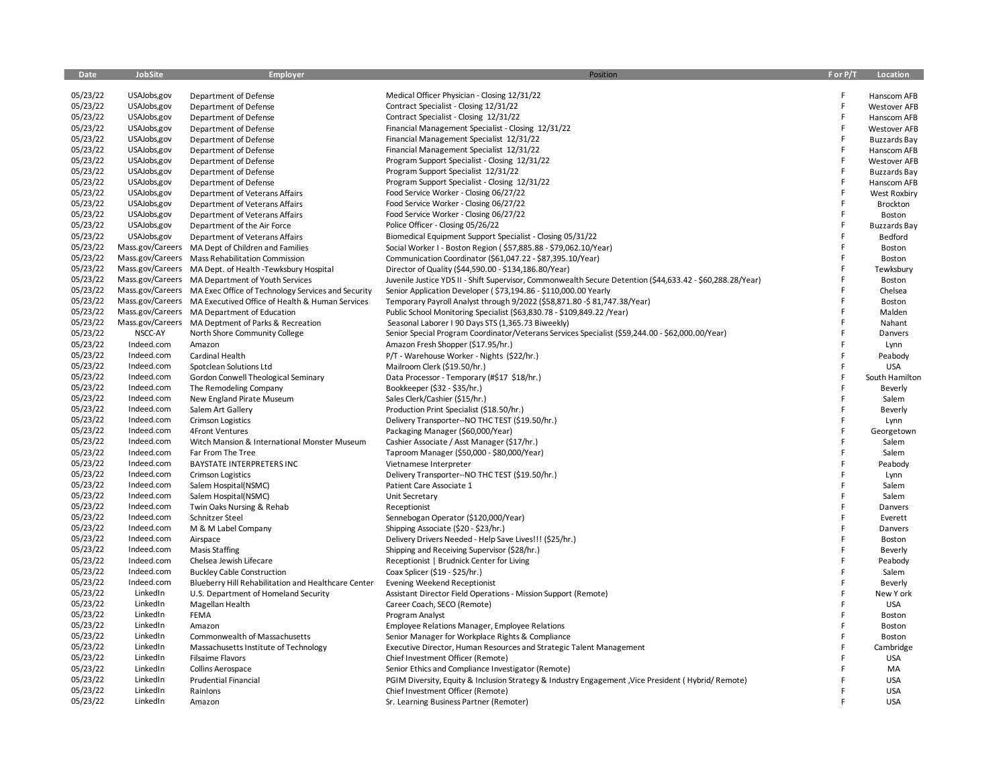| Date                 | <b>JobSite</b>           | Employer                                                            | Position                                                                                                   | F or P/T | Location            |
|----------------------|--------------------------|---------------------------------------------------------------------|------------------------------------------------------------------------------------------------------------|----------|---------------------|
| 05/23/22             | USAJobs,gov              | Department of Defense                                               | Medical Officer Physician - Closing 12/31/22                                                               | F        | Hanscom AFB         |
| 05/23/22             | USAJobs, gov             | Department of Defense                                               | Contract Specialist - Closing 12/31/22                                                                     | F.       | <b>Westover AFB</b> |
| 05/23/22             | USAJobs,gov              | Department of Defense                                               | Contract Specialist - Closing 12/31/22                                                                     | F        | Hanscom AFB         |
| 05/23/22             | USAJobs, gov             | Department of Defense                                               | Financial Management Specialist - Closing 12/31/22                                                         | F        | <b>Westover AFB</b> |
| 05/23/22             | USAJobs, gov             | Department of Defense                                               | Financial Management Specialist 12/31/22                                                                   | F        | <b>Buzzards Bay</b> |
| 05/23/22             | USAJobs, gov             | Department of Defense                                               | Financial Management Specialist 12/31/22                                                                   | F        | Hanscom AFB         |
| 05/23/22             | USAJobs,gov              | Department of Defense                                               | Program Support Specialist - Closing 12/31/22                                                              | F        | <b>Westover AFB</b> |
| 05/23/22             | USAJobs, gov             | Department of Defense                                               | Program Support Specialist 12/31/22                                                                        | F        | <b>Buzzards Bay</b> |
| 05/23/22             | USAJobs,gov              | Department of Defense                                               | Program Support Specialist - Closing 12/31/22                                                              | F        | Hanscom AFB         |
| 05/23/22             | USAJobs, gov             | Department of Veterans Affairs                                      | Food Service Worker - Closing 06/27/22                                                                     | F        | <b>West Roxbiry</b> |
| 05/23/22             | USAJobs, gov             | Department of Veterans Affairs                                      | Food Service Worker - Closing 06/27/22                                                                     | F        | Brockton            |
| 05/23/22             | USAJobs, gov             | Department of Veterans Affairs                                      | Food Service Worker - Closing 06/27/22                                                                     | F        | Boston              |
| 05/23/22             | USAJobs,gov              | Department of the Air Force                                         | Police Officer - Closing 05/26/22                                                                          | F        | <b>Buzzards Bay</b> |
| 05/23/22             | USAJobs,gov              | Department of Veterans Affairs                                      | Biomedical Equipment Support Specialist - Closing 05/31/22                                                 | F        | Bedford             |
| 05/23/22             |                          | Mass.gov/Careers MA Dept of Children and Families                   | Social Worker I - Boston Region (\$57,885.88 - \$79,062.10/Year)                                           | F        | Boston              |
| 05/23/22             |                          | Mass.gov/Careers Mass Rehabilitation Commission                     | Communication Coordinator (\$61,047.22 - \$87,395.10/Year)                                                 | F        | Boston              |
| 05/23/22             |                          | Mass.gov/Careers MA Dept. of Health -Tewksbury Hospital             | Director of Quality (\$44,590.00 - \$134,186.80/Year)                                                      | F        | Tewksbury           |
| 05/23/22             |                          | Mass.gov/Careers MA Department of Youth Services                    | Juvenile Justice YDS II - Shift Supervisor, Commonwealth Secure Detention (\$44,633.42 - \$60,288.28/Year) | E        | Boston              |
| 05/23/22             |                          | Mass.gov/Careers MA Exec Office of Technology Services and Security | Senior Application Developer (\$73,194.86 - \$110,000.00 Yearly                                            | E        | Chelsea             |
| 05/23/22             |                          | Mass.gov/Careers MA Executived Office of Health & Human Services    | Temporary Payroll Analyst through 9/2022 (\$58,871.80 -\$ 81,747.38/Year)                                  | E        | Boston              |
| 05/23/22             |                          | Mass.gov/Careers MA Department of Education                         | Public School Monitoring Specialist (\$63,830.78 - \$109,849.22 / Year)                                    | F        | Malden              |
| 05/23/22             | Mass.gov/Careers         | MA Deptment of Parks & Recreation                                   | Seasonal Laborer I 90 Days STS (1,365.73 Biweekly)                                                         | F        | Nahant              |
| 05/23/22             | NSCC-AY                  | North Shore Community College                                       | Senior Special Program Coordinator/Veterans Services Specialist (\$59,244.00 - \$62,000.00/Year)           | F        | Danvers             |
| 05/23/22             | Indeed.com               | Amazon                                                              | Amazon Fresh Shopper (\$17.95/hr.)                                                                         | F        | Lynn                |
| 05/23/22             | Indeed.com               | Cardinal Health                                                     | P/T - Warehouse Worker - Nights (\$22/hr.)                                                                 | F        | Peabody             |
| 05/23/22             | Indeed.com               | Spotclean Solutions Ltd                                             | Mailroom Clerk (\$19.50/hr.)                                                                               | F        | <b>USA</b>          |
| 05/23/22             | Indeed.com               | Gordon Conwell Theological Seminary                                 | Data Processor - Temporary (#\$17 \$18/hr.)                                                                | F        | South Hamilton      |
| 05/23/22             | Indeed.com               | The Remodeling Company                                              | Bookkeeper (\$32 - \$35/hr.)                                                                               | F        | Beverly             |
| 05/23/22             | Indeed.com               | New England Pirate Museum                                           | Sales Clerk/Cashier (\$15/hr.)                                                                             | F        | Salem               |
| 05/23/22             | Indeed.com               | Salem Art Gallery                                                   | Production Print Specialist (\$18.50/hr.)                                                                  | F        | Beverly             |
| 05/23/22             | Indeed.com               | <b>Crimson Logistics</b>                                            | Delivery Transporter--NO THC TEST (\$19.50/hr.)                                                            | F        | Lynn                |
| 05/23/22             | Indeed.com<br>Indeed.com | 4Front Ventures                                                     | Packaging Manager (\$60,000/Year)                                                                          |          | Georgetown          |
| 05/23/22<br>05/23/22 | Indeed.com               | Witch Mansion & International Monster Museum                        | Cashier Associate / Asst Manager (\$17/hr.)                                                                |          | Salem               |
| 05/23/22             | Indeed.com               | Far From The Tree<br>BAYSTATE INTERPRETERS INC                      | Taproom Manager (\$50,000 - \$80,000/Year)                                                                 |          | Salem               |
| 05/23/22             | Indeed.com               | <b>Crimson Logistics</b>                                            | Vietnamese Interpreter<br>Delivery Transporter--NO THC TEST (\$19.50/hr.)                                  |          | Peabody<br>Lynn     |
| 05/23/22             | Indeed.com               | Salem Hospital(NSMC)                                                | Patient Care Associate 1                                                                                   | F        | Salem               |
| 05/23/22             | Indeed.com               | Salem Hospital(NSMC)                                                | Unit Secretary                                                                                             |          | Salem               |
| 05/23/22             | Indeed.com               | Twin Oaks Nursing & Rehab                                           | Receptionist                                                                                               |          | Danvers             |
| 05/23/22             | Indeed.com               | Schnitzer Steel                                                     | Sennebogan Operator (\$120,000/Year)                                                                       |          | Everett             |
| 05/23/22             | Indeed.com               | M & M Label Company                                                 | Shipping Associate (\$20 - \$23/hr.)                                                                       | F        | Danvers             |
| 05/23/22             | Indeed.com               | Airspace                                                            | Delivery Drivers Needed - Help Save Lives!!! (\$25/hr.)                                                    |          | Boston              |
| 05/23/22             | Indeed.com               | <b>Masis Staffing</b>                                               | Shipping and Receiving Supervisor (\$28/hr.)                                                               | F        | Beverly             |
| 05/23/22             | Indeed.com               | Chelsea Jewish Lifecare                                             | Receptionist   Brudnick Center for Living                                                                  | Ë        | Peabody             |
| 05/23/22             | Indeed.com               | <b>Buckley Cable Construction</b>                                   | Coax Splicer (\$19 - \$25/hr.)                                                                             | F        | Salem               |
| 05/23/22             | Indeed.com               | Blueberry Hill Rehabilitation and Healthcare Center                 | <b>Evening Weekend Receptionist</b>                                                                        | F        | Beverly             |
| 05/23/22             | LinkedIn                 | U.S. Department of Homeland Security                                | Assistant Director Field Operations - Mission Support (Remote)                                             | F        | New Y ork           |
| 05/23/22             | LinkedIn                 | Magellan Health                                                     | Career Coach, SECO (Remote)                                                                                | F        | <b>USA</b>          |
| 05/23/22             | LinkedIn                 | <b>FEMA</b>                                                         | Program Analyst                                                                                            | E        | Boston              |
| 05/23/22             | LinkedIn                 | Amazon                                                              | Employee Relations Manager, Employee Relations                                                             | F        | Boston              |
| 05/23/22             | LinkedIn                 | Commonwealth of Massachusetts                                       | Senior Manager for Workplace Rights & Compliance                                                           | F        | Boston              |
| 05/23/22             | LinkedIn                 | Massachusetts Institute of Technology                               | Executive Director, Human Resources and Strategic Talent Management                                        | F        | Cambridge           |
| 05/23/22             | LinkedIn                 | <b>Filsaime Flavors</b>                                             | Chief Investment Officer (Remote)                                                                          | F        | <b>USA</b>          |
| 05/23/22             | LinkedIn                 | Collins Aerospace                                                   | Senior Ethics and Compliance Investigator (Remote)                                                         | F        | MA                  |
| 05/23/22             | LinkedIn                 | <b>Prudential Financial</b>                                         | PGIM Diversity, Equity & Inclusion Strategy & Industry Engagement, Vice President (Hybrid/Remote)          | F        | <b>USA</b>          |
| 05/23/22             | LinkedIn                 | Rainlons                                                            | Chief Investment Officer (Remote)                                                                          | Ë        | <b>USA</b>          |
| 05/23/22             | LinkedIn                 | Amazon                                                              | Sr. Learning Business Partner (Remoter)                                                                    | F        | <b>USA</b>          |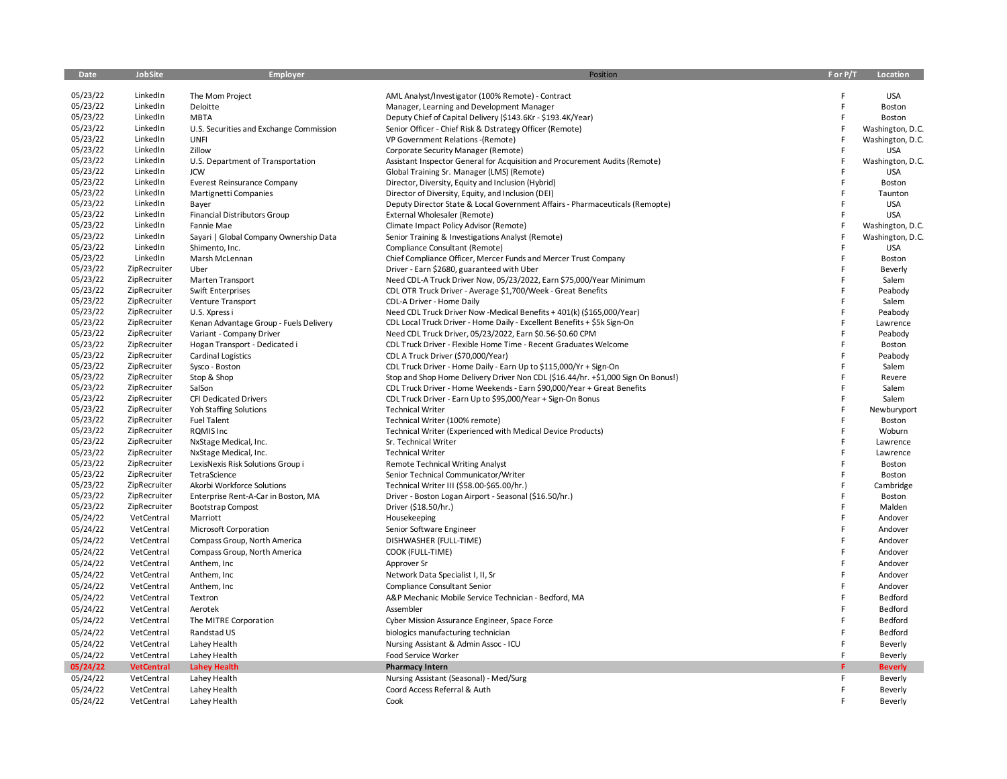| Date     | <b>JobSite</b>    | <b>Employer</b>                         | Position                                                                         | For P/T | Location         |
|----------|-------------------|-----------------------------------------|----------------------------------------------------------------------------------|---------|------------------|
|          |                   |                                         |                                                                                  |         |                  |
| 05/23/22 | LinkedIn          | The Mom Project                         | AML Analyst/Investigator (100% Remote) - Contract                                |         | <b>USA</b>       |
| 05/23/22 | LinkedIn          | Deloitte                                | Manager, Learning and Development Manager                                        | F       | Boston           |
| 05/23/22 | LinkedIn          | <b>MBTA</b>                             | Deputy Chief of Capital Delivery (\$143.6Kr - \$193.4K/Year)                     | F       | Boston           |
| 05/23/22 | LinkedIn          | U.S. Securities and Exchange Commission | Senior Officer - Chief Risk & Dstrategy Officer (Remote)                         |         | Washington, D.C. |
| 05/23/22 | LinkedIn          | <b>UNFI</b>                             | VP Government Relations - (Remote)                                               |         | Washington, D.C. |
| 05/23/22 | LinkedIn          | Zillow                                  | Corporate Security Manager (Remote)                                              |         | <b>USA</b>       |
| 05/23/22 | LinkedIn          | U.S. Department of Transportation       | Assistant Inspector General for Acquisition and Procurement Audits (Remote)      |         | Washington, D.C. |
| 05/23/22 | LinkedIn          | <b>JCW</b>                              | Global Training Sr. Manager (LMS) (Remote)                                       | F       | <b>USA</b>       |
| 05/23/22 | LinkedIn          | <b>Everest Reinsurance Company</b>      | Director, Diversity, Equity and Inclusion (Hybrid)                               | F       | Boston           |
| 05/23/22 | LinkedIn          | Martignetti Companies                   | Director of Diversity, Equity, and Inclusion (DEI)                               |         | Taunton          |
| 05/23/22 | LinkedIn          | Bayer                                   | Deputy Director State & Local Government Affairs - Pharmaceuticals (Remopte)     |         | <b>USA</b>       |
| 05/23/22 | LinkedIn          | Financial Distributors Group            | External Wholesaler (Remote)                                                     | F       | <b>USA</b>       |
| 05/23/22 | LinkedIn          | Fannie Mae                              | Climate Impact Policy Advisor (Remote)                                           |         | Washington, D.C. |
| 05/23/22 | LinkedIn          | Sayari   Global Company Ownership Data  | Senior Training & Investigations Analyst (Remote)                                |         | Washington, D.C. |
| 05/23/22 | LinkedIn          | Shimento, Inc.                          | Compliance Consultant (Remote)                                                   | F       | <b>USA</b>       |
| 05/23/22 | LinkedIn          | Marsh McLennan                          | Chief Compliance Officer, Mercer Funds and Mercer Trust Company                  | F       | Boston           |
| 05/23/22 | ZipRecruiter      | Uber                                    | Driver - Earn \$2680, guaranteed with Uber                                       |         | Beverly          |
| 05/23/22 | ZipRecruiter      | Marten Transport                        | Need CDL-A Truck Driver Now, 05/23/2022, Earn \$75,000/Year Minimum              |         | Salem            |
| 05/23/22 | ZipRecruiter      | Swift Enterprises                       | CDL OTR Truck Driver - Average \$1,700/Week - Great Benefits                     |         | Peabody          |
| 05/23/22 | ZipRecruiter      | Venture Transport                       | CDL-A Driver - Home Daily                                                        |         | Salem            |
| 05/23/22 | ZipRecruiter      | U.S. Xpress i                           | Need CDL Truck Driver Now -Medical Benefits + 401(k) (\$165,000/Year)            |         | Peabody          |
| 05/23/22 | ZipRecruiter      | Kenan Advantage Group - Fuels Delivery  | CDL Local Truck Driver - Home Daily - Excellent Benefits + \$5k Sign-On          | F       | Lawrence         |
| 05/23/22 | ZipRecruiter      | Variant - Company Driver                | Need CDL Truck Driver, 05/23/2022, Earn \$0.56-\$0.60 CPM                        | F       | Peabody          |
| 05/23/22 | ZipRecruiter      | Hogan Transport - Dedicated i           | CDL Truck Driver - Flexible Home Time - Recent Graduates Welcome                 | F       | Boston           |
| 05/23/22 | ZipRecruiter      | <b>Cardinal Logistics</b>               | CDL A Truck Driver (\$70,000/Year)                                               |         | Peabody          |
| 05/23/22 | ZipRecruiter      | Sysco - Boston                          | CDL Truck Driver - Home Daily - Earn Up to \$115,000/Yr + Sign-On                | F       | Salem            |
| 05/23/22 | ZipRecruiter      | Stop & Shop                             | Stop and Shop Home Delivery Driver Non CDL (\$16.44/hr. +\$1,000 Sign On Bonus!) |         | Revere           |
| 05/23/22 | ZipRecruiter      | SalSon                                  | CDL Truck Driver - Home Weekends - Earn \$90,000/Year + Great Benefits           |         | Salem            |
| 05/23/22 | ZipRecruiter      | <b>CFI Dedicated Drivers</b>            | CDL Truck Driver - Earn Up to \$95,000/Year + Sign-On Bonus                      |         | Salem            |
| 05/23/22 | ZipRecruiter      | Yoh Staffing Solutions                  | <b>Technical Writer</b>                                                          |         | Newburyport      |
| 05/23/22 | ZipRecruiter      | <b>Fuel Talent</b>                      | Technical Writer (100% remote)                                                   |         | Boston           |
| 05/23/22 | ZipRecruiter      | ROMIS Inc                               | Technical Writer (Experienced with Medical Device Products)                      | F       | Woburn           |
| 05/23/22 | ZipRecruiter      | NxStage Medical, Inc.                   | Sr. Technical Writer                                                             |         | Lawrence         |
| 05/23/22 | ZipRecruiter      | NxStage Medical, Inc.                   | <b>Technical Writer</b>                                                          | F       | Lawrence         |
| 05/23/22 | ZipRecruiter      | LexisNexis Risk Solutions Group i       | Remote Technical Writing Analyst                                                 |         | Boston           |
| 05/23/22 | ZipRecruiter      | TetraScience                            | Senior Technical Communicator/Writer                                             | F       | Boston           |
| 05/23/22 | ZipRecruiter      | Akorbi Workforce Solutions              | Technical Writer III (\$58.00-\$65.00/hr.)                                       |         | Cambridge        |
| 05/23/22 | ZipRecruiter      | Enterprise Rent-A-Car in Boston, MA     | Driver - Boston Logan Airport - Seasonal (\$16.50/hr.)                           | F       | Boston           |
| 05/23/22 | ZipRecruiter      | <b>Bootstrap Compost</b>                | Driver (\$18.50/hr.)                                                             |         | Malden           |
| 05/24/22 | VetCentral        | Marriott                                | Housekeeping                                                                     | F       | Andover          |
| 05/24/22 | VetCentral        | Microsoft Corporation                   | Senior Software Engineer                                                         | F       | Andover          |
| 05/24/22 | VetCentral        | Compass Group, North America            | DISHWASHER (FULL-TIME)                                                           | F       | Andover          |
| 05/24/22 | VetCentral        | Compass Group, North America            | COOK (FULL-TIME)                                                                 | F       | Andover          |
| 05/24/22 | VetCentral        | Anthem, Inc.                            | Approver Sr                                                                      | F       | Andover          |
| 05/24/22 | VetCentral        | Anthem, Inc                             | Network Data Specialist I, II, Sr                                                | F       | Andover          |
| 05/24/22 | VetCentral        | Anthem, Inc.                            | Compliance Consultant Senior                                                     | F       | Andover          |
|          |                   |                                         |                                                                                  | F       | Bedford          |
| 05/24/22 | VetCentral        | Textron                                 | A&P Mechanic Mobile Service Technician - Bedford, MA                             | F       |                  |
| 05/24/22 | VetCentral        | Aerotek                                 | Assembler                                                                        |         | Bedford          |
| 05/24/22 | VetCentral        | The MITRE Corporation                   | Cyber Mission Assurance Engineer, Space Force                                    | F       | Bedford          |
| 05/24/22 | VetCentral        | Randstad US                             | biologics manufacturing technician                                               | F       | Bedford          |
| 05/24/22 | VetCentral        | Lahey Health                            | Nursing Assistant & Admin Assoc - ICU                                            |         | Beverly          |
| 05/24/22 | VetCentral        | Lahey Health                            | Food Service Worker                                                              | F       | Beverly          |
| 05/24/22 | <b>VetCentral</b> | <b>Lahey Health</b>                     | <b>Pharmacy Intern</b>                                                           |         | <b>Beverly</b>   |
| 05/24/22 | VetCentral        | Lahey Health                            | Nursing Assistant (Seasonal) - Med/Surg                                          | F       | Beverly          |
| 05/24/22 | VetCentral        | Lahey Health                            | Coord Access Referral & Auth                                                     | F       | Beverly          |
| 05/24/22 | VetCentral        | Lahey Health                            | Cook                                                                             | F.      | Beverly          |
|          |                   |                                         |                                                                                  |         |                  |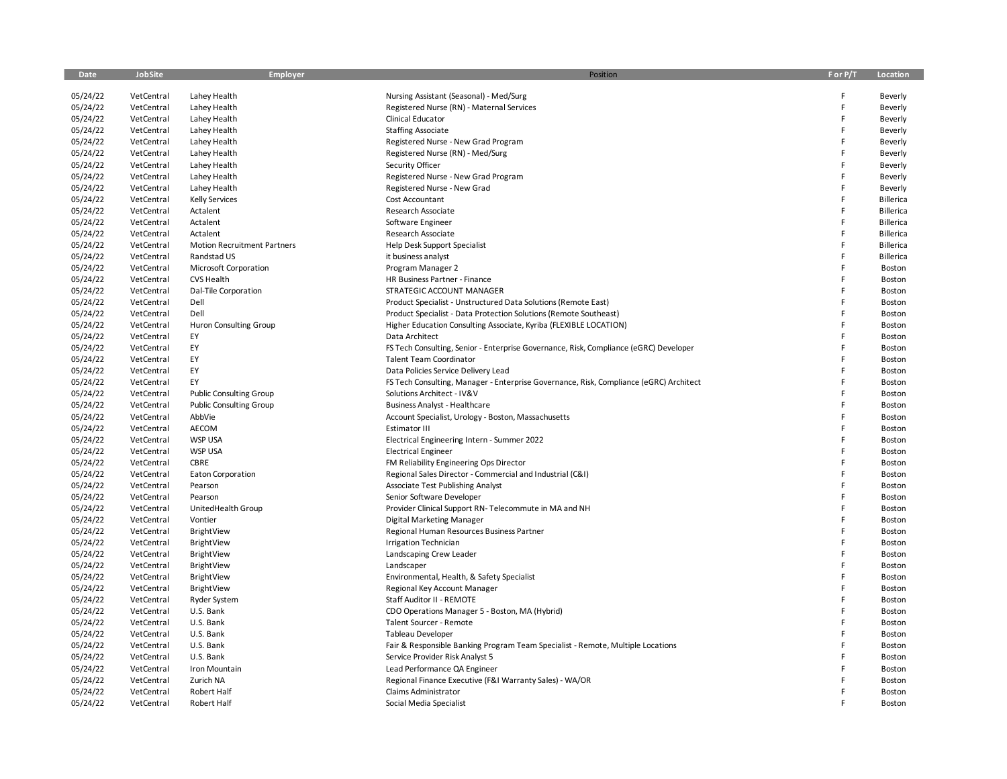| Date                 | <b>JobSite</b> | <b>Employer</b>                    | Position                                                                               | F or P/T | Location           |
|----------------------|----------------|------------------------------------|----------------------------------------------------------------------------------------|----------|--------------------|
|                      | VetCentral     | Lahey Health                       |                                                                                        | F        |                    |
| 05/24/22<br>05/24/22 | VetCentral     | Lahey Health                       | Nursing Assistant (Seasonal) - Med/Surg<br>Registered Nurse (RN) - Maternal Services   | F        | Beverly            |
| 05/24/22             | VetCentral     | Lahey Health                       | Clinical Educator                                                                      | F        | Beverly<br>Beverly |
| 05/24/22             | VetCentral     | Lahey Health                       | <b>Staffing Associate</b>                                                              | F        | Beverly            |
| 05/24/22             | VetCentral     | Lahey Health                       | Registered Nurse - New Grad Program                                                    | F        | Beverly            |
| 05/24/22             | VetCentral     | Lahey Health                       | Registered Nurse (RN) - Med/Surg                                                       | F        | Beverly            |
| 05/24/22             | VetCentral     | Lahey Health                       | Security Officer                                                                       | F        | Beverly            |
| 05/24/22             | VetCentral     | Lahey Health                       | Registered Nurse - New Grad Program                                                    | F        | Beverly            |
| 05/24/22             | VetCentral     | Lahey Health                       | Registered Nurse - New Grad                                                            | F        | Beverly            |
| 05/24/22             | VetCentral     | <b>Kelly Services</b>              | <b>Cost Accountant</b>                                                                 | F        | Billerica          |
| 05/24/22             | VetCentral     | Actalent                           | Research Associate                                                                     | F        | Billerica          |
| 05/24/22             | VetCentral     | Actalent                           | Software Engineer                                                                      | F        | Billerica          |
| 05/24/22             | VetCentral     | Actalent                           | Research Associate                                                                     | F        | Billerica          |
| 05/24/22             | VetCentral     | <b>Motion Recruitment Partners</b> | <b>Help Desk Support Specialist</b>                                                    | F        | Billerica          |
| 05/24/22             | VetCentral     | Randstad US                        | it business analyst                                                                    | F        | Billerica          |
| 05/24/22             | VetCentral     | Microsoft Corporation              | Program Manager 2                                                                      | F        | Boston             |
| 05/24/22             | VetCentral     | CVS Health                         | HR Business Partner - Finance                                                          | F        | Boston             |
| 05/24/22             | VetCentral     | Dal-Tile Corporation               | STRATEGIC ACCOUNT MANAGER                                                              | F        | Boston             |
| 05/24/22             | VetCentral     | Dell                               | Product Specialist - Unstructured Data Solutions (Remote East)                         |          | Boston             |
| 05/24/22             | VetCentral     | Dell                               | Product Specialist - Data Protection Solutions (Remote Southeast)                      | E        | Boston             |
| 05/24/22             | VetCentral     | <b>Huron Consulting Group</b>      | Higher Education Consulting Associate, Kyriba (FLEXIBLE LOCATION)                      | F        | Boston             |
| 05/24/22             | VetCentral     | EY                                 | Data Architect                                                                         |          | Boston             |
| 05/24/22             | VetCentral     | EY                                 | FS Tech Consulting, Senior - Enterprise Governance, Risk, Compliance (eGRC) Developer  | E        | Boston             |
| 05/24/22             | VetCentral     | EY                                 | <b>Talent Team Coordinator</b>                                                         | F        | Boston             |
| 05/24/22             | VetCentral     | EY                                 | Data Policies Service Delivery Lead                                                    | F        | Boston             |
| 05/24/22             | VetCentral     | EY                                 | FS Tech Consulting, Manager - Enterprise Governance, Risk, Compliance (eGRC) Architect | E        | Boston             |
| 05/24/22             | VetCentral     | <b>Public Consulting Group</b>     | Solutions Architect - IV&V                                                             | F        | Boston             |
| 05/24/22             | VetCentral     | <b>Public Consulting Group</b>     | <b>Business Analyst - Healthcare</b>                                                   | F        | Boston             |
| 05/24/22             | VetCentral     | AbbVie                             | Account Specialist, Urology - Boston, Massachusetts                                    | F        | Boston             |
| 05/24/22             | VetCentral     | AECOM                              | Estimator III                                                                          | F        | Boston             |
| 05/24/22             | VetCentral     | WSP USA                            | Electrical Engineering Intern - Summer 2022                                            | E        | Boston             |
| 05/24/22             | VetCentral     | <b>WSP USA</b>                     | <b>Electrical Engineer</b>                                                             | F        | Boston             |
| 05/24/22             | VetCentral     | CBRE                               | FM Reliability Engineering Ops Director                                                | F        | Boston             |
| 05/24/22             | VetCentral     | <b>Eaton Corporation</b>           | Regional Sales Director - Commercial and Industrial (C&I)                              | E        | Boston             |
| 05/24/22             | VetCentral     | Pearson                            | Associate Test Publishing Analyst                                                      | Ë        | Boston             |
| 05/24/22             | VetCentral     | Pearson                            | Senior Software Developer                                                              | F        | Boston             |
| 05/24/22             | VetCentral     | UnitedHealth Group                 | Provider Clinical Support RN-Telecommute in MA and NH                                  | F        | Boston             |
| 05/24/22             | VetCentral     | Vontier                            | Digital Marketing Manager                                                              | F        | Boston             |
| 05/24/22             | VetCentral     | BrightView                         | Regional Human Resources Business Partner                                              | F        | Boston             |
| 05/24/22             | VetCentral     | BrightView                         | Irrigation Technician                                                                  | E        | Boston             |
| 05/24/22             | VetCentral     | BrightView                         | Landscaping Crew Leader                                                                | F        | Boston             |
| 05/24/22             | VetCentral     | BrightView                         | Landscaper                                                                             | F        | Boston             |
| 05/24/22             | VetCentral     | BrightView                         | Environmental, Health, & Safety Specialist                                             | F        | Boston             |
| 05/24/22             | VetCentral     | BrightView                         | Regional Key Account Manager                                                           | Ë        | Boston             |
| 05/24/22             | VetCentral     | <b>Ryder System</b>                | Staff Auditor II - REMOTE                                                              | F        | Boston             |
| 05/24/22             | VetCentral     | U.S. Bank                          | CDO Operations Manager 5 - Boston, MA (Hybrid)                                         | F        | Boston             |
| 05/24/22             | VetCentral     | U.S. Bank                          | Talent Sourcer - Remote                                                                | F        | Boston             |
| 05/24/22             | VetCentral     | U.S. Bank                          | Tableau Developer                                                                      | F        | Boston             |
| 05/24/22             | VetCentral     | U.S. Bank                          | Fair & Responsible Banking Program Team Specialist - Remote, Multiple Locations        | F        | Boston             |
| 05/24/22             | VetCentral     | U.S. Bank                          | Service Provider Risk Analyst 5                                                        |          | Boston             |
| 05/24/22             | VetCentral     | Iron Mountain                      | Lead Performance QA Engineer                                                           |          | Boston             |
| 05/24/22             | VetCentral     | Zurich NA                          | Regional Finance Executive (F&I Warranty Sales) - WA/OR                                |          | Boston             |
| 05/24/22             | VetCentral     | Robert Half                        | Claims Administrator                                                                   |          | Boston             |
| 05/24/22             | VetCentral     | <b>Robert Half</b>                 | Social Media Specialist                                                                | F        | Boston             |
|                      |                |                                    |                                                                                        |          |                    |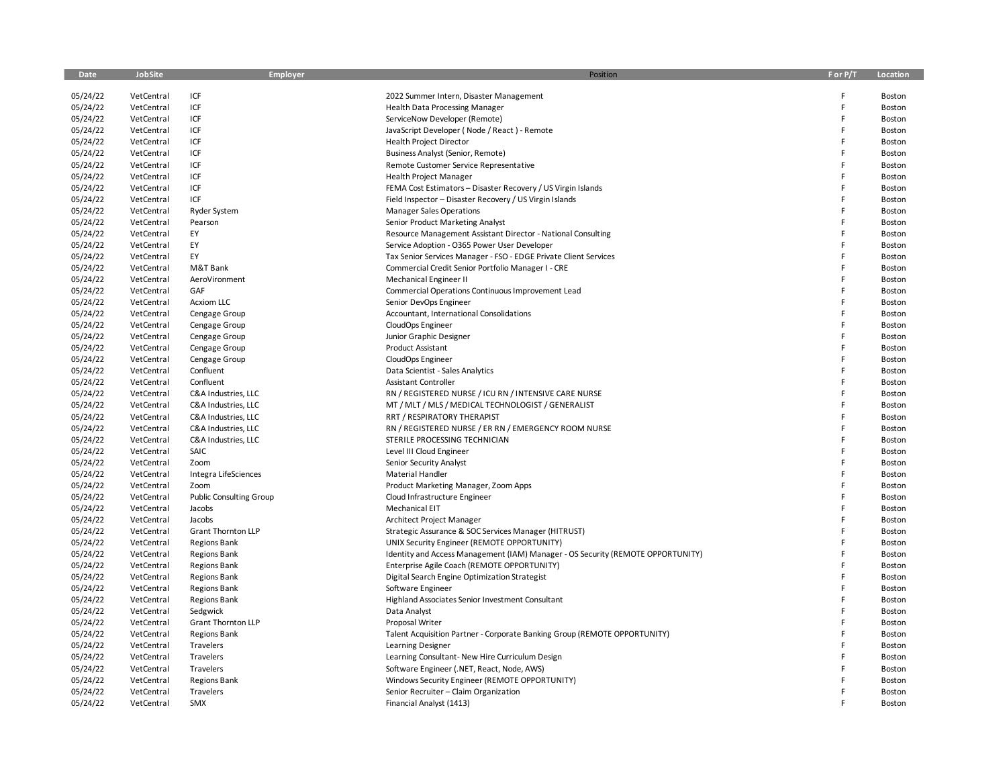| Date                 | JobSite                  | <b>Employer</b>                            | Position                                                                                                                | F or P/T | Location         |
|----------------------|--------------------------|--------------------------------------------|-------------------------------------------------------------------------------------------------------------------------|----------|------------------|
|                      |                          |                                            |                                                                                                                         |          |                  |
| 05/24/22             | VetCentral               | ICF                                        | 2022 Summer Intern, Disaster Management                                                                                 | F        | Boston           |
| 05/24/22             | VetCentral               | ICF                                        | <b>Health Data Processing Manager</b>                                                                                   | F<br>F   | Boston           |
| 05/24/22             | VetCentral               | ICF                                        | ServiceNow Developer (Remote)                                                                                           | F        | Boston           |
| 05/24/22             | VetCentral               | ICF                                        | JavaScript Developer (Node / React) - Remote                                                                            | F        | Boston           |
| 05/24/22             | VetCentral               | ICF                                        | <b>Health Project Director</b>                                                                                          | F        | Boston           |
| 05/24/22             | VetCentral               | ICF<br>ICF                                 | <b>Business Analyst (Senior, Remote)</b>                                                                                | Ë        | Boston           |
| 05/24/22             | VetCentral               | ICF                                        | Remote Customer Service Representative                                                                                  | F        | Boston           |
| 05/24/22<br>05/24/22 | VetCentral               | ICF                                        | <b>Health Project Manager</b>                                                                                           | Ë        | Boston           |
| 05/24/22             | VetCentral<br>VetCentral | ICF                                        | FEMA Cost Estimators - Disaster Recovery / US Virgin Islands<br>Field Inspector - Disaster Recovery / US Virgin Islands | F        | Boston           |
|                      |                          |                                            | <b>Manager Sales Operations</b>                                                                                         | F        | Boston           |
| 05/24/22<br>05/24/22 | VetCentral               | Ryder System                               |                                                                                                                         | F        | Boston           |
|                      | VetCentral<br>VetCentral | Pearson<br>EY                              | Senior Product Marketing Analyst                                                                                        | F        | Boston           |
| 05/24/22             | VetCentral               | EY                                         | Resource Management Assistant Director - National Consulting<br>Service Adoption - O365 Power User Developer            | F        | Boston           |
| 05/24/22<br>05/24/22 |                          | EY                                         |                                                                                                                         | F        | Boston           |
| 05/24/22             | VetCentral<br>VetCentral | M&T Bank                                   | Tax Senior Services Manager - FSO - EDGE Private Client Services<br>Commercial Credit Senior Portfolio Manager I - CRE  | Ë        | Boston<br>Boston |
| 05/24/22             | VetCentral               | AeroVironment                              | Mechanical Engineer II                                                                                                  | F        | Boston           |
| 05/24/22             |                          | GAF                                        |                                                                                                                         | Ë        |                  |
|                      | VetCentral<br>VetCentral | <b>Acxiom LLC</b>                          | Commercial Operations Continuous Improvement Lead                                                                       | Ë        | Boston<br>Boston |
| 05/24/22<br>05/24/22 | VetCentral               |                                            | Senior DevOps Engineer<br>Accountant, International Consolidations                                                      | F        |                  |
| 05/24/22             |                          | Cengage Group                              |                                                                                                                         | F        | Boston           |
|                      | VetCentral<br>VetCentral | Cengage Group                              | CloudOps Engineer                                                                                                       | F        | Boston<br>Boston |
| 05/24/22<br>05/24/22 | VetCentral               | Cengage Group                              | Junior Graphic Designer<br>Product Assistant                                                                            | F        |                  |
| 05/24/22             |                          | Cengage Group                              |                                                                                                                         | F        | Boston           |
|                      | VetCentral<br>VetCentral | Cengage Group<br>Confluent                 | CloudOps Engineer                                                                                                       | F        | Boston<br>Boston |
| 05/24/22<br>05/24/22 | VetCentral               | Confluent                                  | Data Scientist - Sales Analytics                                                                                        | F        |                  |
| 05/24/22             |                          |                                            | Assistant Controller<br>RN / REGISTERED NURSE / ICU RN / INTENSIVE CARE NURSE                                           | Ë        | Boston           |
|                      | VetCentral<br>VetCentral | C&A Industries, LLC<br>C&A Industries, LLC | MT / MLT / MLS / MEDICAL TECHNOLOGIST / GENERALIST                                                                      | F        | Boston           |
| 05/24/22<br>05/24/22 |                          |                                            |                                                                                                                         | Ë        | Boston           |
| 05/24/22             | VetCentral               | C&A Industries, LLC                        | RRT / RESPIRATORY THERAPIST<br>RN / REGISTERED NURSE / ER RN / EMERGENCY ROOM NURSE                                     | F        | Boston<br>Boston |
| 05/24/22             | VetCentral<br>VetCentral | C&A Industries, LLC<br>C&A Industries, LLC | STERILE PROCESSING TECHNICIAN                                                                                           | F        |                  |
| 05/24/22             | VetCentral               | SAIC                                       | Level III Cloud Engineer                                                                                                | Ë        | Boston           |
| 05/24/22             | VetCentral               | Zoom                                       | Senior Security Analyst                                                                                                 | F        | Boston<br>Boston |
| 05/24/22             | VetCentral               |                                            | <b>Material Handler</b>                                                                                                 | F        |                  |
| 05/24/22             | VetCentral               | Integra LifeSciences<br>Zoom               | Product Marketing Manager, Zoom Apps                                                                                    | Ë        | Boston           |
| 05/24/22             | VetCentral               | <b>Public Consulting Group</b>             | Cloud Infrastructure Engineer                                                                                           | Ë        | Boston           |
| 05/24/22             | VetCentral               | Jacobs                                     | Mechanical EIT                                                                                                          | Ë        | Boston           |
| 05/24/22             | VetCentral               | Jacobs                                     | Architect Project Manager                                                                                               | Ë        | Boston<br>Boston |
| 05/24/22             | VetCentral               | <b>Grant Thornton LLP</b>                  | Strategic Assurance & SOC Services Manager (HITRUST)                                                                    | F        | Boston           |
| 05/24/22             | VetCentral               | <b>Regions Bank</b>                        | UNIX Security Engineer (REMOTE OPPORTUNITY)                                                                             | Ë        | Boston           |
| 05/24/22             | VetCentral               | <b>Regions Bank</b>                        | Identity and Access Management (IAM) Manager - OS Security (REMOTE OPPORTUNITY)                                         | F        | Boston           |
| 05/24/22             | VetCentral               | <b>Regions Bank</b>                        | Enterprise Agile Coach (REMOTE OPPORTUNITY)                                                                             | F        | Boston           |
| 05/24/22             | VetCentral               | <b>Regions Bank</b>                        | Digital Search Engine Optimization Strategist                                                                           | F        | Boston           |
| 05/24/22             | VetCentral               | <b>Regions Bank</b>                        | Software Engineer                                                                                                       | F        | Boston           |
| 05/24/22             | VetCentral               | <b>Regions Bank</b>                        | Highland Associates Senior Investment Consultant                                                                        | F        | Boston           |
| 05/24/22             | VetCentral               | Sedgwick                                   | Data Analyst                                                                                                            | Ë        | Boston           |
| 05/24/22             | VetCentral               | <b>Grant Thornton LLP</b>                  | Proposal Writer                                                                                                         | F        | Boston           |
| 05/24/22             | VetCentral               | <b>Regions Bank</b>                        | Talent Acquisition Partner - Corporate Banking Group (REMOTE OPPORTUNITY)                                               | F        | Boston           |
| 05/24/22             | VetCentral               | Travelers                                  | Learning Designer                                                                                                       | Ë        | Boston           |
| 05/24/22             | VetCentral               | Travelers                                  | Learning Consultant- New Hire Curriculum Design                                                                         | E        | Boston           |
| 05/24/22             | VetCentral               | Travelers                                  | Software Engineer (.NET, React, Node, AWS)                                                                              | Ë        | Boston           |
| 05/24/22             | VetCentral               | <b>Regions Bank</b>                        | Windows Security Engineer (REMOTE OPPORTUNITY)                                                                          |          | Boston           |
| 05/24/22             | VetCentral               | Travelers                                  | Senior Recruiter - Claim Organization                                                                                   | F        | Boston           |
| 05/24/22             | VetCentral               | SMX                                        | Financial Analyst (1413)                                                                                                |          | Boston           |
|                      |                          |                                            |                                                                                                                         |          |                  |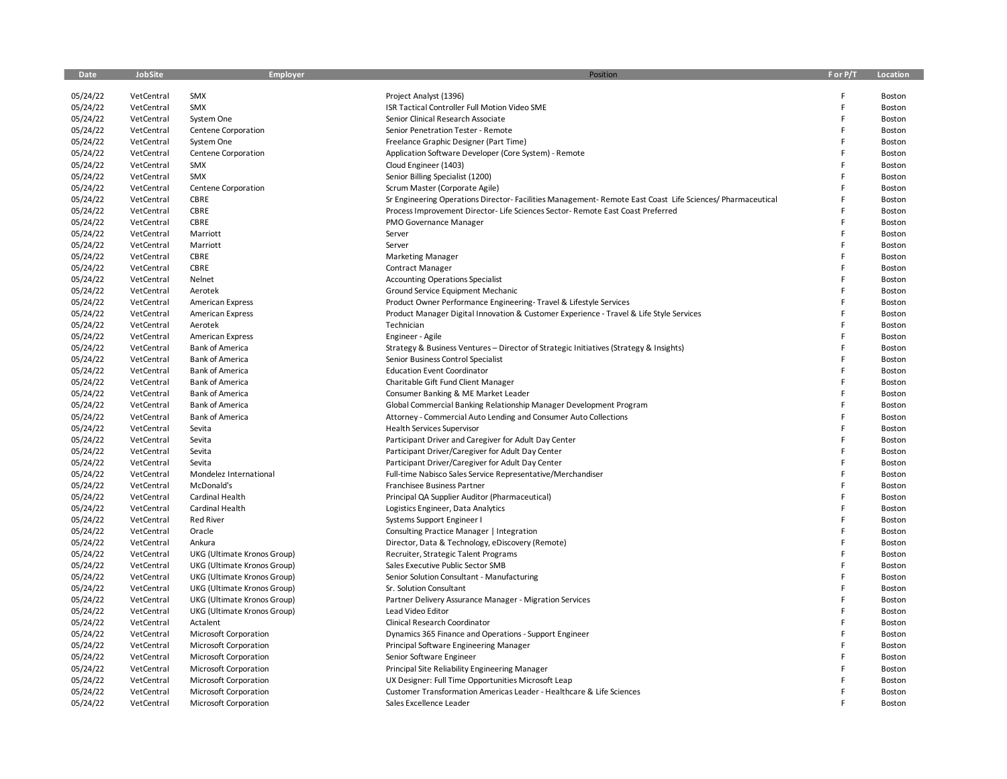| Date                 | <b>JobSite</b> | <b>Employer</b>              | Position                                                                                                   | F or P/T | Location |
|----------------------|----------------|------------------------------|------------------------------------------------------------------------------------------------------------|----------|----------|
|                      |                |                              |                                                                                                            |          |          |
| 05/24/22             | VetCentral     | SMX                          | Project Analyst (1396)                                                                                     | F        | Boston   |
| 05/24/22             | VetCentral     | SMX                          | ISR Tactical Controller Full Motion Video SME                                                              | F        | Boston   |
| 05/24/22             | VetCentral     | System One                   | Senior Clinical Research Associate                                                                         | F        | Boston   |
| 05/24/22             | VetCentral     | Centene Corporation          | Senior Penetration Tester - Remote                                                                         | F        | Boston   |
| 05/24/22             | VetCentral     | System One                   | Freelance Graphic Designer (Part Time)                                                                     | F        | Boston   |
| 05/24/22             | VetCentral     | Centene Corporation          | Application Software Developer (Core System) - Remote                                                      | F        | Boston   |
| 05/24/22             | VetCentral     | SMX                          | Cloud Engineer (1403)                                                                                      | F        | Boston   |
| 05/24/22             | VetCentral     | SMX                          | Senior Billing Specialist (1200)                                                                           | F        | Boston   |
| 05/24/22             | VetCentral     | Centene Corporation          | Scrum Master (Corporate Agile)                                                                             | F        | Boston   |
| 05/24/22             | VetCentral     | CBRE                         | Sr Engineering Operations Director- Facilities Management- Remote East Coast Life Sciences/ Pharmaceutical | E        | Boston   |
| 05/24/22             | VetCentral     | CBRE                         | Process Improvement Director- Life Sciences Sector- Remote East Coast Preferred                            | F        | Boston   |
| 05/24/22             | VetCentral     | CBRE                         | PMO Governance Manager                                                                                     | E        | Boston   |
| 05/24/22             | VetCentral     | Marriott                     | Server                                                                                                     | E        | Boston   |
| 05/24/22             | VetCentral     | Marriott                     | Server                                                                                                     | F        | Boston   |
| 05/24/22             | VetCentral     | CBRE                         | <b>Marketing Manager</b>                                                                                   | E        | Boston   |
| 05/24/22             | VetCentral     | CBRE                         | <b>Contract Manager</b>                                                                                    | F        | Boston   |
| 05/24/22             | VetCentral     | Nelnet                       | <b>Accounting Operations Specialist</b>                                                                    | F        | Boston   |
| 05/24/22             | VetCentral     | Aerotek                      | Ground Service Equipment Mechanic                                                                          | E        | Boston   |
| 05/24/22             | VetCentral     | <b>American Express</b>      | Product Owner Performance Engineering-Travel & Lifestyle Services                                          | F        | Boston   |
| 05/24/22             | VetCentral     | <b>American Express</b>      | Product Manager Digital Innovation & Customer Experience - Travel & Life Style Services                    | F        | Boston   |
| 05/24/22             | VetCentral     | Aerotek                      | Technician                                                                                                 | E        | Boston   |
| 05/24/22             | VetCentral     | <b>American Express</b>      | Engineer - Agile                                                                                           | F        | Boston   |
| 05/24/22             | VetCentral     | <b>Bank of America</b>       | Strategy & Business Ventures - Director of Strategic Initiatives (Strategy & Insights)                     | F        | Boston   |
| 05/24/22             | VetCentral     | <b>Bank of America</b>       | Senior Business Control Specialist                                                                         | E        | Boston   |
| 05/24/22             | VetCentral     | <b>Bank of America</b>       | <b>Education Event Coordinator</b>                                                                         | F        | Boston   |
| 05/24/22             | VetCentral     | <b>Bank of America</b>       | Charitable Gift Fund Client Manager                                                                        | F        | Boston   |
| 05/24/22             | VetCentral     | <b>Bank of America</b>       | Consumer Banking & ME Market Leader                                                                        | F        | Boston   |
| 05/24/22             | VetCentral     | <b>Bank of America</b>       | Global Commercial Banking Relationship Manager Development Program                                         | F        | Boston   |
| 05/24/22             | VetCentral     | <b>Bank of America</b>       | Attorney - Commercial Auto Lending and Consumer Auto Collections                                           | F        | Boston   |
| 05/24/22             | VetCentral     | Sevita                       | <b>Health Services Supervisor</b>                                                                          | F        | Boston   |
| 05/24/22             | VetCentral     | Sevita                       | Participant Driver and Caregiver for Adult Day Center                                                      | F        | Boston   |
| 05/24/22             | VetCentral     | Sevita                       | Participant Driver/Caregiver for Adult Day Center                                                          | F        | Boston   |
| 05/24/22             | VetCentral     | Sevita                       | Participant Driver/Caregiver for Adult Day Center                                                          | F        | Boston   |
| 05/24/22             | VetCentral     | Mondelez International       | Full-time Nabisco Sales Service Representative/Merchandiser                                                | F        | Boston   |
| 05/24/22             | VetCentral     | McDonald's                   | Franchisee Business Partner                                                                                | E        | Boston   |
| 05/24/22             | VetCentral     | Cardinal Health              | Principal QA Supplier Auditor (Pharmaceutical)                                                             | F        | Boston   |
| 05/24/22             | VetCentral     | Cardinal Health              | Logistics Engineer, Data Analytics                                                                         | E        | Boston   |
| 05/24/22             | VetCentral     | <b>Red River</b>             | Systems Support Engineer I                                                                                 | Ë        | Boston   |
| 05/24/22             | VetCentral     | Oracle                       | Consulting Practice Manager   Integration                                                                  | E        | Boston   |
| 05/24/22             | VetCentral     | Ankura                       | Director, Data & Technology, eDiscovery (Remote)                                                           | E        | Boston   |
| 05/24/22             | VetCentral     | UKG (Ultimate Kronos Group)  | Recruiter, Strategic Talent Programs                                                                       | F        | Boston   |
| 05/24/22             | VetCentral     | UKG (Ultimate Kronos Group)  | Sales Executive Public Sector SMB                                                                          | F        | Boston   |
| 05/24/22             | VetCentral     | UKG (Ultimate Kronos Group)  | Senior Solution Consultant - Manufacturing                                                                 | E        | Boston   |
| 05/24/22             | VetCentral     | UKG (Ultimate Kronos Group)  | Sr. Solution Consultant                                                                                    | F        | Boston   |
| 05/24/22             | VetCentral     | UKG (Ultimate Kronos Group)  | Partner Delivery Assurance Manager - Migration Services                                                    | F        | Boston   |
| 05/24/22             | VetCentral     | UKG (Ultimate Kronos Group)  | Lead Video Editor                                                                                          | E        | Boston   |
| 05/24/22             | VetCentral     | Actalent                     | Clinical Research Coordinator                                                                              | F        | Boston   |
| 05/24/22             | VetCentral     | Microsoft Corporation        | Dynamics 365 Finance and Operations - Support Engineer                                                     | E        | Boston   |
| 05/24/22             | VetCentral     | <b>Microsoft Corporation</b> | Principal Software Engineering Manager                                                                     | F        | Boston   |
| 05/24/22             | VetCentral     | Microsoft Corporation        | Senior Software Engineer                                                                                   | F        | Boston   |
|                      |                |                              |                                                                                                            | F        |          |
| 05/24/22<br>05/24/22 | VetCentral     | Microsoft Corporation        | Principal Site Reliability Engineering Manager                                                             | F        | Boston   |
|                      | VetCentral     | Microsoft Corporation        | UX Designer: Full Time Opportunities Microsoft Leap                                                        | F        | Boston   |
| 05/24/22             | VetCentral     | Microsoft Corporation        | Customer Transformation Americas Leader - Healthcare & Life Sciences                                       |          | Boston   |
| 05/24/22             | VetCentral     | Microsoft Corporation        | Sales Excellence Leader                                                                                    |          | Boston   |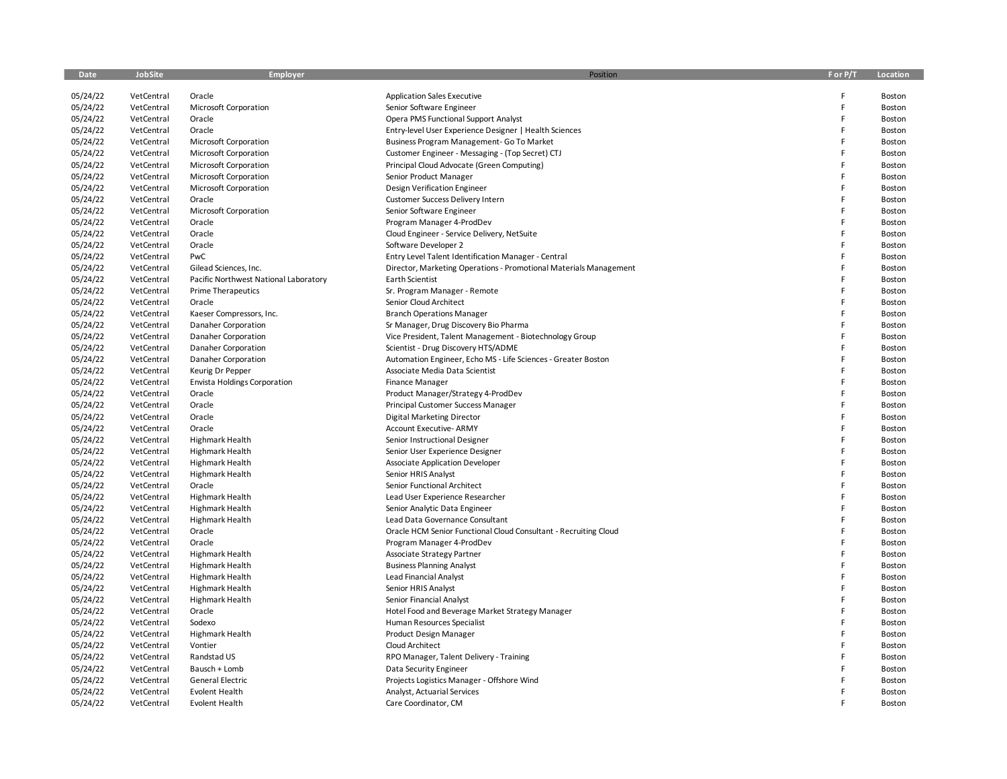| Date                 | <b>JobSite</b> | <b>Employer</b>                       | Position                                                          | F or P/T | Location         |
|----------------------|----------------|---------------------------------------|-------------------------------------------------------------------|----------|------------------|
|                      |                |                                       |                                                                   |          |                  |
| 05/24/22             | VetCentral     | Oracle                                | <b>Application Sales Executive</b>                                | F        | Boston           |
| 05/24/22             | VetCentral     | <b>Microsoft Corporation</b>          | Senior Software Engineer                                          | F        | Boston           |
| 05/24/22             | VetCentral     | Oracle                                | Opera PMS Functional Support Analyst                              | E        | Boston           |
| 05/24/22             | VetCentral     | Oracle                                | Entry-level User Experience Designer   Health Sciences            | F        | Boston           |
| 05/24/22             | VetCentral     | Microsoft Corporation                 | Business Program Management- Go To Market                         | F        | Boston           |
| 05/24/22             | VetCentral     | Microsoft Corporation                 | Customer Engineer - Messaging - (Top Secret) CTJ                  | E        | Boston           |
| 05/24/22             | VetCentral     | Microsoft Corporation                 | Principal Cloud Advocate (Green Computing)                        | F        | Boston           |
| 05/24/22             | VetCentral     | <b>Microsoft Corporation</b>          | Senior Product Manager                                            | E        | Boston           |
| 05/24/22             | VetCentral     | Microsoft Corporation                 | Design Verification Engineer                                      | E        | Boston           |
| 05/24/22             | VetCentral     | Oracle                                | Customer Success Delivery Intern                                  | E        | Boston           |
| 05/24/22             | VetCentral     | Microsoft Corporation                 | Senior Software Engineer                                          | F        | Boston           |
| 05/24/22             | VetCentral     | Oracle                                | Program Manager 4-ProdDev                                         | E        | Boston           |
| 05/24/22             | VetCentral     | Oracle                                | Cloud Engineer - Service Delivery, NetSuite                       | E        | Boston           |
| 05/24/22             | VetCentral     | Oracle                                | Software Developer 2                                              | E        | Boston           |
| 05/24/22             | VetCentral     | PwC                                   | Entry Level Talent Identification Manager - Central               | E        | Boston           |
| 05/24/22             | VetCentral     | Gilead Sciences, Inc.                 | Director, Marketing Operations - Promotional Materials Management | E        | Boston           |
| 05/24/22             | VetCentral     | Pacific Northwest National Laboratory | Earth Scientist                                                   | E        | Boston           |
| 05/24/22             | VetCentral     | <b>Prime Therapeutics</b>             | Sr. Program Manager - Remote                                      | E        | Boston           |
| 05/24/22             | VetCentral     | Oracle                                | Senior Cloud Architect                                            | E        | Boston           |
| 05/24/22             | VetCentral     | Kaeser Compressors, Inc.              | <b>Branch Operations Manager</b>                                  | E        | Boston           |
| 05/24/22             | VetCentral     | Danaher Corporation                   | Sr Manager, Drug Discovery Bio Pharma                             | E        | Boston           |
| 05/24/22             | VetCentral     | Danaher Corporation                   | Vice President, Talent Management - Biotechnology Group           | F        | Boston           |
| 05/24/22             | VetCentral     | Danaher Corporation                   | Scientist - Drug Discovery HTS/ADME                               | E        | Boston           |
| 05/24/22             | VetCentral     | Danaher Corporation                   | Automation Engineer, Echo MS - Life Sciences - Greater Boston     | F        | Boston           |
| 05/24/22             | VetCentral     | Keurig Dr Pepper                      | Associate Media Data Scientist                                    | E        | Boston           |
| 05/24/22             | VetCentral     | <b>Envista Holdings Corporation</b>   | <b>Finance Manager</b>                                            | E        | Boston           |
| 05/24/22             | VetCentral     | Oracle                                | Product Manager/Strategy 4-ProdDev                                | E        | Boston           |
| 05/24/22             | VetCentral     | Oracle                                | Principal Customer Success Manager                                | E        | Boston           |
| 05/24/22             | VetCentral     | Oracle                                | <b>Digital Marketing Director</b>                                 | E        | Boston           |
| 05/24/22             | VetCentral     | Oracle                                | <b>Account Executive- ARMY</b>                                    | E        | Boston           |
| 05/24/22             | VetCentral     | Highmark Health                       | Senior Instructional Designer                                     | F        | Boston           |
| 05/24/22             | VetCentral     | <b>Highmark Health</b>                | Senior User Experience Designer                                   | E        | Boston           |
| 05/24/22             | VetCentral     | <b>Highmark Health</b>                | Associate Application Developer                                   | E        | Boston           |
| 05/24/22             | VetCentral     | Highmark Health                       | Senior HRIS Analyst                                               | F        | Boston           |
| 05/24/22             | VetCentral     | Oracle                                | Senior Functional Architect                                       | F        | Boston           |
| 05/24/22             | VetCentral     | Highmark Health                       | Lead User Experience Researcher                                   | E        | Boston           |
| 05/24/22             | VetCentral     | Highmark Health                       | Senior Analytic Data Engineer                                     | E        | Boston           |
| 05/24/22             | VetCentral     | Highmark Health                       | Lead Data Governance Consultant                                   | E        | Boston           |
| 05/24/22             | VetCentral     | Oracle                                | Oracle HCM Senior Functional Cloud Consultant - Recruiting Cloud  | E        | Boston           |
| 05/24/22             | VetCentral     | Oracle                                | Program Manager 4-ProdDev                                         | E        | Boston           |
| 05/24/22             | VetCentral     | Highmark Health                       | Associate Strategy Partner                                        | F        | Boston           |
| 05/24/22             | VetCentral     | <b>Highmark Health</b>                | <b>Business Planning Analyst</b>                                  | E        | Boston           |
| 05/24/22             | VetCentral     | <b>Highmark Health</b>                | Lead Financial Analyst                                            | F        | Boston           |
| 05/24/22             | VetCentral     | <b>Highmark Health</b>                | Senior HRIS Analyst                                               | F        | Boston           |
|                      | VetCentral     | Highmark Health                       |                                                                   | E        |                  |
| 05/24/22<br>05/24/22 | VetCentral     | Oracle                                | Senior Financial Analyst                                          | F        | Boston<br>Boston |
|                      |                |                                       | Hotel Food and Beverage Market Strategy Manager                   | E        |                  |
| 05/24/22<br>05/24/22 | VetCentral     | Sodexo                                | Human Resources Specialist                                        | E        | Boston           |
|                      | VetCentral     | Highmark Health                       | Product Design Manager                                            | E        | Boston           |
| 05/24/22             | VetCentral     | Vontier                               | Cloud Architect                                                   | E        | Boston           |
| 05/24/22             | VetCentral     | Randstad US                           | RPO Manager, Talent Delivery - Training                           |          | Boston           |
| 05/24/22             | VetCentral     | Bausch + Lomb                         | Data Security Engineer                                            |          | Boston           |
| 05/24/22             | VetCentral     | <b>General Electric</b>               | Projects Logistics Manager - Offshore Wind                        | F        | Boston           |
| 05/24/22             | VetCentral     | <b>Evolent Health</b>                 | Analyst, Actuarial Services                                       |          | Boston           |
| 05/24/22             | VetCentral     | Evolent Health                        | Care Coordinator, CM                                              |          | Boston           |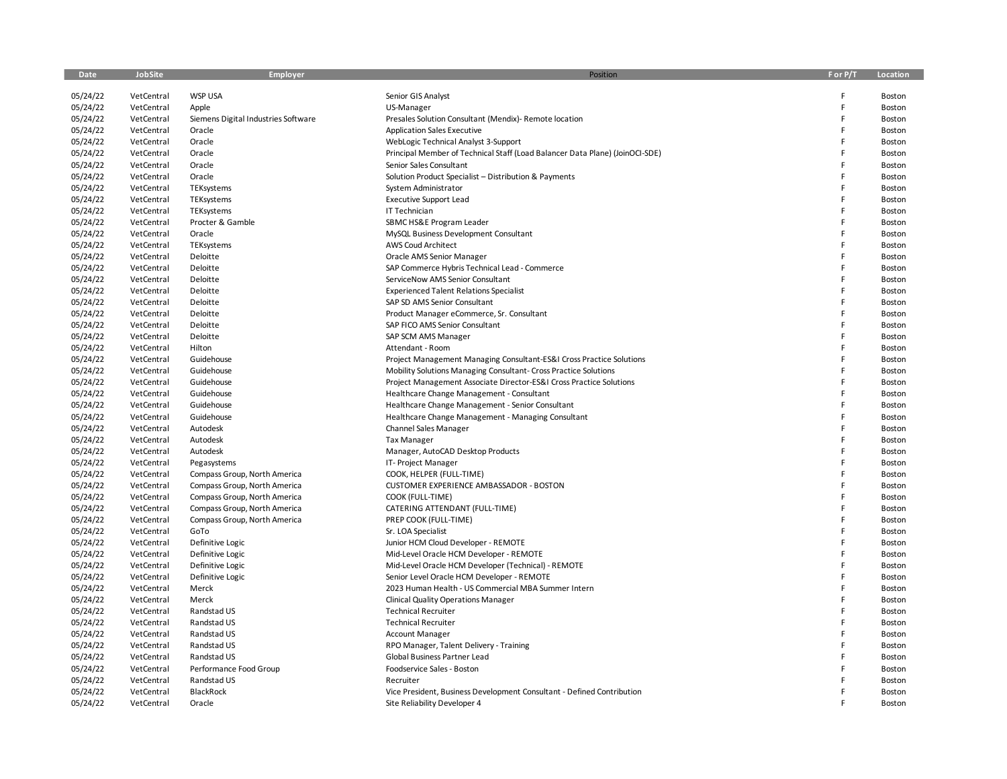| Date     | JobSite    | <b>Employer</b>                     | Position                                                                     | F or P/T | Location |
|----------|------------|-------------------------------------|------------------------------------------------------------------------------|----------|----------|
|          |            |                                     |                                                                              |          |          |
| 05/24/22 | VetCentral | <b>WSP USA</b>                      | Senior GIS Analyst                                                           | F        | Boston   |
| 05/24/22 | VetCentral | Apple                               | US-Manager                                                                   | F        | Boston   |
| 05/24/22 | VetCentral | Siemens Digital Industries Software | Presales Solution Consultant (Mendix)- Remote location                       | F        | Boston   |
| 05/24/22 | VetCentral | Oracle                              | <b>Application Sales Executive</b>                                           | F        | Boston   |
| 05/24/22 | VetCentral | Oracle                              | WebLogic Technical Analyst 3-Support                                         | F        | Boston   |
| 05/24/22 | VetCentral | Oracle                              | Principal Member of Technical Staff (Load Balancer Data Plane) (JoinOCI-SDE) | F        | Boston   |
| 05/24/22 | VetCentral | Oracle                              | Senior Sales Consultant                                                      | F        | Boston   |
| 05/24/22 | VetCentral | Oracle                              | Solution Product Specialist - Distribution & Payments                        | F        | Boston   |
| 05/24/22 | VetCentral | TEKsystems                          | System Administrator                                                         | F        | Boston   |
| 05/24/22 | VetCentral | TEKsystems                          | <b>Executive Support Lead</b>                                                | F        | Boston   |
| 05/24/22 | VetCentral | TEKsystems                          | IT Technician                                                                | F        | Boston   |
| 05/24/22 | VetCentral | Procter & Gamble                    | SBMC HS&E Program Leader                                                     | F        | Boston   |
| 05/24/22 | VetCentral | Oracle                              | MySQL Business Development Consultant                                        | F        | Boston   |
| 05/24/22 | VetCentral | TEKsystems                          | AWS Coud Architect                                                           | F        | Boston   |
| 05/24/22 | VetCentral | Deloitte                            | Oracle AMS Senior Manager                                                    | F        | Boston   |
| 05/24/22 | VetCentral | Deloitte                            | SAP Commerce Hybris Technical Lead - Commerce                                | F        | Boston   |
| 05/24/22 | VetCentral | Deloitte                            | ServiceNow AMS Senior Consultant                                             | F        | Boston   |
| 05/24/22 | VetCentral | Deloitte                            | <b>Experienced Talent Relations Specialist</b>                               | F        | Boston   |
| 05/24/22 | VetCentral | Deloitte                            | SAP SD AMS Senior Consultant                                                 | F        | Boston   |
| 05/24/22 | VetCentral | Deloitte                            | Product Manager eCommerce, Sr. Consultant                                    | F        | Boston   |
| 05/24/22 | VetCentral | Deloitte                            | SAP FICO AMS Senior Consultant                                               | F        | Boston   |
| 05/24/22 | VetCentral | Deloitte                            | SAP SCM AMS Manager                                                          | F        | Boston   |
| 05/24/22 | VetCentral | Hilton                              | Attendant - Room                                                             | F        | Boston   |
| 05/24/22 | VetCentral | Guidehouse                          | Project Management Managing Consultant-ES&I Cross Practice Solutions         | F        | Boston   |
| 05/24/22 | VetCentral | Guidehouse                          | Mobility Solutions Managing Consultant- Cross Practice Solutions             | F        | Boston   |
| 05/24/22 | VetCentral | Guidehouse                          | Project Management Associate Director-ES&I Cross Practice Solutions          | F        | Boston   |
| 05/24/22 | VetCentral | Guidehouse                          | Healthcare Change Management - Consultant                                    | F        | Boston   |
| 05/24/22 | VetCentral | Guidehouse                          | Healthcare Change Management - Senior Consultant                             | F        | Boston   |
| 05/24/22 | VetCentral | Guidehouse                          | Healthcare Change Management - Managing Consultant                           | F        | Boston   |
| 05/24/22 | VetCentral | Autodesk                            | <b>Channel Sales Manager</b>                                                 | F        | Boston   |
| 05/24/22 | VetCentral | Autodesk                            | <b>Tax Manager</b>                                                           | F        | Boston   |
| 05/24/22 | VetCentral | Autodesk                            | Manager, AutoCAD Desktop Products                                            | F        | Boston   |
| 05/24/22 | VetCentral | Pegasystems                         | IT- Project Manager                                                          | F        | Boston   |
| 05/24/22 | VetCentral | Compass Group, North America        | COOK, HELPER (FULL-TIME)                                                     | F        | Boston   |
| 05/24/22 | VetCentral | Compass Group, North America        | CUSTOMER EXPERIENCE AMBASSADOR - BOSTON                                      | F        | Boston   |
| 05/24/22 | VetCentral | Compass Group, North America        | COOK (FULL-TIME)                                                             | F        | Boston   |
| 05/24/22 | VetCentral | Compass Group, North America        | CATERING ATTENDANT (FULL-TIME)                                               | F        | Boston   |
| 05/24/22 | VetCentral | Compass Group, North America        | PREP COOK (FULL-TIME)                                                        | F        | Boston   |
| 05/24/22 | VetCentral | GoTo                                | Sr. LOA Specialist                                                           | F        | Boston   |
| 05/24/22 | VetCentral | Definitive Logic                    | Junior HCM Cloud Developer - REMOTE                                          | F        | Boston   |
| 05/24/22 | VetCentral | Definitive Logic                    | Mid-Level Oracle HCM Developer - REMOTE                                      | F        | Boston   |
| 05/24/22 | VetCentral | Definitive Logic                    | Mid-Level Oracle HCM Developer (Technical) - REMOTE                          | F        | Boston   |
| 05/24/22 | VetCentral | Definitive Logic                    | Senior Level Oracle HCM Developer - REMOTE                                   | F        | Boston   |
| 05/24/22 | VetCentral | Merck                               | 2023 Human Health - US Commercial MBA Summer Intern                          | F        | Boston   |
| 05/24/22 | VetCentral | Merck                               | <b>Clinical Quality Operations Manager</b>                                   | F        | Boston   |
| 05/24/22 | VetCentral | Randstad US                         | <b>Technical Recruiter</b>                                                   | F        | Boston   |
| 05/24/22 | VetCentral | Randstad US                         | <b>Technical Recruiter</b>                                                   | F        | Boston   |
| 05/24/22 | VetCentral | Randstad US                         | <b>Account Manager</b>                                                       | F        | Boston   |
| 05/24/22 | VetCentral | Randstad US                         | RPO Manager, Talent Delivery - Training                                      | F        | Boston   |
| 05/24/22 | VetCentral | Randstad US                         | Global Business Partner Lead                                                 | F        | Boston   |
| 05/24/22 | VetCentral | Performance Food Group              | Foodservice Sales - Boston                                                   | F        | Boston   |
| 05/24/22 | VetCentral | Randstad US                         | Recruiter                                                                    |          | Boston   |
| 05/24/22 | VetCentral | BlackRock                           | Vice President, Business Development Consultant - Defined Contribution       | F        | Boston   |
| 05/24/22 | VetCentral | Oracle                              | Site Reliability Developer 4                                                 | F        | Boston   |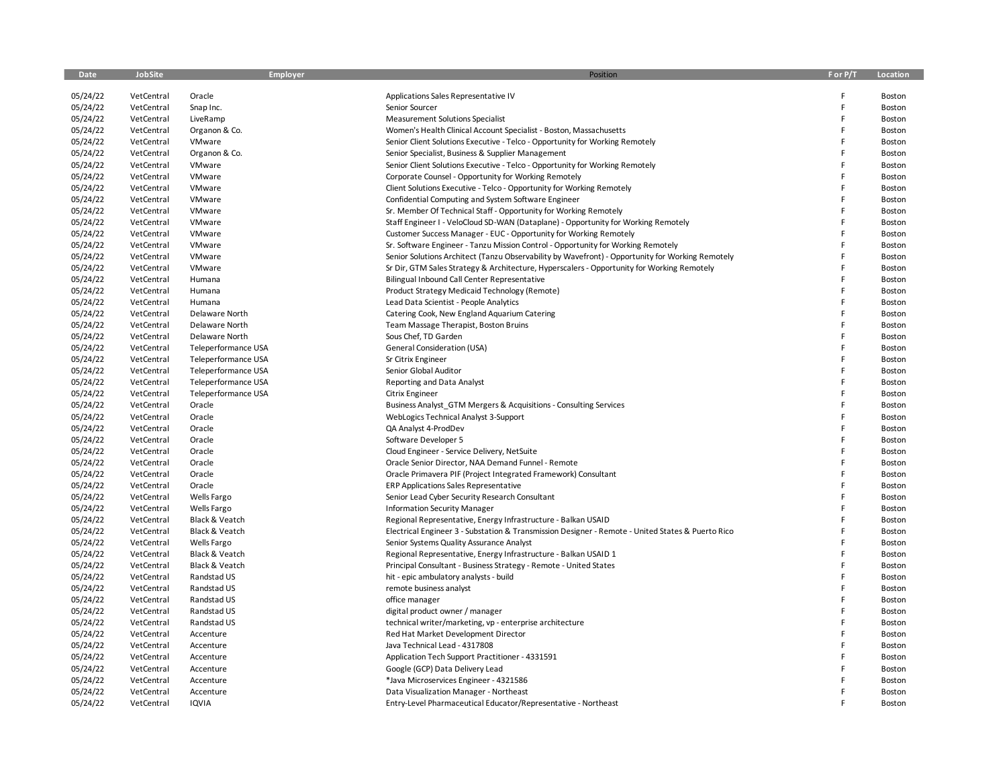| Date     | <b>JobSite</b> | <b>Employer</b>     | Position                                                                                          | F or P/T | Location |
|----------|----------------|---------------------|---------------------------------------------------------------------------------------------------|----------|----------|
| 05/24/22 | VetCentral     | Oracle              | Applications Sales Representative IV                                                              | F        | Boston   |
| 05/24/22 | VetCentral     | Snap Inc.           | Senior Sourcer                                                                                    | F        | Boston   |
| 05/24/22 | VetCentral     | LiveRamp            | <b>Measurement Solutions Specialist</b>                                                           | F        | Boston   |
| 05/24/22 | VetCentral     | Organon & Co.       | Women's Health Clinical Account Specialist - Boston, Massachusetts                                | F        | Boston   |
| 05/24/22 | VetCentral     | VMware              | Senior Client Solutions Executive - Telco - Opportunity for Working Remotely                      | F        | Boston   |
| 05/24/22 | VetCentral     | Organon & Co.       | Senior Specialist, Business & Supplier Management                                                 | F        | Boston   |
| 05/24/22 | VetCentral     | VMware              | Senior Client Solutions Executive - Telco - Opportunity for Working Remotely                      | F        | Boston   |
| 05/24/22 | VetCentral     | VMware              | Corporate Counsel - Opportunity for Working Remotely                                              | F        | Boston   |
| 05/24/22 | VetCentral     | VMware              | Client Solutions Executive - Telco - Opportunity for Working Remotely                             | F        | Boston   |
| 05/24/22 | VetCentral     | VMware              | Confidential Computing and System Software Engineer                                               | F        | Boston   |
| 05/24/22 | VetCentral     | VMware              | Sr. Member Of Technical Staff - Opportunity for Working Remotely                                  | F        | Boston   |
| 05/24/22 | VetCentral     | VMware              | Staff Engineer I - VeloCloud SD-WAN (Dataplane) - Opportunity for Working Remotely                | F        | Boston   |
| 05/24/22 | VetCentral     | VMware              | Customer Success Manager - EUC - Opportunity for Working Remotely                                 | F        | Boston   |
| 05/24/22 | VetCentral     | VMware              | Sr. Software Engineer - Tanzu Mission Control - Opportunity for Working Remotely                  | F        | Boston   |
| 05/24/22 | VetCentral     | VMware              | Senior Solutions Architect (Tanzu Observability by Wavefront) - Opportunity for Working Remotely  | F        | Boston   |
| 05/24/22 | VetCentral     | VMware              | Sr Dir, GTM Sales Strategy & Architecture, Hyperscalers - Opportunity for Working Remotely        | Ë        | Boston   |
| 05/24/22 | VetCentral     | Humana              | Bilingual Inbound Call Center Representative                                                      | F        | Boston   |
| 05/24/22 | VetCentral     | Humana              | Product Strategy Medicaid Technology (Remote)                                                     | F        | Boston   |
| 05/24/22 | VetCentral     | Humana              | Lead Data Scientist - People Analytics                                                            | F        | Boston   |
| 05/24/22 | VetCentral     | Delaware North      | Catering Cook, New England Aquarium Catering                                                      | F        | Boston   |
| 05/24/22 | VetCentral     | Delaware North      | Team Massage Therapist, Boston Bruins                                                             | F        | Boston   |
| 05/24/22 | VetCentral     | Delaware North      | Sous Chef, TD Garden                                                                              | F        | Boston   |
| 05/24/22 | VetCentral     | Teleperformance USA | General Consideration (USA)                                                                       | F        | Boston   |
| 05/24/22 | VetCentral     | Teleperformance USA | Sr Citrix Engineer                                                                                | F        | Boston   |
| 05/24/22 | VetCentral     | Teleperformance USA | Senior Global Auditor                                                                             | F        | Boston   |
| 05/24/22 | VetCentral     | Teleperformance USA | Reporting and Data Analyst                                                                        | F        | Boston   |
| 05/24/22 | VetCentral     | Teleperformance USA | Citrix Engineer                                                                                   | F        | Boston   |
| 05/24/22 | VetCentral     | Oracle              | Business Analyst GTM Mergers & Acquisitions - Consulting Services                                 | F        | Boston   |
| 05/24/22 | VetCentral     | Oracle              | WebLogics Technical Analyst 3-Support                                                             | F        | Boston   |
| 05/24/22 | VetCentral     | Oracle              | QA Analyst 4-ProdDev                                                                              | F        | Boston   |
| 05/24/22 | VetCentral     | Oracle              | Software Developer 5                                                                              | F        | Boston   |
| 05/24/22 | VetCentral     | Oracle              | Cloud Engineer - Service Delivery, NetSuite                                                       | F        | Boston   |
| 05/24/22 | VetCentral     | Oracle              | Oracle Senior Director, NAA Demand Funnel - Remote                                                | F        | Boston   |
| 05/24/22 | VetCentral     | Oracle              | Oracle Primavera PIF (Project Integrated Framework) Consultant                                    | F        | Boston   |
| 05/24/22 | VetCentral     | Oracle              | <b>ERP Applications Sales Representative</b>                                                      | F        | Boston   |
| 05/24/22 | VetCentral     | <b>Wells Fargo</b>  | Senior Lead Cyber Security Research Consultant                                                    | F        | Boston   |
| 05/24/22 | VetCentral     | Wells Fargo         | <b>Information Security Manager</b>                                                               | F        | Boston   |
| 05/24/22 | VetCentral     | Black & Veatch      | Regional Representative, Energy Infrastructure - Balkan USAID                                     | F        | Boston   |
| 05/24/22 | VetCentral     | Black & Veatch      | Electrical Engineer 3 - Substation & Transmission Designer - Remote - United States & Puerto Rico | F        | Boston   |
| 05/24/22 | VetCentral     | Wells Fargo         | Senior Systems Quality Assurance Analyst                                                          | F        | Boston   |
| 05/24/22 | VetCentral     | Black & Veatch      | Regional Representative, Energy Infrastructure - Balkan USAID 1                                   | F        | Boston   |
| 05/24/22 | VetCentral     | Black & Veatch      | Principal Consultant - Business Strategy - Remote - United States                                 | F        | Boston   |
| 05/24/22 | VetCentral     | Randstad US         | hit - epic ambulatory analysts - build                                                            | F        | Boston   |
| 05/24/22 | VetCentral     | Randstad US         | remote business analyst                                                                           | F        | Boston   |
| 05/24/22 | VetCentral     | Randstad US         | office manager                                                                                    | F        | Boston   |
| 05/24/22 | VetCentral     | Randstad US         | digital product owner / manager                                                                   | F        | Boston   |
| 05/24/22 | VetCentral     | Randstad US         | technical writer/marketing, vp - enterprise architecture                                          | F        | Boston   |
| 05/24/22 | VetCentral     | Accenture           | Red Hat Market Development Director                                                               | F        | Boston   |
| 05/24/22 | VetCentral     | Accenture           | Java Technical Lead - 4317808                                                                     | F        | Boston   |
| 05/24/22 | VetCentral     | Accenture           | Application Tech Support Practitioner - 4331591                                                   | F        | Boston   |
| 05/24/22 | VetCentral     | Accenture           | Google (GCP) Data Delivery Lead                                                                   |          | Boston   |
| 05/24/22 | VetCentral     | Accenture           | *Java Microservices Engineer - 4321586                                                            |          | Boston   |
| 05/24/22 | VetCentral     | Accenture           | Data Visualization Manager - Northeast                                                            | E        | Boston   |
| 05/24/22 | VetCentral     | <b>IQVIA</b>        | Entry-Level Pharmaceutical Educator/Representative - Northeast                                    |          | Boston   |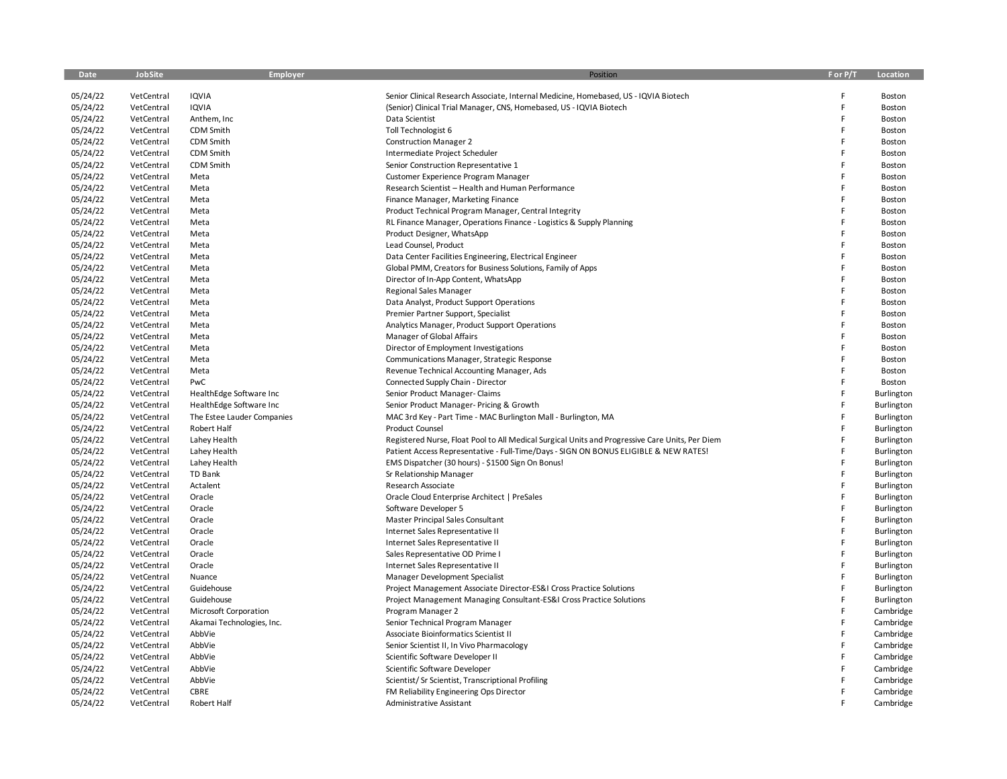| Date     | <b>JobSite</b> | Employer                   | Position                                                                                        | F or P/T | Location   |
|----------|----------------|----------------------------|-------------------------------------------------------------------------------------------------|----------|------------|
| 05/24/22 | VetCentral     | <b>IQVIA</b>               | Senior Clinical Research Associate, Internal Medicine, Homebased, US - IQVIA Biotech            | F        | Boston     |
| 05/24/22 | VetCentral     | <b>IQVIA</b>               | (Senior) Clinical Trial Manager, CNS, Homebased, US - IQVIA Biotech                             | F        | Boston     |
| 05/24/22 | VetCentral     | Anthem, Inc                | Data Scientist                                                                                  | F        | Boston     |
| 05/24/22 | VetCentral     | CDM Smith                  | Toll Technologist 6                                                                             | F        | Boston     |
| 05/24/22 | VetCentral     | CDM Smith                  | <b>Construction Manager 2</b>                                                                   | F        | Boston     |
| 05/24/22 | VetCentral     | CDM Smith                  | Intermediate Project Scheduler                                                                  | F        | Boston     |
| 05/24/22 | VetCentral     | CDM Smith                  | Senior Construction Representative 1                                                            | F        | Boston     |
| 05/24/22 | VetCentral     | Meta                       | Customer Experience Program Manager                                                             | F        | Boston     |
| 05/24/22 | VetCentral     | Meta                       | Research Scientist - Health and Human Performance                                               | F        | Boston     |
| 05/24/22 | VetCentral     | Meta                       | Finance Manager, Marketing Finance                                                              | F        | Boston     |
| 05/24/22 | VetCentral     | Meta                       | Product Technical Program Manager, Central Integrity                                            | F        | Boston     |
| 05/24/22 | VetCentral     | Meta                       | RL Finance Manager, Operations Finance - Logistics & Supply Planning                            | F        | Boston     |
| 05/24/22 | VetCentral     | Meta                       | Product Designer, WhatsApp                                                                      | F        | Boston     |
| 05/24/22 | VetCentral     | Meta                       | Lead Counsel, Product                                                                           | F        | Boston     |
| 05/24/22 | VetCentral     | Meta                       | Data Center Facilities Engineering, Electrical Engineer                                         | F        | Boston     |
| 05/24/22 | VetCentral     | Meta                       | Global PMM, Creators for Business Solutions, Family of Apps                                     | F        | Boston     |
| 05/24/22 | VetCentral     | Meta                       | Director of In-App Content, WhatsApp                                                            | F        | Boston     |
| 05/24/22 | VetCentral     | Meta                       | <b>Regional Sales Manager</b>                                                                   | F        | Boston     |
| 05/24/22 | VetCentral     | Meta                       | Data Analyst, Product Support Operations                                                        | F        | Boston     |
| 05/24/22 | VetCentral     | Meta                       | Premier Partner Support, Specialist                                                             | F        | Boston     |
| 05/24/22 | VetCentral     | Meta                       | Analytics Manager, Product Support Operations                                                   | F        | Boston     |
| 05/24/22 | VetCentral     | Meta                       | Manager of Global Affairs                                                                       | F        | Boston     |
| 05/24/22 | VetCentral     | Meta                       | Director of Employment Investigations                                                           | F        | Boston     |
| 05/24/22 | VetCentral     | Meta                       | Communications Manager, Strategic Response                                                      | F        | Boston     |
| 05/24/22 | VetCentral     | Meta                       | Revenue Technical Accounting Manager, Ads                                                       | F        | Boston     |
| 05/24/22 | VetCentral     | PwC                        | Connected Supply Chain - Director                                                               | F        | Boston     |
| 05/24/22 | VetCentral     | HealthEdge Software Inc    | Senior Product Manager- Claims                                                                  | F        | Burlington |
| 05/24/22 | VetCentral     | HealthEdge Software Inc    | Senior Product Manager- Pricing & Growth                                                        | F        | Burlington |
| 05/24/22 | VetCentral     | The Estee Lauder Companies | MAC 3rd Key - Part Time - MAC Burlington Mall - Burlington, MA                                  | F        | Burlington |
| 05/24/22 | VetCentral     | Robert Half                | Product Counsel                                                                                 | F        | Burlington |
| 05/24/22 | VetCentral     | Lahey Health               | Registered Nurse, Float Pool to All Medical Surgical Units and Progressive Care Units, Per Diem | F        | Burlington |
| 05/24/22 | VetCentral     | Lahey Health               | Patient Access Representative - Full-Time/Days - SIGN ON BONUS ELIGIBLE & NEW RATES!            | F        | Burlington |
| 05/24/22 | VetCentral     | Lahey Health               | EMS Dispatcher (30 hours) - \$1500 Sign On Bonus!                                               | F        | Burlington |
| 05/24/22 | VetCentral     | <b>TD Bank</b>             | Sr Relationship Manager                                                                         | F        | Burlington |
| 05/24/22 | VetCentral     | Actalent                   | Research Associate                                                                              | F        | Burlington |
| 05/24/22 | VetCentral     | Oracle                     | Oracle Cloud Enterprise Architect   PreSales                                                    | F        | Burlington |
| 05/24/22 | VetCentral     | Oracle                     | Software Developer 5                                                                            | F        | Burlington |
| 05/24/22 | VetCentral     | Oracle                     | Master Principal Sales Consultant                                                               | F        | Burlington |
| 05/24/22 | VetCentral     | Oracle                     | Internet Sales Representative II                                                                | F        | Burlington |
| 05/24/22 | VetCentral     | Oracle                     | Internet Sales Representative II                                                                | F        | Burlington |
| 05/24/22 | VetCentral     | Oracle                     | Sales Representative OD Prime I                                                                 | F        | Burlington |
| 05/24/22 | VetCentral     | Oracle                     | Internet Sales Representative II                                                                | F        | Burlington |
| 05/24/22 | VetCentral     | Nuance                     | Manager Development Specialist                                                                  | F        | Burlington |
| 05/24/22 | VetCentral     | Guidehouse                 | Project Management Associate Director-ES&I Cross Practice Solutions                             | F        | Burlington |
| 05/24/22 | VetCentral     | Guidehouse                 | Project Management Managing Consultant-ES&I Cross Practice Solutions                            | F        | Burlington |
| 05/24/22 | VetCentral     | Microsoft Corporation      | Program Manager 2                                                                               | F        | Cambridge  |
| 05/24/22 | VetCentral     | Akamai Technologies, Inc.  | Senior Technical Program Manager                                                                | F        | Cambridge  |
| 05/24/22 | VetCentral     | AbbVie                     | Associate Bioinformatics Scientist II                                                           | F        | Cambridge  |
| 05/24/22 | VetCentral     | AbbVie                     | Senior Scientist II, In Vivo Pharmacology                                                       | F        | Cambridge  |
| 05/24/22 | VetCentral     | AbbVie                     | Scientific Software Developer II                                                                | F        | Cambridge  |
| 05/24/22 | VetCentral     | AbbVie                     | Scientific Software Developer                                                                   | F        | Cambridge  |
| 05/24/22 | VetCentral     | AbbVie                     | Scientist/Sr Scientist, Transcriptional Profiling                                               |          | Cambridge  |
| 05/24/22 | VetCentral     | CBRE                       | FM Reliability Engineering Ops Director                                                         | F        | Cambridge  |
| 05/24/22 | VetCentral     | <b>Robert Half</b>         | Administrative Assistant                                                                        |          | Cambridge  |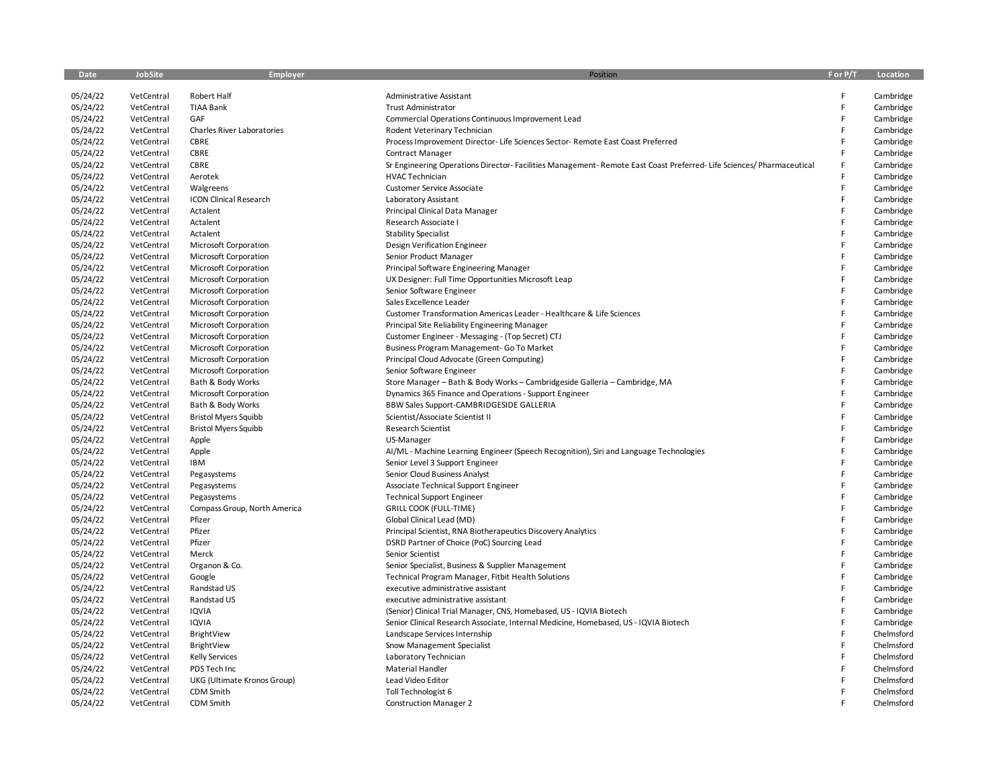| Date     | JobSite    | Employer                      | Position                                                                                                          | F or P/T | Location   |
|----------|------------|-------------------------------|-------------------------------------------------------------------------------------------------------------------|----------|------------|
| 05/24/22 | VetCentral | Robert Half                   | Administrative Assistant                                                                                          | F        | Cambridge  |
| 05/24/22 | VetCentral | <b>TIAA Bank</b>              | <b>Trust Administrator</b>                                                                                        | F        | Cambridge  |
| 05/24/22 | VetCentral | GAF                           | Commercial Operations Continuous Improvement Lead                                                                 | F        | Cambridge  |
| 05/24/22 | VetCentral | Charles River Laboratories    | Rodent Veterinary Technician                                                                                      | F        | Cambridge  |
| 05/24/22 | VetCentral | CBRE                          | Process Improvement Director- Life Sciences Sector- Remote East Coast Preferred                                   | F        | Cambridge  |
| 05/24/22 | VetCentral | CBRE                          | Contract Manager                                                                                                  | F        | Cambridge  |
| 05/24/22 | VetCentral | CBRE                          | Sr Engineering Operations Director-Facilities Management-Remote East Coast Preferred-Life Sciences/Pharmaceutical | F        | Cambridge  |
| 05/24/22 | VetCentral | Aerotek                       | <b>HVAC Technician</b>                                                                                            | F        | Cambridge  |
| 05/24/22 | VetCentral | Walgreens                     | Customer Service Associate                                                                                        | F        | Cambridge  |
| 05/24/22 | VetCentral | <b>ICON Clinical Research</b> | Laboratory Assistant                                                                                              | F        | Cambridge  |
| 05/24/22 | VetCentral | Actalent                      | Principal Clinical Data Manager                                                                                   | F        | Cambridge  |
| 05/24/22 | VetCentral | Actalent                      | Research Associate I                                                                                              | F        | Cambridge  |
| 05/24/22 | VetCentral | Actalent                      | <b>Stability Specialist</b>                                                                                       | F        | Cambridge  |
| 05/24/22 | VetCentral | Microsoft Corporation         | Design Verification Engineer                                                                                      | F        | Cambridge  |
| 05/24/22 | VetCentral | Microsoft Corporation         | Senior Product Manager                                                                                            | F        | Cambridge  |
| 05/24/22 | VetCentral | <b>Microsoft Corporation</b>  | Principal Software Engineering Manager                                                                            | F        | Cambridge  |
| 05/24/22 | VetCentral | Microsoft Corporation         | UX Designer: Full Time Opportunities Microsoft Leap                                                               | F        | Cambridge  |
| 05/24/22 | VetCentral | <b>Microsoft Corporation</b>  | Senior Software Engineer                                                                                          | F        | Cambridge  |
| 05/24/22 | VetCentral | Microsoft Corporation         | Sales Excellence Leader                                                                                           | F        | Cambridge  |
| 05/24/22 | VetCentral | Microsoft Corporation         | Customer Transformation Americas Leader - Healthcare & Life Sciences                                              | F        | Cambridge  |
| 05/24/22 | VetCentral | Microsoft Corporation         | Principal Site Reliability Engineering Manager                                                                    | F        | Cambridge  |
| 05/24/22 | VetCentral | Microsoft Corporation         | Customer Engineer - Messaging - (Top Secret) CTJ                                                                  | F        | Cambridge  |
| 05/24/22 | VetCentral | Microsoft Corporation         | Business Program Management- Go To Market                                                                         | F        | Cambridge  |
| 05/24/22 | VetCentral | Microsoft Corporation         | Principal Cloud Advocate (Green Computing)                                                                        | F        | Cambridge  |
| 05/24/22 | VetCentral | Microsoft Corporation         | Senior Software Engineer                                                                                          | F        | Cambridge  |
| 05/24/22 | VetCentral | Bath & Body Works             | Store Manager - Bath & Body Works - Cambridgeside Galleria - Cambridge, MA                                        | F        | Cambridge  |
| 05/24/22 | VetCentral | Microsoft Corporation         | Dynamics 365 Finance and Operations - Support Engineer                                                            | F        | Cambridge  |
| 05/24/22 | VetCentral | Bath & Body Works             | BBW Sales Support-CAMBRIDGESIDE GALLERIA                                                                          | F        | Cambridge  |
| 05/24/22 | VetCentral | <b>Bristol Myers Squibb</b>   | Scientist/Associate Scientist II                                                                                  | F        | Cambridge  |
| 05/24/22 | VetCentral | <b>Bristol Myers Squibb</b>   | Research Scientist                                                                                                | F        | Cambridge  |
| 05/24/22 | VetCentral | Apple                         | US-Manager                                                                                                        | F        | Cambridge  |
| 05/24/22 | VetCentral | Apple                         | Al/ML - Machine Learning Engineer (Speech Recognition), Siri and Language Technologies                            | F        | Cambridge  |
| 05/24/22 | VetCentral | <b>IBM</b>                    | Senior Level 3 Support Engineer                                                                                   | F        | Cambridge  |
| 05/24/22 | VetCentral | Pegasystems                   | Senior Cloud Business Analyst                                                                                     | F        | Cambridge  |
| 05/24/22 | VetCentral | Pegasystems                   | Associate Technical Support Engineer                                                                              | F        | Cambridge  |
| 05/24/22 | VetCentral | Pegasystems                   | <b>Technical Support Engineer</b>                                                                                 | F        | Cambridge  |
| 05/24/22 | VetCentral | Compass Group, North America  | <b>GRILL COOK (FULL-TIME)</b>                                                                                     | F        | Cambridge  |
| 05/24/22 | VetCentral | Pfizer                        | Global Clinical Lead (MD)                                                                                         | F        | Cambridge  |
| 05/24/22 | VetCentral | Pfizer                        | Principal Scientist, RNA Biotherapeutics Discovery Analytics                                                      | F        | Cambridge  |
| 05/24/22 | VetCentral | Pfizer                        | DSRD Partner of Choice (PoC) Sourcing Lead                                                                        | F        | Cambridge  |
| 05/24/22 | VetCentral | Merck                         | Senior Scientist                                                                                                  | F        | Cambridge  |
| 05/24/22 | VetCentral | Organon & Co.                 | Senior Specialist, Business & Supplier Management                                                                 | F        | Cambridge  |
| 05/24/22 | VetCentral | Google                        | Technical Program Manager, Fitbit Health Solutions                                                                | F        | Cambridge  |
| 05/24/22 | VetCentral | Randstad US                   | executive administrative assistant                                                                                | F        | Cambridge  |
| 05/24/22 | VetCentral | Randstad US                   | executive administrative assistant                                                                                | F        | Cambridge  |
| 05/24/22 | VetCentral | IQVIA                         | (Senior) Clinical Trial Manager, CNS, Homebased, US - IQVIA Biotech                                               | F        | Cambridge  |
| 05/24/22 | VetCentral | IQVIA                         | Senior Clinical Research Associate, Internal Medicine, Homebased, US - IQVIA Biotech                              | F        | Cambridge  |
| 05/24/22 | VetCentral | BrightView                    | Landscape Services Internship                                                                                     | F        | Chelmsford |
| 05/24/22 | VetCentral | BrightView                    | Snow Management Specialist                                                                                        | F        | Chelmsford |
| 05/24/22 | VetCentral | <b>Kelly Services</b>         | Laboratory Technician                                                                                             | F        | Chelmsford |
| 05/24/22 | VetCentral | PDS Tech Inc                  | Material Handler                                                                                                  | F        | Chelmsford |
| 05/24/22 | VetCentral | UKG (Ultimate Kronos Group)   | Lead Video Editor                                                                                                 | F        | Chelmsford |
| 05/24/22 | VetCentral | CDM Smith                     | Toll Technologist 6                                                                                               | F        | Chelmsford |
| 05/24/22 | VetCentral | CDM Smith                     | <b>Construction Manager 2</b>                                                                                     |          | Chelmsford |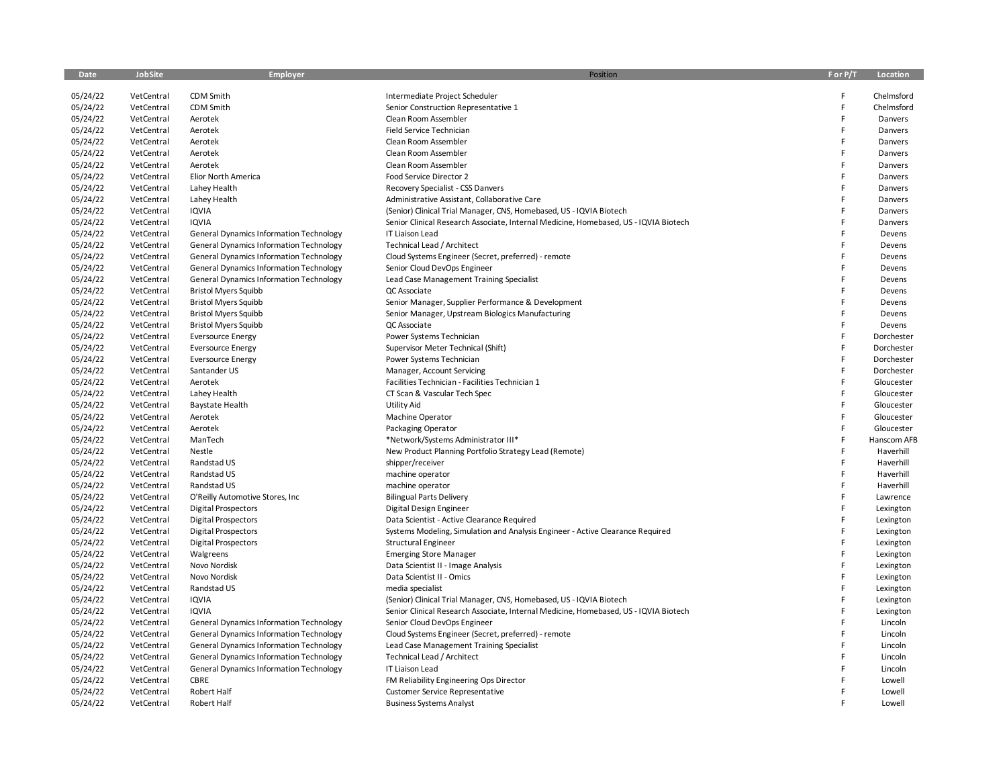| Date     | <b>JobSite</b> | Employer                                       | Position                                                                             | F or P/T | Location    |
|----------|----------------|------------------------------------------------|--------------------------------------------------------------------------------------|----------|-------------|
| 05/24/22 | VetCentral     | CDM Smith                                      | Intermediate Project Scheduler                                                       | F        | Chelmsford  |
| 05/24/22 | VetCentral     | CDM Smith                                      | Senior Construction Representative 1                                                 | F        | Chelmsford  |
| 05/24/22 | VetCentral     | Aerotek                                        | Clean Room Assembler                                                                 | F        | Danvers     |
| 05/24/22 | VetCentral     | Aerotek                                        | Field Service Technician                                                             | F        | Danvers     |
| 05/24/22 | VetCentral     | Aerotek                                        | Clean Room Assembler                                                                 | F        | Danvers     |
| 05/24/22 | VetCentral     | Aerotek                                        | Clean Room Assembler                                                                 | F        | Danvers     |
| 05/24/22 | VetCentral     | Aerotek                                        | Clean Room Assembler                                                                 | F        | Danvers     |
| 05/24/22 | VetCentral     | Elior North America                            | Food Service Director 2                                                              | F        | Danvers     |
| 05/24/22 | VetCentral     | Lahey Health                                   | Recovery Specialist - CSS Danvers                                                    | F        | Danvers     |
| 05/24/22 | VetCentral     | Lahey Health                                   | Administrative Assistant, Collaborative Care                                         | F        | Danvers     |
| 05/24/22 | VetCentral     | <b>IQVIA</b>                                   | (Senior) Clinical Trial Manager, CNS, Homebased, US - IQVIA Biotech                  | F        | Danvers     |
| 05/24/22 | VetCentral     | <b>IQVIA</b>                                   | Senior Clinical Research Associate, Internal Medicine, Homebased, US - IQVIA Biotech | F        | Danvers     |
| 05/24/22 | VetCentral     | <b>General Dynamics Information Technology</b> | IT Liaison Lead                                                                      | F        | Devens      |
| 05/24/22 | VetCentral     | <b>General Dynamics Information Technology</b> | Technical Lead / Architect                                                           | F        | Devens      |
| 05/24/22 | VetCentral     | <b>General Dynamics Information Technology</b> | Cloud Systems Engineer (Secret, preferred) - remote                                  | F        | Devens      |
| 05/24/22 | VetCentral     | <b>General Dynamics Information Technology</b> | Senior Cloud DevOps Engineer                                                         | F        | Devens      |
| 05/24/22 | VetCentral     | <b>General Dynamics Information Technology</b> | Lead Case Management Training Specialist                                             | F        | Devens      |
| 05/24/22 | VetCentral     | <b>Bristol Myers Squibb</b>                    | QC Associate                                                                         | F        | Devens      |
| 05/24/22 | VetCentral     | <b>Bristol Myers Squibb</b>                    | Senior Manager, Supplier Performance & Development                                   | F        | Devens      |
| 05/24/22 | VetCentral     | <b>Bristol Myers Squibb</b>                    | Senior Manager, Upstream Biologics Manufacturing                                     | F        | Devens      |
| 05/24/22 | VetCentral     | <b>Bristol Myers Squibb</b>                    | QC Associate                                                                         | F        | Devens      |
| 05/24/22 | VetCentral     | <b>Eversource Energy</b>                       | Power Systems Technician                                                             | F        | Dorchester  |
| 05/24/22 | VetCentral     | <b>Eversource Energy</b>                       | Supervisor Meter Technical (Shift)                                                   | F        | Dorchester  |
| 05/24/22 | VetCentral     | <b>Eversource Energy</b>                       | Power Systems Technician                                                             | F        | Dorchester  |
| 05/24/22 | VetCentral     | Santander US                                   | Manager, Account Servicing                                                           | F        | Dorchester  |
| 05/24/22 | VetCentral     | Aerotek                                        | Facilities Technician - Facilities Technician 1                                      | F        | Gloucester  |
| 05/24/22 | VetCentral     | Lahey Health                                   | CT Scan & Vascular Tech Spec                                                         | F        | Gloucester  |
| 05/24/22 | VetCentral     | <b>Baystate Health</b>                         | <b>Utility Aid</b>                                                                   | F        | Gloucester  |
| 05/24/22 | VetCentral     | Aerotek                                        | Machine Operator                                                                     | F        | Gloucester  |
| 05/24/22 | VetCentral     | Aerotek                                        | Packaging Operator                                                                   | F        | Gloucester  |
| 05/24/22 | VetCentral     | ManTech                                        | *Network/Systems Administrator III*                                                  | F        | Hanscom AFB |
| 05/24/22 | VetCentral     | Nestle                                         | New Product Planning Portfolio Strategy Lead (Remote)                                | F        | Haverhill   |
| 05/24/22 | VetCentral     | Randstad US                                    | shipper/receiver                                                                     | F        | Haverhill   |
| 05/24/22 | VetCentral     | Randstad US                                    | machine operator                                                                     | F        | Haverhill   |
| 05/24/22 | VetCentral     | Randstad US                                    | machine operator                                                                     | F        | Haverhill   |
| 05/24/22 | VetCentral     | O'Reilly Automotive Stores, Inc.               | <b>Bilingual Parts Delivery</b>                                                      | F        | Lawrence    |
| 05/24/22 | VetCentral     | <b>Digital Prospectors</b>                     | Digital Design Engineer                                                              | F        | Lexington   |
| 05/24/22 | VetCentral     | <b>Digital Prospectors</b>                     | Data Scientist - Active Clearance Required                                           | F        | Lexington   |
| 05/24/22 | VetCentral     | <b>Digital Prospectors</b>                     | Systems Modeling, Simulation and Analysis Engineer - Active Clearance Required       | F        | Lexington   |
| 05/24/22 | VetCentral     | <b>Digital Prospectors</b>                     | Structural Engineer                                                                  | F        | Lexington   |
| 05/24/22 | VetCentral     | Walgreens                                      | <b>Emerging Store Manager</b>                                                        | F        | Lexington   |
| 05/24/22 | VetCentral     | Novo Nordisk                                   | Data Scientist II - Image Analysis                                                   | F        | Lexington   |
| 05/24/22 | VetCentral     | Novo Nordisk                                   | Data Scientist II - Omics                                                            | F        | Lexington   |
| 05/24/22 | VetCentral     | Randstad US                                    | media specialist                                                                     | F        | Lexington   |
| 05/24/22 | VetCentral     | <b>IQVIA</b>                                   | (Senior) Clinical Trial Manager, CNS, Homebased, US - IQVIA Biotech                  | F        | Lexington   |
| 05/24/22 | VetCentral     | <b>IQVIA</b>                                   | Senior Clinical Research Associate, Internal Medicine, Homebased, US - IQVIA Biotech | F        | Lexington   |
| 05/24/22 | VetCentral     | <b>General Dynamics Information Technology</b> | Senior Cloud DevOps Engineer                                                         | F        | Lincoln     |
| 05/24/22 | VetCentral     | <b>General Dynamics Information Technology</b> | Cloud Systems Engineer (Secret, preferred) - remote                                  | F        | Lincoln     |
| 05/24/22 | VetCentral     | <b>General Dynamics Information Technology</b> | Lead Case Management Training Specialist                                             | F        | Lincoln     |
| 05/24/22 | VetCentral     | <b>General Dynamics Information Technology</b> | Technical Lead / Architect                                                           | F        | Lincoln     |
| 05/24/22 | VetCentral     | <b>General Dynamics Information Technology</b> | IT Liaison Lead                                                                      | F        | Lincoln     |
| 05/24/22 | VetCentral     | CBRE                                           | FM Reliability Engineering Ops Director                                              | F        | Lowell      |
| 05/24/22 | VetCentral     | <b>Robert Half</b>                             | <b>Customer Service Representative</b>                                               | F        | Lowell      |
| 05/24/22 | VetCentral     | <b>Robert Half</b>                             | <b>Business Systems Analyst</b>                                                      |          | Lowell      |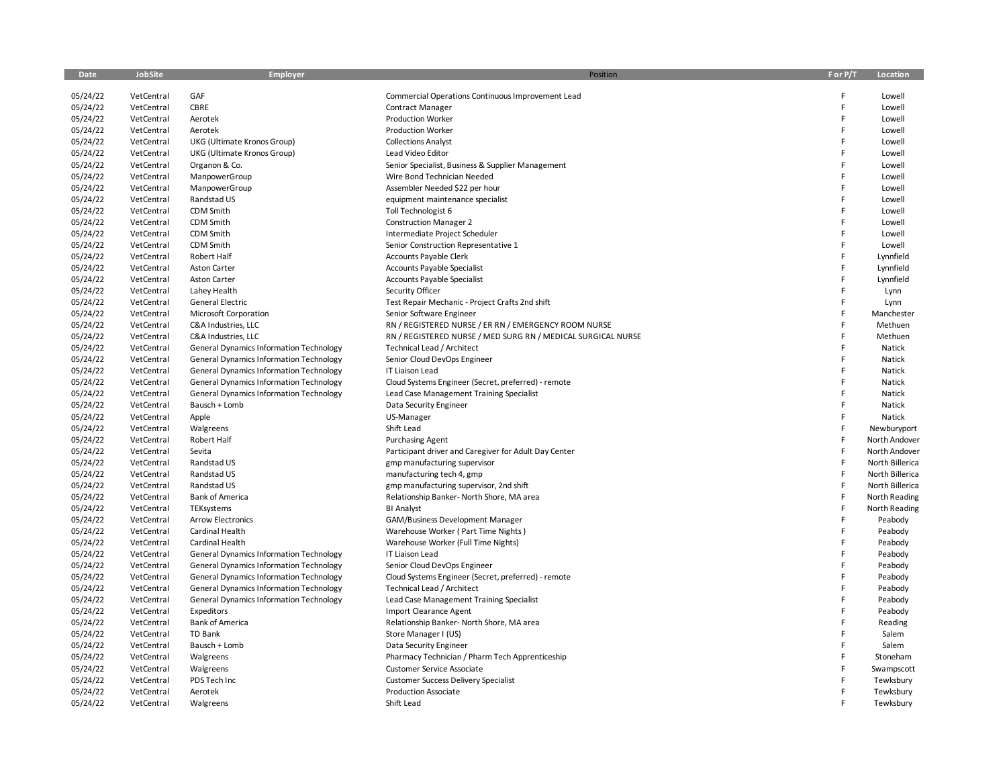| Date     | <b>JobSite</b> | Employer                                       | Position                                                     | F or P/T | Location        |
|----------|----------------|------------------------------------------------|--------------------------------------------------------------|----------|-----------------|
| 05/24/22 | VetCentral     | GAF                                            | Commercial Operations Continuous Improvement Lead            | F        | Lowell          |
| 05/24/22 | VetCentral     | CBRE                                           | <b>Contract Manager</b>                                      | F        | Lowell          |
| 05/24/22 | VetCentral     | Aerotek                                        | <b>Production Worker</b>                                     | F        | Lowell          |
| 05/24/22 | VetCentral     | Aerotek                                        | <b>Production Worker</b>                                     | F        | Lowell          |
| 05/24/22 | VetCentral     | UKG (Ultimate Kronos Group)                    | <b>Collections Analyst</b>                                   | F        | Lowell          |
| 05/24/22 | VetCentral     | UKG (Ultimate Kronos Group)                    | Lead Video Editor                                            | F        | Lowell          |
| 05/24/22 | VetCentral     | Organon & Co.                                  | Senior Specialist, Business & Supplier Management            | F        | Lowell          |
| 05/24/22 | VetCentral     | ManpowerGroup                                  | Wire Bond Technician Needed                                  | F        | Lowell          |
| 05/24/22 | VetCentral     | ManpowerGroup                                  | Assembler Needed \$22 per hour                               | F        | Lowell          |
| 05/24/22 | VetCentral     | Randstad US                                    | equipment maintenance specialist                             | F        | Lowell          |
| 05/24/22 | VetCentral     | CDM Smith                                      | Toll Technologist 6                                          | F        | Lowell          |
| 05/24/22 | VetCentral     | CDM Smith                                      | <b>Construction Manager 2</b>                                | F        | Lowell          |
| 05/24/22 | VetCentral     | CDM Smith                                      | Intermediate Project Scheduler                               | F        | Lowell          |
| 05/24/22 | VetCentral     | CDM Smith                                      | Senior Construction Representative 1                         | F        | Lowell          |
| 05/24/22 | VetCentral     | Robert Half                                    | Accounts Payable Clerk                                       | F        | Lynnfield       |
| 05/24/22 | VetCentral     | <b>Aston Carter</b>                            | <b>Accounts Payable Specialist</b>                           | F        | Lynnfield       |
| 05/24/22 | VetCentral     | Aston Carter                                   | Accounts Payable Specialist                                  | F        | Lynnfield       |
| 05/24/22 | VetCentral     | Lahey Health                                   | Security Officer                                             | F        | Lynn            |
| 05/24/22 | VetCentral     | General Electric                               | Test Repair Mechanic - Project Crafts 2nd shift              | F        | Lynn            |
| 05/24/22 | VetCentral     | Microsoft Corporation                          | Senior Software Engineer                                     | F        | Manchester      |
| 05/24/22 | VetCentral     | C&A Industries, LLC                            | RN / REGISTERED NURSE / ER RN / EMERGENCY ROOM NURSE         | F        | Methuen         |
| 05/24/22 | VetCentral     | C&A Industries, LLC                            | RN / REGISTERED NURSE / MED SURG RN / MEDICAL SURGICAL NURSE | F        | Methuen         |
| 05/24/22 | VetCentral     | <b>General Dynamics Information Technology</b> | Technical Lead / Architect                                   | F        | Natick          |
| 05/24/22 | VetCentral     | <b>General Dynamics Information Technology</b> | Senior Cloud DevOps Engineer                                 | F        | Natick          |
| 05/24/22 | VetCentral     | <b>General Dynamics Information Technology</b> | IT Liaison Lead                                              | F        | Natick          |
| 05/24/22 | VetCentral     | <b>General Dynamics Information Technology</b> | Cloud Systems Engineer (Secret, preferred) - remote          | F        | Natick          |
| 05/24/22 | VetCentral     | General Dynamics Information Technology        | Lead Case Management Training Specialist                     | F        | Natick          |
| 05/24/22 | VetCentral     | Bausch + Lomb                                  | Data Security Engineer                                       | F        | Natick          |
| 05/24/22 | VetCentral     | Apple                                          | US-Manager                                                   | F        | Natick          |
| 05/24/22 | VetCentral     | Walgreens                                      | Shift Lead                                                   | F        | Newburyport     |
| 05/24/22 | VetCentral     | Robert Half                                    | <b>Purchasing Agent</b>                                      | F        | North Andover   |
| 05/24/22 | VetCentral     | Sevita                                         | Participant driver and Caregiver for Adult Day Center        | F        | North Andover   |
| 05/24/22 | VetCentral     | Randstad US                                    | gmp manufacturing supervisor                                 | F        | North Billerica |
| 05/24/22 | VetCentral     | Randstad US                                    | manufacturing tech 4, gmp                                    | F        | North Billerica |
| 05/24/22 | VetCentral     | Randstad US                                    | gmp manufacturing supervisor, 2nd shift                      | F        | North Billerica |
| 05/24/22 | VetCentral     | <b>Bank of America</b>                         | Relationship Banker- North Shore, MA area                    | F        | North Reading   |
| 05/24/22 | VetCentral     | TEKsystems                                     | <b>BI Analyst</b>                                            | F        | North Reading   |
| 05/24/22 | VetCentral     | <b>Arrow Electronics</b>                       | GAM/Business Development Manager                             | F        | Peabody         |
| 05/24/22 | VetCentral     | Cardinal Health                                | Warehouse Worker (Part Time Nights)                          | F        | Peabody         |
| 05/24/22 | VetCentral     | Cardinal Health                                | Warehouse Worker (Full Time Nights)                          | F        | Peabody         |
| 05/24/22 | VetCentral     | General Dynamics Information Technology        | IT Liaison Lead                                              | F        | Peabody         |
| 05/24/22 | VetCentral     | <b>General Dynamics Information Technology</b> | Senior Cloud DevOps Engineer                                 | F        | Peabody         |
| 05/24/22 | VetCentral     | <b>General Dynamics Information Technology</b> | Cloud Systems Engineer (Secret, preferred) - remote          | F        | Peabody         |
| 05/24/22 | VetCentral     | <b>General Dynamics Information Technology</b> | Technical Lead / Architect                                   | F        | Peabody         |
| 05/24/22 | VetCentral     | <b>General Dynamics Information Technology</b> | Lead Case Management Training Specialist                     | F        | Peabody         |
| 05/24/22 | VetCentral     | Expeditors                                     | Import Clearance Agent                                       | F        | Peabody         |
| 05/24/22 | VetCentral     | <b>Bank of America</b>                         | Relationship Banker- North Shore, MA area                    | F        | Reading         |
| 05/24/22 | VetCentral     | <b>TD Bank</b>                                 | Store Manager I (US)                                         | F        | Salem           |
| 05/24/22 | VetCentral     | Bausch + Lomb                                  | Data Security Engineer                                       | F        | Salem           |
| 05/24/22 | VetCentral     | Walgreens                                      | Pharmacy Technician / Pharm Tech Apprenticeship              | F        | Stoneham        |
| 05/24/22 | VetCentral     | Walgreens                                      | Customer Service Associate                                   | F        | Swampscott      |
| 05/24/22 | VetCentral     | PDS Tech Inc                                   | <b>Customer Success Delivery Specialist</b>                  |          | Tewksbury       |
| 05/24/22 | VetCentral     | Aerotek                                        | <b>Production Associate</b>                                  | F        | Tewksbury       |
| 05/24/22 | VetCentral     | Walgreens                                      | Shift Lead                                                   | F        | Tewksbury       |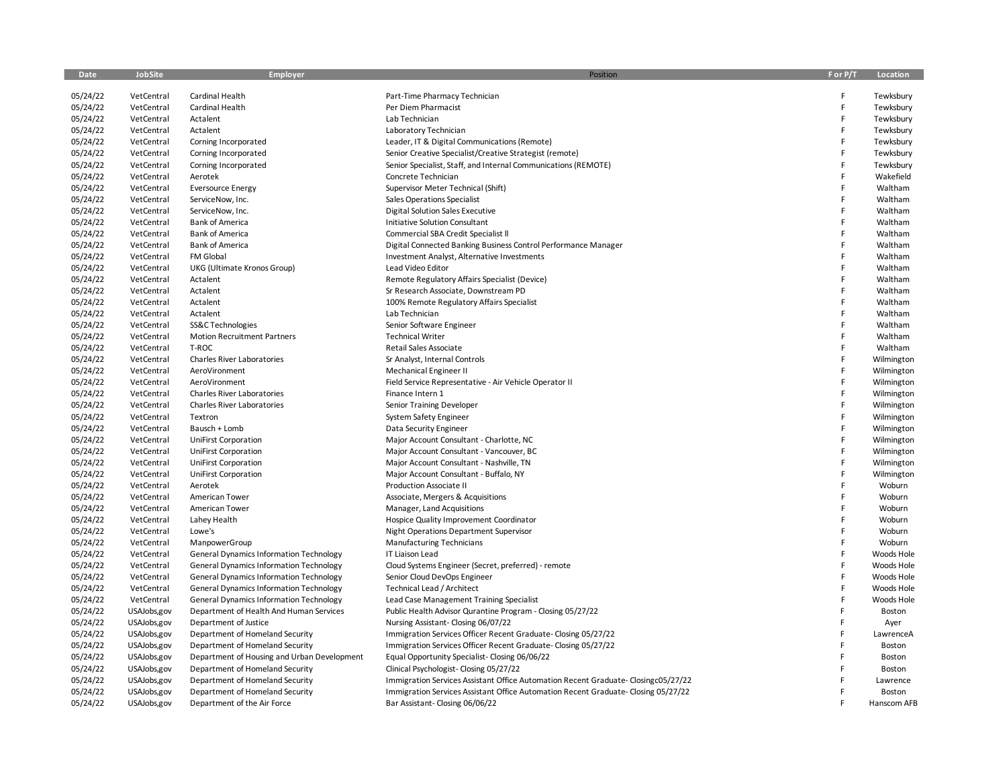| Date     | <b>JobSite</b> | Employer                                       | Position                                                                           | F or P/T | Location    |
|----------|----------------|------------------------------------------------|------------------------------------------------------------------------------------|----------|-------------|
| 05/24/22 | VetCentral     | Cardinal Health                                | Part-Time Pharmacy Technician                                                      | F        | Tewksbury   |
| 05/24/22 | VetCentral     | Cardinal Health                                | Per Diem Pharmacist                                                                | F        | Tewksbury   |
| 05/24/22 | VetCentral     | Actalent                                       | Lab Technician                                                                     | F        | Tewksbury   |
| 05/24/22 | VetCentral     | Actalent                                       | Laboratory Technician                                                              | F        | Tewksbury   |
| 05/24/22 | VetCentral     | Corning Incorporated                           | Leader, IT & Digital Communications (Remote)                                       | F        | Tewksbury   |
| 05/24/22 | VetCentral     | Corning Incorporated                           | Senior Creative Specialist/Creative Strategist (remote)                            | F        | Tewksbury   |
| 05/24/22 | VetCentral     | Corning Incorporated                           | Senior Specialist, Staff, and Internal Communications (REMOTE)                     | F        | Tewksbury   |
| 05/24/22 | VetCentral     | Aerotek                                        | Concrete Technician                                                                | F        | Wakefield   |
| 05/24/22 | VetCentral     | <b>Eversource Energy</b>                       | Supervisor Meter Technical (Shift)                                                 | F        | Waltham     |
| 05/24/22 | VetCentral     | ServiceNow, Inc.                               | Sales Operations Specialist                                                        | F        | Waltham     |
| 05/24/22 | VetCentral     | ServiceNow, Inc.                               | <b>Digital Solution Sales Executive</b>                                            | F        | Waltham     |
| 05/24/22 | VetCentral     | <b>Bank of America</b>                         | Initiative Solution Consultant                                                     | F        | Waltham     |
| 05/24/22 | VetCentral     | <b>Bank of America</b>                         | Commercial SBA Credit Specialist II                                                | F        | Waltham     |
| 05/24/22 | VetCentral     | <b>Bank of America</b>                         | Digital Connected Banking Business Control Performance Manager                     | F        | Waltham     |
| 05/24/22 | VetCentral     | FM Global                                      | Investment Analyst, Alternative Investments                                        | F        | Waltham     |
| 05/24/22 | VetCentral     | UKG (Ultimate Kronos Group)                    | Lead Video Editor                                                                  | F        | Waltham     |
| 05/24/22 | VetCentral     | Actalent                                       | Remote Regulatory Affairs Specialist (Device)                                      | F        | Waltham     |
| 05/24/22 | VetCentral     | Actalent                                       | Sr Research Associate, Downstream PD                                               | F        | Waltham     |
| 05/24/22 | VetCentral     | Actalent                                       | 100% Remote Regulatory Affairs Specialist                                          | F        | Waltham     |
| 05/24/22 | VetCentral     | Actalent                                       | Lab Technician                                                                     | F        | Waltham     |
| 05/24/22 | VetCentral     | SS&C Technologies                              | Senior Software Engineer                                                           | F        | Waltham     |
| 05/24/22 | VetCentral     | <b>Motion Recruitment Partners</b>             | <b>Technical Writer</b>                                                            | F        | Waltham     |
| 05/24/22 | VetCentral     | T-ROC                                          | Retail Sales Associate                                                             | F        | Waltham     |
| 05/24/22 | VetCentral     | Charles River Laboratories                     | Sr Analyst, Internal Controls                                                      | F        | Wilmington  |
| 05/24/22 | VetCentral     | AeroVironment                                  | Mechanical Engineer II                                                             | F        | Wilmington  |
| 05/24/22 | VetCentral     | AeroVironment                                  | Field Service Representative - Air Vehicle Operator II                             | F        | Wilmington  |
| 05/24/22 | VetCentral     | Charles River Laboratories                     | Finance Intern 1                                                                   | F        | Wilmington  |
| 05/24/22 | VetCentral     | <b>Charles River Laboratories</b>              | Senior Training Developer                                                          | F        | Wilmington  |
| 05/24/22 | VetCentral     | Textron                                        | System Safety Engineer                                                             | F        | Wilmington  |
| 05/24/22 | VetCentral     | Bausch + Lomb                                  | Data Security Engineer                                                             | F        | Wilmington  |
| 05/24/22 | VetCentral     | UniFirst Corporation                           | Major Account Consultant - Charlotte, NC                                           | F        | Wilmington  |
| 05/24/22 | VetCentral     | UniFirst Corporation                           | Major Account Consultant - Vancouver, BC                                           | F        | Wilmington  |
| 05/24/22 | VetCentral     | <b>UniFirst Corporation</b>                    | Major Account Consultant - Nashville, TN                                           | F        | Wilmington  |
| 05/24/22 | VetCentral     | UniFirst Corporation                           | Major Account Consultant - Buffalo, NY                                             | F        | Wilmington  |
| 05/24/22 | VetCentral     | Aerotek                                        | Production Associate II                                                            | F        | Woburn      |
| 05/24/22 | VetCentral     | American Tower                                 | Associate, Mergers & Acquisitions                                                  | F        | Woburn      |
| 05/24/22 | VetCentral     | American Tower                                 | Manager, Land Acquisitions                                                         | F        | Woburn      |
| 05/24/22 | VetCentral     | Lahey Health                                   | Hospice Quality Improvement Coordinator                                            | F        | Woburn      |
| 05/24/22 | VetCentral     | Lowe's                                         | Night Operations Department Supervisor                                             | F        | Woburn      |
| 05/24/22 | VetCentral     | ManpowerGroup                                  | <b>Manufacturing Technicians</b>                                                   | F        | Woburn      |
| 05/24/22 | VetCentral     | <b>General Dynamics Information Technology</b> | IT Liaison Lead                                                                    | F        | Woods Hole  |
| 05/24/22 | VetCentral     | <b>General Dynamics Information Technology</b> | Cloud Systems Engineer (Secret, preferred) - remote                                | F        | Woods Hole  |
| 05/24/22 | VetCentral     | General Dynamics Information Technology        | Senior Cloud DevOps Engineer                                                       | F        | Woods Hole  |
| 05/24/22 | VetCentral     | <b>General Dynamics Information Technology</b> | Technical Lead / Architect                                                         | F        | Woods Hole  |
| 05/24/22 | VetCentral     | <b>General Dynamics Information Technology</b> | Lead Case Management Training Specialist                                           | F        | Woods Hole  |
| 05/24/22 | USAJobs,gov    | Department of Health And Human Services        | Public Health Advisor Qurantine Program - Closing 05/27/22                         | F        | Boston      |
| 05/24/22 | USAJobs,gov    | Department of Justice                          | Nursing Assistant- Closing 06/07/22                                                | F        | Ayer        |
| 05/24/22 | USAJobs,gov    | Department of Homeland Security                | Immigration Services Officer Recent Graduate-Closing 05/27/22                      |          | LawrenceA   |
| 05/24/22 | USAJobs,gov    | Department of Homeland Security                | Immigration Services Officer Recent Graduate- Closing 05/27/22                     | F        | Boston      |
| 05/24/22 | USAJobs,gov    | Department of Housing and Urban Development    | Equal Opportunity Specialist-Closing 06/06/22                                      | F        | Boston      |
| 05/24/22 | USAJobs,gov    | Department of Homeland Security                | Clinical Psychologist-Closing 05/27/22                                             |          | Boston      |
| 05/24/22 | USAJobs,gov    | Department of Homeland Security                | Immigration Services Assistant Office Automation Recent Graduate- Closingc05/27/22 | F        | Lawrence    |
| 05/24/22 | USAJobs,gov    | Department of Homeland Security                | Immigration Services Assistant Office Automation Recent Graduate- Closing 05/27/22 | F        | Boston      |
| 05/24/22 | USAJobs,gov    | Department of the Air Force                    | Bar Assistant-Closing 06/06/22                                                     | F.       | Hanscom AFB |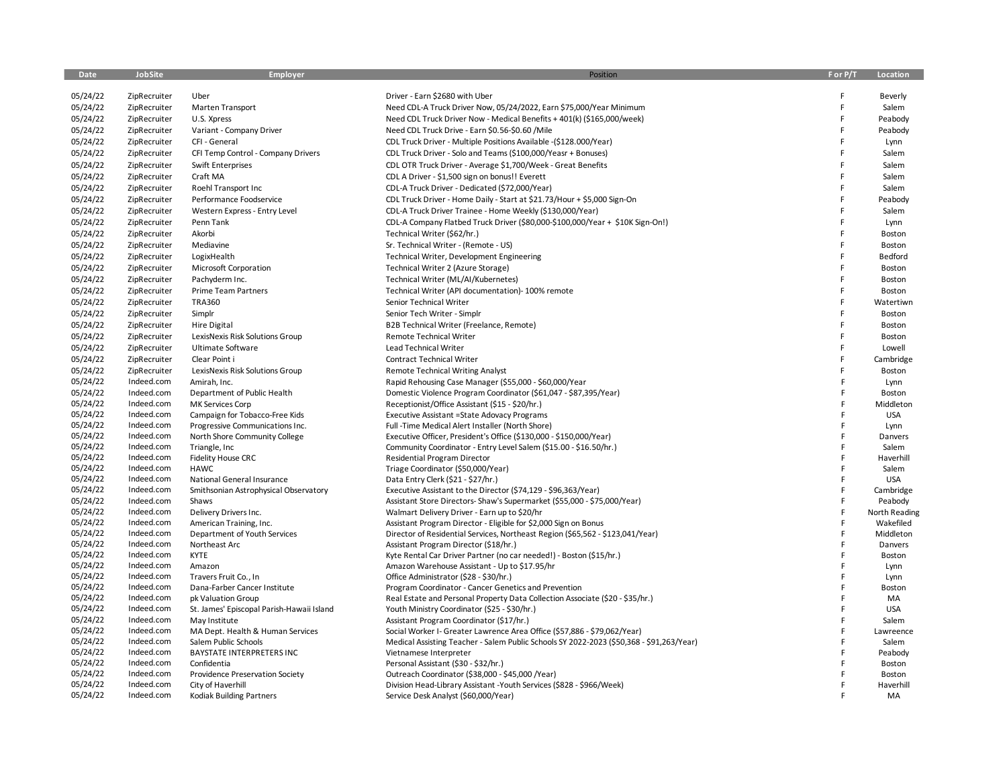| Date                 | JobSite                  | <b>Employer</b>                                                  | Position                                                                                                               | F or P/T | Location        |
|----------------------|--------------------------|------------------------------------------------------------------|------------------------------------------------------------------------------------------------------------------------|----------|-----------------|
|                      |                          |                                                                  |                                                                                                                        |          |                 |
| 05/24/22             | ZipRecruiter             | Uber                                                             | Driver - Earn \$2680 with Uber                                                                                         | F        | Beverly         |
| 05/24/22             | ZipRecruiter             | Marten Transport                                                 | Need CDL-A Truck Driver Now, 05/24/2022, Earn \$75,000/Year Minimum                                                    | F        | Salem           |
| 05/24/22             | ZipRecruiter             | U.S. Xpress                                                      | Need CDL Truck Driver Now - Medical Benefits + 401(k) (\$165,000/week)                                                 | F        | Peabody         |
| 05/24/22             | ZipRecruiter             | Variant - Company Driver                                         | Need CDL Truck Drive - Earn \$0.56-\$0.60 / Mile                                                                       | F        | Peabody         |
| 05/24/22             | ZipRecruiter             | CFI - General                                                    | CDL Truck Driver - Multiple Positions Available - (\$128.000/Year)                                                     | F        | Lynn            |
| 05/24/22             | ZipRecruiter             | CFI Temp Control - Company Drivers                               | CDL Truck Driver - Solo and Teams (\$100,000/Yeasr + Bonuses)                                                          | F        | Salem           |
| 05/24/22             | ZipRecruiter             | Swift Enterprises                                                | CDL OTR Truck Driver - Average \$1,700/Week - Great Benefits                                                           | F        | Salem           |
| 05/24/22             | ZipRecruiter             | Craft MA                                                         | CDL A Driver - \$1,500 sign on bonus!! Everett                                                                         | F        | Salem           |
| 05/24/22             | ZipRecruiter             | Roehl Transport Inc                                              | CDL-A Truck Driver - Dedicated (\$72,000/Year)                                                                         | F        | Salem           |
| 05/24/22             | ZipRecruiter             | Performance Foodservice                                          | CDL Truck Driver - Home Daily - Start at \$21.73/Hour + \$5,000 Sign-On                                                | F        | Peabody         |
| 05/24/22             | ZipRecruiter             | Western Express - Entry Level                                    | CDL-A Truck Driver Trainee - Home Weekly (\$130,000/Year)                                                              | F        | Salem           |
| 05/24/22             | ZipRecruiter             | Penn Tank                                                        | CDL-A Company Flatbed Truck Driver (\$80,000-\$100,000/Year + \$10K Sign-On!)                                          | F        | Lynn            |
| 05/24/22             | ZipRecruiter             | Akorbi                                                           | Technical Writer (\$62/hr.)                                                                                            | F        | Boston          |
| 05/24/22             | ZipRecruiter             | Mediavine                                                        | Sr. Technical Writer - (Remote - US)                                                                                   | F        | Boston          |
| 05/24/22             | ZipRecruiter             | LogixHealth                                                      | Technical Writer, Development Engineering                                                                              | F        | Bedford         |
| 05/24/22             | ZipRecruiter             | Microsoft Corporation                                            | Technical Writer 2 (Azure Storage)                                                                                     | F        | Boston          |
| 05/24/22             | ZipRecruiter             | Pachyderm Inc.                                                   | Technical Writer (ML/AI/Kubernetes)                                                                                    | F        | Boston          |
| 05/24/22             | ZipRecruiter             | <b>Prime Team Partners</b>                                       | Technical Writer (API documentation)- 100% remote                                                                      | F        | Boston          |
| 05/24/22             | ZipRecruiter             | <b>TRA360</b>                                                    | Senior Technical Writer                                                                                                | F        | Watertiwn       |
| 05/24/22             | ZipRecruiter             | Simplr                                                           | Senior Tech Writer - Simplr                                                                                            | F        | Boston          |
| 05/24/22             | ZipRecruiter             | <b>Hire Digital</b>                                              | B2B Technical Writer (Freelance, Remote)                                                                               | F        | Boston          |
| 05/24/22             | ZipRecruiter             | LexisNexis Risk Solutions Group                                  | Remote Technical Writer                                                                                                | F        | Boston          |
|                      |                          |                                                                  | <b>Lead Technical Writer</b>                                                                                           | F        | Lowell          |
| 05/24/22             | ZipRecruiter             | Ultimate Software                                                |                                                                                                                        | F        |                 |
| 05/24/22             | ZipRecruiter             | Clear Point i                                                    | <b>Contract Technical Writer</b>                                                                                       | E        | Cambridge       |
| 05/24/22             | ZipRecruiter             | LexisNexis Risk Solutions Group                                  | <b>Remote Technical Writing Analyst</b>                                                                                |          | Boston          |
| 05/24/22             | Indeed.com               | Amirah, Inc.                                                     | Rapid Rehousing Case Manager (\$55,000 - \$60,000/Year                                                                 | E        | Lynn            |
| 05/24/22             | Indeed.com               | Department of Public Health                                      | Domestic Violence Program Coordinator (\$61,047 - \$87,395/Year)                                                       | F<br>F   | Boston          |
| 05/24/22<br>05/24/22 | Indeed.com<br>Indeed.com | MK Services Corp                                                 | Receptionist/Office Assistant (\$15 - \$20/hr.)                                                                        | E        | Middleton       |
| 05/24/22             | Indeed.com               | Campaign for Tobacco-Free Kids                                   | Executive Assistant = State Adovacy Programs                                                                           | F        | <b>USA</b>      |
| 05/24/22             | Indeed.com               | Progressive Communications Inc.<br>North Shore Community College | Full -Time Medical Alert Installer (North Shore)<br>Executive Officer, President's Office (\$130,000 - \$150,000/Year) | E        | Lynn<br>Danvers |
| 05/24/22             | Indeed.com               | Triangle, Inc                                                    | Community Coordinator - Entry Level Salem (\$15.00 - \$16.50/hr.)                                                      | F        | Salem           |
| 05/24/22             | Indeed.com               | Fidelity House CRC                                               | <b>Residential Program Director</b>                                                                                    | F        | Haverhill       |
| 05/24/22             | Indeed.com               | <b>HAWC</b>                                                      | Triage Coordinator (\$50,000/Year)                                                                                     | F        | Salem           |
| 05/24/22             | Indeed.com               | National General Insurance                                       | Data Entry Clerk (\$21 - \$27/hr.)                                                                                     | F        | <b>USA</b>      |
| 05/24/22             | Indeed.com               | Smithsonian Astrophysical Observatory                            | Executive Assistant to the Director (\$74,129 - \$96,363/Year)                                                         | F        | Cambridge       |
| 05/24/22             | Indeed.com               | Shaws                                                            | Assistant Store Directors- Shaw's Supermarket (\$55,000 - \$75,000/Year)                                               | F        | Peabody         |
| 05/24/22             | Indeed.com               | Delivery Drivers Inc.                                            | Walmart Delivery Driver - Earn up to \$20/hr                                                                           | E        | North Reading   |
| 05/24/22             | Indeed.com               | American Training, Inc.                                          | Assistant Program Director - Eligible for \$2,000 Sign on Bonus                                                        | F        | Wakefiled       |
| 05/24/22             | Indeed.com               | Department of Youth Services                                     | Director of Residential Services, Northeast Region (\$65,562 - \$123,041/Year)                                         | F        | Middleton       |
| 05/24/22             | Indeed.com               | Northeast Arc                                                    | Assistant Program Director (\$18/hr.)                                                                                  | F        | Danvers         |
| 05/24/22             | Indeed.com               | <b>KYTE</b>                                                      | Kyte Rental Car Driver Partner (no car needed!) - Boston (\$15/hr.)                                                    | F        | Boston          |
| 05/24/22             | Indeed.com               | Amazon                                                           | Amazon Warehouse Assistant - Up to \$17.95/hr                                                                          | F        | Lynn            |
| 05/24/22             | Indeed.com               | Travers Fruit Co., In                                            | Office Administrator (\$28 - \$30/hr.)                                                                                 | E        | Lynn            |
| 05/24/22             | Indeed.com               | Dana-Farber Cancer Institute                                     | Program Coordinator - Cancer Genetics and Prevention                                                                   | E        | Boston          |
| 05/24/22             | Indeed.com               | pk Valuation Group                                               | Real Estate and Personal Property Data Collection Associate (\$20 - \$35/hr.)                                          | E        | MA              |
| 05/24/22             | Indeed.com               | St. James' Episcopal Parish-Hawaii Island                        | Youth Ministry Coordinator (\$25 - \$30/hr.)                                                                           | F        | <b>USA</b>      |
| 05/24/22             | Indeed.com               | May Institute                                                    | Assistant Program Coordinator (\$17/hr.)                                                                               | E        | Salem           |
| 05/24/22             | Indeed.com               | MA Dept. Health & Human Services                                 | Social Worker I- Greater Lawrence Area Office (\$57,886 - \$79,062/Year)                                               | F        | Lawreence       |
| 05/24/22             | Indeed.com               | Salem Public Schools                                             | Medical Assisting Teacher - Salem Public Schools SY 2022-2023 (\$50,368 - \$91,263/Year)                               | F        | Salem           |
| 05/24/22             | Indeed.com               | <b>BAYSTATE INTERPRETERS INC</b>                                 | Vietnamese Interpreter                                                                                                 | F        | Peabody         |
| 05/24/22             | Indeed.com               | Confidentia                                                      | Personal Assistant (\$30 - \$32/hr.)                                                                                   | F        | Boston          |
| 05/24/22             | Indeed.com               | Providence Preservation Society                                  | Outreach Coordinator (\$38,000 - \$45,000 /Year)                                                                       | F        | Boston          |
| 05/24/22             | Indeed.com               | City of Haverhill                                                | Division Head-Library Assistant -Youth Services (\$828 - \$966/Week)                                                   | F        | Haverhill       |
| 05/24/22             | Indeed.com               | <b>Kodiak Building Partners</b>                                  | Service Desk Analyst (\$60,000/Year)                                                                                   | E        | MA              |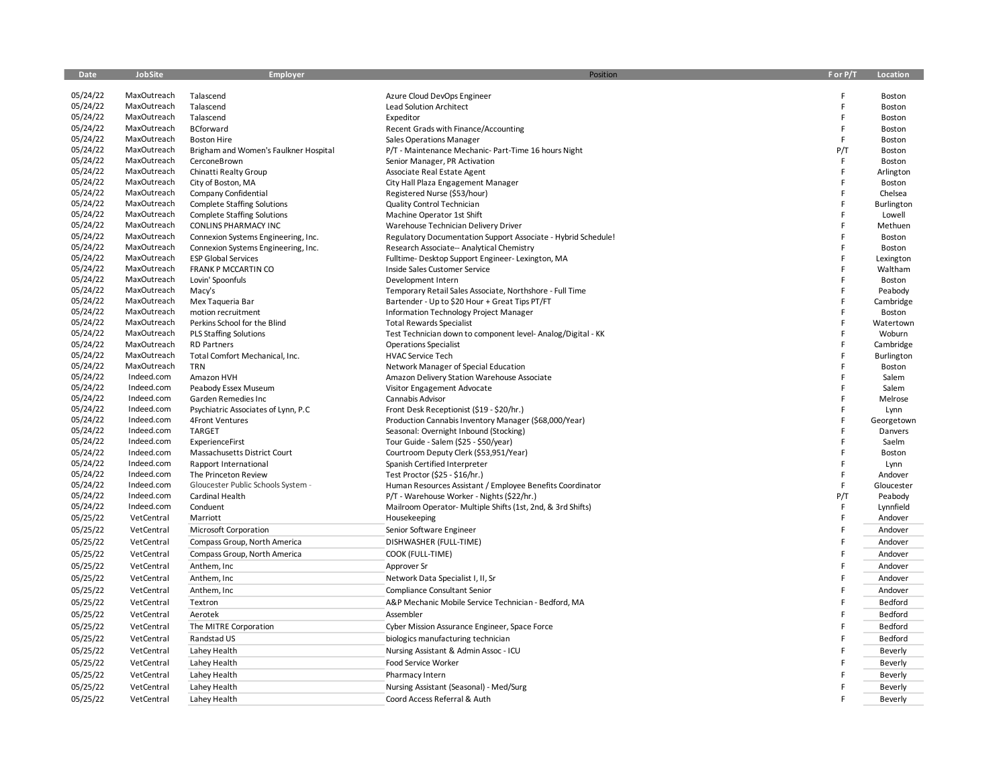| Date                 | JobSite                    | Employer                                                                 | Position                                                      | F or P/T | Location             |
|----------------------|----------------------------|--------------------------------------------------------------------------|---------------------------------------------------------------|----------|----------------------|
|                      |                            |                                                                          |                                                               |          |                      |
| 05/24/22             | MaxOutreach                | Talascend                                                                | Azure Cloud DevOps Engineer                                   | Ë        | Boston               |
| 05/24/22             | MaxOutreach                | Talascend                                                                | <b>Lead Solution Architect</b>                                | F<br>E   | Boston               |
| 05/24/22             | MaxOutreach                | Talascend                                                                | Expeditor                                                     |          | Boston               |
| 05/24/22             | MaxOutreach                | BCforward                                                                | Recent Grads with Finance/Accounting                          | F<br>F   | Boston               |
| 05/24/22             | MaxOutreach                | <b>Boston Hire</b>                                                       | <b>Sales Operations Manager</b>                               |          | Boston               |
| 05/24/22<br>05/24/22 | MaxOutreach<br>MaxOutreach | Brigham and Women's Faulkner Hospital                                    | P/T - Maintenance Mechanic- Part-Time 16 hours Night          | P/T      | Boston               |
| 05/24/22             | MaxOutreach                | CerconeBrown                                                             | Senior Manager, PR Activation                                 | F<br>F   | Boston               |
| 05/24/22             | MaxOutreach                | Chinatti Realty Group                                                    | Associate Real Estate Agent                                   |          | Arlington            |
| 05/24/22             | MaxOutreach                | City of Boston, MA                                                       | City Hall Plaza Engagement Manager                            | F        | Boston               |
| 05/24/22             | MaxOutreach                | Company Confidential                                                     | Registered Nurse (\$53/hour)                                  |          | Chelsea              |
| 05/24/22             | MaxOutreach                | <b>Complete Staffing Solutions</b><br><b>Complete Staffing Solutions</b> | Quality Control Technician<br>Machine Operator 1st Shift      |          | Burlington<br>Lowell |
| 05/24/22             | MaxOutreach                | <b>CONLINS PHARMACY INC</b>                                              | Warehouse Technician Delivery Driver                          |          | Methuen              |
| 05/24/22             | MaxOutreach                | Connexion Systems Engineering, Inc.                                      | Regulatory Documentation Support Associate - Hybrid Schedule! |          | Boston               |
| 05/24/22             | MaxOutreach                | Connexion Systems Engineering, Inc.                                      | Research Associate-- Analytical Chemistry                     |          | Boston               |
| 05/24/22             | MaxOutreach                | <b>ESP Global Services</b>                                               | Fulltime-Desktop Support Engineer-Lexington, MA               |          | Lexington            |
| 05/24/22             | MaxOutreach                | FRANK P MCCARTIN CO                                                      | Inside Sales Customer Service                                 |          | Waltham              |
| 05/24/22             | MaxOutreach                | Lovin' Spoonfuls                                                         | Development Intern                                            |          | Boston               |
| 05/24/22             | MaxOutreach                | Macy's                                                                   | Temporary Retail Sales Associate, Northshore - Full Time      |          | Peabody              |
| 05/24/22             | MaxOutreach                | Mex Taqueria Bar                                                         | Bartender - Up to \$20 Hour + Great Tips PT/FT                |          | Cambridge            |
| 05/24/22             | MaxOutreach                | motion recruitment                                                       | Information Technology Project Manager                        |          | Boston               |
| 05/24/22             | MaxOutreach                | Perkins School for the Blind                                             | <b>Total Rewards Specialist</b>                               |          | Watertown            |
| 05/24/22             | MaxOutreach                | <b>PLS Staffing Solutions</b>                                            | Test Technician down to component level-Analog/Digital - KK   |          | Woburn               |
| 05/24/22             | MaxOutreach                | <b>RD Partners</b>                                                       | <b>Operations Specialist</b>                                  |          | Cambridge            |
| 05/24/22             | MaxOutreach                | Total Comfort Mechanical, Inc.                                           | <b>HVAC Service Tech</b>                                      |          | Burlington           |
| 05/24/22             | MaxOutreach                | <b>TRN</b>                                                               | Network Manager of Special Education                          |          | Boston               |
| 05/24/22             | Indeed.com                 | Amazon HVH                                                               | Amazon Delivery Station Warehouse Associate                   |          | Salem                |
| 05/24/22             | Indeed.com                 | Peabody Essex Museum                                                     | Visitor Engagement Advocate                                   | Ë        | Salem                |
| 05/24/22             | Indeed.com                 | Garden Remedies Inc                                                      | Cannabis Advisor                                              |          | Melrose              |
| 05/24/22             | Indeed.com                 | Psychiatric Associates of Lynn, P.C.                                     | Front Desk Receptionist (\$19 - \$20/hr.)                     |          | Lynn                 |
| 05/24/22             | Indeed.com                 | <b>4Front Ventures</b>                                                   | Production Cannabis Inventory Manager (\$68,000/Year)         |          | Georgetown           |
| 05/24/22             | Indeed.com                 | <b>TARGET</b>                                                            | Seasonal: Overnight Inbound (Stocking)                        |          | Danvers              |
| 05/24/22             | Indeed.com                 | ExperienceFirst                                                          | Tour Guide - Salem (\$25 - \$50/year)                         |          | Saelm                |
| 05/24/22             | Indeed.com                 | Massachusetts District Court                                             | Courtroom Deputy Clerk (\$53,951/Year)                        |          | Boston               |
| 05/24/22             | Indeed.com                 | Rapport International                                                    | Spanish Certified Interpreter                                 |          | Lynn                 |
| 05/24/22             | Indeed.com                 | The Princeton Review                                                     | Test Proctor (\$25 - \$16/hr.)                                | F        | Andover              |
| 05/24/22             | Indeed.com                 | Gloucester Public Schools System -                                       | Human Resources Assistant / Employee Benefits Coordinator     | E        | Gloucester           |
| 05/24/22             | Indeed.com                 | Cardinal Health                                                          | P/T - Warehouse Worker - Nights (\$22/hr.)                    | P/T      | Peabody              |
| 05/24/22             | Indeed.com                 | Conduent                                                                 | Mailroom Operator- Multiple Shifts (1st, 2nd, & 3rd Shifts)   | F        | Lynnfield            |
| 05/25/22             | VetCentral                 | Marriott                                                                 | Housekeeping                                                  | E        | Andover              |
| 05/25/22             | VetCentral                 | Microsoft Corporation                                                    | Senior Software Engineer                                      |          | Andover              |
| 05/25/22             | VetCentral                 | Compass Group, North America                                             | DISHWASHER (FULL-TIME)                                        |          | Andover              |
| 05/25/22             | VetCentral                 | Compass Group, North America                                             | COOK (FULL-TIME)                                              | F        | Andover              |
| 05/25/22             | VetCentral                 | Anthem, Inc                                                              | Approver Sr                                                   |          | Andover              |
| 05/25/22             | VetCentral                 | Anthem, Inc                                                              | Network Data Specialist I, II, Sr                             |          | Andover              |
| 05/25/22             | VetCentral                 | Anthem, Inc                                                              | Compliance Consultant Senior                                  |          | Andover              |
| 05/25/22             | VetCentral                 | Textron                                                                  | A&P Mechanic Mobile Service Technician - Bedford, MA          |          | Bedford              |
| 05/25/22             | VetCentral                 | Aerotek                                                                  | Assembler                                                     |          | Bedford              |
| 05/25/22             | VetCentral                 | The MITRE Corporation                                                    | Cyber Mission Assurance Engineer, Space Force                 |          | Bedford              |
| 05/25/22             | VetCentral                 | Randstad US                                                              | biologics manufacturing technician                            |          | Bedford              |
| 05/25/22             | VetCentral                 | Lahey Health                                                             | Nursing Assistant & Admin Assoc - ICU                         |          | Beverly              |
| 05/25/22             | VetCentral                 | Lahey Health                                                             | Food Service Worker                                           |          | Beverly              |
| 05/25/22             | VetCentral                 | Lahey Health                                                             | Pharmacy Intern                                               |          | Beverly              |
| 05/25/22             | VetCentral                 | Lahey Health                                                             | Nursing Assistant (Seasonal) - Med/Surg                       |          | Beverly              |
| 05/25/22             | VetCentral                 | Lahey Health                                                             | Coord Access Referral & Auth                                  | F        | Beverly              |
|                      |                            |                                                                          |                                                               |          |                      |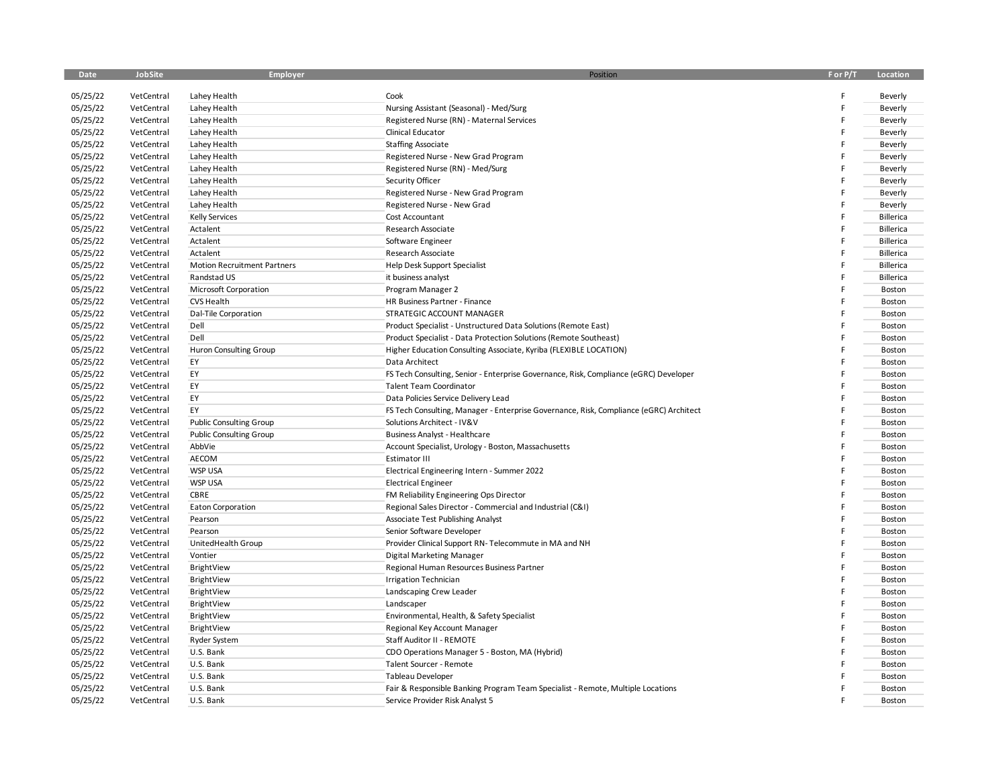| Date     | JobSite    | <b>Employer</b>                    | Position                                                                               | F or P/T | Location  |
|----------|------------|------------------------------------|----------------------------------------------------------------------------------------|----------|-----------|
| 05/25/22 | VetCentral | Lahey Health                       | Cook                                                                                   |          | Beverly   |
| 05/25/22 | VetCentral | Lahey Health                       | Nursing Assistant (Seasonal) - Med/Surg                                                |          | Beverly   |
| 05/25/22 | VetCentral | Lahey Health                       | Registered Nurse (RN) - Maternal Services                                              |          | Beverly   |
| 05/25/22 | VetCentral | Lahey Health                       | Clinical Educator                                                                      |          | Beverly   |
| 05/25/22 | VetCentral | Lahey Health                       | <b>Staffing Associate</b>                                                              |          | Beverly   |
| 05/25/22 | VetCentral | Lahey Health                       | Registered Nurse - New Grad Program                                                    |          | Beverly   |
| 05/25/22 | VetCentral | Lahey Health                       | Registered Nurse (RN) - Med/Surg                                                       |          | Beverly   |
| 05/25/22 | VetCentral | Lahey Health                       | Security Officer                                                                       |          | Beverly   |
| 05/25/22 | VetCentral | Lahey Health                       | Registered Nurse - New Grad Program                                                    |          | Beverly   |
| 05/25/22 | VetCentral | Lahey Health                       | Registered Nurse - New Grad                                                            |          | Beverly   |
| 05/25/22 | VetCentral | <b>Kelly Services</b>              | Cost Accountant                                                                        |          | Billerica |
| 05/25/22 | VetCentral | Actalent                           | Research Associate                                                                     |          | Billerica |
| 05/25/22 | VetCentral | Actalent                           | Software Engineer                                                                      |          | Billerica |
| 05/25/22 | VetCentral | Actalent                           | Research Associate                                                                     |          | Billerica |
| 05/25/22 | VetCentral | <b>Motion Recruitment Partners</b> | <b>Help Desk Support Specialist</b>                                                    |          | Billerica |
| 05/25/22 | VetCentral | Randstad US                        | it business analyst                                                                    |          | Billerica |
| 05/25/22 | VetCentral | Microsoft Corporation              | Program Manager 2                                                                      |          | Boston    |
| 05/25/22 | VetCentral | <b>CVS Health</b>                  | HR Business Partner - Finance                                                          |          | Boston    |
| 05/25/22 | VetCentral | Dal-Tile Corporation               | STRATEGIC ACCOUNT MANAGER                                                              |          | Boston    |
| 05/25/22 | VetCentral | Dell                               | Product Specialist - Unstructured Data Solutions (Remote East)                         |          | Boston    |
| 05/25/22 | VetCentral | Dell                               | Product Specialist - Data Protection Solutions (Remote Southeast)                      |          | Boston    |
| 05/25/22 | VetCentral | <b>Huron Consulting Group</b>      | Higher Education Consulting Associate, Kyriba (FLEXIBLE LOCATION)                      |          | Boston    |
| 05/25/22 | VetCentral | EY                                 | Data Architect                                                                         |          | Boston    |
| 05/25/22 | VetCentral | EY                                 | FS Tech Consulting, Senior - Enterprise Governance, Risk, Compliance (eGRC) Developer  |          | Boston    |
| 05/25/22 | VetCentral | EY                                 | <b>Talent Team Coordinator</b>                                                         |          | Boston    |
| 05/25/22 | VetCentral | EY                                 | Data Policies Service Delivery Lead                                                    |          | Boston    |
| 05/25/22 | VetCentral | EY                                 | FS Tech Consulting, Manager - Enterprise Governance, Risk, Compliance (eGRC) Architect |          | Boston    |
| 05/25/22 | VetCentral | <b>Public Consulting Group</b>     | Solutions Architect - IV&V                                                             |          | Boston    |
| 05/25/22 | VetCentral | <b>Public Consulting Group</b>     | <b>Business Analyst - Healthcare</b>                                                   |          | Boston    |
| 05/25/22 | VetCentral | AbbVie                             | Account Specialist, Urology - Boston, Massachusetts                                    |          | Boston    |
| 05/25/22 | VetCentral | AECOM                              | Estimator III                                                                          |          | Boston    |
| 05/25/22 | VetCentral | <b>WSP USA</b>                     | Electrical Engineering Intern - Summer 2022                                            |          | Boston    |
| 05/25/22 | VetCentral | <b>WSP USA</b>                     | <b>Electrical Engineer</b>                                                             |          | Boston    |
| 05/25/22 | VetCentral | CBRE                               | FM Reliability Engineering Ops Director                                                |          | Boston    |
| 05/25/22 | VetCentral | <b>Eaton Corporation</b>           | Regional Sales Director - Commercial and Industrial (C&I)                              |          | Boston    |
| 05/25/22 | VetCentral | Pearson                            | Associate Test Publishing Analyst                                                      |          | Boston    |
| 05/25/22 | VetCentral | Pearson                            | Senior Software Developer                                                              |          | Boston    |
| 05/25/22 | VetCentral | UnitedHealth Group                 | Provider Clinical Support RN-Telecommute in MA and NH                                  |          | Boston    |
| 05/25/22 | VetCentral | Vontier                            | <b>Digital Marketing Manager</b>                                                       |          | Boston    |
| 05/25/22 | VetCentral | BrightView                         | Regional Human Resources Business Partner                                              |          | Boston    |
| 05/25/22 | VetCentral | BrightView                         | <b>Irrigation Technician</b>                                                           |          | Boston    |
| 05/25/22 | VetCentral | BrightView                         | Landscaping Crew Leader                                                                |          | Boston    |
| 05/25/22 | VetCentral | BrightView                         | Landscaper                                                                             |          | Boston    |
| 05/25/22 | VetCentral | BrightView                         | Environmental, Health, & Safety Specialist                                             |          | Boston    |
| 05/25/22 | VetCentral | BrightView                         | Regional Key Account Manager                                                           |          | Boston    |
| 05/25/22 | VetCentral | <b>Ryder System</b>                | Staff Auditor II - REMOTE                                                              |          | Boston    |
| 05/25/22 | VetCentral | U.S. Bank                          | CDO Operations Manager 5 - Boston, MA (Hybrid)                                         |          | Boston    |
| 05/25/22 | VetCentral | U.S. Bank                          | Talent Sourcer - Remote                                                                |          | Boston    |
| 05/25/22 | VetCentral | U.S. Bank                          | Tableau Developer                                                                      |          | Boston    |
| 05/25/22 | VetCentral | U.S. Bank                          | Fair & Responsible Banking Program Team Specialist - Remote, Multiple Locations        |          | Boston    |
| 05/25/22 | VetCentral | U.S. Bank                          | Service Provider Risk Analyst 5                                                        |          | Boston    |
|          |            |                                    |                                                                                        |          |           |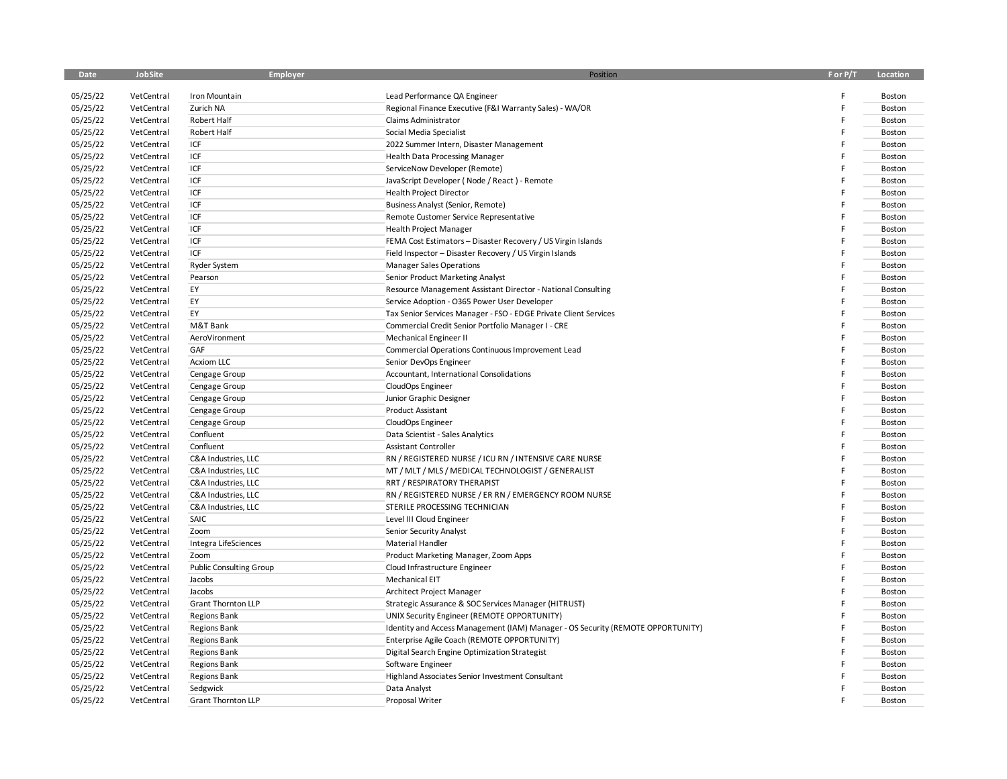| Date                 | JobSite                  | <b>Employer</b>                | Position                                                                                                                | F or P/T | Location         |
|----------------------|--------------------------|--------------------------------|-------------------------------------------------------------------------------------------------------------------------|----------|------------------|
| 05/25/22             | VetCentral               | Iron Mountain                  | Lead Performance QA Engineer                                                                                            |          | Boston           |
| 05/25/22             | VetCentral               | Zurich NA                      | Regional Finance Executive (F&I Warranty Sales) - WA/OR                                                                 |          | Boston           |
| 05/25/22             | VetCentral               | Robert Half                    | Claims Administrator                                                                                                    |          | Boston           |
| 05/25/22             | VetCentral               | Robert Half                    | Social Media Specialist                                                                                                 |          | Boston           |
| 05/25/22             | VetCentral               | ICF                            | 2022 Summer Intern, Disaster Management                                                                                 |          | Boston           |
| 05/25/22             | VetCentral               | ICF                            | <b>Health Data Processing Manager</b>                                                                                   |          | Boston           |
| 05/25/22             | VetCentral               | ICF                            | ServiceNow Developer (Remote)                                                                                           |          | Boston           |
| 05/25/22             | VetCentral               | ICF                            | JavaScript Developer (Node / React) - Remote                                                                            |          | Boston           |
| 05/25/22             | VetCentral               | ICF                            | <b>Health Project Director</b>                                                                                          |          | Boston           |
| 05/25/22             | VetCentral               | ICF                            | Business Analyst (Senior, Remote)                                                                                       |          | Boston           |
| 05/25/22             | VetCentral               | ICF                            |                                                                                                                         |          | Boston           |
|                      |                          | ICF                            | Remote Customer Service Representative                                                                                  |          |                  |
| 05/25/22<br>05/25/22 | VetCentral<br>VetCentral | ICF                            | <b>Health Project Manager</b>                                                                                           |          | Boston           |
| 05/25/22             | VetCentral               | ICF                            | FEMA Cost Estimators - Disaster Recovery / US Virgin Islands<br>Field Inspector - Disaster Recovery / US Virgin Islands |          | Boston<br>Boston |
|                      |                          |                                |                                                                                                                         |          |                  |
| 05/25/22             | VetCentral               | <b>Ryder System</b>            | <b>Manager Sales Operations</b>                                                                                         |          | Boston           |
| 05/25/22             | VetCentral               | Pearson<br>EY                  | Senior Product Marketing Analyst                                                                                        |          | Boston           |
| 05/25/22             | VetCentral               |                                | Resource Management Assistant Director - National Consulting                                                            |          | Boston           |
| 05/25/22             | VetCentral               | EY<br>EY                       | Service Adoption - O365 Power User Developer                                                                            |          | Boston           |
| 05/25/22             | VetCentral               |                                | Tax Senior Services Manager - FSO - EDGE Private Client Services                                                        |          | Boston           |
| 05/25/22             | VetCentral               | M&T Bank                       | Commercial Credit Senior Portfolio Manager I - CRE                                                                      |          | Boston           |
| 05/25/22             | VetCentral               | AeroVironment                  | Mechanical Engineer II                                                                                                  |          | Boston           |
| 05/25/22             | VetCentral               | GAF                            | Commercial Operations Continuous Improvement Lead                                                                       |          | Boston           |
| 05/25/22             | VetCentral               | <b>Acxiom LLC</b>              | Senior DevOps Engineer                                                                                                  |          | Boston           |
| 05/25/22             | VetCentral               | Cengage Group                  | Accountant, International Consolidations                                                                                |          | Boston           |
| 05/25/22             | VetCentral               | Cengage Group                  | CloudOps Engineer                                                                                                       |          | Boston           |
| 05/25/22             | VetCentral               | Cengage Group                  | Junior Graphic Designer                                                                                                 |          | Boston           |
| 05/25/22             | VetCentral               | Cengage Group                  | Product Assistant                                                                                                       |          | Boston           |
| 05/25/22             | VetCentral               | Cengage Group                  | CloudOps Engineer                                                                                                       |          | Boston           |
| 05/25/22             | VetCentral               | Confluent                      | Data Scientist - Sales Analytics                                                                                        |          | Boston           |
| 05/25/22             | VetCentral               | Confluent                      | <b>Assistant Controller</b>                                                                                             |          | Boston           |
| 05/25/22             | VetCentral               | C&A Industries, LLC            | RN / REGISTERED NURSE / ICU RN / INTENSIVE CARE NURSE                                                                   |          | Boston           |
| 05/25/22             | VetCentral               | C&A Industries, LLC            | MT / MLT / MLS / MEDICAL TECHNOLOGIST / GENERALIST                                                                      |          | Boston           |
| 05/25/22             | VetCentral               | C&A Industries, LLC            | <b>RRT / RESPIRATORY THERAPIST</b>                                                                                      |          | Boston           |
| 05/25/22             | VetCentral               | C&A Industries, LLC            | RN / REGISTERED NURSE / ER RN / EMERGENCY ROOM NURSE                                                                    |          | Boston           |
| 05/25/22             | VetCentral               | C&A Industries, LLC            | STERILE PROCESSING TECHNICIAN                                                                                           |          | Boston           |
| 05/25/22             | VetCentral               | SAIC                           | Level III Cloud Engineer                                                                                                |          | Boston           |
| 05/25/22             | VetCentral               | Zoom                           | Senior Security Analyst                                                                                                 |          | Boston           |
| 05/25/22             | VetCentral               | Integra LifeSciences           | Material Handler                                                                                                        |          | Boston           |
| 05/25/22             | VetCentral               | Zoom                           | Product Marketing Manager, Zoom Apps                                                                                    |          | Boston           |
| 05/25/22             | VetCentral               | <b>Public Consulting Group</b> | Cloud Infrastructure Engineer                                                                                           |          | Boston           |
| 05/25/22             | VetCentral               | Jacobs                         | Mechanical EIT                                                                                                          |          | Boston           |
| 05/25/22             | VetCentral               | Jacobs                         | Architect Project Manager                                                                                               |          | Boston           |
| 05/25/22             | VetCentral               | <b>Grant Thornton LLP</b>      | Strategic Assurance & SOC Services Manager (HITRUST)                                                                    |          | Boston           |
| 05/25/22             | VetCentral               | <b>Regions Bank</b>            | UNIX Security Engineer (REMOTE OPPORTUNITY)                                                                             |          | Boston           |
| 05/25/22             | VetCentral               | <b>Regions Bank</b>            | Identity and Access Management (IAM) Manager - OS Security (REMOTE OPPORTUNITY)                                         |          | Boston           |
| 05/25/22             | VetCentral               | <b>Regions Bank</b>            | Enterprise Agile Coach (REMOTE OPPORTUNITY)                                                                             |          | Boston           |
| 05/25/22             | VetCentral               | <b>Regions Bank</b>            | Digital Search Engine Optimization Strategist                                                                           |          | Boston           |
| 05/25/22             | VetCentral               | <b>Regions Bank</b>            | Software Engineer                                                                                                       |          | Boston           |
| 05/25/22             | VetCentral               | <b>Regions Bank</b>            | Highland Associates Senior Investment Consultant                                                                        |          | Boston           |
| 05/25/22             | VetCentral               | Sedgwick                       | Data Analyst                                                                                                            |          | Boston           |
| 05/25/22             | VetCentral               | <b>Grant Thornton LLP</b>      | Proposal Writer                                                                                                         |          | Boston           |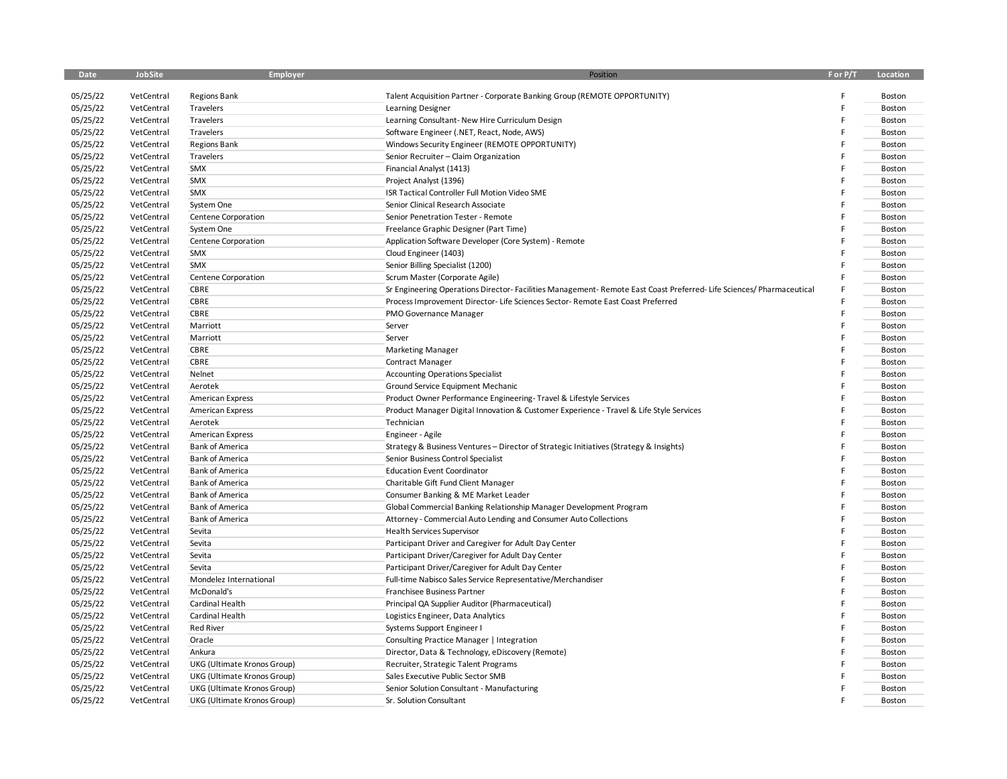| Date     | JobSite    | Employer                            | Position                                                                                                          | F or P/T | Location |
|----------|------------|-------------------------------------|-------------------------------------------------------------------------------------------------------------------|----------|----------|
| 05/25/22 | VetCentral | <b>Regions Bank</b>                 | Talent Acquisition Partner - Corporate Banking Group (REMOTE OPPORTUNITY)                                         |          | Boston   |
| 05/25/22 | VetCentral | Travelers                           | Learning Designer                                                                                                 |          | Boston   |
| 05/25/22 | VetCentral | Travelers                           | Learning Consultant- New Hire Curriculum Design                                                                   |          | Boston   |
| 05/25/22 | VetCentral | Travelers                           | Software Engineer (.NET, React, Node, AWS)                                                                        |          | Boston   |
| 05/25/22 | VetCentral | <b>Regions Bank</b>                 | Windows Security Engineer (REMOTE OPPORTUNITY)                                                                    |          | Boston   |
| 05/25/22 | VetCentral | Travelers                           | Senior Recruiter - Claim Organization                                                                             |          | Boston   |
| 05/25/22 | VetCentral | SMX                                 | Financial Analyst (1413)                                                                                          |          | Boston   |
| 05/25/22 | VetCentral | SMX                                 | Project Analyst (1396)                                                                                            |          | Boston   |
|          |            | SMX                                 |                                                                                                                   |          |          |
| 05/25/22 | VetCentral |                                     | ISR Tactical Controller Full Motion Video SME                                                                     |          | Boston   |
| 05/25/22 | VetCentral | System One                          | Senior Clinical Research Associate                                                                                |          | Boston   |
| 05/25/22 | VetCentral | Centene Corporation                 | Senior Penetration Tester - Remote                                                                                |          | Boston   |
| 05/25/22 | VetCentral | System One                          | Freelance Graphic Designer (Part Time)                                                                            |          | Boston   |
| 05/25/22 | VetCentral | Centene Corporation                 | Application Software Developer (Core System) - Remote                                                             |          | Boston   |
| 05/25/22 | VetCentral | SMX                                 | Cloud Engineer (1403)                                                                                             |          | Boston   |
| 05/25/22 | VetCentral | SMX                                 | Senior Billing Specialist (1200)                                                                                  |          | Boston   |
| 05/25/22 | VetCentral | Centene Corporation                 | Scrum Master (Corporate Agile)                                                                                    |          | Boston   |
| 05/25/22 | VetCentral | CBRE                                | Sr Engineering Operations Director-Facilities Management-Remote East Coast Preferred-Life Sciences/Pharmaceutical |          | Boston   |
| 05/25/22 | VetCentral | CBRE                                | Process Improvement Director- Life Sciences Sector- Remote East Coast Preferred                                   |          | Boston   |
| 05/25/22 | VetCentral | CBRE                                | PMO Governance Manager                                                                                            |          | Boston   |
| 05/25/22 | VetCentral | Marriott                            | Server                                                                                                            |          | Boston   |
| 05/25/22 | VetCentral | Marriott                            | Server                                                                                                            |          | Boston   |
| 05/25/22 | VetCentral | CBRE                                | <b>Marketing Manager</b>                                                                                          |          | Boston   |
| 05/25/22 | VetCentral | CBRE                                | <b>Contract Manager</b>                                                                                           |          | Boston   |
| 05/25/22 | VetCentral | Nelnet                              | <b>Accounting Operations Specialist</b>                                                                           |          | Boston   |
| 05/25/22 | VetCentral | Aerotek                             | Ground Service Equipment Mechanic                                                                                 |          | Boston   |
| 05/25/22 | VetCentral | <b>American Express</b>             | Product Owner Performance Engineering-Travel & Lifestyle Services                                                 |          | Boston   |
| 05/25/22 | VetCentral | <b>American Express</b>             | Product Manager Digital Innovation & Customer Experience - Travel & Life Style Services                           |          | Boston   |
| 05/25/22 | VetCentral | Aerotek                             | Technician                                                                                                        |          | Boston   |
| 05/25/22 | VetCentral | <b>American Express</b>             | Engineer - Agile                                                                                                  |          | Boston   |
| 05/25/22 | VetCentral | <b>Bank of America</b>              | Strategy & Business Ventures - Director of Strategic Initiatives (Strategy & Insights)                            |          | Boston   |
| 05/25/22 | VetCentral | <b>Bank of America</b>              | Senior Business Control Specialist                                                                                |          | Boston   |
| 05/25/22 | VetCentral | <b>Bank of America</b>              | <b>Education Event Coordinator</b>                                                                                |          | Boston   |
| 05/25/22 | VetCentral | <b>Bank of America</b>              | Charitable Gift Fund Client Manager                                                                               |          | Boston   |
| 05/25/22 | VetCentral | <b>Bank of America</b>              | Consumer Banking & ME Market Leader                                                                               |          | Boston   |
| 05/25/22 | VetCentral | <b>Bank of America</b>              | Global Commercial Banking Relationship Manager Development Program                                                |          | Boston   |
| 05/25/22 | VetCentral | <b>Bank of America</b>              | Attorney - Commercial Auto Lending and Consumer Auto Collections                                                  |          | Boston   |
| 05/25/22 | VetCentral | Sevita                              | <b>Health Services Supervisor</b>                                                                                 |          | Boston   |
| 05/25/22 | VetCentral | Sevita                              | Participant Driver and Caregiver for Adult Day Center                                                             |          | Boston   |
| 05/25/22 | VetCentral | Sevita                              | Participant Driver/Caregiver for Adult Day Center                                                                 |          | Boston   |
| 05/25/22 | VetCentral | Sevita                              | Participant Driver/Caregiver for Adult Day Center                                                                 |          | Boston   |
| 05/25/22 | VetCentral | Mondelez International              | Full-time Nabisco Sales Service Representative/Merchandiser                                                       |          | Boston   |
| 05/25/22 | VetCentral | McDonald's                          | Franchisee Business Partner                                                                                       |          | Boston   |
| 05/25/22 | VetCentral | Cardinal Health                     | Principal QA Supplier Auditor (Pharmaceutical)                                                                    |          | Boston   |
|          |            |                                     |                                                                                                                   |          |          |
| 05/25/22 | VetCentral | Cardinal Health<br><b>Red River</b> | Logistics Engineer, Data Analytics                                                                                |          | Boston   |
| 05/25/22 | VetCentral |                                     | Systems Support Engineer I                                                                                        |          | Boston   |
| 05/25/22 | VetCentral | Oracle                              | Consulting Practice Manager   Integration                                                                         |          | Boston   |
| 05/25/22 | VetCentral | Ankura                              | Director, Data & Technology, eDiscovery (Remote)                                                                  |          | Boston   |
| 05/25/22 | VetCentral | UKG (Ultimate Kronos Group)         | Recruiter, Strategic Talent Programs                                                                              |          | Boston   |
| 05/25/22 | VetCentral | UKG (Ultimate Kronos Group)         | Sales Executive Public Sector SMB                                                                                 |          | Boston   |
| 05/25/22 | VetCentral | UKG (Ultimate Kronos Group)         | Senior Solution Consultant - Manufacturing                                                                        |          | Boston   |
| 05/25/22 | VetCentral | UKG (Ultimate Kronos Group)         | Sr. Solution Consultant                                                                                           | F        | Boston   |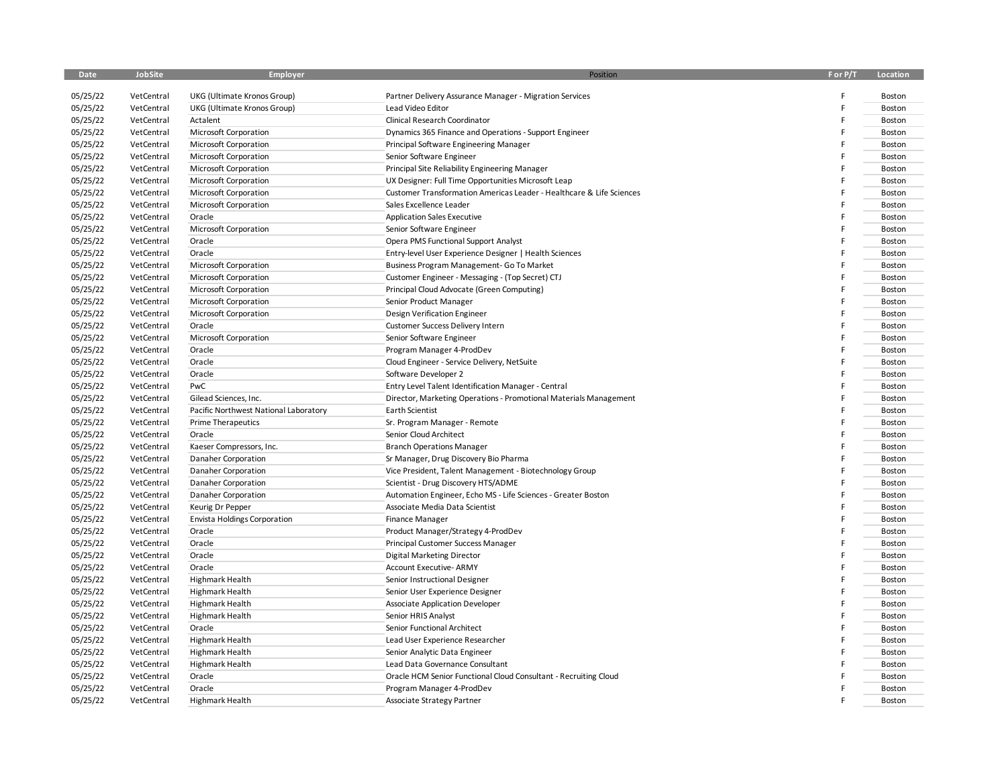| Date                 | JobSite                  | <b>Employer</b>                                | Position                                                             | F or P/T | Location         |
|----------------------|--------------------------|------------------------------------------------|----------------------------------------------------------------------|----------|------------------|
| 05/25/22             | VetCentral               | UKG (Ultimate Kronos Group)                    | Partner Delivery Assurance Manager - Migration Services              |          | Boston           |
| 05/25/22             | VetCentral               | UKG (Ultimate Kronos Group)                    | Lead Video Editor                                                    |          | Boston           |
| 05/25/22             | VetCentral               | Actalent                                       | Clinical Research Coordinator                                        |          | Boston           |
|                      | VetCentral               |                                                | Dynamics 365 Finance and Operations - Support Engineer               |          | Boston           |
| 05/25/22<br>05/25/22 |                          | Microsoft Corporation<br>Microsoft Corporation | Principal Software Engineering Manager                               |          | Boston           |
| 05/25/22             | VetCentral<br>VetCentral |                                                |                                                                      |          |                  |
| 05/25/22             | VetCentral               | Microsoft Corporation                          | Senior Software Engineer                                             |          | Boston<br>Boston |
| 05/25/22             |                          | Microsoft Corporation                          | Principal Site Reliability Engineering Manager                       |          | Boston           |
|                      | VetCentral               | Microsoft Corporation                          | UX Designer: Full Time Opportunities Microsoft Leap                  |          |                  |
| 05/25/22             | VetCentral               | Microsoft Corporation                          | Customer Transformation Americas Leader - Healthcare & Life Sciences |          | Boston           |
| 05/25/22             | VetCentral               | Microsoft Corporation                          | Sales Excellence Leader                                              |          | Boston           |
| 05/25/22             | VetCentral               | Oracle                                         | <b>Application Sales Executive</b>                                   |          | Boston           |
| 05/25/22             | VetCentral               | Microsoft Corporation                          | Senior Software Engineer                                             |          | Boston           |
| 05/25/22             | VetCentral               | Oracle                                         | Opera PMS Functional Support Analyst                                 |          | Boston           |
| 05/25/22             | VetCentral               | Oracle                                         | Entry-level User Experience Designer   Health Sciences               |          | Boston           |
| 05/25/22             | VetCentral               | Microsoft Corporation                          | Business Program Management- Go To Market                            |          | Boston           |
| 05/25/22             | VetCentral               | Microsoft Corporation                          | Customer Engineer - Messaging - (Top Secret) CTJ                     |          | Boston           |
| 05/25/22             | VetCentral               | Microsoft Corporation                          | Principal Cloud Advocate (Green Computing)                           |          | Boston           |
| 05/25/22             | VetCentral               | Microsoft Corporation                          | Senior Product Manager                                               |          | Boston           |
| 05/25/22             | VetCentral               | Microsoft Corporation                          | Design Verification Engineer                                         |          | Boston           |
| 05/25/22             | VetCentral               | Oracle                                         | Customer Success Delivery Intern                                     |          | Boston           |
| 05/25/22             | VetCentral               | Microsoft Corporation                          | Senior Software Engineer                                             |          | Boston           |
| 05/25/22             | VetCentral               | Oracle                                         | Program Manager 4-ProdDev                                            |          | Boston           |
| 05/25/22             | VetCentral               | Oracle                                         | Cloud Engineer - Service Delivery, NetSuite                          |          | Boston           |
| 05/25/22             | VetCentral               | Oracle                                         | Software Developer 2                                                 |          | Boston           |
| 05/25/22             | VetCentral               | PwC                                            | Entry Level Talent Identification Manager - Central                  |          | Boston           |
| 05/25/22             | VetCentral               | Gilead Sciences, Inc.                          | Director, Marketing Operations - Promotional Materials Management    |          | Boston           |
| 05/25/22             | VetCentral               | Pacific Northwest National Laboratory          | <b>Earth Scientist</b>                                               |          | Boston           |
| 05/25/22             | VetCentral               | <b>Prime Therapeutics</b>                      | Sr. Program Manager - Remote                                         |          | Boston           |
| 05/25/22             | VetCentral               | Oracle                                         | Senior Cloud Architect                                               |          | Boston           |
| 05/25/22             | VetCentral               | Kaeser Compressors, Inc.                       | <b>Branch Operations Manager</b>                                     |          | Boston           |
| 05/25/22             | VetCentral               | Danaher Corporation                            | Sr Manager, Drug Discovery Bio Pharma                                |          | Boston           |
| 05/25/22             | VetCentral               | Danaher Corporation                            | Vice President, Talent Management - Biotechnology Group              |          | Boston           |
| 05/25/22             | VetCentral               | Danaher Corporation                            | Scientist - Drug Discovery HTS/ADME                                  |          | Boston           |
| 05/25/22             | VetCentral               | Danaher Corporation                            | Automation Engineer, Echo MS - Life Sciences - Greater Boston        |          | Boston           |
| 05/25/22             | VetCentral               | Keurig Dr Pepper                               | Associate Media Data Scientist                                       |          | Boston           |
| 05/25/22             | VetCentral               | <b>Envista Holdings Corporation</b>            | <b>Finance Manager</b>                                               |          | Boston           |
| 05/25/22             | VetCentral               | Oracle                                         | Product Manager/Strategy 4-ProdDev                                   |          | Boston           |
| 05/25/22             | VetCentral               | Oracle                                         | Principal Customer Success Manager                                   |          | Boston           |
| 05/25/22             | VetCentral               | Oracle                                         | Digital Marketing Director                                           |          | Boston           |
| 05/25/22             | VetCentral               | Oracle                                         | Account Executive- ARMY                                              |          | Boston           |
| 05/25/22             | VetCentral               | <b>Highmark Health</b>                         | Senior Instructional Designer                                        |          | Boston           |
| 05/25/22             | VetCentral               | <b>Highmark Health</b>                         | Senior User Experience Designer                                      |          | Boston           |
| 05/25/22             | VetCentral               | <b>Highmark Health</b>                         | Associate Application Developer                                      |          | Boston           |
| 05/25/22             | VetCentral               | Highmark Health                                | Senior HRIS Analyst                                                  |          | Boston           |
| 05/25/22             | VetCentral               | Oracle                                         | Senior Functional Architect                                          |          | Boston           |
| 05/25/22             | VetCentral               | <b>Highmark Health</b>                         | Lead User Experience Researcher                                      |          | Boston           |
| 05/25/22             | VetCentral               | <b>Highmark Health</b>                         | Senior Analytic Data Engineer                                        |          | Boston           |
| 05/25/22             | VetCentral               | <b>Highmark Health</b>                         | Lead Data Governance Consultant                                      |          | Boston           |
| 05/25/22             | VetCentral               | Oracle                                         | Oracle HCM Senior Functional Cloud Consultant - Recruiting Cloud     |          | Boston           |
| 05/25/22             | VetCentral               | Oracle                                         | Program Manager 4-ProdDev                                            |          | Boston           |
| 05/25/22             | VetCentral               | Highmark Health                                | Associate Strategy Partner                                           | F        | Boston           |
|                      |                          |                                                |                                                                      |          |                  |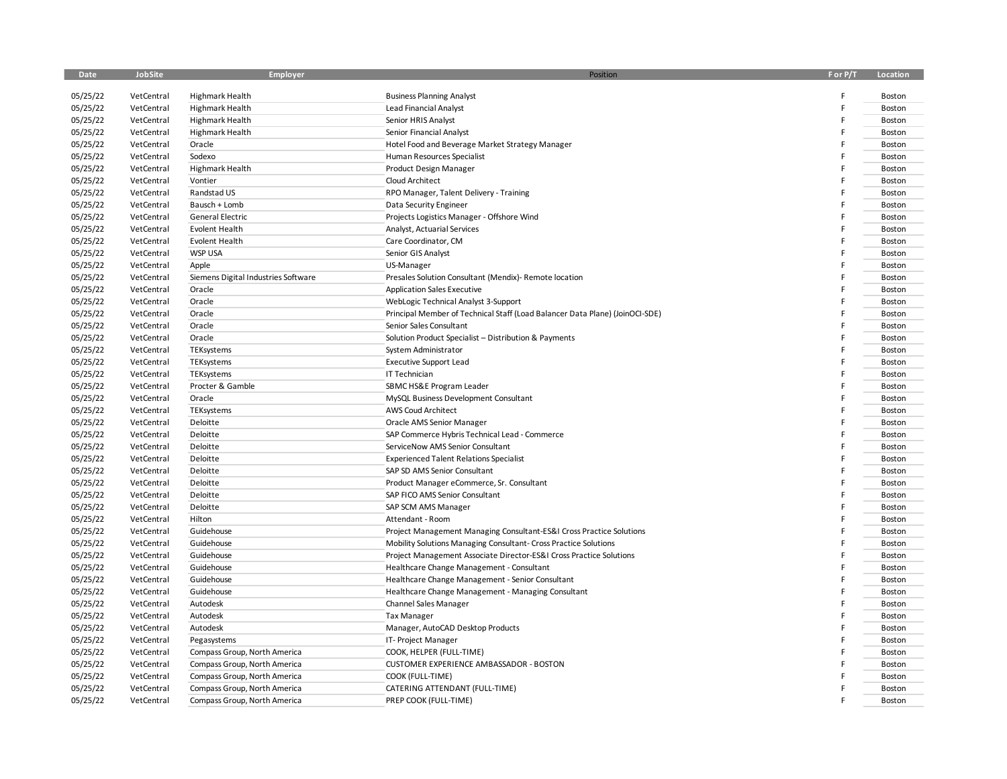| Date                 | JobSite                  | <b>Employer</b>                     | Position                                                                     | F or P/T | Location         |
|----------------------|--------------------------|-------------------------------------|------------------------------------------------------------------------------|----------|------------------|
|                      |                          |                                     |                                                                              |          |                  |
| 05/25/22             | VetCentral               | Highmark Health                     | <b>Business Planning Analyst</b>                                             |          | Boston           |
| 05/25/22             | VetCentral               | <b>Highmark Health</b>              | <b>Lead Financial Analyst</b><br>Senior HRIS Analyst                         |          | Boston           |
| 05/25/22             | VetCentral               | Highmark Health                     |                                                                              |          | Boston           |
| 05/25/22<br>05/25/22 | VetCentral<br>VetCentral | Highmark Health                     | Senior Financial Analyst                                                     |          | Boston           |
|                      |                          | Oracle                              | Hotel Food and Beverage Market Strategy Manager                              |          | Boston           |
| 05/25/22<br>05/25/22 | VetCentral               | Sodexo                              | Human Resources Specialist                                                   |          | Boston           |
|                      | VetCentral               | Highmark Health<br>Vontier          | Product Design Manager                                                       |          | Boston<br>Boston |
| 05/25/22             | VetCentral               |                                     | Cloud Architect                                                              |          |                  |
| 05/25/22             | VetCentral               | Randstad US                         | RPO Manager, Talent Delivery - Training                                      |          | Boston           |
| 05/25/22             | VetCentral               | Bausch + Lomb                       | Data Security Engineer                                                       |          | Boston           |
| 05/25/22             | VetCentral               | <b>General Electric</b>             | Projects Logistics Manager - Offshore Wind                                   |          | Boston           |
| 05/25/22             | VetCentral               | <b>Evolent Health</b>               | Analyst, Actuarial Services                                                  |          | Boston           |
| 05/25/22             | VetCentral               | Evolent Health                      | Care Coordinator, CM                                                         |          | Boston           |
| 05/25/22             | VetCentral               | <b>WSP USA</b>                      | Senior GIS Analyst                                                           |          | Boston           |
| 05/25/22             | VetCentral               | Apple                               | US-Manager                                                                   |          | Boston           |
| 05/25/22             | VetCentral               | Siemens Digital Industries Software | Presales Solution Consultant (Mendix)- Remote location                       |          | Boston           |
| 05/25/22             | VetCentral               | Oracle                              | <b>Application Sales Executive</b>                                           |          | Boston           |
| 05/25/22             | VetCentral               | Oracle                              | WebLogic Technical Analyst 3-Support                                         |          | Boston           |
| 05/25/22             | VetCentral               | Oracle                              | Principal Member of Technical Staff (Load Balancer Data Plane) (JoinOCI-SDE) |          | Boston           |
| 05/25/22             | VetCentral               | Oracle                              | Senior Sales Consultant                                                      |          | Boston           |
| 05/25/22             | VetCentral               | Oracle                              | Solution Product Specialist - Distribution & Payments                        |          | Boston           |
| 05/25/22             | VetCentral               | TEKsystems                          | System Administrator                                                         |          | Boston           |
| 05/25/22             | VetCentral               | TEKsystems                          | <b>Executive Support Lead</b>                                                |          | Boston           |
| 05/25/22             | VetCentral               | TEKsystems                          | IT Technician                                                                |          | Boston           |
| 05/25/22             | VetCentral               | Procter & Gamble                    | SBMC HS&E Program Leader                                                     |          | Boston           |
| 05/25/22             | VetCentral               | Oracle                              | MySQL Business Development Consultant                                        |          | Boston           |
| 05/25/22             | VetCentral               | TEKsystems                          | AWS Coud Architect                                                           |          | Boston           |
| 05/25/22             | VetCentral               | Deloitte                            | Oracle AMS Senior Manager                                                    |          | Boston           |
| 05/25/22             | VetCentral               | Deloitte                            | SAP Commerce Hybris Technical Lead - Commerce                                |          | Boston           |
| 05/25/22             | VetCentral               | Deloitte                            | ServiceNow AMS Senior Consultant                                             |          | Boston           |
| 05/25/22             | VetCentral               | Deloitte                            | <b>Experienced Talent Relations Specialist</b>                               |          | Boston           |
| 05/25/22             | VetCentral               | Deloitte                            | SAP SD AMS Senior Consultant                                                 |          | Boston           |
| 05/25/22             | VetCentral               | Deloitte                            | Product Manager eCommerce, Sr. Consultant                                    |          | Boston           |
| 05/25/22             | VetCentral               | Deloitte                            | SAP FICO AMS Senior Consultant                                               |          | Boston           |
| 05/25/22             | VetCentral               | Deloitte                            | SAP SCM AMS Manager                                                          |          | Boston           |
| 05/25/22             | VetCentral               | Hilton                              | Attendant - Room                                                             |          | Boston           |
| 05/25/22             | VetCentral               | Guidehouse                          | Project Management Managing Consultant-ES&I Cross Practice Solutions         |          | Boston           |
| 05/25/22             | VetCentral               | Guidehouse                          | Mobility Solutions Managing Consultant- Cross Practice Solutions             |          | Boston           |
| 05/25/22             | VetCentral               | Guidehouse                          | Project Management Associate Director-ES&I Cross Practice Solutions          |          | Boston           |
| 05/25/22             | VetCentral               | Guidehouse                          | Healthcare Change Management - Consultant                                    |          | Boston           |
| 05/25/22             | VetCentral               | Guidehouse                          | Healthcare Change Management - Senior Consultant                             |          | Boston           |
| 05/25/22             | VetCentral               | Guidehouse                          | Healthcare Change Management - Managing Consultant                           |          | Boston           |
| 05/25/22             | VetCentral               | Autodesk                            | Channel Sales Manager                                                        |          | Boston           |
| 05/25/22             | VetCentral               | Autodesk                            | <b>Tax Manager</b>                                                           |          | Boston           |
| 05/25/22             | VetCentral               | Autodesk                            | Manager, AutoCAD Desktop Products                                            |          | Boston           |
| 05/25/22             | VetCentral               | Pegasystems                         | IT-Project Manager                                                           |          | Boston           |
| 05/25/22             | VetCentral               | Compass Group, North America        | COOK, HELPER (FULL-TIME)                                                     |          | Boston           |
| 05/25/22             | VetCentral               | Compass Group, North America        | <b>CUSTOMER EXPERIENCE AMBASSADOR - BOSTON</b>                               |          | Boston           |
| 05/25/22             | VetCentral               | Compass Group, North America        | COOK (FULL-TIME)                                                             |          | Boston           |
| 05/25/22             | VetCentral               | Compass Group, North America        | CATERING ATTENDANT (FULL-TIME)                                               |          | Boston           |
| 05/25/22             | VetCentral               | Compass Group, North America        | PREP COOK (FULL-TIME)                                                        |          | Boston           |
|                      |                          |                                     |                                                                              |          |                  |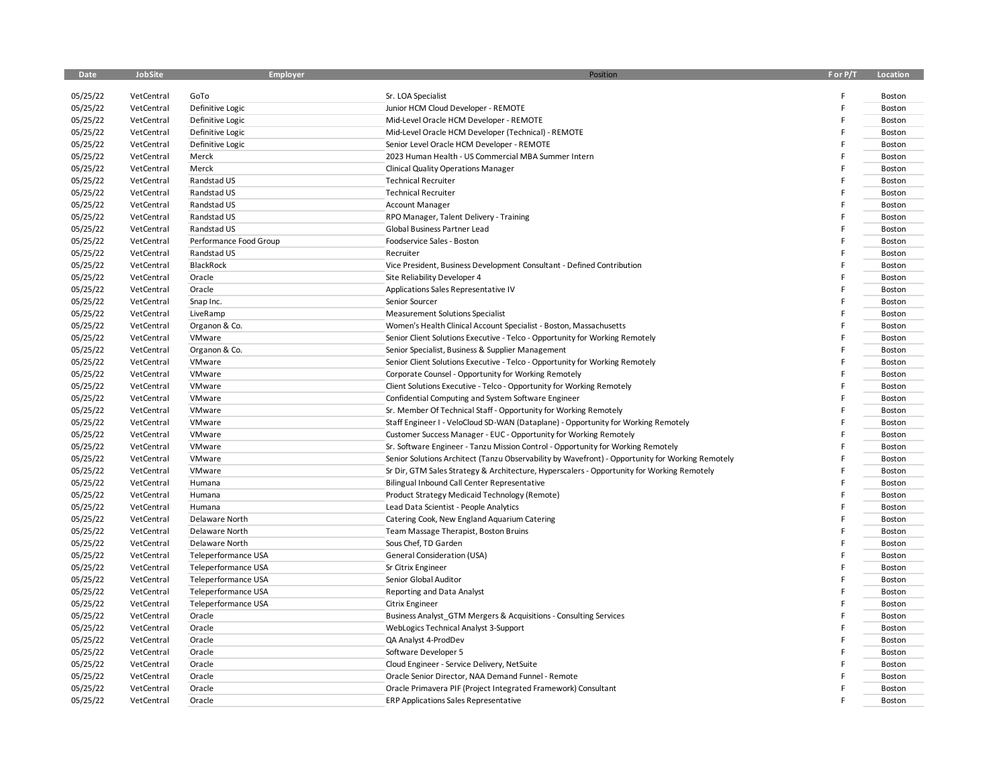| Date     | JobSite    | <b>Employer</b>        | Position                                                                                         | F or P/T | Location |
|----------|------------|------------------------|--------------------------------------------------------------------------------------------------|----------|----------|
| 05/25/22 | VetCentral | GoTo                   | Sr. LOA Specialist                                                                               | F        | Boston   |
| 05/25/22 | VetCentral | Definitive Logic       | Junior HCM Cloud Developer - REMOTE                                                              | F        | Boston   |
| 05/25/22 | VetCentral | Definitive Logic       | Mid-Level Oracle HCM Developer - REMOTE                                                          | F        | Boston   |
| 05/25/22 | VetCentral | Definitive Logic       | Mid-Level Oracle HCM Developer (Technical) - REMOTE                                              | F        | Boston   |
| 05/25/22 | VetCentral | Definitive Logic       | Senior Level Oracle HCM Developer - REMOTE                                                       | F        | Boston   |
| 05/25/22 | VetCentral | Merck                  | 2023 Human Health - US Commercial MBA Summer Intern                                              | F        | Boston   |
| 05/25/22 | VetCentral | Merck                  | <b>Clinical Quality Operations Manager</b>                                                       | F        | Boston   |
| 05/25/22 | VetCentral | Randstad US            | <b>Technical Recruiter</b>                                                                       | F        | Boston   |
| 05/25/22 | VetCentral | Randstad US            | <b>Technical Recruiter</b>                                                                       | F        | Boston   |
| 05/25/22 | VetCentral | Randstad US            | <b>Account Manager</b>                                                                           | F        | Boston   |
| 05/25/22 | VetCentral | Randstad US            | RPO Manager, Talent Delivery - Training                                                          | F        | Boston   |
| 05/25/22 | VetCentral | Randstad US            | Global Business Partner Lead                                                                     | F        | Boston   |
| 05/25/22 | VetCentral | Performance Food Group | Foodservice Sales - Boston                                                                       | F        | Boston   |
| 05/25/22 | VetCentral | Randstad US            | Recruiter                                                                                        | F        | Boston   |
| 05/25/22 | VetCentral | BlackRock              | Vice President, Business Development Consultant - Defined Contribution                           | F        | Boston   |
| 05/25/22 | VetCentral | Oracle                 | Site Reliability Developer 4                                                                     | F        | Boston   |
| 05/25/22 | VetCentral | Oracle                 | Applications Sales Representative IV                                                             |          | Boston   |
| 05/25/22 | VetCentral | Snap Inc.              | Senior Sourcer                                                                                   | F        | Boston   |
| 05/25/22 | VetCentral | LiveRamp               | <b>Measurement Solutions Specialist</b>                                                          | F        | Boston   |
| 05/25/22 | VetCentral | Organon & Co.          | Women's Health Clinical Account Specialist - Boston, Massachusetts                               | F        | Boston   |
| 05/25/22 | VetCentral | VMware                 | Senior Client Solutions Executive - Telco - Opportunity for Working Remotely                     | F        | Boston   |
| 05/25/22 | VetCentral | Organon & Co.          | Senior Specialist, Business & Supplier Management                                                | F        | Boston   |
| 05/25/22 | VetCentral | VMware                 | Senior Client Solutions Executive - Telco - Opportunity for Working Remotely                     | F        | Boston   |
| 05/25/22 | VetCentral | VMware                 | Corporate Counsel - Opportunity for Working Remotely                                             | F        | Boston   |
| 05/25/22 | VetCentral | VMware                 | Client Solutions Executive - Telco - Opportunity for Working Remotely                            | F        | Boston   |
| 05/25/22 | VetCentral | VMware                 | Confidential Computing and System Software Engineer                                              | F        | Boston   |
| 05/25/22 | VetCentral | VMware                 | Sr. Member Of Technical Staff - Opportunity for Working Remotely                                 | F        | Boston   |
| 05/25/22 | VetCentral | VMware                 | Staff Engineer I - VeloCloud SD-WAN (Dataplane) - Opportunity for Working Remotely               | F        | Boston   |
| 05/25/22 | VetCentral | VMware                 | Customer Success Manager - EUC - Opportunity for Working Remotely                                | F        | Boston   |
| 05/25/22 | VetCentral | VMware                 | Sr. Software Engineer - Tanzu Mission Control - Opportunity for Working Remotely                 | F        | Boston   |
| 05/25/22 | VetCentral | VMware                 | Senior Solutions Architect (Tanzu Observability by Wavefront) - Opportunity for Working Remotely | F        | Boston   |
| 05/25/22 | VetCentral | VMware                 | Sr Dir, GTM Sales Strategy & Architecture, Hyperscalers - Opportunity for Working Remotely       | F        | Boston   |
| 05/25/22 | VetCentral | Humana                 | Bilingual Inbound Call Center Representative                                                     | F        | Boston   |
| 05/25/22 | VetCentral | Humana                 | Product Strategy Medicaid Technology (Remote)                                                    |          | Boston   |
| 05/25/22 | VetCentral | Humana                 | Lead Data Scientist - People Analytics                                                           | F        | Boston   |
| 05/25/22 | VetCentral | Delaware North         | Catering Cook, New England Aquarium Catering                                                     |          | Boston   |
| 05/25/22 | VetCentral | Delaware North         | Team Massage Therapist, Boston Bruins                                                            | F        | Boston   |
| 05/25/22 | VetCentral | Delaware North         | Sous Chef, TD Garden                                                                             |          | Boston   |
| 05/25/22 | VetCentral | Teleperformance USA    | General Consideration (USA)                                                                      | F        | Boston   |
| 05/25/22 | VetCentral | Teleperformance USA    | Sr Citrix Engineer                                                                               | F        | Boston   |
| 05/25/22 | VetCentral | Teleperformance USA    | Senior Global Auditor                                                                            | F        | Boston   |
| 05/25/22 | VetCentral | Teleperformance USA    | Reporting and Data Analyst                                                                       | F        | Boston   |
| 05/25/22 | VetCentral | Teleperformance USA    | <b>Citrix Engineer</b>                                                                           | F        | Boston   |
| 05/25/22 | VetCentral | Oracle                 | Business Analyst GTM Mergers & Acquisitions - Consulting Services                                | F        | Boston   |
| 05/25/22 | VetCentral | Oracle                 | WebLogics Technical Analyst 3-Support                                                            | F        | Boston   |
| 05/25/22 | VetCentral | Oracle                 | QA Analyst 4-ProdDev                                                                             |          | Boston   |
| 05/25/22 | VetCentral | Oracle                 | Software Developer 5                                                                             | F        | Boston   |
| 05/25/22 | VetCentral | Oracle                 | Cloud Engineer - Service Delivery, NetSuite                                                      |          | Boston   |
| 05/25/22 | VetCentral | Oracle                 | Oracle Senior Director, NAA Demand Funnel - Remote                                               |          | Boston   |
| 05/25/22 | VetCentral | Oracle                 | Oracle Primavera PIF (Project Integrated Framework) Consultant                                   |          | Boston   |
|          |            | Oracle                 |                                                                                                  | F        |          |
| 05/25/22 | VetCentral |                        | ERP Applications Sales Representative                                                            |          | Boston   |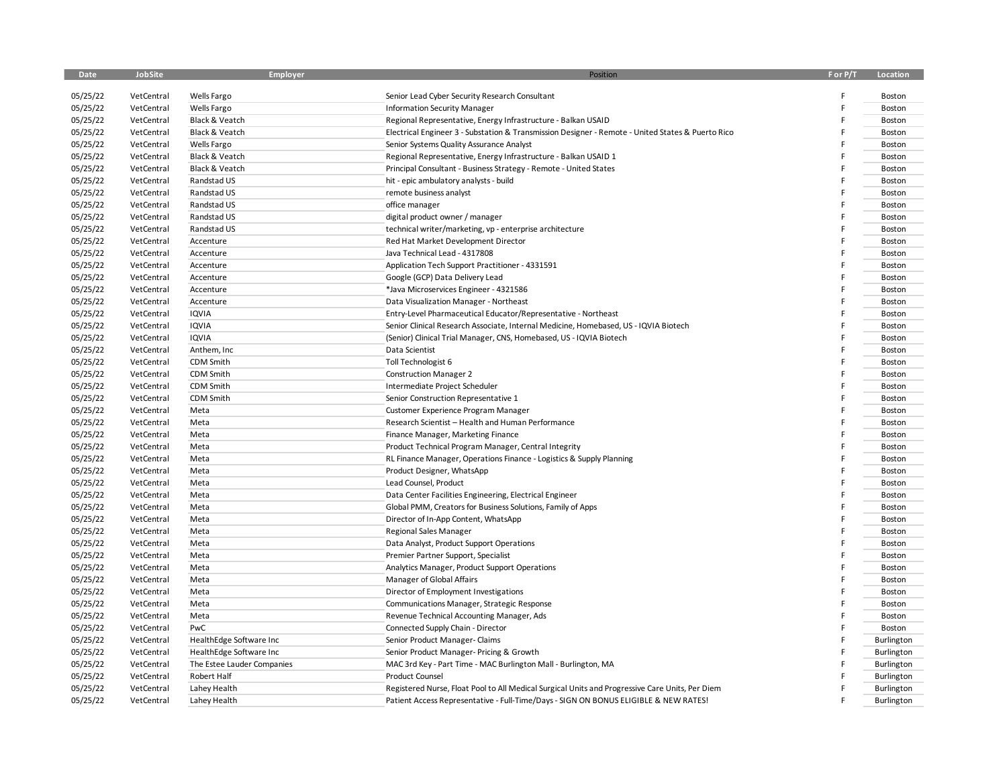| <b>Date</b> | <b>JobSite</b> | Employer                   | Position                                                                                          | F or P/T | Location   |
|-------------|----------------|----------------------------|---------------------------------------------------------------------------------------------------|----------|------------|
| 05/25/22    | VetCentral     | Wells Fargo                | Senior Lead Cyber Security Research Consultant                                                    |          | Boston     |
| 05/25/22    | VetCentral     | Wells Fargo                | <b>Information Security Manager</b>                                                               | F        | Boston     |
| 05/25/22    | VetCentral     | Black & Veatch             | Regional Representative, Energy Infrastructure - Balkan USAID                                     |          | Boston     |
| 05/25/22    | VetCentral     | Black & Veatch             | Electrical Engineer 3 - Substation & Transmission Designer - Remote - United States & Puerto Rico |          | Boston     |
| 05/25/22    | VetCentral     | Wells Fargo                | Senior Systems Quality Assurance Analyst                                                          |          | Boston     |
| 05/25/22    | VetCentral     | Black & Veatch             | Regional Representative, Energy Infrastructure - Balkan USAID 1                                   |          | Boston     |
| 05/25/22    | VetCentral     | Black & Veatch             | Principal Consultant - Business Strategy - Remote - United States                                 |          | Boston     |
| 05/25/22    | VetCentral     | Randstad US                | hit - epic ambulatory analysts - build                                                            |          | Boston     |
| 05/25/22    | VetCentral     | Randstad US                | remote business analyst                                                                           |          | Boston     |
| 05/25/22    | VetCentral     | Randstad US                | office manager                                                                                    |          | Boston     |
| 05/25/22    | VetCentral     | Randstad US                | digital product owner / manager                                                                   |          | Boston     |
| 05/25/22    | VetCentral     | Randstad US                | technical writer/marketing, vp - enterprise architecture                                          |          | Boston     |
| 05/25/22    | VetCentral     | Accenture                  | Red Hat Market Development Director                                                               |          | Boston     |
| 05/25/22    | VetCentral     | Accenture                  | Java Technical Lead - 4317808                                                                     |          | Boston     |
| 05/25/22    | VetCentral     | Accenture                  | Application Tech Support Practitioner - 4331591                                                   |          | Boston     |
| 05/25/22    | VetCentral     | Accenture                  | Google (GCP) Data Delivery Lead                                                                   |          | Boston     |
| 05/25/22    | VetCentral     | Accenture                  | *Java Microservices Engineer - 4321586                                                            |          | Boston     |
| 05/25/22    | VetCentral     | Accenture                  | Data Visualization Manager - Northeast                                                            |          | Boston     |
| 05/25/22    | VetCentral     | IQVIA                      | Entry-Level Pharmaceutical Educator/Representative - Northeast                                    |          | Boston     |
| 05/25/22    | VetCentral     | IQVIA                      | Senior Clinical Research Associate, Internal Medicine, Homebased, US - IQVIA Biotech              |          | Boston     |
| 05/25/22    | VetCentral     | IQVIA                      | (Senior) Clinical Trial Manager, CNS, Homebased, US - IQVIA Biotech                               |          | Boston     |
| 05/25/22    | VetCentral     | Anthem, Inc                | Data Scientist                                                                                    |          | Boston     |
| 05/25/22    | VetCentral     | CDM Smith                  | Toll Technologist 6                                                                               |          | Boston     |
| 05/25/22    | VetCentral     | CDM Smith                  | <b>Construction Manager 2</b>                                                                     |          | Boston     |
| 05/25/22    | VetCentral     | CDM Smith                  | Intermediate Project Scheduler                                                                    |          | Boston     |
| 05/25/22    | VetCentral     | CDM Smith                  | Senior Construction Representative 1                                                              |          | Boston     |
| 05/25/22    | VetCentral     | Meta                       | Customer Experience Program Manager                                                               |          | Boston     |
| 05/25/22    | VetCentral     | Meta                       | Research Scientist - Health and Human Performance                                                 |          | Boston     |
| 05/25/22    | VetCentral     | Meta                       | Finance Manager, Marketing Finance                                                                |          | Boston     |
| 05/25/22    | VetCentral     | Meta                       | Product Technical Program Manager, Central Integrity                                              |          | Boston     |
| 05/25/22    | VetCentral     | Meta                       | RL Finance Manager, Operations Finance - Logistics & Supply Planning                              |          | Boston     |
| 05/25/22    | VetCentral     | Meta                       | Product Designer, WhatsApp                                                                        |          | Boston     |
| 05/25/22    | VetCentral     | Meta                       | Lead Counsel, Product                                                                             |          | Boston     |
| 05/25/22    | VetCentral     | Meta                       | Data Center Facilities Engineering, Electrical Engineer                                           |          | Boston     |
| 05/25/22    | VetCentral     | Meta                       | Global PMM, Creators for Business Solutions, Family of Apps                                       |          | Boston     |
| 05/25/22    | VetCentral     | Meta                       | Director of In-App Content, WhatsApp                                                              |          | Boston     |
| 05/25/22    | VetCentral     | Meta                       | <b>Regional Sales Manager</b>                                                                     |          | Boston     |
| 05/25/22    | VetCentral     | Meta                       | Data Analyst, Product Support Operations                                                          |          | Boston     |
| 05/25/22    | VetCentral     | Meta                       | Premier Partner Support, Specialist                                                               |          | Boston     |
| 05/25/22    | VetCentral     | Meta                       | Analytics Manager, Product Support Operations                                                     |          | Boston     |
| 05/25/22    | VetCentral     | Meta                       | Manager of Global Affairs                                                                         |          | Boston     |
| 05/25/22    | VetCentral     | Meta                       | Director of Employment Investigations                                                             |          | Boston     |
| 05/25/22    | VetCentral     | Meta                       | Communications Manager, Strategic Response                                                        |          | Boston     |
| 05/25/22    | VetCentral     | Meta                       | Revenue Technical Accounting Manager, Ads                                                         |          | Boston     |
| 05/25/22    | VetCentral     | PwC                        | Connected Supply Chain - Director                                                                 |          | Boston     |
| 05/25/22    | VetCentral     | HealthEdge Software Inc    | Senior Product Manager- Claims                                                                    |          | Burlington |
| 05/25/22    | VetCentral     | HealthEdge Software Inc    | Senior Product Manager- Pricing & Growth                                                          |          | Burlington |
| 05/25/22    | VetCentral     | The Estee Lauder Companies | MAC 3rd Key - Part Time - MAC Burlington Mall - Burlington, MA                                    |          | Burlington |
| 05/25/22    | VetCentral     | Robert Half                | <b>Product Counsel</b>                                                                            |          | Burlington |
| 05/25/22    | VetCentral     | Lahey Health               | Registered Nurse, Float Pool to All Medical Surgical Units and Progressive Care Units, Per Diem   | F        | Burlington |
| 05/25/22    | VetCentral     | Lahey Health               | Patient Access Representative - Full-Time/Days - SIGN ON BONUS ELIGIBLE & NEW RATES!              | F        | Burlington |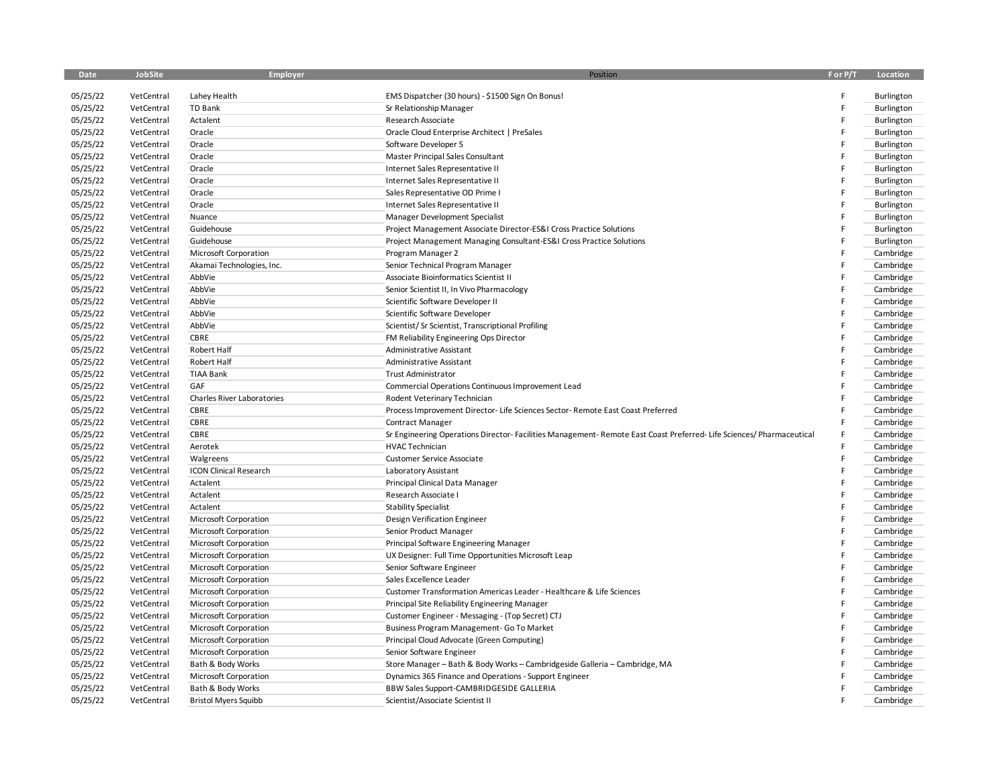| Date                 | JobSite    | Employer                      | Position                                                                                                          | F or P/T | Location   |
|----------------------|------------|-------------------------------|-------------------------------------------------------------------------------------------------------------------|----------|------------|
| 05/25/22             | VetCentral | Lahey Health                  | EMS Dispatcher (30 hours) - \$1500 Sign On Bonus!                                                                 | E        | Burlington |
| 05/25/22             | VetCentral | TD Bank                       | Sr Relationship Manager                                                                                           |          | Burlington |
| 05/25/22             | VetCentral | Actalent                      | Research Associate                                                                                                |          | Burlington |
| 05/25/22             | VetCentral | Oracle                        | Oracle Cloud Enterprise Architect   PreSales                                                                      | E        | Burlington |
| 05/25/22             | VetCentral | Oracle                        | Software Developer 5                                                                                              | F        | Burlington |
| 05/25/22             | VetCentral | Oracle                        | Master Principal Sales Consultant                                                                                 |          | Burlington |
| 05/25/22             | VetCentral | Oracle                        | Internet Sales Representative II                                                                                  |          | Burlington |
| 05/25/22             | VetCentral | Oracle                        | Internet Sales Representative II                                                                                  |          | Burlington |
| 05/25/22             | VetCentral | Oracle                        | Sales Representative OD Prime I                                                                                   |          | Burlington |
| 05/25/22             | VetCentral | Oracle                        | Internet Sales Representative II                                                                                  |          | Burlington |
| 05/25/22             | VetCentral | Nuance                        | Manager Development Specialist                                                                                    |          | Burlington |
| 05/25/22             | VetCentral | Guidehouse                    | Project Management Associate Director-ES&I Cross Practice Solutions                                               |          | Burlington |
| 05/25/22             | VetCentral | Guidehouse                    | Project Management Managing Consultant-ES&I Cross Practice Solutions                                              |          | Burlington |
| 05/25/22             | VetCentral | Microsoft Corporation         | Program Manager 2                                                                                                 |          | Cambridge  |
| 05/25/22             | VetCentral | Akamai Technologies, Inc.     | Senior Technical Program Manager                                                                                  |          | Cambridge  |
| 05/25/22             | VetCentral | AbbVie                        | Associate Bioinformatics Scientist II                                                                             |          | Cambridge  |
| 05/25/22             | VetCentral | AbbVie                        | Senior Scientist II, In Vivo Pharmacology                                                                         |          | Cambridge  |
| 05/25/22             | VetCentral | AbbVie                        | Scientific Software Developer II                                                                                  |          | Cambridge  |
| 05/25/22             | VetCentral | AbbVie                        | Scientific Software Developer                                                                                     |          | Cambridge  |
| 05/25/22             | VetCentral | AbbVie                        | Scientist/Sr Scientist, Transcriptional Profiling                                                                 |          | Cambridge  |
| 05/25/22             | VetCentral | CBRE                          | FM Reliability Engineering Ops Director                                                                           |          | Cambridge  |
| 05/25/22             | VetCentral | Robert Half                   | <b>Administrative Assistant</b>                                                                                   |          | Cambridge  |
| 05/25/22             | VetCentral | Robert Half                   | Administrative Assistant                                                                                          |          | Cambridge  |
| 05/25/22             | VetCentral | <b>TIAA Bank</b>              | <b>Trust Administrator</b>                                                                                        |          | Cambridge  |
| 05/25/22             | VetCentral | GAF                           | Commercial Operations Continuous Improvement Lead                                                                 |          | Cambridge  |
| 05/25/22             | VetCentral | Charles River Laboratories    | Rodent Veterinary Technician                                                                                      |          | Cambridge  |
| 05/25/22             | VetCentral | CBRE                          | Process Improvement Director- Life Sciences Sector- Remote East Coast Preferred                                   |          | Cambridge  |
| 05/25/22             | VetCentral | CBRE                          | <b>Contract Manager</b>                                                                                           |          | Cambridge  |
| 05/25/22             | VetCentral | CBRE                          | Sr Engineering Operations Director-Facilities Management-Remote East Coast Preferred-Life Sciences/Pharmaceutical |          | Cambridge  |
|                      | VetCentral | Aerotek                       | <b>HVAC Technician</b>                                                                                            |          | Cambridge  |
| 05/25/22<br>05/25/22 | VetCentral | Walgreens                     | Customer Service Associate                                                                                        | E        | Cambridge  |
| 05/25/22             | VetCentral | <b>ICON Clinical Research</b> | Laboratory Assistant                                                                                              | F        | Cambridge  |
| 05/25/22             | VetCentral | Actalent                      | Principal Clinical Data Manager                                                                                   |          | Cambridge  |
| 05/25/22             | VetCentral | Actalent                      | Research Associate I                                                                                              |          | Cambridge  |
| 05/25/22             | VetCentral | Actalent                      | <b>Stability Specialist</b>                                                                                       |          | Cambridge  |
|                      |            |                               |                                                                                                                   |          |            |
| 05/25/22             | VetCentral | Microsoft Corporation         | Design Verification Engineer                                                                                      |          | Cambridge  |
| 05/25/22             | VetCentral | Microsoft Corporation         | Senior Product Manager                                                                                            |          | Cambridge  |
| 05/25/22             | VetCentral | Microsoft Corporation         | Principal Software Engineering Manager                                                                            |          | Cambridge  |
| 05/25/22             | VetCentral | Microsoft Corporation         | UX Designer: Full Time Opportunities Microsoft Leap                                                               |          | Cambridge  |
| 05/25/22             | VetCentral | Microsoft Corporation         | Senior Software Engineer                                                                                          |          | Cambridge  |
| 05/25/22             | VetCentral | Microsoft Corporation         | Sales Excellence Leader                                                                                           |          | Cambridge  |
| 05/25/22             | VetCentral | <b>Microsoft Corporation</b>  | Customer Transformation Americas Leader - Healthcare & Life Sciences                                              |          | Cambridge  |
| 05/25/22             | VetCentral | Microsoft Corporation         | Principal Site Reliability Engineering Manager                                                                    |          | Cambridge  |
| 05/25/22             | VetCentral | Microsoft Corporation         | Customer Engineer - Messaging - (Top Secret) CTJ                                                                  |          | Cambridge  |
| 05/25/22             | VetCentral | Microsoft Corporation         | Business Program Management- Go To Market                                                                         |          | Cambridge  |
| 05/25/22             | VetCentral | Microsoft Corporation         | Principal Cloud Advocate (Green Computing)                                                                        |          | Cambridge  |
| 05/25/22             | VetCentral | Microsoft Corporation         | Senior Software Engineer                                                                                          |          | Cambridge  |
| 05/25/22             | VetCentral | Bath & Body Works             | Store Manager - Bath & Body Works - Cambridgeside Galleria - Cambridge, MA                                        |          | Cambridge  |
| 05/25/22             | VetCentral | Microsoft Corporation         | Dynamics 365 Finance and Operations - Support Engineer                                                            |          | Cambridge  |
| 05/25/22             | VetCentral | Bath & Body Works             | BBW Sales Support-CAMBRIDGESIDE GALLERIA                                                                          |          | Cambridge  |
| 05/25/22             | VetCentral | <b>Bristol Myers Squibb</b>   | Scientist/Associate Scientist II                                                                                  | E        | Cambridge  |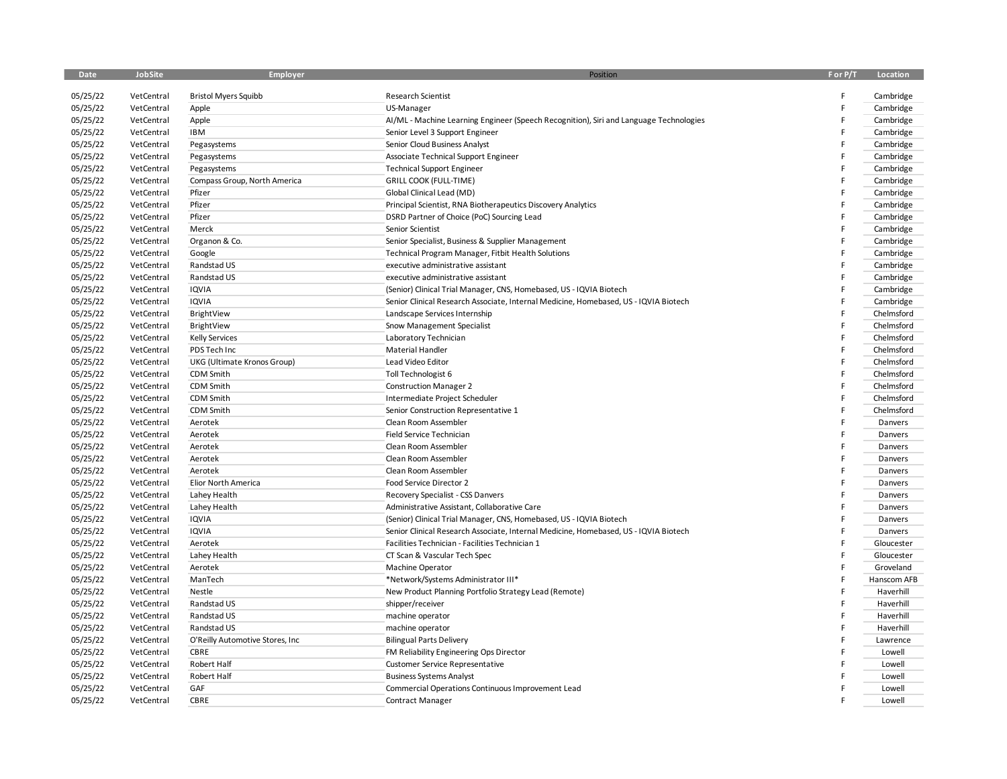| Date                 | JobSite                  | Employer                                    | Position                                                                                  | F or P/T | Location    |
|----------------------|--------------------------|---------------------------------------------|-------------------------------------------------------------------------------------------|----------|-------------|
| 05/25/22             | VetCentral               | <b>Bristol Myers Squibb</b>                 | Research Scientist                                                                        | E        | Cambridge   |
| 05/25/22             | VetCentral               | Apple                                       | US-Manager                                                                                |          | Cambridge   |
| 05/25/22             | VetCentral               | Apple                                       | Al/ML - Machine Learning Engineer (Speech Recognition), Siri and Language Technologies    |          | Cambridge   |
| 05/25/22             | VetCentral               | <b>IBM</b>                                  | Senior Level 3 Support Engineer                                                           |          | Cambridge   |
| 05/25/22             | VetCentral               |                                             | Senior Cloud Business Analyst                                                             |          |             |
| 05/25/22             |                          | Pegasystems                                 |                                                                                           |          | Cambridge   |
| 05/25/22             | VetCentral<br>VetCentral | Pegasystems                                 | Associate Technical Support Engineer                                                      |          | Cambridge   |
|                      | VetCentral               | Pegasystems<br>Compass Group, North America | <b>Technical Support Engineer</b><br><b>GRILL COOK (FULL-TIME)</b>                        |          | Cambridge   |
| 05/25/22<br>05/25/22 |                          | Pfizer                                      |                                                                                           |          | Cambridge   |
|                      | VetCentral<br>VetCentral | Pfizer                                      | Global Clinical Lead (MD)<br>Principal Scientist, RNA Biotherapeutics Discovery Analytics |          | Cambridge   |
| 05/25/22             | VetCentral               | Pfizer                                      |                                                                                           |          | Cambridge   |
| 05/25/22             |                          |                                             | DSRD Partner of Choice (PoC) Sourcing Lead                                                |          | Cambridge   |
| 05/25/22             | VetCentral               | Merck                                       | Senior Scientist                                                                          |          | Cambridge   |
| 05/25/22             | VetCentral               | Organon & Co.                               | Senior Specialist, Business & Supplier Management                                         |          | Cambridge   |
| 05/25/22             | VetCentral               | Google                                      | Technical Program Manager, Fitbit Health Solutions                                        |          | Cambridge   |
| 05/25/22             | VetCentral               | Randstad US                                 | executive administrative assistant                                                        |          | Cambridge   |
| 05/25/22             | VetCentral               | Randstad US                                 | executive administrative assistant                                                        |          | Cambridge   |
| 05/25/22             | VetCentral               | IQVIA                                       | (Senior) Clinical Trial Manager, CNS, Homebased, US - IQVIA Biotech                       |          | Cambridge   |
| 05/25/22             | VetCentral               | IQVIA                                       | Senior Clinical Research Associate, Internal Medicine, Homebased, US - IQVIA Biotech      |          | Cambridge   |
| 05/25/22             | VetCentral               | BrightView                                  | Landscape Services Internship                                                             |          | Chelmsford  |
| 05/25/22             | VetCentral               | BrightView                                  | Snow Management Specialist                                                                |          | Chelmsford  |
| 05/25/22             | VetCentral               | <b>Kelly Services</b>                       | Laboratory Technician                                                                     |          | Chelmsford  |
| 05/25/22             | VetCentral               | PDS Tech Inc                                | Material Handler                                                                          |          | Chelmsford  |
| 05/25/22             | VetCentral               | UKG (Ultimate Kronos Group)                 | Lead Video Editor                                                                         |          | Chelmsford  |
| 05/25/22             | VetCentral               | CDM Smith                                   | Toll Technologist 6                                                                       |          | Chelmsford  |
| 05/25/22             | VetCentral               | CDM Smith                                   | <b>Construction Manager 2</b>                                                             |          | Chelmsford  |
| 05/25/22             | VetCentral               | CDM Smith                                   | Intermediate Project Scheduler                                                            |          | Chelmsford  |
| 05/25/22             | VetCentral               | CDM Smith                                   | Senior Construction Representative 1                                                      |          | Chelmsford  |
| 05/25/22             | VetCentral               | Aerotek                                     | Clean Room Assembler                                                                      |          | Danvers     |
| 05/25/22             | VetCentral               | Aerotek                                     | Field Service Technician                                                                  |          | Danvers     |
| 05/25/22             | VetCentral               | Aerotek                                     | Clean Room Assembler                                                                      |          | Danvers     |
| 05/25/22             | VetCentral               | Aerotek                                     | Clean Room Assembler                                                                      |          | Danvers     |
| 05/25/22             | VetCentral               | Aerotek                                     | Clean Room Assembler                                                                      |          | Danvers     |
| 05/25/22             | VetCentral               | Elior North America                         | Food Service Director 2                                                                   |          | Danvers     |
| 05/25/22             | VetCentral               | Lahey Health                                | Recovery Specialist - CSS Danvers                                                         |          | Danvers     |
| 05/25/22             | VetCentral               | Lahey Health                                | Administrative Assistant, Collaborative Care                                              |          | Danvers     |
| 05/25/22             | VetCentral               | IQVIA                                       | (Senior) Clinical Trial Manager, CNS, Homebased, US - IQVIA Biotech                       |          | Danvers     |
| 05/25/22             | VetCentral               | <b>IQVIA</b>                                | Senior Clinical Research Associate, Internal Medicine, Homebased, US - IQVIA Biotech      |          | Danvers     |
| 05/25/22             | VetCentral               | Aerotek                                     | Facilities Technician - Facilities Technician 1                                           |          | Gloucester  |
| 05/25/22             | VetCentral               | Lahey Health                                | CT Scan & Vascular Tech Spec                                                              |          | Gloucester  |
| 05/25/22             | VetCentral               | Aerotek                                     | <b>Machine Operator</b>                                                                   |          | Groveland   |
| 05/25/22             | VetCentral               | ManTech                                     | *Network/Systems Administrator III*                                                       |          | Hanscom AFB |
| 05/25/22             | VetCentral               | Nestle                                      | New Product Planning Portfolio Strategy Lead (Remote)                                     |          | Haverhill   |
| 05/25/22             | VetCentral               | Randstad US                                 | shipper/receiver                                                                          |          | Haverhill   |
| 05/25/22             | VetCentral               | Randstad US                                 | machine operator                                                                          |          | Haverhill   |
| 05/25/22             | VetCentral               | Randstad US                                 | machine operator                                                                          |          | Haverhill   |
| 05/25/22             | VetCentral               | O'Reilly Automotive Stores, Inc             | <b>Bilingual Parts Delivery</b>                                                           |          | Lawrence    |
| 05/25/22             | VetCentral               | CBRE                                        | FM Reliability Engineering Ops Director                                                   |          | Lowell      |
| 05/25/22             | VetCentral               | <b>Robert Half</b>                          | <b>Customer Service Representative</b>                                                    |          | Lowell      |
| 05/25/22             | VetCentral               | Robert Half                                 | <b>Business Systems Analyst</b>                                                           |          | Lowell      |
| 05/25/22             | VetCentral               | GAF                                         | Commercial Operations Continuous Improvement Lead                                         |          | Lowell      |
| 05/25/22             | VetCentral               | CBRE                                        | <b>Contract Manager</b>                                                                   |          | Lowell      |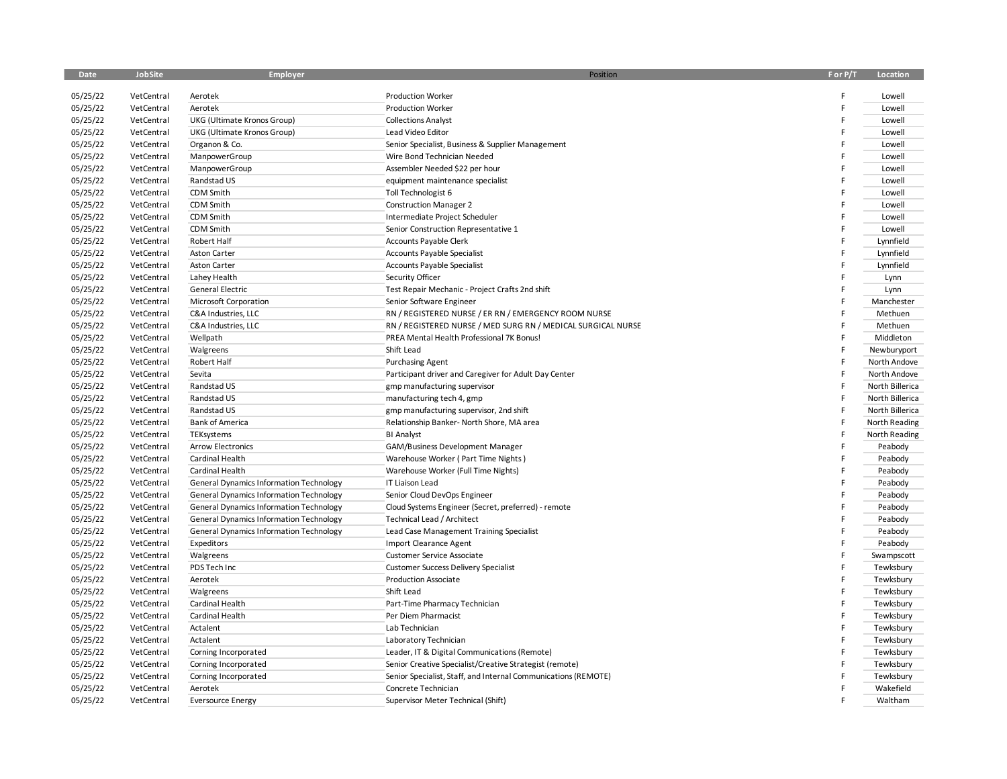| Date     | JobSite    | <b>Employer</b>                                | Position                                                       | F or P/T | Location        |
|----------|------------|------------------------------------------------|----------------------------------------------------------------|----------|-----------------|
| 05/25/22 | VetCentral | Aerotek                                        | <b>Production Worker</b>                                       | F        | Lowell          |
| 05/25/22 | VetCentral | Aerotek                                        | <b>Production Worker</b>                                       |          | Lowell          |
| 05/25/22 | VetCentral | UKG (Ultimate Kronos Group)                    | <b>Collections Analyst</b>                                     | E        | Lowell          |
| 05/25/22 | VetCentral | UKG (Ultimate Kronos Group)                    | Lead Video Editor                                              |          | Lowell          |
| 05/25/22 | VetCentral | Organon & Co.                                  | Senior Specialist, Business & Supplier Management              |          | Lowell          |
| 05/25/22 | VetCentral | ManpowerGroup                                  | Wire Bond Technician Needed                                    |          | Lowell          |
| 05/25/22 | VetCentral | ManpowerGroup                                  | Assembler Needed \$22 per hour                                 |          | Lowell          |
| 05/25/22 | VetCentral | Randstad US                                    | equipment maintenance specialist                               |          | Lowell          |
| 05/25/22 | VetCentral | CDM Smith                                      | Toll Technologist 6                                            |          | Lowell          |
| 05/25/22 | VetCentral | CDM Smith                                      | <b>Construction Manager 2</b>                                  |          | Lowell          |
| 05/25/22 | VetCentral | <b>CDM Smith</b>                               | Intermediate Project Scheduler                                 |          | Lowell          |
| 05/25/22 | VetCentral | CDM Smith                                      | Senior Construction Representative 1                           |          | Lowell          |
| 05/25/22 | VetCentral | Robert Half                                    | Accounts Payable Clerk                                         |          | Lynnfield       |
| 05/25/22 | VetCentral | <b>Aston Carter</b>                            | Accounts Payable Specialist                                    |          | Lynnfield       |
| 05/25/22 | VetCentral | <b>Aston Carter</b>                            | Accounts Payable Specialist                                    | F        | Lynnfield       |
| 05/25/22 | VetCentral | Lahey Health                                   | Security Officer                                               |          | Lynn            |
| 05/25/22 | VetCentral | General Electric                               | Test Repair Mechanic - Project Crafts 2nd shift                |          | Lynn            |
| 05/25/22 | VetCentral | Microsoft Corporation                          | Senior Software Engineer                                       |          | Manchester      |
| 05/25/22 | VetCentral | C&A Industries, LLC                            | RN / REGISTERED NURSE / ER RN / EMERGENCY ROOM NURSE           |          | Methuen         |
| 05/25/22 | VetCentral | C&A Industries, LLC                            | RN / REGISTERED NURSE / MED SURG RN / MEDICAL SURGICAL NURSE   | E        | Methuen         |
| 05/25/22 | VetCentral | Wellpath                                       | PREA Mental Health Professional 7K Bonus!                      | E        | Middleton       |
| 05/25/22 | VetCentral | Walgreens                                      | Shift Lead                                                     |          | Newburyport     |
| 05/25/22 | VetCentral | Robert Half                                    | <b>Purchasing Agent</b>                                        |          | North Andove    |
| 05/25/22 | VetCentral | Sevita                                         | Participant driver and Caregiver for Adult Day Center          |          | North Andove    |
| 05/25/22 | VetCentral | Randstad US                                    | gmp manufacturing supervisor                                   | F        | North Billerica |
| 05/25/22 | VetCentral | Randstad US                                    | manufacturing tech 4, gmp                                      | F        | North Billerica |
| 05/25/22 | VetCentral | Randstad US                                    | gmp manufacturing supervisor, 2nd shift                        | F        | North Billerica |
| 05/25/22 | VetCentral | <b>Bank of America</b>                         | Relationship Banker- North Shore, MA area                      |          | North Reading   |
| 05/25/22 | VetCentral | TEKsystems                                     | <b>BI Analyst</b>                                              | F        | North Reading   |
| 05/25/22 | VetCentral | <b>Arrow Electronics</b>                       | GAM/Business Development Manager                               |          | Peabody         |
| 05/25/22 | VetCentral | Cardinal Health                                | Warehouse Worker (Part Time Nights)                            |          | Peabody         |
| 05/25/22 | VetCentral | Cardinal Health                                | Warehouse Worker (Full Time Nights)                            |          | Peabody         |
| 05/25/22 | VetCentral | <b>General Dynamics Information Technology</b> | IT Liaison Lead                                                |          | Peabody         |
| 05/25/22 | VetCentral | <b>General Dynamics Information Technology</b> | Senior Cloud DevOps Engineer                                   |          | Peabody         |
| 05/25/22 | VetCentral | General Dynamics Information Technology        | Cloud Systems Engineer (Secret, preferred) - remote            |          | Peabody         |
| 05/25/22 | VetCentral | <b>General Dynamics Information Technology</b> | Technical Lead / Architect                                     |          | Peabody         |
| 05/25/22 | VetCentral | General Dynamics Information Technology        | Lead Case Management Training Specialist                       |          | Peabody         |
| 05/25/22 | VetCentral | Expeditors                                     | Import Clearance Agent                                         |          | Peabody         |
| 05/25/22 | VetCentral | Walgreens                                      | Customer Service Associate                                     |          | Swampscott      |
| 05/25/22 | VetCentral | PDS Tech Inc                                   | <b>Customer Success Delivery Specialist</b>                    |          | Tewksbury       |
| 05/25/22 | VetCentral | Aerotek                                        | <b>Production Associate</b>                                    |          | Tewksbury       |
| 05/25/22 | VetCentral | Walgreens                                      | Shift Lead                                                     |          | Tewksbury       |
| 05/25/22 | VetCentral | Cardinal Health                                | Part-Time Pharmacy Technician                                  |          | Tewksbury       |
| 05/25/22 | VetCentral | Cardinal Health                                | Per Diem Pharmacist                                            |          | Tewksbury       |
| 05/25/22 | VetCentral | Actalent                                       | Lab Technician                                                 |          | Tewksbury       |
| 05/25/22 | VetCentral | Actalent                                       | Laboratory Technician                                          |          | Tewksbury       |
| 05/25/22 | VetCentral | Corning Incorporated                           | Leader, IT & Digital Communications (Remote)                   |          | Tewksbury       |
| 05/25/22 | VetCentral | Corning Incorporated                           | Senior Creative Specialist/Creative Strategist (remote)        |          | Tewksbury       |
| 05/25/22 | VetCentral | Corning Incorporated                           | Senior Specialist, Staff, and Internal Communications (REMOTE) |          | Tewksbury       |
| 05/25/22 | VetCentral | Aerotek                                        | Concrete Technician                                            |          | Wakefield       |
| 05/25/22 | VetCentral | <b>Eversource Energy</b>                       | Supervisor Meter Technical (Shift)                             | F        | Waltham         |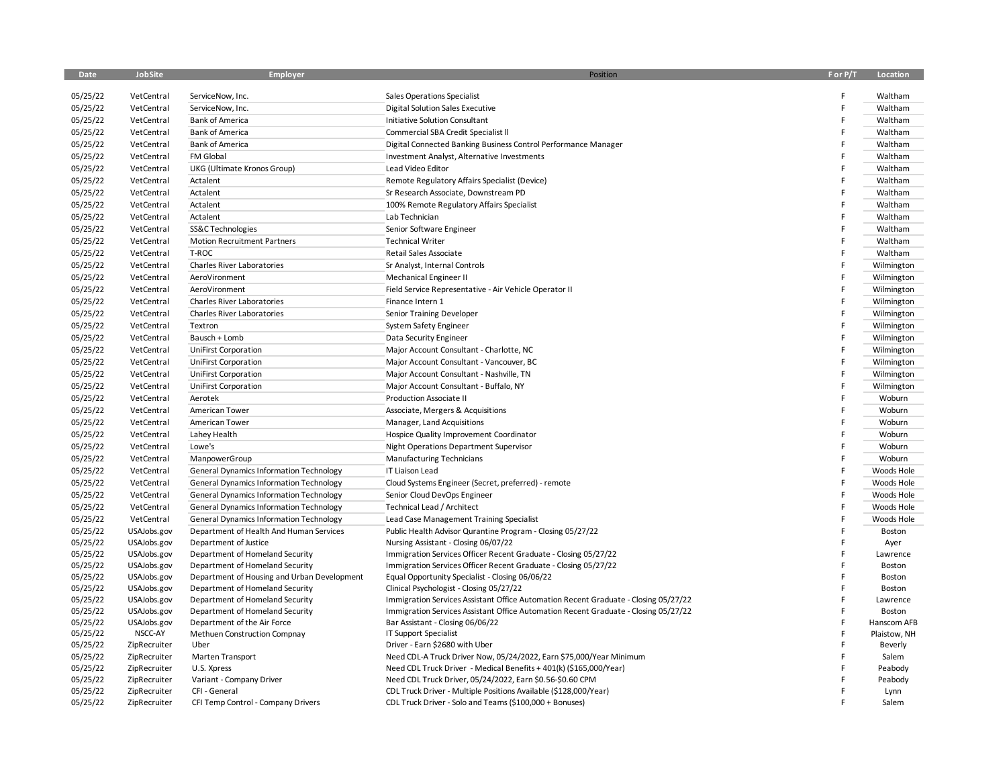| Date                 | JobSite                    | Employer                                                                                         | Position                                                                                                | F or P/T | Location           |
|----------------------|----------------------------|--------------------------------------------------------------------------------------------------|---------------------------------------------------------------------------------------------------------|----------|--------------------|
| 05/25/22             | VetCentral                 | ServiceNow, Inc.                                                                                 | Sales Operations Specialist                                                                             | F        | Waltham            |
| 05/25/22             | VetCentral                 | ServiceNow, Inc.                                                                                 | <b>Digital Solution Sales Executive</b>                                                                 | F        | Waltham            |
| 05/25/22             |                            | <b>Bank of America</b>                                                                           |                                                                                                         | F        |                    |
|                      | VetCentral                 |                                                                                                  | Initiative Solution Consultant                                                                          | F        | Waltham            |
| 05/25/22             | VetCentral                 | <b>Bank of America</b>                                                                           | Commercial SBA Credit Specialist II                                                                     |          | Waltham            |
| 05/25/22             | VetCentral                 | <b>Bank of America</b>                                                                           | Digital Connected Banking Business Control Performance Manager                                          |          | Waltham            |
| 05/25/22             | VetCentral                 | FM Global                                                                                        | Investment Analyst, Alternative Investments                                                             | F        | Waltham            |
| 05/25/22             | VetCentral                 | UKG (Ultimate Kronos Group)                                                                      | Lead Video Editor                                                                                       | F        | Waltham            |
| 05/25/22             | VetCentral                 | Actalent                                                                                         | Remote Regulatory Affairs Specialist (Device)                                                           | F        | Waltham            |
| 05/25/22             | VetCentral                 | Actalent                                                                                         | Sr Research Associate, Downstream PD                                                                    | F        | Waltham            |
| 05/25/22             | VetCentral                 | Actalent                                                                                         | 100% Remote Regulatory Affairs Specialist                                                               |          | Waltham            |
| 05/25/22             | VetCentral                 | Actalent                                                                                         | Lab Technician                                                                                          | F        | Waltham            |
| 05/25/22             | VetCentral                 | SS&C Technologies                                                                                | Senior Software Engineer                                                                                |          | Waltham            |
| 05/25/22             | VetCentral                 | <b>Motion Recruitment Partners</b>                                                               | <b>Technical Writer</b>                                                                                 |          | Waltham            |
| 05/25/22             | VetCentral                 | T-ROC                                                                                            | Retail Sales Associate                                                                                  | F        | Waltham            |
| 05/25/22             | VetCentral                 | Charles River Laboratories                                                                       | Sr Analyst, Internal Controls                                                                           | F        | Wilmington         |
| 05/25/22             | VetCentral                 | AeroVironment                                                                                    | Mechanical Engineer II                                                                                  |          | Wilmington         |
| 05/25/22             | VetCentral                 | AeroVironment                                                                                    | Field Service Representative - Air Vehicle Operator II                                                  | F        | Wilmington         |
| 05/25/22             | VetCentral                 | <b>Charles River Laboratories</b>                                                                | Finance Intern 1                                                                                        | F        | Wilmington         |
| 05/25/22             | VetCentral                 | Charles River Laboratories                                                                       | Senior Training Developer                                                                               |          | Wilmington         |
| 05/25/22             | VetCentral                 | Textron                                                                                          | System Safety Engineer                                                                                  | F        | Wilmington         |
| 05/25/22             | VetCentral                 | Bausch + Lomb                                                                                    | Data Security Engineer                                                                                  | F        | Wilmington         |
| 05/25/22             | VetCentral                 | <b>UniFirst Corporation</b>                                                                      | Major Account Consultant - Charlotte, NC                                                                | F        | Wilmington         |
| 05/25/22             | VetCentral                 | <b>UniFirst Corporation</b>                                                                      | Major Account Consultant - Vancouver, BC                                                                | F        | Wilmington         |
| 05/25/22             | VetCentral                 | <b>UniFirst Corporation</b>                                                                      | Major Account Consultant - Nashville, TN                                                                | F        | Wilmington         |
| 05/25/22             | VetCentral                 | <b>UniFirst Corporation</b>                                                                      | Major Account Consultant - Buffalo, NY                                                                  | F        | Wilmington         |
| 05/25/22             | VetCentral                 | Aerotek                                                                                          | Production Associate II                                                                                 |          | Woburn             |
| 05/25/22             | VetCentral                 | American Tower                                                                                   | Associate, Mergers & Acquisitions                                                                       |          | Woburn             |
| 05/25/22             | VetCentral                 | American Tower                                                                                   | Manager, Land Acquisitions                                                                              |          | Woburn             |
| 05/25/22             | VetCentral                 | Lahey Health                                                                                     | Hospice Quality Improvement Coordinator                                                                 |          | Woburn             |
| 05/25/22             | VetCentral                 | Lowe's                                                                                           | Night Operations Department Supervisor                                                                  |          | Woburn             |
| 05/25/22             | VetCentral                 | ManpowerGroup                                                                                    | <b>Manufacturing Technicians</b>                                                                        | F        | Woburn             |
| 05/25/22             | VetCentral                 | <b>General Dynamics Information Technology</b>                                                   | IT Liaison Lead                                                                                         | F        | Woods Hole         |
| 05/25/22             | VetCentral                 | <b>General Dynamics Information Technology</b>                                                   | Cloud Systems Engineer (Secret, preferred) - remote                                                     | F        | Woods Hole         |
| 05/25/22             | VetCentral                 |                                                                                                  | Senior Cloud DevOps Engineer                                                                            | Ë        | Woods Hole         |
| 05/25/22             | VetCentral                 | <b>General Dynamics Information Technology</b><br><b>General Dynamics Information Technology</b> | Technical Lead / Architect                                                                              |          | Woods Hole         |
|                      |                            |                                                                                                  |                                                                                                         |          |                    |
| 05/25/22             | VetCentral                 | <b>General Dynamics Information Technology</b>                                                   | Lead Case Management Training Specialist                                                                | F        | Woods Hole         |
| 05/25/22             | USAJobs.gov                | Department of Health And Human Services                                                          | Public Health Advisor Qurantine Program - Closing 05/27/22                                              | F        | Boston             |
| 05/25/22             | USAJobs.gov                | Department of Justice<br>Department of Homeland Security                                         | Nursing Assistant - Closing 06/07/22<br>Immigration Services Officer Recent Graduate - Closing 05/27/22 |          | Ayer               |
| 05/25/22<br>05/25/22 | USAJobs.gov<br>USAJobs.gov | Department of Homeland Security                                                                  | Immigration Services Officer Recent Graduate - Closing 05/27/22                                         |          | Lawrence<br>Boston |
| 05/25/22             | USAJobs.gov                | Department of Housing and Urban Development                                                      | Equal Opportunity Specialist - Closing 06/06/22                                                         |          | Boston             |
| 05/25/22             | USAJobs.gov                | Department of Homeland Security                                                                  | Clinical Psychologist - Closing 05/27/22                                                                |          | Boston             |
| 05/25/22             | USAJobs.gov                | Department of Homeland Security                                                                  | Immigration Services Assistant Office Automation Recent Graduate - Closing 05/27/22                     |          | Lawrence           |
| 05/25/22             | USAJobs.gov                | Department of Homeland Security                                                                  | Immigration Services Assistant Office Automation Recent Graduate - Closing 05/27/22                     |          | Boston             |
| 05/25/22             | USAJobs.gov                | Department of the Air Force                                                                      | Bar Assistant - Closing 06/06/22                                                                        | E        | Hanscom AFB        |
| 05/25/22             | NSCC-AY                    | Methuen Construction Compnay                                                                     | IT Support Specialist                                                                                   |          | Plaistow, NH       |
| 05/25/22             | ZipRecruiter               | Uber                                                                                             | Driver - Earn \$2680 with Uber                                                                          |          | Beverly            |
| 05/25/22             | ZipRecruiter               | Marten Transport                                                                                 | Need CDL-A Truck Driver Now, 05/24/2022, Earn \$75,000/Year Minimum                                     |          | Salem              |
| 05/25/22             | ZipRecruiter               | U.S. Xpress                                                                                      | Need CDL Truck Driver - Medical Benefits + 401(k) (\$165,000/Year)                                      |          | Peabody            |
| 05/25/22             | ZipRecruiter               | Variant - Company Driver                                                                         | Need CDL Truck Driver, 05/24/2022, Earn \$0.56-\$0.60 CPM                                               |          | Peabody            |
| 05/25/22             | ZipRecruiter               | CFI - General                                                                                    | CDL Truck Driver - Multiple Positions Available (\$128,000/Year)                                        |          | Lynn               |
| 05/25/22             | ZipRecruiter               | CFI Temp Control - Company Drivers                                                               | CDL Truck Driver - Solo and Teams (\$100,000 + Bonuses)                                                 |          | Salem              |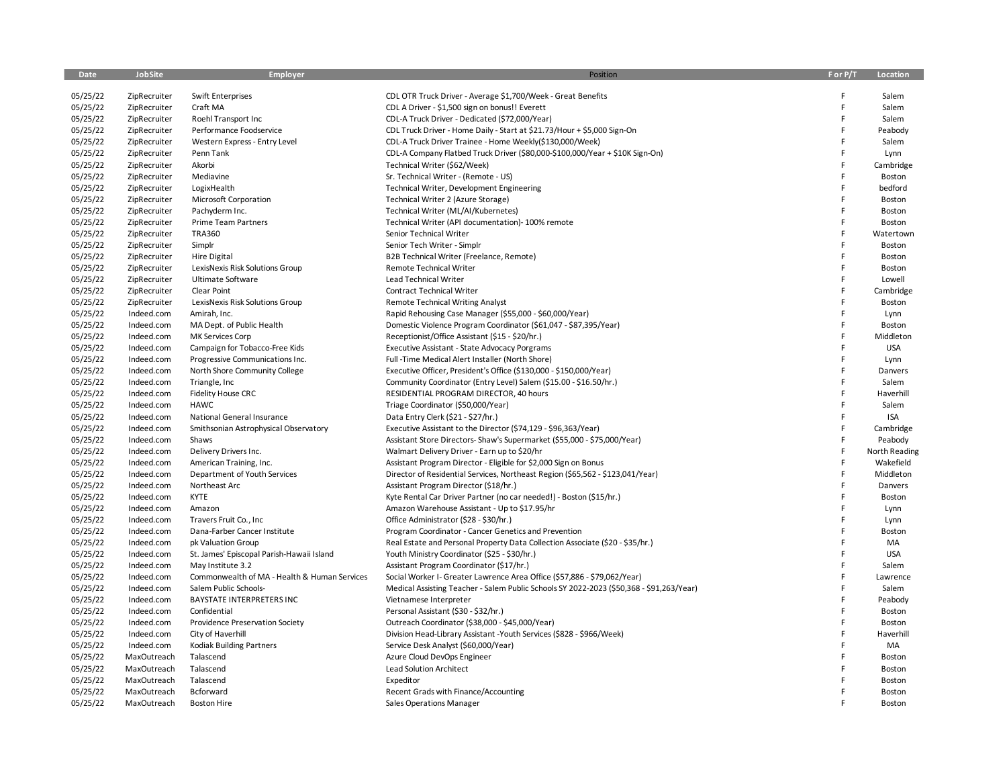| Date     | JobSite      | Employer                                     | Position                                                                                 | F or P/T | Location      |
|----------|--------------|----------------------------------------------|------------------------------------------------------------------------------------------|----------|---------------|
| 05/25/22 | ZipRecruiter | Swift Enterprises                            | CDL OTR Truck Driver - Average \$1,700/Week - Great Benefits                             | F        | Salem         |
| 05/25/22 | ZipRecruiter | Craft MA                                     | CDL A Driver - \$1,500 sign on bonus!! Everett                                           | F        | Salem         |
| 05/25/22 | ZipRecruiter | Roehl Transport Inc                          | CDL-A Truck Driver - Dedicated (\$72,000/Year)                                           | F        | Salem         |
| 05/25/22 | ZipRecruiter | Performance Foodservice                      | CDL Truck Driver - Home Daily - Start at \$21.73/Hour + \$5,000 Sign-On                  | F        | Peabody       |
| 05/25/22 | ZipRecruiter | Western Express - Entry Level                | CDL-A Truck Driver Trainee - Home Weekly(\$130,000/Week)                                 | F        | Salem         |
| 05/25/22 | ZipRecruiter | Penn Tank                                    | CDL-A Company Flatbed Truck Driver (\$80,000-\$100,000/Year + \$10K Sign-On)             | F        | Lynn          |
| 05/25/22 | ZipRecruiter | Akorbi                                       | Technical Writer (\$62/Week)                                                             | F        | Cambridge     |
| 05/25/22 | ZipRecruiter | Mediavine                                    | Sr. Technical Writer - (Remote - US)                                                     | F        | Boston        |
| 05/25/22 | ZipRecruiter | LogixHealth                                  | Technical Writer, Development Engineering                                                | F        | bedford       |
| 05/25/22 | ZipRecruiter | Microsoft Corporation                        | Technical Writer 2 (Azure Storage)                                                       | F        | Boston        |
| 05/25/22 | ZipRecruiter | Pachyderm Inc.                               | Technical Writer (ML/AI/Kubernetes)                                                      | F        | Boston        |
| 05/25/22 | ZipRecruiter | Prime Team Partners                          | Technical Writer (API documentation)- 100% remote                                        | F        | Boston        |
| 05/25/22 | ZipRecruiter | <b>TRA360</b>                                | Senior Technical Writer                                                                  | F        | Watertown     |
| 05/25/22 | ZipRecruiter | Simplr                                       | Senior Tech Writer - Simplr                                                              |          | Boston        |
| 05/25/22 | ZipRecruiter | <b>Hire Digital</b>                          | B2B Technical Writer (Freelance, Remote)                                                 |          | Boston        |
| 05/25/22 | ZipRecruiter | LexisNexis Risk Solutions Group              | Remote Technical Writer                                                                  | F        | Boston        |
| 05/25/22 | ZipRecruiter | Ultimate Software                            | <b>Lead Technical Writer</b>                                                             | F        | Lowell        |
| 05/25/22 | ZipRecruiter | Clear Point                                  | Contract Technical Writer                                                                | F        | Cambridge     |
| 05/25/22 | ZipRecruiter | LexisNexis Risk Solutions Group              | <b>Remote Technical Writing Analyst</b>                                                  | F        | Boston        |
| 05/25/22 | Indeed.com   | Amirah, Inc.                                 | Rapid Rehousing Case Manager (\$55,000 - \$60,000/Year)                                  | F        | Lynn          |
| 05/25/22 | Indeed.com   | MA Dept. of Public Health                    | Domestic Violence Program Coordinator (\$61,047 - \$87,395/Year)                         | F        | Boston        |
| 05/25/22 | Indeed.com   | MK Services Corp                             | Receptionist/Office Assistant (\$15 - \$20/hr.)                                          | F        | Middleton     |
| 05/25/22 | Indeed.com   | Campaign for Tobacco-Free Kids               | Executive Assistant - State Advocacy Porgrams                                            |          | <b>USA</b>    |
| 05/25/22 | Indeed.com   | Progressive Communications Inc.              | Full -Time Medical Alert Installer (North Shore)                                         | F        | Lynn          |
| 05/25/22 | Indeed.com   | North Shore Community College                | Executive Officer, President's Office (\$130,000 - \$150,000/Year)                       | F        | Danvers       |
| 05/25/22 | Indeed.com   | Triangle, Inc.                               | Community Coordinator (Entry Level) Salem (\$15.00 - \$16.50/hr.)                        | F        | Salem         |
| 05/25/22 | Indeed.com   | Fidelity House CRC                           | RESIDENTIAL PROGRAM DIRECTOR, 40 hours                                                   | F        | Haverhill     |
| 05/25/22 | Indeed.com   | <b>HAWC</b>                                  | Triage Coordinator (\$50,000/Year)                                                       | F        | Salem         |
| 05/25/22 | Indeed.com   | National General Insurance                   | Data Entry Clerk (\$21 - \$27/hr.)                                                       | F        | <b>ISA</b>    |
| 05/25/22 | Indeed.com   | Smithsonian Astrophysical Observatory        | Executive Assistant to the Director (\$74,129 - \$96,363/Year)                           | F        | Cambridge     |
| 05/25/22 | Indeed.com   | Shaws                                        | Assistant Store Directors-Shaw's Supermarket (\$55,000 - \$75,000/Year)                  | F        | Peabody       |
| 05/25/22 | Indeed.com   | Delivery Drivers Inc.                        | Walmart Delivery Driver - Earn up to \$20/hr                                             | F        | North Reading |
| 05/25/22 | Indeed.com   | American Training, Inc.                      | Assistant Program Director - Eligible for \$2,000 Sign on Bonus                          | F        | Wakefield     |
| 05/25/22 | Indeed.com   | Department of Youth Services                 | Director of Residential Services, Northeast Region (\$65,562 - \$123,041/Year)           | F        | Middleton     |
| 05/25/22 | Indeed.com   | Northeast Arc                                | Assistant Program Director (\$18/hr.)                                                    | F        | Danvers       |
| 05/25/22 | Indeed.com   | <b>KYTE</b>                                  | Kyte Rental Car Driver Partner (no car needed!) - Boston (\$15/hr.)                      | F        | Boston        |
| 05/25/22 | Indeed.com   | Amazon                                       | Amazon Warehouse Assistant - Up to \$17.95/hr                                            | F        | Lynn          |
| 05/25/22 | Indeed.com   | Travers Fruit Co., Inc                       | Office Administrator (\$28 - \$30/hr.)                                                   | F        | Lynn          |
| 05/25/22 | Indeed.com   | Dana-Farber Cancer Institute                 | Program Coordinator - Cancer Genetics and Prevention                                     | F        | Boston        |
| 05/25/22 | Indeed.com   | pk Valuation Group                           | Real Estate and Personal Property Data Collection Associate (\$20 - \$35/hr.)            | F        | MA            |
| 05/25/22 | Indeed.com   | St. James' Episcopal Parish-Hawaii Island    | Youth Ministry Coordinator (\$25 - \$30/hr.)                                             | F        | <b>USA</b>    |
| 05/25/22 | Indeed.com   | May Institute 3.2                            | Assistant Program Coordinator (\$17/hr.)                                                 | F        | Salem         |
| 05/25/22 | Indeed.com   | Commonwealth of MA - Health & Human Services | Social Worker I- Greater Lawrence Area Office (\$57,886 - \$79,062/Year)                 | F        | Lawrence      |
| 05/25/22 | Indeed.com   | Salem Public Schools-                        | Medical Assisting Teacher - Salem Public Schools SY 2022-2023 (\$50,368 - \$91,263/Year) | F        | Salem         |
| 05/25/22 | Indeed.com   | <b>BAYSTATE INTERPRETERS INC</b>             | Vietnamese Interpreter                                                                   | F        | Peabody       |
| 05/25/22 | Indeed.com   | Confidential                                 | Personal Assistant (\$30 - \$32/hr.)                                                     | F        | Boston        |
| 05/25/22 | Indeed.com   | Providence Preservation Society              | Outreach Coordinator (\$38,000 - \$45,000/Year)                                          | F        | Boston        |
| 05/25/22 | Indeed.com   | City of Haverhill                            | Division Head-Library Assistant -Youth Services (\$828 - \$966/Week)                     | F        | Haverhill     |
| 05/25/22 | Indeed.com   | Kodiak Building Partners                     | Service Desk Analyst (\$60,000/Year)                                                     | F        | MA            |
| 05/25/22 | MaxOutreach  | Talascend                                    | Azure Cloud DevOps Engineer                                                              | F        | Boston        |
| 05/25/22 | MaxOutreach  | Talascend                                    | Lead Solution Architect                                                                  |          | Boston        |
| 05/25/22 | MaxOutreach  | Talascend                                    | Expeditor                                                                                |          | Boston        |
| 05/25/22 | MaxOutreach  | Bcforward                                    | Recent Grads with Finance/Accounting                                                     | F        | Boston        |
| 05/25/22 | MaxOutreach  | <b>Boston Hire</b>                           | <b>Sales Operations Manager</b>                                                          | F        | Boston        |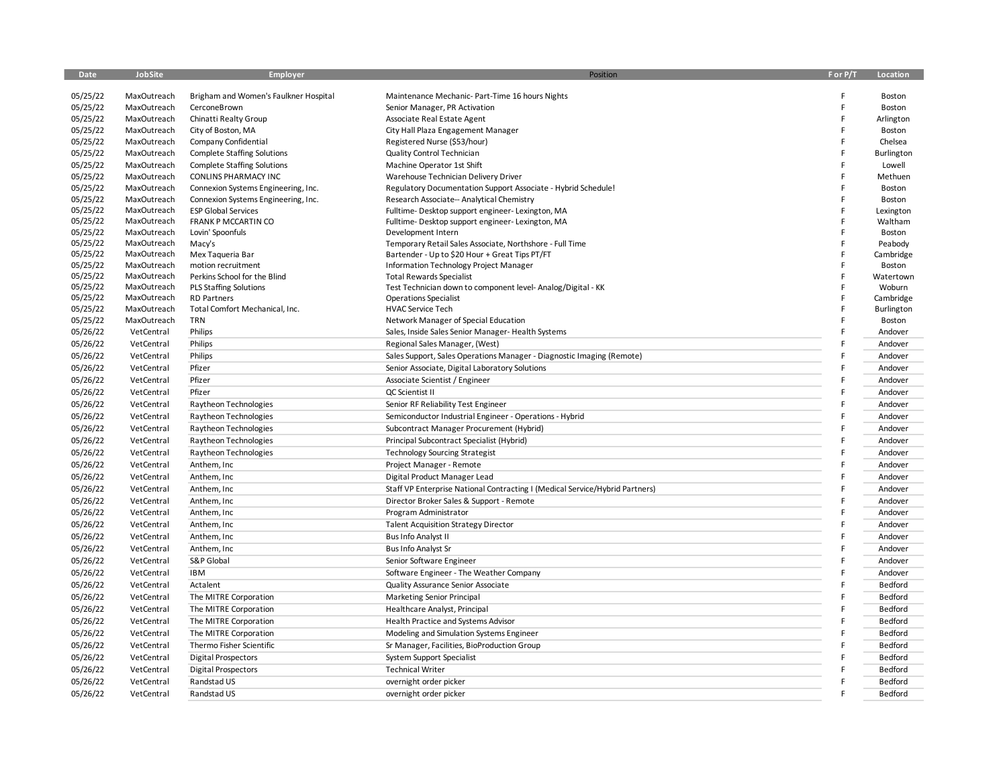| Date                 | JobSite                    | Employer                                   | Position                                                                     | F or P/T | Location            |
|----------------------|----------------------------|--------------------------------------------|------------------------------------------------------------------------------|----------|---------------------|
|                      |                            |                                            |                                                                              |          |                     |
| 05/25/22             | MaxOutreach                | Brigham and Women's Faulkner Hospital      | Maintenance Mechanic- Part-Time 16 hours Nights                              | F<br>F   | Boston              |
| 05/25/22             | MaxOutreach                | CerconeBrown                               | Senior Manager, PR Activation                                                |          | Boston              |
| 05/25/22<br>05/25/22 | MaxOutreach<br>MaxOutreach | Chinatti Realty Group                      | Associate Real Estate Agent                                                  |          | Arlington<br>Boston |
| 05/25/22             | MaxOutreach                | City of Boston, MA<br>Company Confidential | City Hall Plaza Engagement Manager<br>Registered Nurse (\$53/hour)           | E        | Chelsea             |
| 05/25/22             | MaxOutreach                | <b>Complete Staffing Solutions</b>         | Quality Control Technician                                                   | F        | Burlington          |
| 05/25/22             | MaxOutreach                | <b>Complete Staffing Solutions</b>         | Machine Operator 1st Shift                                                   | F        | Lowell              |
| 05/25/22             | MaxOutreach                | CONLINS PHARMACY INC                       | Warehouse Technician Delivery Driver                                         |          | Methuen             |
| 05/25/22             | MaxOutreach                | Connexion Systems Engineering, Inc.        | Regulatory Documentation Support Associate - Hybrid Schedule!                |          | Boston              |
| 05/25/22             | MaxOutreach                | Connexion Systems Engineering, Inc.        | Research Associate-- Analytical Chemistry                                    |          | Boston              |
| 05/25/22             | MaxOutreach                | <b>ESP Global Services</b>                 | Fulltime-Desktop support engineer-Lexington, MA                              |          | Lexington           |
| 05/25/22             | MaxOutreach                | FRANK P MCCARTIN CO                        | Fulltime-Desktop support engineer-Lexington, MA                              |          | Waltham             |
| 05/25/22             | MaxOutreach                | Lovin' Spoonfuls                           | Development Intern                                                           |          | Boston              |
| 05/25/22             | MaxOutreach                | Macy's                                     | Temporary Retail Sales Associate, Northshore - Full Time                     |          | Peabody             |
| 05/25/22             | MaxOutreach                | Mex Tagueria Bar                           | Bartender - Up to \$20 Hour + Great Tips PT/FT                               |          | Cambridge           |
| 05/25/22             | MaxOutreach                | motion recruitment                         | Information Technology Project Manager                                       |          | Boston              |
| 05/25/22             | MaxOutreach                | Perkins School for the Blind               | <b>Total Rewards Specialist</b>                                              | F        | Watertown           |
| 05/25/22             | MaxOutreach                | <b>PLS Staffing Solutions</b>              | Test Technician down to component level-Analog/Digital - KK                  |          | Woburn              |
| 05/25/22             | MaxOutreach                | <b>RD Partners</b>                         | <b>Operations Specialist</b>                                                 |          | Cambridge           |
| 05/25/22             | MaxOutreach                | Total Comfort Mechanical, Inc.             | <b>HVAC Service Tech</b>                                                     |          | Burlington          |
| 05/25/22             | MaxOutreach                | <b>TRN</b>                                 | Network Manager of Special Education                                         |          | Boston              |
| 05/26/22             | VetCentral                 | Philips                                    | Sales, Inside Sales Senior Manager- Health Systems                           |          | Andover             |
| 05/26/22             | VetCentral                 | Philips                                    | Regional Sales Manager, (West)                                               |          | Andover             |
| 05/26/22             | VetCentral                 | Philips                                    | Sales Support, Sales Operations Manager - Diagnostic Imaging (Remote)        |          | Andover             |
| 05/26/22             | VetCentral                 | Pfizer                                     | Senior Associate, Digital Laboratory Solutions                               |          | Andover             |
| 05/26/22             | VetCentral                 | Pfizer                                     | Associate Scientist / Engineer                                               |          | Andover             |
| 05/26/22             | VetCentral                 | Pfizer                                     | QC Scientist II                                                              |          | Andover             |
| 05/26/22             | VetCentral                 | Raytheon Technologies                      | Senior RF Reliability Test Engineer                                          |          | Andover             |
| 05/26/22             | VetCentral                 | Raytheon Technologies                      | Semiconductor Industrial Engineer - Operations - Hybrid                      |          | Andover             |
| 05/26/22             | VetCentral                 | Raytheon Technologies                      | Subcontract Manager Procurement (Hybrid)                                     |          | Andover             |
| 05/26/22             | VetCentral                 | Raytheon Technologies                      | Principal Subcontract Specialist (Hybrid)                                    |          | Andover             |
| 05/26/22             | VetCentral                 | Raytheon Technologies                      | <b>Technology Sourcing Strategist</b>                                        |          | Andover             |
| 05/26/22             | VetCentral                 | Anthem, Inc                                | Project Manager - Remote                                                     |          | Andover             |
| 05/26/22             | VetCentral                 | Anthem, Inc                                | Digital Product Manager Lead                                                 |          | Andover             |
| 05/26/22             | VetCentral                 | Anthem, Inc.                               | Staff VP Enterprise National Contracting I (Medical Service/Hybrid Partners) |          | Andover             |
| 05/26/22             | VetCentral                 | Anthem, Inc                                | Director Broker Sales & Support - Remote                                     |          | Andover             |
| 05/26/22             | VetCentral                 | Anthem, Inc                                | Program Administrator                                                        |          | Andover             |
| 05/26/22             | VetCentral                 | Anthem, Inc.                               | <b>Talent Acquisition Strategy Director</b>                                  |          | Andover             |
| 05/26/22             | VetCentral                 | Anthem, Inc                                | <b>Bus Info Analyst II</b>                                                   |          | Andover             |
| 05/26/22             | VetCentral                 | Anthem, Inc                                | Bus Info Analyst Sr                                                          |          | Andover             |
| 05/26/22             | VetCentral                 | S&P Global                                 | Senior Software Engineer                                                     |          | Andover             |
| 05/26/22             | VetCentral                 | <b>IBM</b>                                 | Software Engineer - The Weather Company                                      |          | Andover             |
| 05/26/22             | VetCentral                 | Actalent                                   | Quality Assurance Senior Associate                                           |          | Bedford             |
| 05/26/22             | VetCentral                 | The MITRE Corporation                      | Marketing Senior Principal                                                   |          | Bedford             |
| 05/26/22             | VetCentral                 | The MITRE Corporation                      | Healthcare Analyst, Principal                                                |          | Bedford             |
| 05/26/22             | VetCentral                 | The MITRE Corporation                      | Health Practice and Systems Advisor                                          |          | Bedford             |
| 05/26/22             | VetCentral                 | The MITRE Corporation                      | Modeling and Simulation Systems Engineer                                     |          | Bedford             |
| 05/26/22             | VetCentral                 | Thermo Fisher Scientific                   | Sr Manager, Facilities, BioProduction Group                                  |          | Bedford             |
| 05/26/22             | VetCentral                 | <b>Digital Prospectors</b>                 | System Support Specialist                                                    |          | Bedford             |
| 05/26/22             | VetCentral                 | <b>Digital Prospectors</b>                 | <b>Technical Writer</b>                                                      |          | Bedford             |
| 05/26/22             | VetCentral                 | Randstad US                                | overnight order picker                                                       |          | Bedford             |
| 05/26/22             | VetCentral                 | Randstad US                                | overnight order picker                                                       |          | Bedford             |
|                      |                            |                                            |                                                                              |          |                     |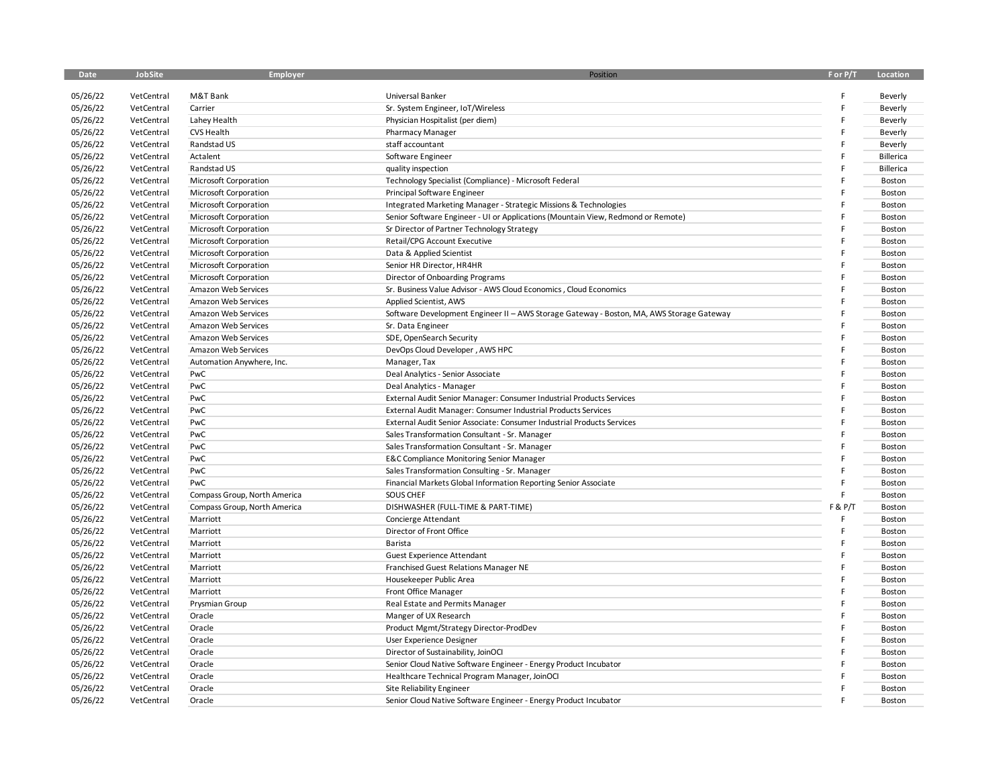| <b>Date</b> | JobSite    | Employer                     | Position                                                                                 | F or P/T | Location         |
|-------------|------------|------------------------------|------------------------------------------------------------------------------------------|----------|------------------|
|             |            |                              |                                                                                          |          |                  |
| 05/26/22    | VetCentral | M&T Bank                     | Universal Banker                                                                         |          | Beverly          |
| 05/26/22    | VetCentral | Carrier                      | Sr. System Engineer, IoT/Wireless                                                        |          | Beverly          |
| 05/26/22    | VetCentral | Lahey Health                 | Physician Hospitalist (per diem)                                                         |          | Beverly          |
| 05/26/22    | VetCentral | <b>CVS Health</b>            | <b>Pharmacy Manager</b>                                                                  |          | Beverly          |
| 05/26/22    | VetCentral | Randstad US                  | staff accountant                                                                         |          | Beverly          |
| 05/26/22    | VetCentral | Actalent                     | Software Engineer                                                                        |          | Billerica        |
| 05/26/22    | VetCentral | Randstad US                  | quality inspection                                                                       |          | <b>Billerica</b> |
| 05/26/22    | VetCentral | Microsoft Corporation        | Technology Specialist (Compliance) - Microsoft Federal                                   |          | Boston           |
| 05/26/22    | VetCentral | Microsoft Corporation        | Principal Software Engineer                                                              |          | Boston           |
| 05/26/22    | VetCentral | <b>Microsoft Corporation</b> | Integrated Marketing Manager - Strategic Missions & Technologies                         |          | Boston           |
| 05/26/22    | VetCentral | Microsoft Corporation        | Senior Software Engineer - UI or Applications (Mountain View, Redmond or Remote)         |          | Boston           |
| 05/26/22    | VetCentral | Microsoft Corporation        | Sr Director of Partner Technology Strategy                                               |          | Boston           |
| 05/26/22    | VetCentral | Microsoft Corporation        | Retail/CPG Account Executive                                                             |          | Boston           |
| 05/26/22    | VetCentral | Microsoft Corporation        | Data & Applied Scientist                                                                 |          | Boston           |
| 05/26/22    | VetCentral | Microsoft Corporation        | Senior HR Director, HR4HR                                                                |          | Boston           |
| 05/26/22    | VetCentral | Microsoft Corporation        | Director of Onboarding Programs                                                          |          | Boston           |
| 05/26/22    | VetCentral | Amazon Web Services          | Sr. Business Value Advisor - AWS Cloud Economics, Cloud Economics                        |          | Boston           |
| 05/26/22    | VetCentral | Amazon Web Services          | Applied Scientist, AWS                                                                   |          | Boston           |
| 05/26/22    | VetCentral | Amazon Web Services          | Software Development Engineer II - AWS Storage Gateway - Boston, MA, AWS Storage Gateway |          | Boston           |
| 05/26/22    | VetCentral | Amazon Web Services          | Sr. Data Engineer                                                                        |          | Boston           |
| 05/26/22    | VetCentral | Amazon Web Services          | SDE, OpenSearch Security                                                                 |          | Boston           |
| 05/26/22    | VetCentral | Amazon Web Services          | DevOps Cloud Developer, AWS HPC                                                          |          | Boston           |
| 05/26/22    | VetCentral | Automation Anywhere, Inc.    | Manager, Tax                                                                             |          | Boston           |
| 05/26/22    | VetCentral | PwC                          | Deal Analytics - Senior Associate                                                        |          | Boston           |
| 05/26/22    | VetCentral | PwC                          | Deal Analytics - Manager                                                                 |          | Boston           |
| 05/26/22    | VetCentral | PwC                          | External Audit Senior Manager: Consumer Industrial Products Services                     |          | Boston           |
| 05/26/22    | VetCentral | PwC                          | External Audit Manager: Consumer Industrial Products Services                            |          | Boston           |
| 05/26/22    | VetCentral | PwC                          | External Audit Senior Associate: Consumer Industrial Products Services                   |          | Boston           |
| 05/26/22    | VetCentral | PwC                          | Sales Transformation Consultant - Sr. Manager                                            |          | Boston           |
| 05/26/22    | VetCentral | PwC                          | Sales Transformation Consultant - Sr. Manager                                            |          | Boston           |
| 05/26/22    | VetCentral | PwC                          | E&C Compliance Monitoring Senior Manager                                                 |          | Boston           |
| 05/26/22    | VetCentral | PwC                          | Sales Transformation Consulting - Sr. Manager                                            |          | Boston           |
| 05/26/22    | VetCentral | PwC                          | Financial Markets Global Information Reporting Senior Associate                          |          | Boston           |
| 05/26/22    | VetCentral | Compass Group, North America | SOUS CHEF                                                                                |          | Boston           |
| 05/26/22    | VetCentral | Compass Group, North America | DISHWASHER (FULL-TIME & PART-TIME)                                                       | F & P/T  | Boston           |
| 05/26/22    | VetCentral | Marriott                     | Concierge Attendant                                                                      |          | Boston           |
| 05/26/22    | VetCentral | Marriott                     | Director of Front Office                                                                 |          | Boston           |
| 05/26/22    | VetCentral | Marriott                     | Barista                                                                                  |          | Boston           |
| 05/26/22    |            |                              |                                                                                          |          |                  |
| 05/26/22    | VetCentral | Marriott                     | <b>Guest Experience Attendant</b>                                                        |          | Boston           |
|             | VetCentral | Marriott                     | Franchised Guest Relations Manager NE                                                    |          | Boston           |
| 05/26/22    | VetCentral | Marriott                     | Housekeeper Public Area                                                                  |          | Boston           |
| 05/26/22    | VetCentral | Marriott                     | Front Office Manager                                                                     |          | Boston           |
| 05/26/22    | VetCentral | Prysmian Group               | Real Estate and Permits Manager                                                          |          | Boston           |
| 05/26/22    | VetCentral | Oracle                       | Manger of UX Research                                                                    |          | Boston           |
| 05/26/22    | VetCentral | Oracle                       | Product Mgmt/Strategy Director-ProdDev                                                   |          | Boston           |
| 05/26/22    | VetCentral | Oracle                       | User Experience Designer                                                                 |          | Boston           |
| 05/26/22    | VetCentral | Oracle                       | Director of Sustainability, JoinOCI                                                      |          | Boston           |
| 05/26/22    | VetCentral | Oracle                       | Senior Cloud Native Software Engineer - Energy Product Incubator                         |          | Boston           |
| 05/26/22    | VetCentral | Oracle                       | Healthcare Technical Program Manager, JoinOCI                                            |          | Boston           |
| 05/26/22    | VetCentral | Oracle                       | Site Reliability Engineer                                                                |          | Boston           |
| 05/26/22    | VetCentral | Oracle                       | Senior Cloud Native Software Engineer - Energy Product Incubator                         |          | Boston           |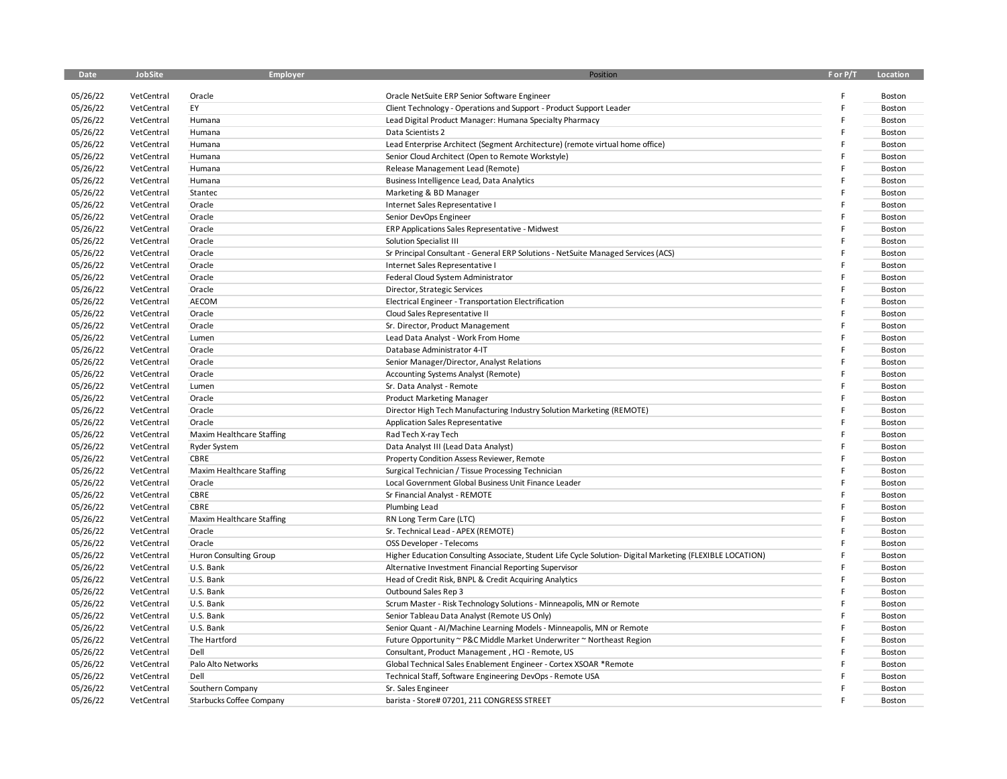| <b>Date</b> | JobSite    | Employer                  | Position                                                                                                  | F or P/T | Location |
|-------------|------------|---------------------------|-----------------------------------------------------------------------------------------------------------|----------|----------|
|             |            |                           |                                                                                                           |          |          |
| 05/26/22    | VetCentral | Oracle                    | Oracle NetSuite ERP Senior Software Engineer                                                              |          | Boston   |
| 05/26/22    | VetCentral | EY                        | Client Technology - Operations and Support - Product Support Leader                                       |          | Boston   |
| 05/26/22    | VetCentral | Humana                    | Lead Digital Product Manager: Humana Specialty Pharmacy                                                   |          | Boston   |
| 05/26/22    | VetCentral | Humana                    | Data Scientists 2                                                                                         |          | Boston   |
| 05/26/22    | VetCentral | Humana                    | Lead Enterprise Architect (Segment Architecture) (remote virtual home office)                             |          | Boston   |
| 05/26/22    | VetCentral | Humana                    | Senior Cloud Architect (Open to Remote Workstyle)                                                         |          | Boston   |
| 05/26/22    | VetCentral | Humana                    | Release Management Lead (Remote)                                                                          |          | Boston   |
| 05/26/22    | VetCentral | Humana                    | Business Intelligence Lead, Data Analytics                                                                |          | Boston   |
| 05/26/22    | VetCentral | Stantec                   | Marketing & BD Manager                                                                                    |          | Boston   |
| 05/26/22    | VetCentral | Oracle                    | Internet Sales Representative I                                                                           |          | Boston   |
| 05/26/22    | VetCentral | Oracle                    | Senior DevOps Engineer                                                                                    |          | Boston   |
| 05/26/22    | VetCentral | Oracle                    | ERP Applications Sales Representative - Midwest                                                           |          | Boston   |
| 05/26/22    | VetCentral | Oracle                    | Solution Specialist III                                                                                   |          | Boston   |
| 05/26/22    | VetCentral | Oracle                    | Sr Principal Consultant - General ERP Solutions - NetSuite Managed Services (ACS)                         |          | Boston   |
| 05/26/22    | VetCentral | Oracle                    | Internet Sales Representative I                                                                           |          | Boston   |
| 05/26/22    | VetCentral | Oracle                    | Federal Cloud System Administrator                                                                        |          | Boston   |
| 05/26/22    | VetCentral | Oracle                    | Director, Strategic Services                                                                              |          | Boston   |
| 05/26/22    | VetCentral | AECOM                     | Electrical Engineer - Transportation Electrification                                                      |          | Boston   |
| 05/26/22    | VetCentral | Oracle                    | Cloud Sales Representative II                                                                             |          | Boston   |
| 05/26/22    | VetCentral | Oracle                    | Sr. Director, Product Management                                                                          |          | Boston   |
| 05/26/22    | VetCentral | Lumen                     | Lead Data Analyst - Work From Home                                                                        |          | Boston   |
| 05/26/22    | VetCentral | Oracle                    | Database Administrator 4-IT                                                                               |          | Boston   |
| 05/26/22    | VetCentral | Oracle                    | Senior Manager/Director, Analyst Relations                                                                |          | Boston   |
| 05/26/22    | VetCentral | Oracle                    | Accounting Systems Analyst (Remote)                                                                       |          | Boston   |
| 05/26/22    | VetCentral | Lumen                     | Sr. Data Analyst - Remote                                                                                 |          | Boston   |
| 05/26/22    | VetCentral | Oracle                    | <b>Product Marketing Manager</b>                                                                          |          | Boston   |
| 05/26/22    | VetCentral | Oracle                    | Director High Tech Manufacturing Industry Solution Marketing (REMOTE)                                     |          | Boston   |
| 05/26/22    | VetCentral | Oracle                    | Application Sales Representative                                                                          |          | Boston   |
| 05/26/22    | VetCentral | Maxim Healthcare Staffing | Rad Tech X-ray Tech                                                                                       |          | Boston   |
| 05/26/22    | VetCentral | <b>Ryder System</b>       | Data Analyst III (Lead Data Analyst)                                                                      |          | Boston   |
| 05/26/22    | VetCentral | CBRE                      | Property Condition Assess Reviewer, Remote                                                                |          | Boston   |
| 05/26/22    | VetCentral | Maxim Healthcare Staffing | Surgical Technician / Tissue Processing Technician                                                        |          | Boston   |
| 05/26/22    | VetCentral | Oracle                    | Local Government Global Business Unit Finance Leader                                                      |          | Boston   |
| 05/26/22    | VetCentral | CBRE                      | Sr Financial Analyst - REMOTE                                                                             |          | Boston   |
| 05/26/22    | VetCentral | CBRE                      | Plumbing Lead                                                                                             |          | Boston   |
| 05/26/22    | VetCentral | Maxim Healthcare Staffing | RN Long Term Care (LTC)                                                                                   |          | Boston   |
| 05/26/22    | VetCentral | Oracle                    | Sr. Technical Lead - APEX (REMOTE)                                                                        |          | Boston   |
| 05/26/22    | VetCentral | Oracle                    | OSS Developer - Telecoms                                                                                  |          | Boston   |
| 05/26/22    | VetCentral | Huron Consulting Group    | Higher Education Consulting Associate, Student Life Cycle Solution- Digital Marketing (FLEXIBLE LOCATION) |          | Boston   |
| 05/26/22    | VetCentral | U.S. Bank                 | Alternative Investment Financial Reporting Supervisor                                                     |          | Boston   |
| 05/26/22    | VetCentral | U.S. Bank                 | Head of Credit Risk, BNPL & Credit Acquiring Analytics                                                    |          | Boston   |
| 05/26/22    | VetCentral | U.S. Bank                 | Outbound Sales Rep 3                                                                                      |          | Boston   |
| 05/26/22    | VetCentral | U.S. Bank                 | Scrum Master - Risk Technology Solutions - Minneapolis, MN or Remote                                      |          | Boston   |
| 05/26/22    | VetCentral | U.S. Bank                 | Senior Tableau Data Analyst (Remote US Only)                                                              |          | Boston   |
| 05/26/22    | VetCentral | U.S. Bank                 | Senior Quant - Al/Machine Learning Models - Minneapolis, MN or Remote                                     |          | Boston   |
| 05/26/22    | VetCentral | The Hartford              | Future Opportunity ~ P&C Middle Market Underwriter ~ Northeast Region                                     |          | Boston   |
| 05/26/22    | VetCentral | Dell                      | Consultant, Product Management, HCI - Remote, US                                                          |          | Boston   |
| 05/26/22    | VetCentral | Palo Alto Networks        | Global Technical Sales Enablement Engineer - Cortex XSOAR *Remote                                         |          | Boston   |
| 05/26/22    | VetCentral | Dell                      | Technical Staff, Software Engineering DevOps - Remote USA                                                 |          | Boston   |
| 05/26/22    | VetCentral | Southern Company          | Sr. Sales Engineer                                                                                        |          | Boston   |
| 05/26/22    | VetCentral | Starbucks Coffee Company  | barista - Store# 07201, 211 CONGRESS STREET                                                               |          | Boston   |
|             |            |                           |                                                                                                           |          |          |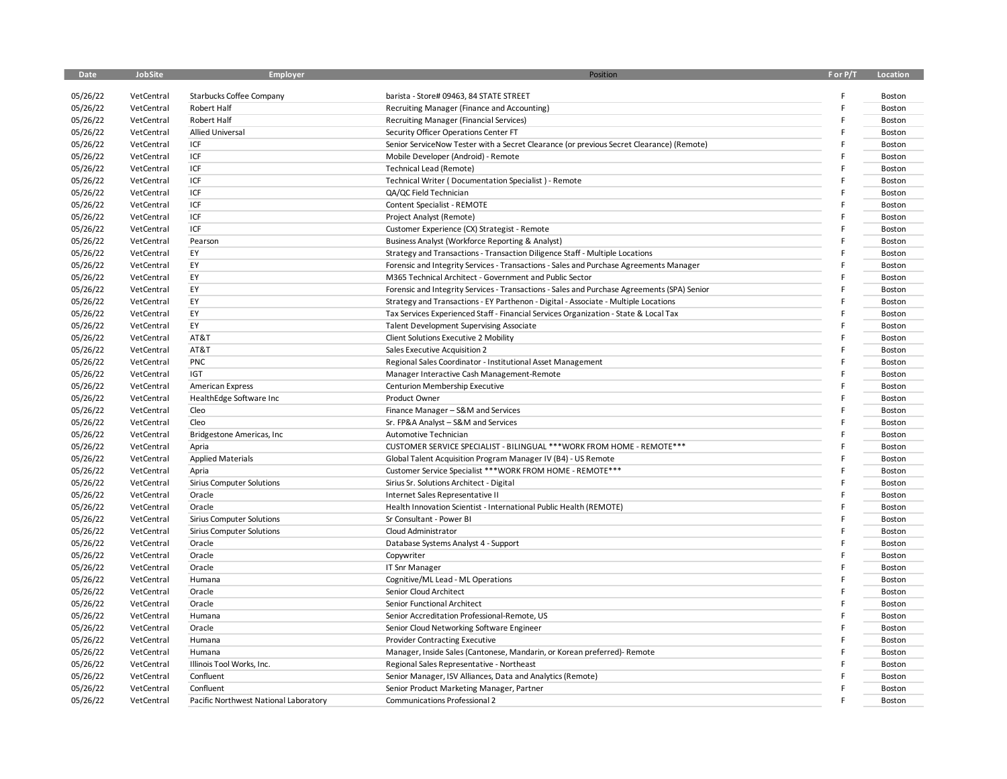| Date     | JobSite    | <b>Employer</b>                       | Position                                                                                    | F or P/T | Location |
|----------|------------|---------------------------------------|---------------------------------------------------------------------------------------------|----------|----------|
|          |            |                                       |                                                                                             |          |          |
| 05/26/22 | VetCentral | Starbucks Coffee Company              | barista - Store# 09463, 84 STATE STREET                                                     | F<br>F   | Boston   |
| 05/26/22 | VetCentral | Robert Half                           | Recruiting Manager (Finance and Accounting)                                                 |          | Boston   |
| 05/26/22 | VetCentral | Robert Half                           | <b>Recruiting Manager (Financial Services)</b>                                              |          | Boston   |
| 05/26/22 | VetCentral | <b>Allied Universal</b>               | Security Officer Operations Center FT                                                       |          | Boston   |
| 05/26/22 | VetCentral | ICF                                   | Senior ServiceNow Tester with a Secret Clearance (or previous Secret Clearance) (Remote)    |          | Boston   |
| 05/26/22 | VetCentral | ICF                                   | Mobile Developer (Android) - Remote                                                         |          | Boston   |
| 05/26/22 | VetCentral | ICF                                   | <b>Technical Lead (Remote)</b>                                                              | F        | Boston   |
| 05/26/22 | VetCentral | ICF                                   | Technical Writer (Documentation Specialist) - Remote                                        |          | Boston   |
| 05/26/22 | VetCentral | ICF                                   | QA/QC Field Technician                                                                      |          | Boston   |
| 05/26/22 | VetCentral | ICF                                   | Content Specialist - REMOTE                                                                 |          | Boston   |
| 05/26/22 | VetCentral | ICF                                   | Project Analyst (Remote)                                                                    |          | Boston   |
| 05/26/22 | VetCentral | ICF                                   | Customer Experience (CX) Strategist - Remote                                                |          | Boston   |
| 05/26/22 | VetCentral | Pearson                               | Business Analyst (Workforce Reporting & Analyst)                                            |          | Boston   |
| 05/26/22 | VetCentral | EY                                    | Strategy and Transactions - Transaction Diligence Staff - Multiple Locations                |          | Boston   |
| 05/26/22 | VetCentral | EY                                    | Forensic and Integrity Services - Transactions - Sales and Purchase Agreements Manager      |          | Boston   |
| 05/26/22 | VetCentral | EY                                    | M365 Technical Architect - Government and Public Sector                                     |          | Boston   |
| 05/26/22 | VetCentral | EY                                    | Forensic and Integrity Services - Transactions - Sales and Purchase Agreements (SPA) Senior |          | Boston   |
| 05/26/22 | VetCentral | EY                                    | Strategy and Transactions - EY Parthenon - Digital - Associate - Multiple Locations         | F        | Boston   |
| 05/26/22 | VetCentral | EY                                    | Tax Services Experienced Staff - Financial Services Organization - State & Local Tax        |          | Boston   |
| 05/26/22 | VetCentral | EY                                    | Talent Development Supervising Associate                                                    |          | Boston   |
| 05/26/22 | VetCentral | AT&T                                  | Client Solutions Executive 2 Mobility                                                       |          | Boston   |
| 05/26/22 | VetCentral | AT&T                                  | Sales Executive Acquisition 2                                                               |          | Boston   |
| 05/26/22 | VetCentral | PNC                                   | Regional Sales Coordinator - Institutional Asset Management                                 |          | Boston   |
| 05/26/22 | VetCentral | <b>IGT</b>                            | Manager Interactive Cash Management-Remote                                                  |          | Boston   |
| 05/26/22 | VetCentral | <b>American Express</b>               | Centurion Membership Executive                                                              | F        | Boston   |
| 05/26/22 | VetCentral | HealthEdge Software Inc               | Product Owner                                                                               |          | Boston   |
| 05/26/22 | VetCentral | Cleo                                  | Finance Manager - S&M and Services                                                          |          | Boston   |
| 05/26/22 | VetCentral | Cleo                                  | Sr. FP&A Analyst - S&M and Services                                                         |          | Boston   |
| 05/26/22 | VetCentral | Bridgestone Americas, Inc.            | Automotive Technician                                                                       |          | Boston   |
| 05/26/22 | VetCentral | Apria                                 | CUSTOMER SERVICE SPECIALIST - BILINGUAL *** WORK FROM HOME - REMOTE ***                     |          | Boston   |
| 05/26/22 | VetCentral | <b>Applied Materials</b>              | Global Talent Acquisition Program Manager IV (B4) - US Remote                               |          | Boston   |
| 05/26/22 | VetCentral | Apria                                 | Customer Service Specialist *** WORK FROM HOME - REMOTE ***                                 | F        | Boston   |
| 05/26/22 | VetCentral | Sirius Computer Solutions             | Sirius Sr. Solutions Architect - Digital                                                    |          | Boston   |
| 05/26/22 | VetCentral | Oracle                                | Internet Sales Representative II                                                            |          | Boston   |
| 05/26/22 | VetCentral | Oracle                                | Health Innovation Scientist - International Public Health (REMOTE)                          |          | Boston   |
| 05/26/22 | VetCentral | Sirius Computer Solutions             | Sr Consultant - Power BI                                                                    |          | Boston   |
| 05/26/22 | VetCentral | <b>Sirius Computer Solutions</b>      | Cloud Administrator                                                                         |          | Boston   |
| 05/26/22 | VetCentral | Oracle                                | Database Systems Analyst 4 - Support                                                        |          | Boston   |
| 05/26/22 | VetCentral | Oracle                                | Copywriter                                                                                  |          | Boston   |
| 05/26/22 | VetCentral | Oracle                                | IT Snr Manager                                                                              |          | Boston   |
| 05/26/22 | VetCentral | Humana                                | Cognitive/ML Lead - ML Operations                                                           |          | Boston   |
| 05/26/22 | VetCentral | Oracle                                | Senior Cloud Architect                                                                      | F        | Boston   |
| 05/26/22 | VetCentral | Oracle                                | Senior Functional Architect                                                                 |          | Boston   |
| 05/26/22 | VetCentral | Humana                                | Senior Accreditation Professional-Remote, US                                                |          | Boston   |
| 05/26/22 | VetCentral | Oracle                                | Senior Cloud Networking Software Engineer                                                   |          | Boston   |
| 05/26/22 | VetCentral | Humana                                | Provider Contracting Executive                                                              |          | Boston   |
| 05/26/22 | VetCentral | Humana                                | Manager, Inside Sales (Cantonese, Mandarin, or Korean preferred)- Remote                    |          | Boston   |
| 05/26/22 | VetCentral | Illinois Tool Works, Inc.             | Regional Sales Representative - Northeast                                                   |          | Boston   |
| 05/26/22 | VetCentral | Confluent                             | Senior Manager, ISV Alliances, Data and Analytics (Remote)                                  |          | Boston   |
| 05/26/22 | VetCentral | Confluent                             | Senior Product Marketing Manager, Partner                                                   |          | Boston   |
| 05/26/22 | VetCentral | Pacific Northwest National Laboratory | <b>Communications Professional 2</b>                                                        | F        | Boston   |
|          |            |                                       |                                                                                             |          |          |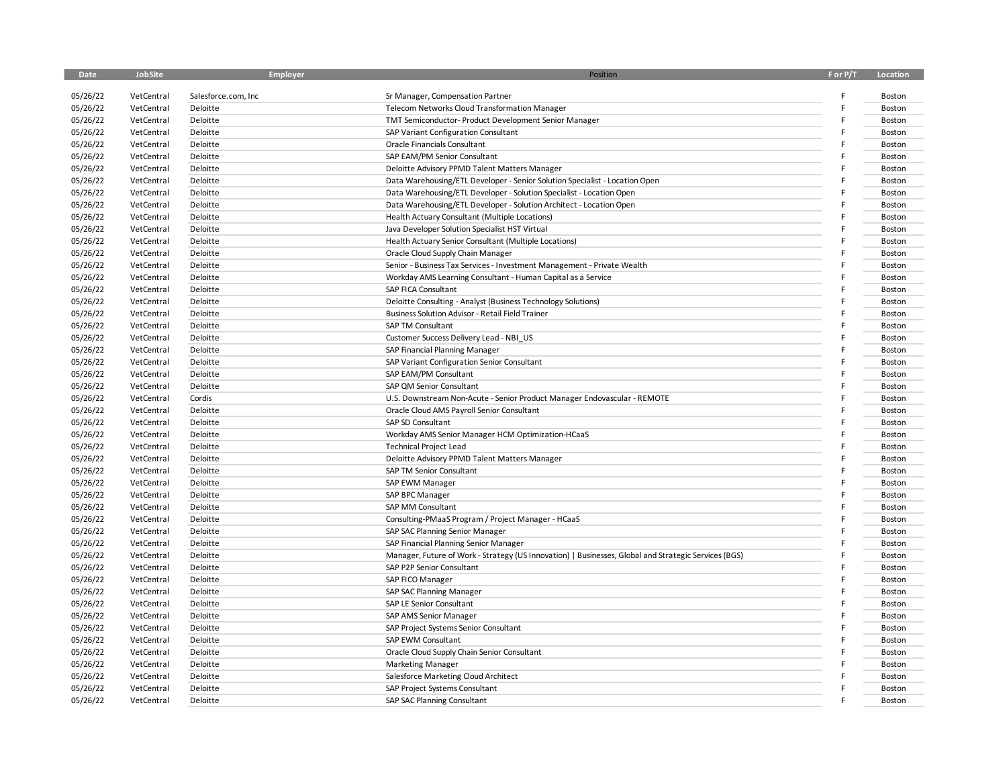| <b>Date</b> | JobSite    | <b>Employer</b>     | Position                                                                                             | F or P/T | Location      |
|-------------|------------|---------------------|------------------------------------------------------------------------------------------------------|----------|---------------|
|             |            |                     |                                                                                                      |          |               |
| 05/26/22    | VetCentral | Salesforce.com, Inc | Sr Manager, Compensation Partner                                                                     |          | Boston        |
| 05/26/22    | VetCentral | Deloitte            | Telecom Networks Cloud Transformation Manager                                                        |          | Boston        |
| 05/26/22    | VetCentral | Deloitte            | TMT Semiconductor- Product Development Senior Manager                                                |          | Boston        |
| 05/26/22    | VetCentral | Deloitte            | SAP Variant Configuration Consultant                                                                 |          | Boston        |
| 05/26/22    | VetCentral | Deloitte            | Oracle Financials Consultant                                                                         |          | Boston        |
| 05/26/22    | VetCentral | Deloitte            | SAP EAM/PM Senior Consultant                                                                         |          | Boston        |
| 05/26/22    | VetCentral | Deloitte            | Deloitte Advisory PPMD Talent Matters Manager                                                        |          | Boston        |
| 05/26/22    | VetCentral | Deloitte            | Data Warehousing/ETL Developer - Senior Solution Specialist - Location Open                          |          | Boston        |
| 05/26/22    | VetCentral | Deloitte            | Data Warehousing/ETL Developer - Solution Specialist - Location Open                                 |          | <b>Boston</b> |
| 05/26/22    | VetCentral | Deloitte            | Data Warehousing/ETL Developer - Solution Architect - Location Open                                  |          | Boston        |
| 05/26/22    | VetCentral | Deloitte            | Health Actuary Consultant (Multiple Locations)                                                       |          | Boston        |
| 05/26/22    | VetCentral | Deloitte            | Java Developer Solution Specialist HST Virtual                                                       |          | Boston        |
| 05/26/22    | VetCentral | Deloitte            | Health Actuary Senior Consultant (Multiple Locations)                                                |          | Boston        |
| 05/26/22    | VetCentral | Deloitte            | Oracle Cloud Supply Chain Manager                                                                    |          | Boston        |
| 05/26/22    | VetCentral | Deloitte            | Senior - Business Tax Services - Investment Management - Private Wealth                              |          | Boston        |
| 05/26/22    | VetCentral | Deloitte            | Workday AMS Learning Consultant - Human Capital as a Service                                         |          | Boston        |
| 05/26/22    | VetCentral | Deloitte            | SAP FICA Consultant                                                                                  |          | Boston        |
| 05/26/22    | VetCentral | Deloitte            | Deloitte Consulting - Analyst (Business Technology Solutions)                                        |          | Boston        |
| 05/26/22    | VetCentral | Deloitte            | Business Solution Advisor - Retail Field Trainer                                                     |          | Boston        |
| 05/26/22    | VetCentral | Deloitte            | <b>SAP TM Consultant</b>                                                                             |          | Boston        |
| 05/26/22    | VetCentral | Deloitte            | Customer Success Delivery Lead - NBI US                                                              |          | Boston        |
| 05/26/22    | VetCentral | Deloitte            | SAP Financial Planning Manager                                                                       |          | Boston        |
| 05/26/22    | VetCentral | Deloitte            | SAP Variant Configuration Senior Consultant                                                          |          | Boston        |
| 05/26/22    | VetCentral | Deloitte            | SAP EAM/PM Consultant                                                                                |          | Boston        |
| 05/26/22    | VetCentral | Deloitte            | SAP QM Senior Consultant                                                                             |          | Boston        |
| 05/26/22    | VetCentral | Cordis              | U.S. Downstream Non-Acute - Senior Product Manager Endovascular - REMOTE                             |          | Boston        |
| 05/26/22    | VetCentral | Deloitte            | Oracle Cloud AMS Payroll Senior Consultant                                                           |          | Boston        |
| 05/26/22    | VetCentral | Deloitte            | SAP SD Consultant                                                                                    |          | Boston        |
| 05/26/22    | VetCentral | Deloitte            | Workday AMS Senior Manager HCM Optimization-HCaaS                                                    |          | Boston        |
| 05/26/22    | VetCentral | Deloitte            | <b>Technical Project Lead</b>                                                                        |          | Boston        |
| 05/26/22    | VetCentral | Deloitte            | Deloitte Advisory PPMD Talent Matters Manager                                                        |          | Boston        |
| 05/26/22    | VetCentral | Deloitte            | SAP TM Senior Consultant                                                                             |          | Boston        |
| 05/26/22    | VetCentral | Deloitte            | SAP EWM Manager                                                                                      |          | Boston        |
| 05/26/22    | VetCentral | Deloitte            | SAP BPC Manager                                                                                      |          | Boston        |
| 05/26/22    | VetCentral | Deloitte            | SAP MM Consultant                                                                                    |          | Boston        |
| 05/26/22    | VetCentral | Deloitte            | Consulting-PMaaS Program / Project Manager - HCaaS                                                   |          | Boston        |
| 05/26/22    | VetCentral | Deloitte            | SAP SAC Planning Senior Manager                                                                      |          | Boston        |
| 05/26/22    | VetCentral | Deloitte            | SAP Financial Planning Senior Manager                                                                |          | Boston        |
| 05/26/22    | VetCentral |                     |                                                                                                      |          | Boston        |
| 05/26/22    |            | Deloitte            | Manager, Future of Work - Strategy (US Innovation)   Businesses, Global and Strategic Services (BGS) |          |               |
|             | VetCentral | Deloitte            | SAP P2P Senior Consultant                                                                            |          | Boston        |
| 05/26/22    | VetCentral | Deloitte            | SAP FICO Manager                                                                                     |          | Boston        |
| 05/26/22    | VetCentral | Deloitte            | SAP SAC Planning Manager                                                                             |          | Boston        |
| 05/26/22    | VetCentral | Deloitte            | SAP LE Senior Consultant                                                                             |          | Boston        |
| 05/26/22    | VetCentral | Deloitte            | SAP AMS Senior Manager                                                                               |          | Boston        |
| 05/26/22    | VetCentral | Deloitte            | SAP Project Systems Senior Consultant                                                                |          | Boston        |
| 05/26/22    | VetCentral | Deloitte            | SAP EWM Consultant                                                                                   |          | Boston        |
| 05/26/22    | VetCentral | Deloitte            | Oracle Cloud Supply Chain Senior Consultant                                                          |          | Boston        |
| 05/26/22    | VetCentral | Deloitte            | <b>Marketing Manager</b>                                                                             |          | Boston        |
| 05/26/22    | VetCentral | Deloitte            | Salesforce Marketing Cloud Architect                                                                 |          | Boston        |
| 05/26/22    | VetCentral | Deloitte            | SAP Project Systems Consultant                                                                       |          | Boston        |
| 05/26/22    | VetCentral | Deloitte            | SAP SAC Planning Consultant                                                                          |          | Boston        |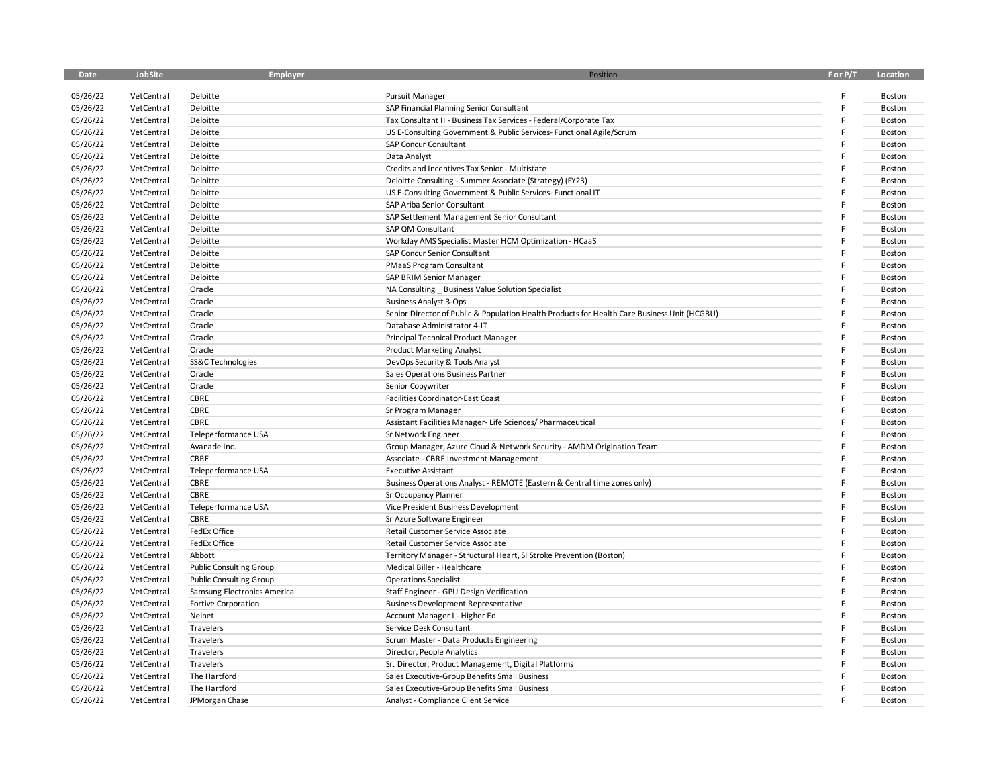| <b>Date</b> | JobSite    | Employer                       | Position                                                                                     | F or P/T | Location |
|-------------|------------|--------------------------------|----------------------------------------------------------------------------------------------|----------|----------|
|             |            |                                |                                                                                              |          |          |
| 05/26/22    | VetCentral | Deloitte                       | Pursuit Manager                                                                              |          | Boston   |
| 05/26/22    | VetCentral | Deloitte                       | SAP Financial Planning Senior Consultant                                                     |          | Boston   |
| 05/26/22    | VetCentral | Deloitte                       | Tax Consultant II - Business Tax Services - Federal/Corporate Tax                            | F        | Boston   |
| 05/26/22    | VetCentral | Deloitte                       | US E-Consulting Government & Public Services- Functional Agile/Scrum                         |          | Boston   |
| 05/26/22    | VetCentral | Deloitte                       | SAP Concur Consultant                                                                        |          | Boston   |
| 05/26/22    | VetCentral | Deloitte                       | Data Analyst                                                                                 |          | Boston   |
| 05/26/22    | VetCentral | Deloitte                       | Credits and Incentives Tax Senior - Multistate                                               |          | Boston   |
| 05/26/22    | VetCentral | Deloitte                       | Deloitte Consulting - Summer Associate (Strategy) (FY23)                                     |          | Boston   |
| 05/26/22    | VetCentral | Deloitte                       | US E-Consulting Government & Public Services- Functional IT                                  |          | Boston   |
| 05/26/22    | VetCentral | Deloitte                       | SAP Ariba Senior Consultant                                                                  |          | Boston   |
| 05/26/22    | VetCentral | Deloitte                       | SAP Settlement Management Senior Consultant                                                  |          | Boston   |
| 05/26/22    | VetCentral | Deloitte                       | SAP QM Consultant                                                                            |          | Boston   |
| 05/26/22    | VetCentral | Deloitte                       | Workday AMS Specialist Master HCM Optimization - HCaaS                                       |          | Boston   |
| 05/26/22    | VetCentral | Deloitte                       | SAP Concur Senior Consultant                                                                 |          | Boston   |
| 05/26/22    | VetCentral | Deloitte                       | PMaaS Program Consultant                                                                     | F        | Boston   |
| 05/26/22    | VetCentral | Deloitte                       | SAP BRIM Senior Manager                                                                      |          | Boston   |
| 05/26/22    | VetCentral | Oracle                         | NA Consulting _ Business Value Solution Specialist                                           |          | Boston   |
| 05/26/22    | VetCentral | Oracle                         | <b>Business Analyst 3-Ops</b>                                                                |          | Boston   |
| 05/26/22    | VetCentral | Oracle                         | Senior Director of Public & Population Health Products for Health Care Business Unit (HCGBU) |          | Boston   |
| 05/26/22    | VetCentral | Oracle                         | Database Administrator 4-IT                                                                  |          | Boston   |
| 05/26/22    | VetCentral | Oracle                         | Principal Technical Product Manager                                                          |          | Boston   |
| 05/26/22    | VetCentral | Oracle                         | <b>Product Marketing Analyst</b>                                                             | F        | Boston   |
| 05/26/22    | VetCentral | SS&C Technologies              | DevOps Security & Tools Analyst                                                              |          | Boston   |
| 05/26/22    | VetCentral | Oracle                         | Sales Operations Business Partner                                                            |          | Boston   |
| 05/26/22    | VetCentral | Oracle                         | Senior Copywriter                                                                            |          | Boston   |
| 05/26/22    | VetCentral | CBRE                           | Facilities Coordinator-East Coast                                                            |          | Boston   |
| 05/26/22    | VetCentral | CBRE                           | Sr Program Manager                                                                           |          | Boston   |
| 05/26/22    | VetCentral | CBRE                           | Assistant Facilities Manager- Life Sciences/ Pharmaceutical                                  |          | Boston   |
| 05/26/22    | VetCentral | Teleperformance USA            | Sr Network Engineer                                                                          |          | Boston   |
| 05/26/22    | VetCentral | Avanade Inc.                   | Group Manager, Azure Cloud & Network Security - AMDM Origination Team                        |          | Boston   |
| 05/26/22    | VetCentral | CBRE                           | Associate - CBRE Investment Management                                                       |          | Boston   |
| 05/26/22    | VetCentral | Teleperformance USA            | <b>Executive Assistant</b>                                                                   |          | Boston   |
| 05/26/22    | VetCentral | CBRE                           | Business Operations Analyst - REMOTE (Eastern & Central time zones only)                     |          | Boston   |
| 05/26/22    | VetCentral | CBRE                           | Sr Occupancy Planner                                                                         |          | Boston   |
| 05/26/22    | VetCentral | Teleperformance USA            | Vice President Business Development                                                          |          | Boston   |
| 05/26/22    | VetCentral | CBRE                           | Sr Azure Software Engineer                                                                   |          | Boston   |
| 05/26/22    | VetCentral | FedEx Office                   | Retail Customer Service Associate                                                            |          | Boston   |
| 05/26/22    | VetCentral | FedEx Office                   | Retail Customer Service Associate                                                            |          | Boston   |
| 05/26/22    | VetCentral | Abbott                         | Territory Manager - Structural Heart, SI Stroke Prevention (Boston)                          |          | Boston   |
| 05/26/22    | VetCentral | <b>Public Consulting Group</b> | Medical Biller - Healthcare                                                                  |          | Boston   |
| 05/26/22    | VetCentral | <b>Public Consulting Group</b> | <b>Operations Specialist</b>                                                                 |          | Boston   |
| 05/26/22    | VetCentral | Samsung Electronics America    | Staff Engineer - GPU Design Verification                                                     |          | Boston   |
| 05/26/22    | VetCentral | Fortive Corporation            | <b>Business Development Representative</b>                                                   |          | Boston   |
| 05/26/22    | VetCentral | Nelnet                         | Account Manager I - Higher Ed                                                                |          | Boston   |
| 05/26/22    | VetCentral | Travelers                      | Service Desk Consultant                                                                      |          | Boston   |
| 05/26/22    | VetCentral | Travelers                      | Scrum Master - Data Products Engineering                                                     |          | Boston   |
| 05/26/22    | VetCentral | Travelers                      | Director, People Analytics                                                                   |          | Boston   |
| 05/26/22    | VetCentral | Travelers                      | Sr. Director, Product Management, Digital Platforms                                          |          | Boston   |
| 05/26/22    | VetCentral | The Hartford                   | Sales Executive-Group Benefits Small Business                                                |          | Boston   |
| 05/26/22    | VetCentral | The Hartford                   | Sales Executive-Group Benefits Small Business                                                |          | Boston   |
| 05/26/22    | VetCentral | JPMorgan Chase                 | Analyst - Compliance Client Service                                                          |          | Boston   |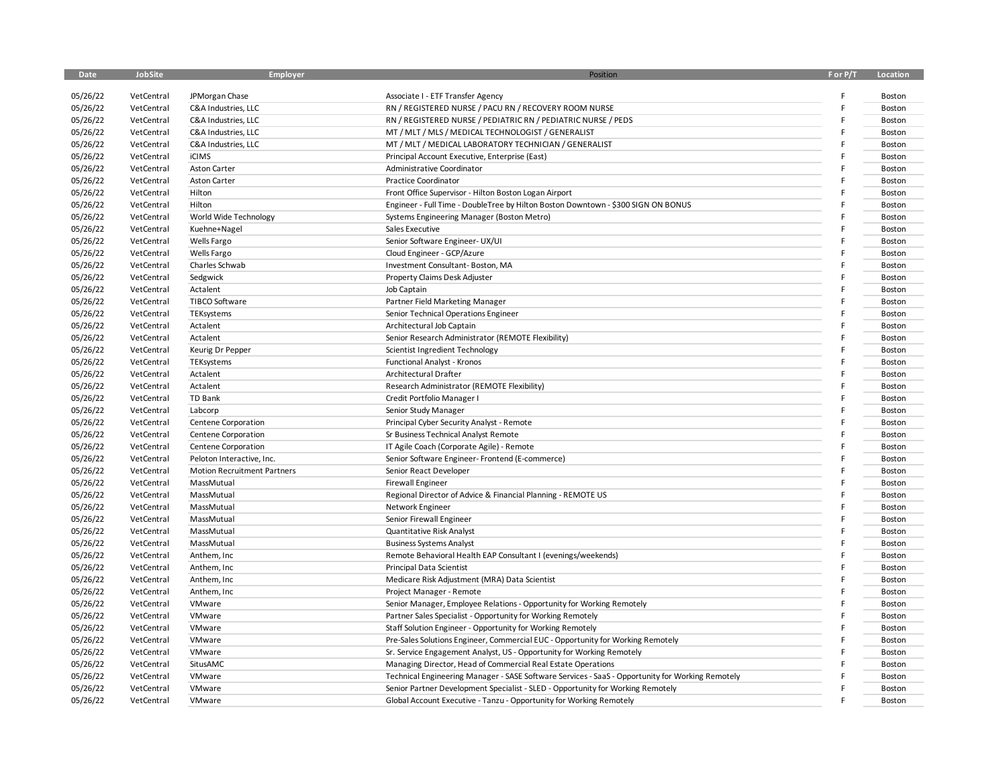| <b>Date</b> | JobSite    | Employer                           | Position                                                                                         | F or P/T | Location |
|-------------|------------|------------------------------------|--------------------------------------------------------------------------------------------------|----------|----------|
|             |            |                                    |                                                                                                  |          |          |
| 05/26/22    | VetCentral | JPMorgan Chase                     | Associate I - ETF Transfer Agency                                                                |          | Boston   |
| 05/26/22    | VetCentral | C&A Industries, LLC                | RN / REGISTERED NURSE / PACU RN / RECOVERY ROOM NURSE                                            |          | Boston   |
| 05/26/22    | VetCentral | C&A Industries, LLC                | RN / REGISTERED NURSE / PEDIATRIC RN / PEDIATRIC NURSE / PEDS                                    | F        | Boston   |
| 05/26/22    | VetCentral | C&A Industries, LLC                | MT / MLT / MLS / MEDICAL TECHNOLOGIST / GENERALIST                                               |          | Boston   |
| 05/26/22    | VetCentral | C&A Industries, LLC                | MT / MLT / MEDICAL LABORATORY TECHNICIAN / GENERALIST                                            |          | Boston   |
| 05/26/22    | VetCentral | <b>iCIMS</b>                       | Principal Account Executive, Enterprise (East)                                                   |          | Boston   |
| 05/26/22    | VetCentral | Aston Carter                       | Administrative Coordinator                                                                       |          | Boston   |
| 05/26/22    | VetCentral | <b>Aston Carter</b>                | <b>Practice Coordinator</b>                                                                      |          | Boston   |
| 05/26/22    | VetCentral | Hilton                             | Front Office Supervisor - Hilton Boston Logan Airport                                            |          | Boston   |
| 05/26/22    | VetCentral | Hilton                             | Engineer - Full Time - DoubleTree by Hilton Boston Downtown - \$300 SIGN ON BONUS                |          | Boston   |
| 05/26/22    | VetCentral | World Wide Technology              | Systems Engineering Manager (Boston Metro)                                                       |          | Boston   |
| 05/26/22    | VetCentral | Kuehne+Nagel                       | Sales Executive                                                                                  |          | Boston   |
| 05/26/22    | VetCentral | Wells Fargo                        | Senior Software Engineer- UX/UI                                                                  |          | Boston   |
| 05/26/22    | VetCentral | Wells Fargo                        | Cloud Engineer - GCP/Azure                                                                       |          | Boston   |
| 05/26/22    | VetCentral | Charles Schwab                     | Investment Consultant-Boston, MA                                                                 |          | Boston   |
| 05/26/22    | VetCentral | Sedgwick                           | Property Claims Desk Adjuster                                                                    |          | Boston   |
| 05/26/22    | VetCentral | Actalent                           | Job Captain                                                                                      |          | Boston   |
| 05/26/22    | VetCentral | <b>TIBCO Software</b>              | Partner Field Marketing Manager                                                                  |          | Boston   |
| 05/26/22    | VetCentral | TEKsystems                         | Senior Technical Operations Engineer                                                             |          | Boston   |
| 05/26/22    | VetCentral | Actalent                           | Architectural Job Captain                                                                        |          | Boston   |
| 05/26/22    | VetCentral | Actalent                           | Senior Research Administrator (REMOTE Flexibility)                                               |          | Boston   |
| 05/26/22    | VetCentral | Keurig Dr Pepper                   | Scientist Ingredient Technology                                                                  |          | Boston   |
| 05/26/22    | VetCentral | TEKsystems                         | Functional Analyst - Kronos                                                                      |          | Boston   |
| 05/26/22    | VetCentral | Actalent                           | Architectural Drafter                                                                            |          | Boston   |
| 05/26/22    | VetCentral | Actalent                           | Research Administrator (REMOTE Flexibility)                                                      |          | Boston   |
| 05/26/22    | VetCentral | TD Bank                            | Credit Portfolio Manager I                                                                       |          | Boston   |
| 05/26/22    | VetCentral | Labcorp                            | Senior Study Manager                                                                             | F        | Boston   |
| 05/26/22    | VetCentral | Centene Corporation                | Principal Cyber Security Analyst - Remote                                                        |          | Boston   |
| 05/26/22    | VetCentral | Centene Corporation                | Sr Business Technical Analyst Remote                                                             |          | Boston   |
| 05/26/22    | VetCentral | Centene Corporation                | IT Agile Coach (Corporate Agile) - Remote                                                        |          | Boston   |
| 05/26/22    | VetCentral | Peloton Interactive, Inc.          | Senior Software Engineer- Frontend (E-commerce)                                                  |          | Boston   |
| 05/26/22    | VetCentral | <b>Motion Recruitment Partners</b> | Senior React Developer                                                                           |          | Boston   |
| 05/26/22    | VetCentral | MassMutual                         | <b>Firewall Engineer</b>                                                                         |          | Boston   |
| 05/26/22    | VetCentral | MassMutual                         | Regional Director of Advice & Financial Planning - REMOTE US                                     |          | Boston   |
| 05/26/22    | VetCentral | MassMutual                         | Network Engineer                                                                                 |          | Boston   |
| 05/26/22    | VetCentral | MassMutual                         | Senior Firewall Engineer                                                                         |          | Boston   |
| 05/26/22    | VetCentral | MassMutual                         | Quantitative Risk Analyst                                                                        |          | Boston   |
| 05/26/22    | VetCentral | MassMutual                         | <b>Business Systems Analyst</b>                                                                  |          | Boston   |
| 05/26/22    | VetCentral | Anthem, Inc                        | Remote Behavioral Health EAP Consultant I (evenings/weekends)                                    |          | Boston   |
| 05/26/22    | VetCentral | Anthem, Inc                        | <b>Principal Data Scientist</b>                                                                  |          | Boston   |
| 05/26/22    | VetCentral | Anthem, Inc                        | Medicare Risk Adjustment (MRA) Data Scientist                                                    |          | Boston   |
| 05/26/22    | VetCentral | Anthem, Inc                        | Project Manager - Remote                                                                         |          | Boston   |
| 05/26/22    | VetCentral | VMware                             | Senior Manager, Employee Relations - Opportunity for Working Remotely                            |          | Boston   |
| 05/26/22    | VetCentral | VMware                             | Partner Sales Specialist - Opportunity for Working Remotely                                      |          | Boston   |
| 05/26/22    | VetCentral | VMware                             | Staff Solution Engineer - Opportunity for Working Remotely                                       |          | Boston   |
| 05/26/22    | VetCentral | VMware                             | Pre-Sales Solutions Engineer, Commercial EUC - Opportunity for Working Remotely                  |          | Boston   |
| 05/26/22    | VetCentral | VMware                             | Sr. Service Engagement Analyst, US - Opportunity for Working Remotely                            |          | Boston   |
| 05/26/22    | VetCentral | SitusAMC                           | Managing Director, Head of Commercial Real Estate Operations                                     | F        | Boston   |
| 05/26/22    |            | VMware                             | Technical Engineering Manager - SASE Software Services - SaaS - Opportunity for Working Remotely |          | Boston   |
|             | VetCentral |                                    |                                                                                                  |          |          |
| 05/26/22    | VetCentral | VMware                             | Senior Partner Development Specialist - SLED - Opportunity for Working Remotely                  |          | Boston   |
| 05/26/22    | VetCentral | VMware                             | Global Account Executive - Tanzu - Opportunity for Working Remotely                              |          | Boston   |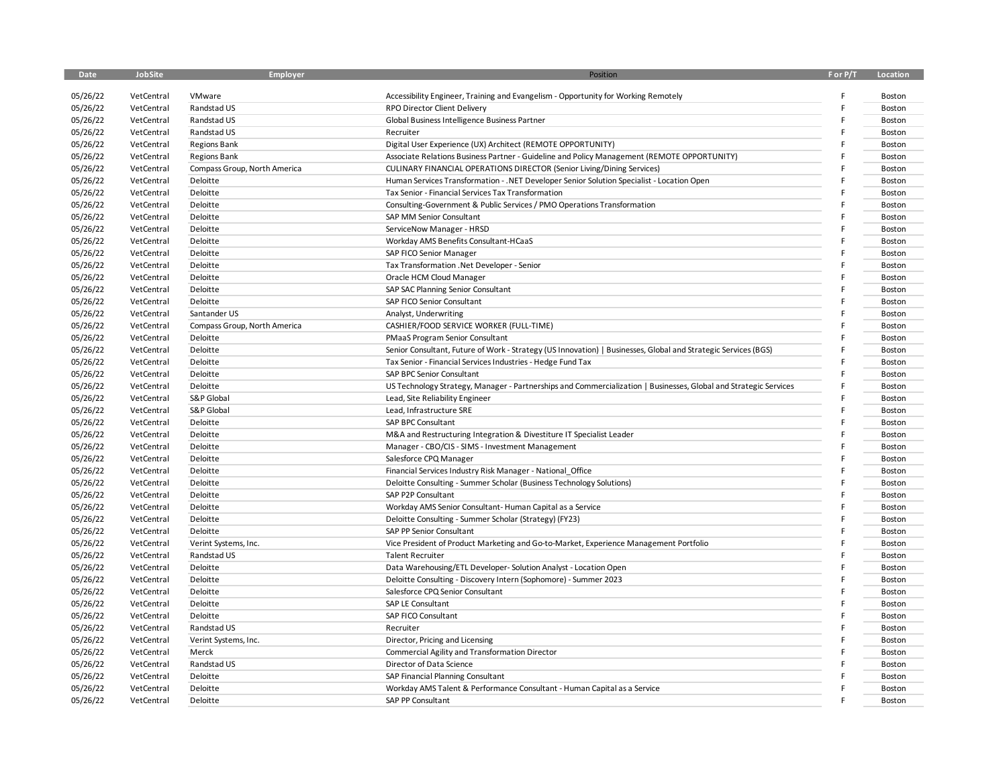| <b>Date</b> | JobSite    | Employer                     | Position                                                                                                         | F or P/T | Location |
|-------------|------------|------------------------------|------------------------------------------------------------------------------------------------------------------|----------|----------|
|             |            |                              |                                                                                                                  |          |          |
| 05/26/22    | VetCentral | VMware                       | Accessibility Engineer, Training and Evangelism - Opportunity for Working Remotely                               |          | Boston   |
| 05/26/22    | VetCentral | Randstad US                  | RPO Director Client Delivery                                                                                     |          | Boston   |
| 05/26/22    | VetCentral | Randstad US                  | Global Business Intelligence Business Partner                                                                    |          | Boston   |
| 05/26/22    | VetCentral | Randstad US                  | Recruiter                                                                                                        |          | Boston   |
| 05/26/22    | VetCentral | <b>Regions Bank</b>          | Digital User Experience (UX) Architect (REMOTE OPPORTUNITY)                                                      |          | Boston   |
| 05/26/22    | VetCentral | <b>Regions Bank</b>          | Associate Relations Business Partner - Guideline and Policy Management (REMOTE OPPORTUNITY)                      |          | Boston   |
| 05/26/22    | VetCentral | Compass Group, North America | CULINARY FINANCIAL OPERATIONS DIRECTOR (Senior Living/Dining Services)                                           |          | Boston   |
| 05/26/22    | VetCentral | Deloitte                     | Human Services Transformation - . NET Developer Senior Solution Specialist - Location Open                       |          | Boston   |
| 05/26/22    | VetCentral | Deloitte                     | Tax Senior - Financial Services Tax Transformation                                                               |          | Boston   |
| 05/26/22    | VetCentral | Deloitte                     | Consulting-Government & Public Services / PMO Operations Transformation                                          |          | Boston   |
| 05/26/22    | VetCentral | Deloitte                     | SAP MM Senior Consultant                                                                                         |          | Boston   |
| 05/26/22    | VetCentral | Deloitte                     | ServiceNow Manager - HRSD                                                                                        |          | Boston   |
| 05/26/22    | VetCentral | Deloitte                     | Workday AMS Benefits Consultant-HCaaS                                                                            |          | Boston   |
| 05/26/22    | VetCentral | Deloitte                     | SAP FICO Senior Manager                                                                                          |          | Boston   |
| 05/26/22    | VetCentral | Deloitte                     | Tax Transformation . Net Developer - Senior                                                                      |          | Boston   |
| 05/26/22    | VetCentral | Deloitte                     | Oracle HCM Cloud Manager                                                                                         |          | Boston   |
| 05/26/22    | VetCentral | Deloitte                     | SAP SAC Planning Senior Consultant                                                                               |          | Boston   |
| 05/26/22    | VetCentral | Deloitte                     | SAP FICO Senior Consultant                                                                                       |          | Boston   |
| 05/26/22    | VetCentral | Santander US                 | Analyst, Underwriting                                                                                            |          | Boston   |
| 05/26/22    | VetCentral | Compass Group, North America | CASHIER/FOOD SERVICE WORKER (FULL-TIME)                                                                          |          | Boston   |
| 05/26/22    | VetCentral | Deloitte                     | PMaaS Program Senior Consultant                                                                                  |          | Boston   |
| 05/26/22    | VetCentral | Deloitte                     | Senior Consultant, Future of Work - Strategy (US Innovation)   Businesses, Global and Strategic Services (BGS)   |          | Boston   |
| 05/26/22    | VetCentral | Deloitte                     | Tax Senior - Financial Services Industries - Hedge Fund Tax                                                      |          | Boston   |
| 05/26/22    | VetCentral | Deloitte                     | SAP BPC Senior Consultant                                                                                        |          | Boston   |
| 05/26/22    | VetCentral | Deloitte                     | US Technology Strategy, Manager - Partnerships and Commercialization   Businesses, Global and Strategic Services |          | Boston   |
| 05/26/22    | VetCentral | S&P Global                   | Lead, Site Reliability Engineer                                                                                  |          | Boston   |
| 05/26/22    | VetCentral | S&P Global                   | Lead, Infrastructure SRE                                                                                         |          | Boston   |
| 05/26/22    | VetCentral | Deloitte                     | SAP BPC Consultant                                                                                               |          | Boston   |
| 05/26/22    | VetCentral | Deloitte                     | M&A and Restructuring Integration & Divestiture IT Specialist Leader                                             |          | Boston   |
| 05/26/22    | VetCentral | Deloitte                     | Manager - CBO/CIS - SIMS - Investment Management                                                                 |          | Boston   |
| 05/26/22    | VetCentral | Deloitte                     | Salesforce CPQ Manager                                                                                           |          | Boston   |
| 05/26/22    | VetCentral | Deloitte                     | Financial Services Industry Risk Manager - National Office                                                       |          | Boston   |
| 05/26/22    | VetCentral | Deloitte                     | Deloitte Consulting - Summer Scholar (Business Technology Solutions)                                             |          | Boston   |
| 05/26/22    | VetCentral | Deloitte                     | SAP P2P Consultant                                                                                               |          | Boston   |
| 05/26/22    | VetCentral | Deloitte                     | Workday AMS Senior Consultant-Human Capital as a Service                                                         |          | Boston   |
| 05/26/22    | VetCentral | Deloitte                     | Deloitte Consulting - Summer Scholar (Strategy) (FY23)                                                           |          | Boston   |
| 05/26/22    | VetCentral | Deloitte                     | SAP PP Senior Consultant                                                                                         |          | Boston   |
| 05/26/22    | VetCentral |                              |                                                                                                                  |          | Boston   |
| 05/26/22    |            | Verint Systems, Inc.         | Vice President of Product Marketing and Go-to-Market, Experience Management Portfolio                            |          |          |
| 05/26/22    | VetCentral | Randstad US                  | <b>Talent Recruiter</b>                                                                                          |          | Boston   |
|             | VetCentral | Deloitte                     | Data Warehousing/ETL Developer-Solution Analyst - Location Open                                                  |          | Boston   |
| 05/26/22    | VetCentral | Deloitte                     | Deloitte Consulting - Discovery Intern (Sophomore) - Summer 2023                                                 |          | Boston   |
| 05/26/22    | VetCentral | Deloitte                     | Salesforce CPQ Senior Consultant                                                                                 |          | Boston   |
| 05/26/22    | VetCentral | Deloitte                     | SAP LE Consultant                                                                                                |          | Boston   |
| 05/26/22    | VetCentral | Deloitte                     | SAP FICO Consultant                                                                                              |          | Boston   |
| 05/26/22    | VetCentral | Randstad US                  | Recruiter                                                                                                        |          | Boston   |
| 05/26/22    | VetCentral | Verint Systems, Inc.         | Director, Pricing and Licensing                                                                                  |          | Boston   |
| 05/26/22    | VetCentral | Merck                        | Commercial Agility and Transformation Director                                                                   |          | Boston   |
| 05/26/22    | VetCentral | Randstad US                  | Director of Data Science                                                                                         |          | Boston   |
| 05/26/22    | VetCentral | Deloitte                     | SAP Financial Planning Consultant                                                                                |          | Boston   |
| 05/26/22    | VetCentral | Deloitte                     | Workday AMS Talent & Performance Consultant - Human Capital as a Service                                         |          | Boston   |
| 05/26/22    | VetCentral | Deloitte                     | SAP PP Consultant                                                                                                |          | Boston   |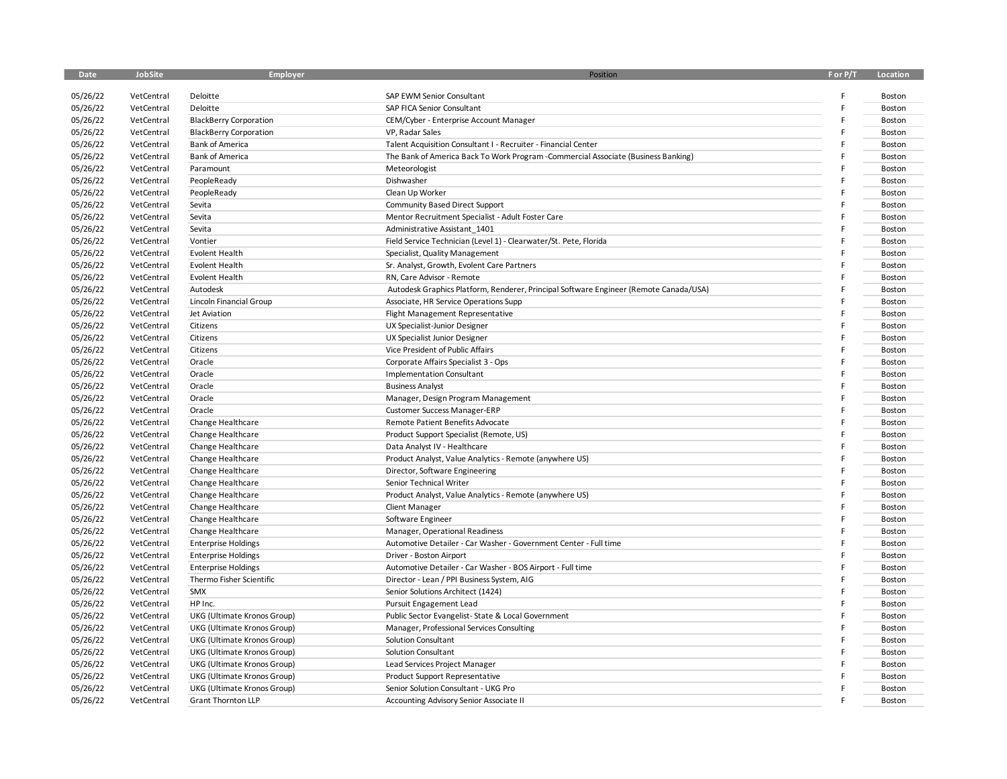| <b>Date</b> | JobSite    | Employer                      | Position                                                                              | F or P/T | Location |
|-------------|------------|-------------------------------|---------------------------------------------------------------------------------------|----------|----------|
|             |            |                               |                                                                                       |          |          |
| 05/26/22    | VetCentral | Deloitte                      | SAP EWM Senior Consultant                                                             |          | Boston   |
| 05/26/22    | VetCentral | Deloitte                      | SAP FICA Senior Consultant                                                            |          | Boston   |
| 05/26/22    | VetCentral | <b>BlackBerry Corporation</b> | CEM/Cyber - Enterprise Account Manager                                                |          | Boston   |
| 05/26/22    | VetCentral | <b>BlackBerry Corporation</b> | VP, Radar Sales                                                                       |          | Boston   |
| 05/26/22    | VetCentral | <b>Bank of America</b>        | Talent Acquisition Consultant I - Recruiter - Financial Center                        |          | Boston   |
| 05/26/22    | VetCentral | <b>Bank of America</b>        | The Bank of America Back To Work Program -Commercial Associate (Business Banking)     |          | Boston   |
| 05/26/22    | VetCentral | Paramount                     | Meteorologist                                                                         |          | Boston   |
| 05/26/22    | VetCentral | PeopleReady                   | Dishwasher                                                                            |          | Boston   |
| 05/26/22    | VetCentral | PeopleReady                   | Clean Up Worker                                                                       |          | Boston   |
| 05/26/22    | VetCentral | Sevita                        | <b>Community Based Direct Support</b>                                                 |          | Boston   |
| 05/26/22    | VetCentral | Sevita                        | Mentor Recruitment Specialist - Adult Foster Care                                     |          | Boston   |
| 05/26/22    | VetCentral | Sevita                        | Administrative Assistant 1401                                                         |          | Boston   |
| 05/26/22    | VetCentral | Vontier                       | Field Service Technician (Level 1) - Clearwater/St. Pete, Florida                     |          | Boston   |
| 05/26/22    | VetCentral | Evolent Health                | Specialist, Quality Management                                                        |          | Boston   |
| 05/26/22    | VetCentral | Evolent Health                | Sr. Analyst, Growth, Evolent Care Partners                                            |          | Boston   |
| 05/26/22    | VetCentral | Evolent Health                | RN, Care Advisor - Remote                                                             |          | Boston   |
| 05/26/22    | VetCentral | Autodesk                      | Autodesk Graphics Platform, Renderer, Principal Software Engineer (Remote Canada/USA) |          | Boston   |
| 05/26/22    | VetCentral | Lincoln Financial Group       | Associate, HR Service Operations Supp                                                 |          | Boston   |
| 05/26/22    | VetCentral | Jet Aviation                  | Flight Management Representative                                                      |          | Boston   |
| 05/26/22    | VetCentral | Citizens                      | UX Specialist-Junior Designer                                                         |          | Boston   |
| 05/26/22    | VetCentral | Citizens                      | UX Specialist Junior Designer                                                         |          | Boston   |
| 05/26/22    | VetCentral | Citizens                      | Vice President of Public Affairs                                                      |          | Boston   |
| 05/26/22    | VetCentral | Oracle                        | Corporate Affairs Specialist 3 - Ops                                                  |          | Boston   |
| 05/26/22    | VetCentral | Oracle                        | <b>Implementation Consultant</b>                                                      |          | Boston   |
| 05/26/22    | VetCentral | Oracle                        | <b>Business Analyst</b>                                                               |          | Boston   |
| 05/26/22    | VetCentral | Oracle                        | Manager, Design Program Management                                                    |          | Boston   |
| 05/26/22    | VetCentral | Oracle                        | <b>Customer Success Manager-ERP</b>                                                   |          | Boston   |
| 05/26/22    | VetCentral | Change Healthcare             | Remote Patient Benefits Advocate                                                      |          | Boston   |
| 05/26/22    | VetCentral | Change Healthcare             | Product Support Specialist (Remote, US)                                               |          | Boston   |
| 05/26/22    | VetCentral | Change Healthcare             | Data Analyst IV - Healthcare                                                          |          | Boston   |
| 05/26/22    | VetCentral | Change Healthcare             | Product Analyst, Value Analytics - Remote (anywhere US)                               |          | Boston   |
| 05/26/22    | VetCentral | Change Healthcare             | Director, Software Engineering                                                        |          | Boston   |
| 05/26/22    | VetCentral | Change Healthcare             | Senior Technical Writer                                                               |          | Boston   |
| 05/26/22    | VetCentral | Change Healthcare             | Product Analyst, Value Analytics - Remote (anywhere US)                               |          | Boston   |
| 05/26/22    | VetCentral | Change Healthcare             | <b>Client Manager</b>                                                                 |          | Boston   |
| 05/26/22    | VetCentral | Change Healthcare             | Software Engineer                                                                     |          | Boston   |
| 05/26/22    | VetCentral | Change Healthcare             | Manager, Operational Readiness                                                        |          | Boston   |
| 05/26/22    | VetCentral | <b>Enterprise Holdings</b>    | Automotive Detailer - Car Washer - Government Center - Full time                      |          | Boston   |
| 05/26/22    | VetCentral | <b>Enterprise Holdings</b>    | Driver - Boston Airport                                                               |          | Boston   |
| 05/26/22    | VetCentral | <b>Enterprise Holdings</b>    | Automotive Detailer - Car Washer - BOS Airport - Full time                            |          | Boston   |
| 05/26/22    | VetCentral | Thermo Fisher Scientific      | Director - Lean / PPI Business System, AIG                                            |          | Boston   |
| 05/26/22    | VetCentral | SMX                           | Senior Solutions Architect (1424)                                                     |          | Boston   |
| 05/26/22    | VetCentral | HP Inc.                       | Pursuit Engagement Lead                                                               |          | Boston   |
| 05/26/22    | VetCentral | UKG (Ultimate Kronos Group)   | Public Sector Evangelist-State & Local Government                                     |          | Boston   |
| 05/26/22    | VetCentral | UKG (Ultimate Kronos Group)   | Manager, Professional Services Consulting                                             |          | Boston   |
| 05/26/22    | VetCentral | UKG (Ultimate Kronos Group)   | <b>Solution Consultant</b>                                                            |          | Boston   |
| 05/26/22    | VetCentral | UKG (Ultimate Kronos Group)   | Solution Consultant                                                                   |          | Boston   |
| 05/26/22    | VetCentral | UKG (Ultimate Kronos Group)   | Lead Services Project Manager                                                         |          | Boston   |
| 05/26/22    | VetCentral | UKG (Ultimate Kronos Group)   | <b>Product Support Representative</b>                                                 |          | Boston   |
| 05/26/22    | VetCentral | UKG (Ultimate Kronos Group)   | Senior Solution Consultant - UKG Pro                                                  |          | Boston   |
| 05/26/22    | VetCentral | <b>Grant Thornton LLP</b>     | Accounting Advisory Senior Associate II                                               |          | Boston   |
|             |            |                               |                                                                                       |          |          |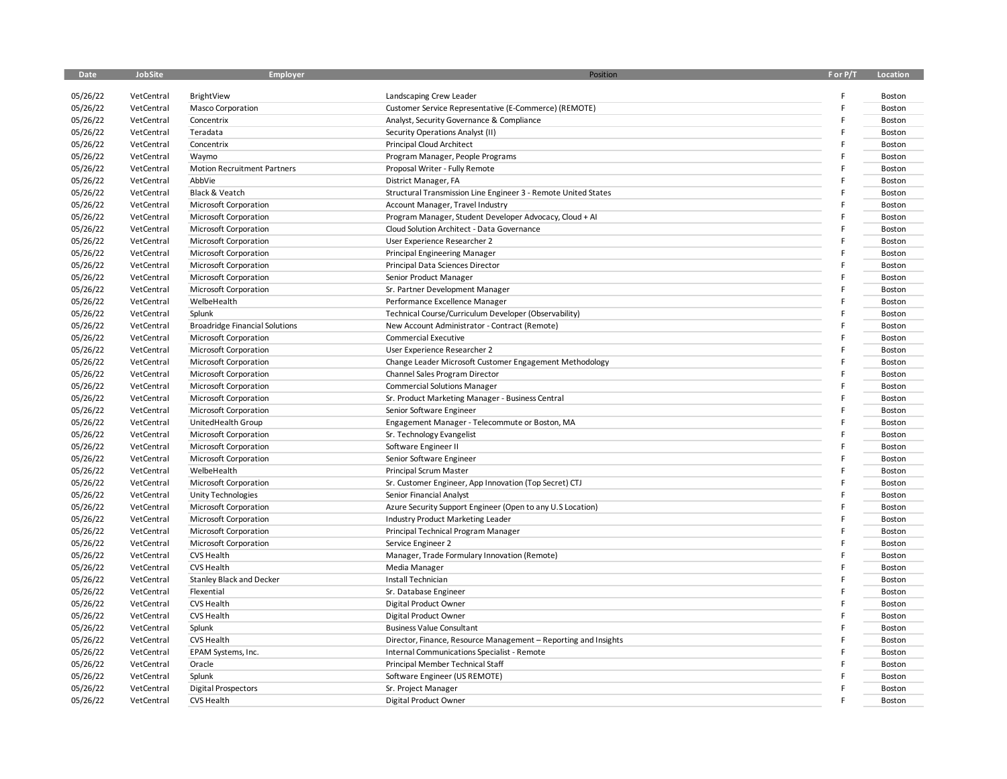| <b>Date</b> | JobSite    | Employer                              | Position                                                        | F or P/T | Location |
|-------------|------------|---------------------------------------|-----------------------------------------------------------------|----------|----------|
|             |            |                                       |                                                                 |          |          |
| 05/26/22    | VetCentral | BrightView                            | Landscaping Crew Leader                                         |          | Boston   |
| 05/26/22    | VetCentral | <b>Masco Corporation</b>              | Customer Service Representative (E-Commerce) (REMOTE)           | F        | Boston   |
| 05/26/22    | VetCentral | Concentrix                            | Analyst, Security Governance & Compliance                       | F        | Boston   |
| 05/26/22    | VetCentral | Teradata                              | Security Operations Analyst (II)                                |          | Boston   |
| 05/26/22    | VetCentral | Concentrix                            | <b>Principal Cloud Architect</b>                                |          | Boston   |
| 05/26/22    | VetCentral | Waymo                                 | Program Manager, People Programs                                |          | Boston   |
| 05/26/22    | VetCentral | <b>Motion Recruitment Partners</b>    | Proposal Writer - Fully Remote                                  |          | Boston   |
| 05/26/22    | VetCentral | AbbVie                                | District Manager, FA                                            |          | Boston   |
| 05/26/22    | VetCentral | Black & Veatch                        | Structural Transmission Line Engineer 3 - Remote United States  |          | Boston   |
| 05/26/22    | VetCentral | Microsoft Corporation                 | Account Manager, Travel Industry                                |          | Boston   |
| 05/26/22    | VetCentral | Microsoft Corporation                 | Program Manager, Student Developer Advocacy, Cloud + AI         |          | Boston   |
| 05/26/22    | VetCentral | Microsoft Corporation                 | Cloud Solution Architect - Data Governance                      |          | Boston   |
| 05/26/22    | VetCentral | Microsoft Corporation                 | User Experience Researcher 2                                    |          | Boston   |
| 05/26/22    | VetCentral | Microsoft Corporation                 | Principal Engineering Manager                                   |          | Boston   |
| 05/26/22    | VetCentral | <b>Microsoft Corporation</b>          | Principal Data Sciences Director                                | F        | Boston   |
| 05/26/22    | VetCentral | Microsoft Corporation                 | Senior Product Manager                                          |          | Boston   |
| 05/26/22    | VetCentral | Microsoft Corporation                 | Sr. Partner Development Manager                                 |          | Boston   |
| 05/26/22    | VetCentral | WelbeHealth                           | Performance Excellence Manager                                  |          | Boston   |
| 05/26/22    | VetCentral | Splunk                                | Technical Course/Curriculum Developer (Observability)           |          | Boston   |
| 05/26/22    | VetCentral | <b>Broadridge Financial Solutions</b> | New Account Administrator - Contract (Remote)                   |          | Boston   |
| 05/26/22    | VetCentral | Microsoft Corporation                 | <b>Commercial Executive</b>                                     |          | Boston   |
| 05/26/22    | VetCentral | Microsoft Corporation                 | User Experience Researcher 2                                    | F        | Boston   |
| 05/26/22    | VetCentral | Microsoft Corporation                 | Change Leader Microsoft Customer Engagement Methodology         |          | Boston   |
| 05/26/22    | VetCentral | Microsoft Corporation                 | Channel Sales Program Director                                  |          | Boston   |
| 05/26/22    | VetCentral | Microsoft Corporation                 | <b>Commercial Solutions Manager</b>                             |          | Boston   |
| 05/26/22    | VetCentral | Microsoft Corporation                 | Sr. Product Marketing Manager - Business Central                | F        | Boston   |
| 05/26/22    | VetCentral | Microsoft Corporation                 | Senior Software Engineer                                        |          | Boston   |
| 05/26/22    | VetCentral | UnitedHealth Group                    | Engagement Manager - Telecommute or Boston, MA                  |          | Boston   |
| 05/26/22    | VetCentral | Microsoft Corporation                 | Sr. Technology Evangelist                                       |          | Boston   |
| 05/26/22    | VetCentral | Microsoft Corporation                 | Software Engineer II                                            |          | Boston   |
| 05/26/22    | VetCentral | Microsoft Corporation                 | Senior Software Engineer                                        |          | Boston   |
| 05/26/22    | VetCentral | WelbeHealth                           | Principal Scrum Master                                          |          | Boston   |
| 05/26/22    | VetCentral | Microsoft Corporation                 | Sr. Customer Engineer, App Innovation (Top Secret) CTJ          |          | Boston   |
| 05/26/22    | VetCentral | <b>Unity Technologies</b>             | Senior Financial Analyst                                        |          | Boston   |
| 05/26/22    | VetCentral | Microsoft Corporation                 | Azure Security Support Engineer (Open to any U.S Location)      |          | Boston   |
| 05/26/22    | VetCentral | Microsoft Corporation                 | Industry Product Marketing Leader                               |          | Boston   |
| 05/26/22    | VetCentral | Microsoft Corporation                 | Principal Technical Program Manager                             |          | Boston   |
| 05/26/22    | VetCentral | Microsoft Corporation                 | Service Engineer 2                                              |          | Boston   |
| 05/26/22    | VetCentral | <b>CVS Health</b>                     | Manager, Trade Formulary Innovation (Remote)                    |          | Boston   |
| 05/26/22    | VetCentral | CVS Health                            | Media Manager                                                   |          | Boston   |
| 05/26/22    | VetCentral | <b>Stanley Black and Decker</b>       | Install Technician                                              |          | Boston   |
| 05/26/22    | VetCentral | Flexential                            | Sr. Database Engineer                                           |          | Boston   |
| 05/26/22    | VetCentral | CVS Health                            | Digital Product Owner                                           | F        | Boston   |
| 05/26/22    | VetCentral | <b>CVS Health</b>                     | Digital Product Owner                                           |          | Boston   |
| 05/26/22    | VetCentral | Splunk                                | <b>Business Value Consultant</b>                                | F        | Boston   |
| 05/26/22    | VetCentral | <b>CVS Health</b>                     | Director, Finance, Resource Management - Reporting and Insights |          | Boston   |
| 05/26/22    | VetCentral | EPAM Systems, Inc.                    | Internal Communications Specialist - Remote                     |          | Boston   |
| 05/26/22    | VetCentral | Oracle                                | Principal Member Technical Staff                                |          | Boston   |
| 05/26/22    | VetCentral | Splunk                                | Software Engineer (US REMOTE)                                   |          | Boston   |
| 05/26/22    | VetCentral | <b>Digital Prospectors</b>            | Sr. Project Manager                                             |          | Boston   |
| 05/26/22    | VetCentral | <b>CVS Health</b>                     | Digital Product Owner                                           |          | Boston   |
|             |            |                                       |                                                                 |          |          |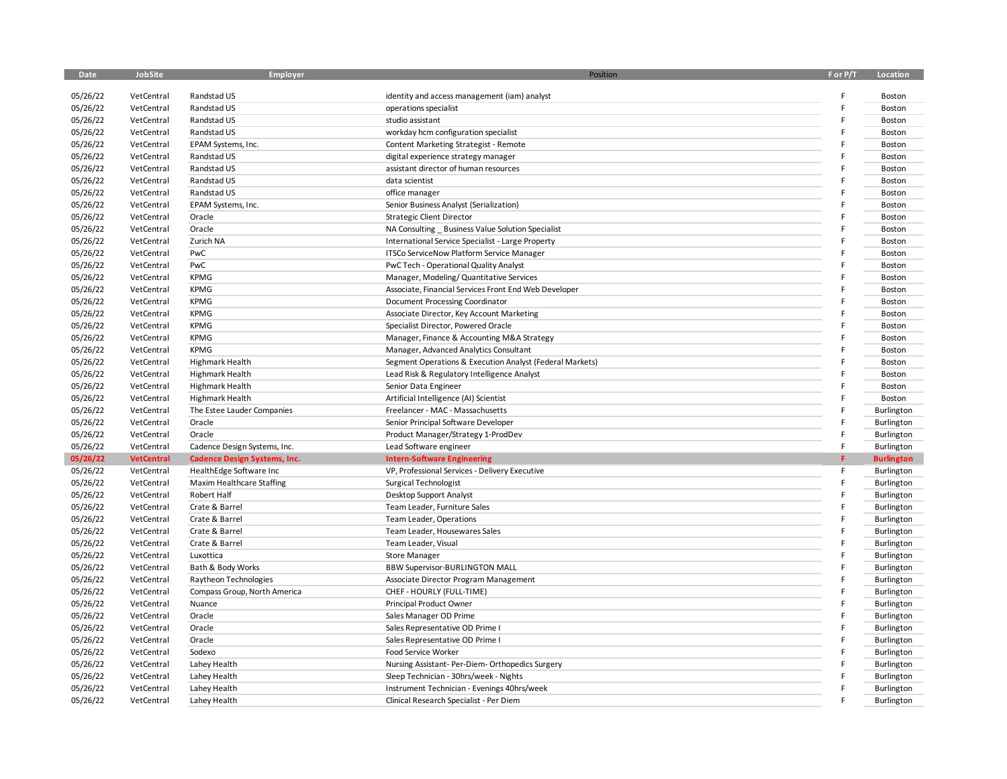| Date     | JobSite           | Employer                            | Position                                                 | F or P/T | Location          |
|----------|-------------------|-------------------------------------|----------------------------------------------------------|----------|-------------------|
|          |                   |                                     |                                                          |          |                   |
| 05/26/22 | VetCentral        | Randstad US                         | identity and access management (iam) analyst             |          | Boston            |
| 05/26/22 | VetCentral        | Randstad US                         | operations specialist                                    | F        | Boston            |
| 05/26/22 | VetCentral        | Randstad US                         | studio assistant                                         | F        | Boston            |
| 05/26/22 | VetCentral        | Randstad US                         | workday hcm configuration specialist                     |          | Boston            |
| 05/26/22 | VetCentral        | EPAM Systems, Inc.                  | Content Marketing Strategist - Remote                    |          | Boston            |
| 05/26/22 | VetCentral        | Randstad US                         | digital experience strategy manager                      |          | Boston            |
| 05/26/22 | VetCentral        | Randstad US                         | assistant director of human resources                    |          | Boston            |
| 05/26/22 | VetCentral        | Randstad US                         | data scientist                                           | E        | Boston            |
| 05/26/22 | VetCentral        | Randstad US                         | office manager                                           |          | Boston            |
| 05/26/22 | VetCentral        | EPAM Systems, Inc.                  | Senior Business Analyst (Serialization)                  |          | Boston            |
| 05/26/22 | VetCentral        | Oracle                              | <b>Strategic Client Director</b>                         |          | Boston            |
| 05/26/22 | VetCentral        | Oracle                              | NA Consulting _ Business Value Solution Specialist       | E        | Boston            |
| 05/26/22 | VetCentral        | Zurich NA                           | International Service Specialist - Large Property        |          | Boston            |
| 05/26/22 | VetCentral        | PwC                                 | ITSCo ServiceNow Platform Service Manager                |          | Boston            |
| 05/26/22 | VetCentral        | PwC                                 | PwC Tech - Operational Quality Analyst                   | E        | Boston            |
| 05/26/22 | VetCentral        | <b>KPMG</b>                         | Manager, Modeling/ Quantitative Services                 |          | Boston            |
| 05/26/22 | VetCentral        | <b>KPMG</b>                         | Associate, Financial Services Front End Web Developer    |          | Boston            |
| 05/26/22 | VetCentral        | <b>KPMG</b>                         | Document Processing Coordinator                          | E        | Boston            |
| 05/26/22 | VetCentral        | <b>KPMG</b>                         | Associate Director, Key Account Marketing                |          | Boston            |
| 05/26/22 | VetCentral        | <b>KPMG</b>                         | Specialist Director, Powered Oracle                      |          | Boston            |
| 05/26/22 | VetCentral        | <b>KPMG</b>                         | Manager, Finance & Accounting M&A Strategy               |          | Boston            |
| 05/26/22 | VetCentral        | <b>KPMG</b>                         | Manager, Advanced Analytics Consultant                   | E        | Boston            |
| 05/26/22 | VetCentral        | Highmark Health                     | Segment Operations & Execution Analyst (Federal Markets) |          | Boston            |
| 05/26/22 | VetCentral        | Highmark Health                     | Lead Risk & Regulatory Intelligence Analyst              |          | Boston            |
| 05/26/22 | VetCentral        | Highmark Health                     | Senior Data Engineer                                     |          | Boston            |
| 05/26/22 | VetCentral        | Highmark Health                     | Artificial Intelligence (AI) Scientist                   |          | Boston            |
| 05/26/22 | VetCentral        | The Estee Lauder Companies          | Freelancer - MAC - Massachusetts                         | F        | Burlington        |
| 05/26/22 | VetCentral        | Oracle                              | Senior Principal Software Developer                      | E        | Burlington        |
| 05/26/22 | VetCentral        | Oracle                              | Product Manager/Strategy 1-ProdDev                       | F        | Burlington        |
| 05/26/22 | VetCentral        | Cadence Design Systems, Inc.        | Lead Software engineer                                   | F        | Burlington        |
| 05/26/22 | <b>VetCentral</b> | <b>Cadence Design Systems, Inc.</b> | <b>Intern-Software Engineering</b>                       | F.       | <b>Burlington</b> |
| 05/26/22 | VetCentral        | HealthEdge Software Inc             | VP, Professional Services - Delivery Executive           | F        | Burlington        |
| 05/26/22 | VetCentral        | Maxim Healthcare Staffing           | Surgical Technologist                                    | F        | Burlington        |
| 05/26/22 | VetCentral        | Robert Half                         | Desktop Support Analyst                                  | F        | Burlington        |
| 05/26/22 | VetCentral        | Crate & Barrel                      | Team Leader, Furniture Sales                             | E        | Burlington        |
| 05/26/22 | VetCentral        | Crate & Barrel                      | Team Leader, Operations                                  | F        | Burlington        |
| 05/26/22 | VetCentral        | Crate & Barrel                      | Team Leader, Housewares Sales                            | F        | Burlington        |
| 05/26/22 | VetCentral        | Crate & Barrel                      | Team Leader, Visual                                      | F        | Burlington        |
| 05/26/22 | VetCentral        | Luxottica                           | <b>Store Manager</b>                                     | F        | Burlington        |
| 05/26/22 | VetCentral        | Bath & Body Works                   | <b>BBW Supervisor-BURLINGTON MALL</b>                    | F        | Burlington        |
| 05/26/22 | VetCentral        | Raytheon Technologies               | Associate Director Program Management                    | E        | Burlington        |
| 05/26/22 | VetCentral        | Compass Group, North America        | CHEF - HOURLY (FULL-TIME)                                | F        | Burlington        |
| 05/26/22 | VetCentral        | Nuance                              | Principal Product Owner                                  | F        | Burlington        |
| 05/26/22 | VetCentral        | Oracle                              | Sales Manager OD Prime                                   | E        | Burlington        |
| 05/26/22 | VetCentral        | Oracle                              | Sales Representative OD Prime I                          | F        | Burlington        |
| 05/26/22 | VetCentral        | Oracle                              | Sales Representative OD Prime I                          | F        | Burlington        |
| 05/26/22 | VetCentral        | Sodexo                              | Food Service Worker                                      | F        | Burlington        |
| 05/26/22 | VetCentral        | Lahey Health                        | Nursing Assistant- Per-Diem- Orthopedics Surgery         |          | Burlington        |
| 05/26/22 | VetCentral        | Lahey Health                        | Sleep Technician - 30hrs/week - Nights                   |          | Burlington        |
| 05/26/22 | VetCentral        | Lahey Health                        | Instrument Technician - Evenings 40hrs/week              |          | Burlington        |
| 05/26/22 | VetCentral        | Lahey Health                        | Clinical Research Specialist - Per Diem                  | E        | Burlington        |
|          |                   |                                     |                                                          |          |                   |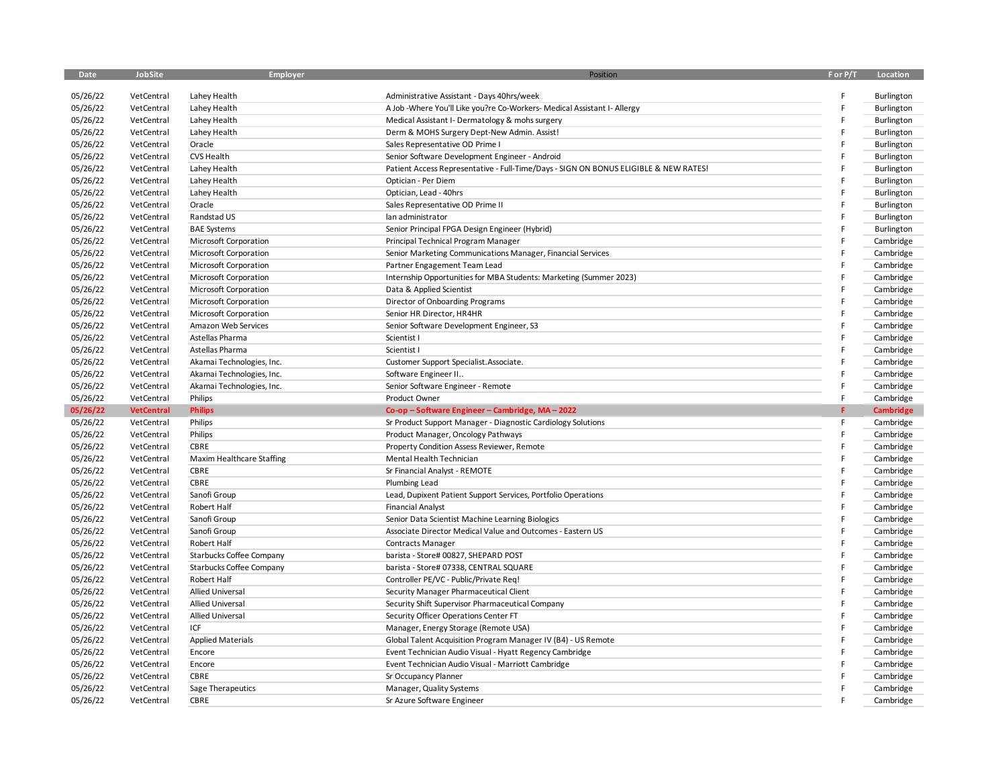| Date                 | JobSite           | Employer                  | Position                                                                             | F or P/T | Location         |
|----------------------|-------------------|---------------------------|--------------------------------------------------------------------------------------|----------|------------------|
|                      |                   |                           |                                                                                      |          |                  |
| 05/26/22             | VetCentral        | Lahey Health              | Administrative Assistant - Days 40hrs/week                                           |          | Burlington       |
| 05/26/22             | VetCentral        | Lahey Health              | A Job -Where You'll Like you?re Co-Workers- Medical Assistant I- Allergy             | F        | Burlington       |
| 05/26/22             | VetCentral        | Lahey Health              | Medical Assistant I- Dermatology & mohs surgery                                      | F        | Burlington       |
| 05/26/22             | VetCentral        | Lahey Health              | Derm & MOHS Surgery Dept-New Admin. Assist!                                          | E        | Burlington       |
| 05/26/22             | VetCentral        | Oracle                    | Sales Representative OD Prime I                                                      |          | Burlington       |
| 05/26/22             | VetCentral        | CVS Health                | Senior Software Development Engineer - Android                                       | F        | Burlington       |
| 05/26/22             | VetCentral        | Lahey Health              | Patient Access Representative - Full-Time/Days - SIGN ON BONUS ELIGIBLE & NEW RATES! | E        | Burlington       |
| 05/26/22             | VetCentral        | Lahey Health              | Optician - Per Diem                                                                  | E        | Burlington       |
| 05/26/22             | VetCentral        | Lahey Health              | Optician, Lead - 40hrs                                                               | E        | Burlington       |
| 05/26/22             | VetCentral        | Oracle                    | Sales Representative OD Prime II                                                     | F        | Burlington       |
| 05/26/22             | VetCentral        | Randstad US               | lan administrator                                                                    | F        | Burlington       |
| 05/26/22             | VetCentral        | <b>BAE Systems</b>        | Senior Principal FPGA Design Engineer (Hybrid)                                       | E        | Burlington       |
| 05/26/22             | VetCentral        | Microsoft Corporation     | Principal Technical Program Manager                                                  |          | Cambridge        |
| 05/26/22             | VetCentral        | Microsoft Corporation     | Senior Marketing Communications Manager, Financial Services                          | E        | Cambridge        |
| 05/26/22             | VetCentral        | Microsoft Corporation     | Partner Engagement Team Lead                                                         |          | Cambridge        |
| 05/26/22             | VetCentral        | Microsoft Corporation     | Internship Opportunities for MBA Students: Marketing (Summer 2023)                   |          | Cambridge        |
| 05/26/22             | VetCentral        | Microsoft Corporation     | Data & Applied Scientist                                                             |          | Cambridge        |
| 05/26/22             | VetCentral        | Microsoft Corporation     | Director of Onboarding Programs                                                      |          | Cambridge        |
| 05/26/22             | VetCentral        | Microsoft Corporation     | Senior HR Director, HR4HR                                                            |          | Cambridge        |
| 05/26/22             | VetCentral        | Amazon Web Services       | Senior Software Development Engineer, S3                                             | Ë        | Cambridge        |
| 05/26/22             | VetCentral        | Astellas Pharma           | Scientist I                                                                          |          | Cambridge        |
| 05/26/22             | VetCentral        | Astellas Pharma           | Scientist I                                                                          |          | Cambridge        |
| 05/26/22             | VetCentral        | Akamai Technologies, Inc. | Customer Support Specialist. Associate.                                              | F        | Cambridge        |
| 05/26/22             | VetCentral        | Akamai Technologies, Inc. | Software Engineer II                                                                 |          | Cambridge        |
| 05/26/22             | VetCentral        | Akamai Technologies, Inc. | Senior Software Engineer - Remote                                                    |          | Cambridge        |
| 05/26/22             | VetCentral        | Philips                   | Product Owner                                                                        | F        | Cambridge        |
| 05/26/22             | <b>VetCentral</b> | <b>Philips</b>            | Co-op-Software Engineer-Cambridge, MA-2022                                           | F        | <b>Cambridge</b> |
| 05/26/22             | VetCentral        | Philips                   | Sr Product Support Manager - Diagnostic Cardiology Solutions                         | F        | Cambridge        |
| 05/26/22             | VetCentral        | Philips                   | Product Manager, Oncology Pathways                                                   | F        | Cambridge        |
| 05/26/22             | VetCentral        | CBRE                      | Property Condition Assess Reviewer, Remote                                           | F        | Cambridge        |
| 05/26/22             | VetCentral        | Maxim Healthcare Staffing | Mental Health Technician                                                             | E        | Cambridge        |
| 05/26/22             | VetCentral        | CBRE                      | Sr Financial Analyst - REMOTE                                                        | Ë        | Cambridge        |
| 05/26/22             | VetCentral        | CBRE                      | Plumbing Lead                                                                        |          | Cambridge        |
| 05/26/22             | VetCentral        | Sanofi Group              | Lead, Dupixent Patient Support Services, Portfolio Operations                        |          | Cambridge        |
| 05/26/22             | VetCentral        | Robert Half               | <b>Financial Analyst</b>                                                             | E        | Cambridge        |
| 05/26/22             | VetCentral        | Sanofi Group              | Senior Data Scientist Machine Learning Biologics                                     |          | Cambridge        |
| 05/26/22             | VetCentral        | Sanofi Group              | Associate Director Medical Value and Outcomes - Eastern US                           | F        | Cambridge        |
| 05/26/22             | VetCentral        | Robert Half               | <b>Contracts Manager</b>                                                             |          | Cambridge        |
| 05/26/22             | VetCentral        | Starbucks Coffee Company  | barista - Store# 00827, SHEPARD POST                                                 |          | Cambridge        |
| 05/26/22             | VetCentral        | Starbucks Coffee Company  | barista - Store# 07338, CENTRAL SQUARE                                               |          | Cambridge        |
| 05/26/22             | VetCentral        | Robert Half               | Controller PE/VC - Public/Private Req!                                               |          | Cambridge        |
| 05/26/22             | VetCentral        | <b>Allied Universal</b>   | Security Manager Pharmaceutical Client                                               |          | Cambridge        |
| 05/26/22             | VetCentral        | <b>Allied Universal</b>   | Security Shift Supervisor Pharmaceutical Company                                     |          | Cambridge        |
|                      | VetCentral        | <b>Allied Universal</b>   |                                                                                      |          |                  |
| 05/26/22<br>05/26/22 |                   | ICF                       | Security Officer Operations Center FT                                                |          | Cambridge        |
| 05/26/22             | VetCentral        |                           | Manager, Energy Storage (Remote USA)                                                 |          | Cambridge        |
|                      | VetCentral        | <b>Applied Materials</b>  | Global Talent Acquisition Program Manager IV (B4) - US Remote                        |          | Cambridge        |
| 05/26/22             | VetCentral        | Encore                    | Event Technician Audio Visual - Hyatt Regency Cambridge                              |          | Cambridge        |
| 05/26/22             | VetCentral        | Encore                    | Event Technician Audio Visual - Marriott Cambridge                                   |          | Cambridge        |
| 05/26/22             | VetCentral        | CBRE                      | Sr Occupancy Planner                                                                 |          | Cambridge        |
| 05/26/22             | VetCentral        | Sage Therapeutics         | Manager, Quality Systems                                                             | F        | Cambridge        |
| 05/26/22             | VetCentral        | CBRE                      | Sr Azure Software Engineer                                                           |          | Cambridge        |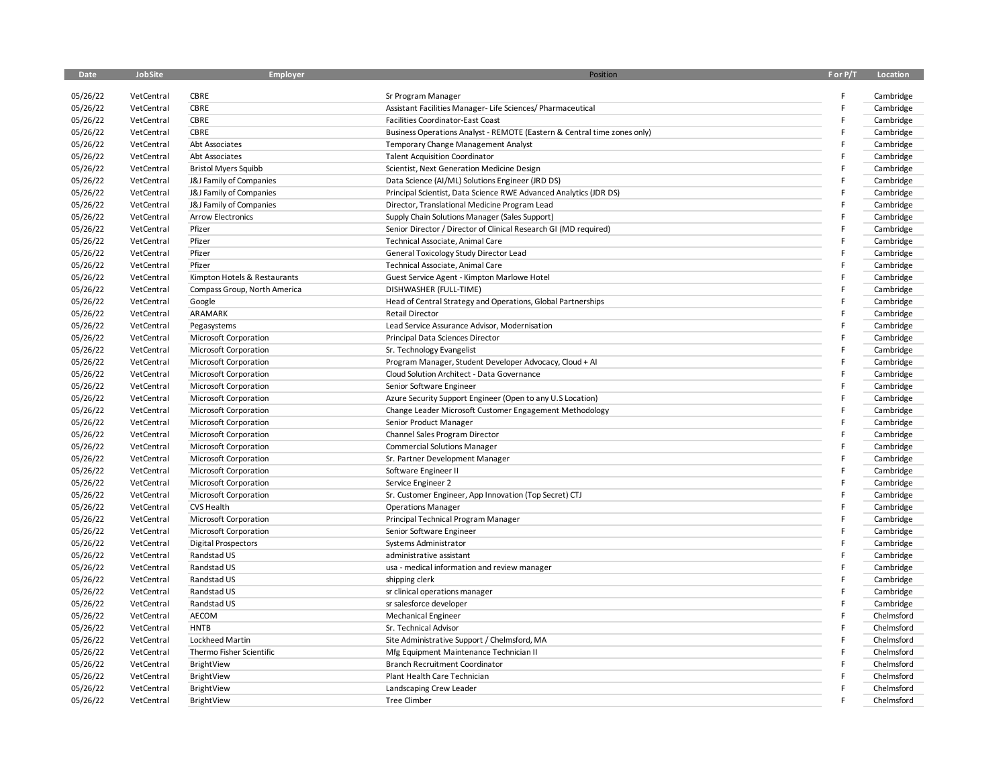| <b>Date</b> | JobSite    | Employer                     | Position                                                                 | F or P/T | Location   |
|-------------|------------|------------------------------|--------------------------------------------------------------------------|----------|------------|
|             |            |                              |                                                                          |          |            |
| 05/26/22    | VetCentral | <b>CBRE</b>                  | Sr Program Manager                                                       |          | Cambridge  |
| 05/26/22    | VetCentral | CBRE                         | Assistant Facilities Manager- Life Sciences/ Pharmaceutical              | E        | Cambridge  |
| 05/26/22    | VetCentral | CBRE                         | Facilities Coordinator-East Coast                                        | E        | Cambridge  |
| 05/26/22    | VetCentral | CBRE                         | Business Operations Analyst - REMOTE (Eastern & Central time zones only) |          | Cambridge  |
| 05/26/22    | VetCentral | Abt Associates               | Temporary Change Management Analyst                                      |          | Cambridge  |
| 05/26/22    | VetCentral | Abt Associates               | <b>Talent Acquisition Coordinator</b>                                    |          | Cambridge  |
| 05/26/22    | VetCentral | <b>Bristol Myers Squibb</b>  | Scientist, Next Generation Medicine Design                               | E        | Cambridge  |
| 05/26/22    | VetCentral | J&J Family of Companies      | Data Science (AI/ML) Solutions Engineer (JRD DS)                         | F        | Cambridge  |
| 05/26/22    | VetCentral | J&J Family of Companies      | Principal Scientist, Data Science RWE Advanced Analytics (JDR DS)        | F        | Cambridge  |
| 05/26/22    | VetCentral | J&J Family of Companies      | Director, Translational Medicine Program Lead                            | E        | Cambridge  |
| 05/26/22    | VetCentral | <b>Arrow Electronics</b>     | Supply Chain Solutions Manager (Sales Support)                           | F        | Cambridge  |
| 05/26/22    | VetCentral | Pfizer                       | Senior Director / Director of Clinical Research GI (MD required)         |          | Cambridge  |
| 05/26/22    | VetCentral | Pfizer                       | Technical Associate, Animal Care                                         | F        | Cambridge  |
| 05/26/22    | VetCentral | Pfizer                       | General Toxicology Study Director Lead                                   | F        | Cambridge  |
| 05/26/22    | VetCentral | Pfizer                       | Technical Associate, Animal Care                                         |          | Cambridge  |
| 05/26/22    | VetCentral | Kimpton Hotels & Restaurants | Guest Service Agent - Kimpton Marlowe Hotel                              | E        | Cambridge  |
| 05/26/22    | VetCentral | Compass Group, North America | DISHWASHER (FULL-TIME)                                                   |          | Cambridge  |
| 05/26/22    | VetCentral | Google                       | Head of Central Strategy and Operations, Global Partnerships             |          | Cambridge  |
| 05/26/22    | VetCentral | ARAMARK                      | <b>Retail Director</b>                                                   |          | Cambridge  |
| 05/26/22    | VetCentral | Pegasystems                  | Lead Service Assurance Advisor, Modernisation                            |          | Cambridge  |
| 05/26/22    | VetCentral | Microsoft Corporation        | Principal Data Sciences Director                                         |          | Cambridge  |
| 05/26/22    | VetCentral | Microsoft Corporation        | Sr. Technology Evangelist                                                |          | Cambridge  |
| 05/26/22    | VetCentral | Microsoft Corporation        | Program Manager, Student Developer Advocacy, Cloud + AI                  |          | Cambridge  |
| 05/26/22    | VetCentral | Microsoft Corporation        | Cloud Solution Architect - Data Governance                               | E        | Cambridge  |
| 05/26/22    | VetCentral | Microsoft Corporation        | Senior Software Engineer                                                 | F        | Cambridge  |
| 05/26/22    | VetCentral | Microsoft Corporation        | Azure Security Support Engineer (Open to any U.S Location)               |          | Cambridge  |
| 05/26/22    | VetCentral | Microsoft Corporation        | Change Leader Microsoft Customer Engagement Methodology                  | E        | Cambridge  |
| 05/26/22    | VetCentral | Microsoft Corporation        | Senior Product Manager                                                   |          | Cambridge  |
| 05/26/22    | VetCentral | Microsoft Corporation        | Channel Sales Program Director                                           |          | Cambridge  |
| 05/26/22    | VetCentral | Microsoft Corporation        | <b>Commercial Solutions Manager</b>                                      | F        | Cambridge  |
| 05/26/22    | VetCentral | Microsoft Corporation        | Sr. Partner Development Manager                                          | F        | Cambridge  |
| 05/26/22    | VetCentral | Microsoft Corporation        | Software Engineer II                                                     | F        | Cambridge  |
| 05/26/22    | VetCentral | Microsoft Corporation        | Service Engineer 2                                                       | E        | Cambridge  |
| 05/26/22    | VetCentral | Microsoft Corporation        | Sr. Customer Engineer, App Innovation (Top Secret) CTJ                   |          | Cambridge  |
| 05/26/22    | VetCentral | CVS Health                   | <b>Operations Manager</b>                                                | F        | Cambridge  |
| 05/26/22    | VetCentral | Microsoft Corporation        | Principal Technical Program Manager                                      | F        | Cambridge  |
| 05/26/22    | VetCentral | Microsoft Corporation        | Senior Software Engineer                                                 |          | Cambridge  |
| 05/26/22    | VetCentral | <b>Digital Prospectors</b>   | Systems Administrator                                                    | F        | Cambridge  |
| 05/26/22    | VetCentral | Randstad US                  | administrative assistant                                                 |          | Cambridge  |
| 05/26/22    | VetCentral | Randstad US                  | usa - medical information and review manager                             |          | Cambridge  |
| 05/26/22    | VetCentral | Randstad US                  | shipping clerk                                                           |          | Cambridge  |
| 05/26/22    | VetCentral | Randstad US                  | sr clinical operations manager                                           |          | Cambridge  |
| 05/26/22    | VetCentral | Randstad US                  | sr salesforce developer                                                  |          | Cambridge  |
| 05/26/22    | VetCentral | AECOM                        | <b>Mechanical Engineer</b>                                               |          | Chelmsford |
| 05/26/22    | VetCentral | <b>HNTB</b>                  | Sr. Technical Advisor                                                    |          | Chelmsford |
| 05/26/22    | VetCentral | Lockheed Martin              | Site Administrative Support / Chelmsford, MA                             |          | Chelmsford |
| 05/26/22    | VetCentral | Thermo Fisher Scientific     | Mfg Equipment Maintenance Technician II                                  | F        | Chelmsford |
| 05/26/22    | VetCentral | BrightView                   | <b>Branch Recruitment Coordinator</b>                                    | F        | Chelmsford |
| 05/26/22    | VetCentral | BrightView                   | Plant Health Care Technician                                             |          | Chelmsford |
| 05/26/22    | VetCentral | BrightView                   | Landscaping Crew Leader                                                  |          | Chelmsford |
| 05/26/22    | VetCentral | BrightView                   | <b>Tree Climber</b>                                                      | E        | Chelmsford |
|             |            |                              |                                                                          |          |            |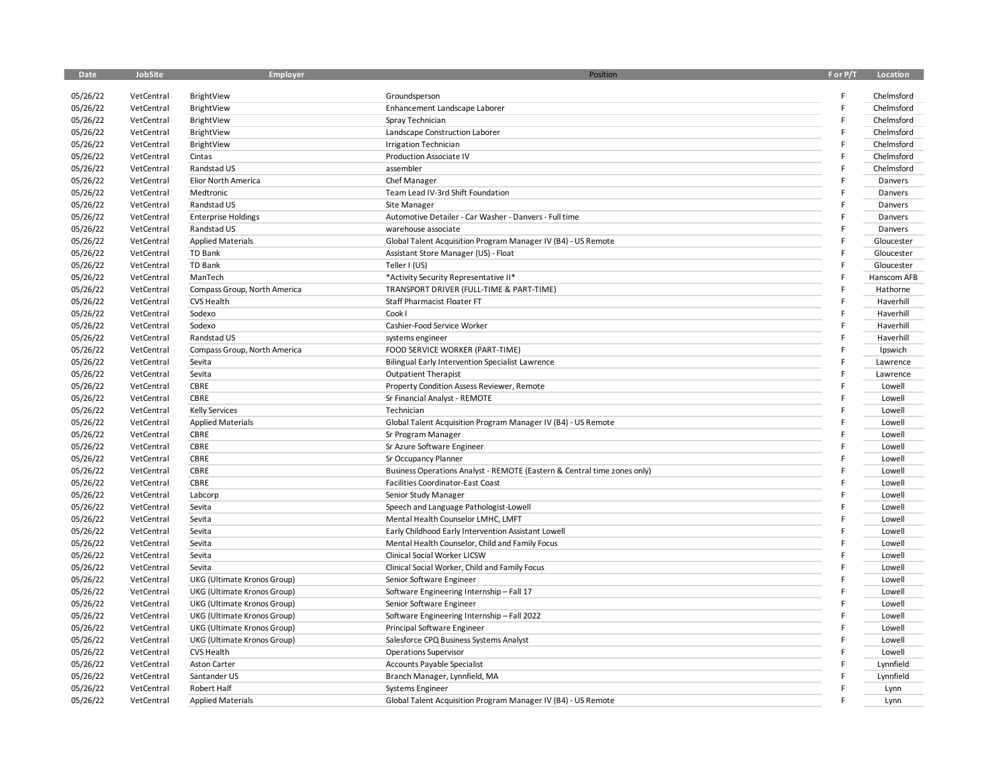| <b>Date</b> | JobSite                  | Employer                     | Position                                                                 | F or P/T | Location    |
|-------------|--------------------------|------------------------------|--------------------------------------------------------------------------|----------|-------------|
|             |                          |                              |                                                                          |          |             |
| 05/26/22    | VetCentral               | BrightView                   | Groundsperson                                                            |          | Chelmsford  |
| 05/26/22    | VetCentral               | BrightView                   | Enhancement Landscape Laborer                                            | F        | Chelmsford  |
| 05/26/22    | VetCentral               | BrightView                   | Spray Technician                                                         |          | Chelmsford  |
| 05/26/22    | VetCentral               | BrightView                   | Landscape Construction Laborer                                           | F        | Chelmsford  |
| 05/26/22    | VetCentral               | BrightView                   | <b>Irrigation Technician</b>                                             |          | Chelmsford  |
| 05/26/22    | VetCentral               | Cintas                       | Production Associate IV                                                  |          | Chelmsford  |
| 05/26/22    | VetCentral               | Randstad US                  | assembler                                                                |          | Chelmsford  |
| 05/26/22    | VetCentral               | Elior North America          | Chef Manager                                                             |          | Danvers     |
| 05/26/22    | VetCentral               | Medtronic                    | Team Lead IV-3rd Shift Foundation                                        |          | Danvers     |
| 05/26/22    | VetCentral               | Randstad US                  | Site Manager                                                             |          | Danvers     |
| 05/26/22    | VetCentral               | <b>Enterprise Holdings</b>   | Automotive Detailer - Car Washer - Danvers - Full time                   |          | Danvers     |
| 05/26/22    | VetCentral               | Randstad US                  | warehouse associate                                                      |          | Danvers     |
| 05/26/22    | VetCentral               | <b>Applied Materials</b>     | Global Talent Acquisition Program Manager IV (B4) - US Remote            |          | Gloucester  |
| 05/26/22    | VetCentral               | TD Bank                      | Assistant Store Manager (US) - Float                                     |          | Gloucester  |
| 05/26/22    | VetCentral               | TD Bank                      | Teller I (US)                                                            |          | Gloucester  |
| 05/26/22    | VetCentral               | ManTech                      | *Activity Security Representative II*                                    |          | Hanscom AFB |
| 05/26/22    | VetCentral               | Compass Group, North America | TRANSPORT DRIVER (FULL-TIME & PART-TIME)                                 |          | Hathorne    |
| 05/26/22    | VetCentral               | <b>CVS Health</b>            | Staff Pharmacist Floater FT                                              |          | Haverhill   |
| 05/26/22    | VetCentral               | Sodexo                       | Cook I                                                                   |          | Haverhill   |
| 05/26/22    | VetCentral               | Sodexo                       | Cashier-Food Service Worker                                              |          | Haverhill   |
| 05/26/22    | VetCentral               | Randstad US                  | systems engineer                                                         |          | Haverhill   |
| 05/26/22    | VetCentral               | Compass Group, North America | FOOD SERVICE WORKER (PART-TIME)                                          |          | Ipswich     |
| 05/26/22    | VetCentral               | Sevita                       | <b>Bilingual Early Intervention Specialist Lawrence</b>                  |          | Lawrence    |
| 05/26/22    | VetCentral               | Sevita                       | <b>Outpatient Therapist</b>                                              |          | Lawrence    |
| 05/26/22    | VetCentral               | CBRE                         | Property Condition Assess Reviewer, Remote                               |          | Lowell      |
| 05/26/22    | VetCentral               | CBRE                         | Sr Financial Analyst - REMOTE                                            |          | Lowell      |
| 05/26/22    | VetCentral               | <b>Kelly Services</b>        | Technician                                                               |          | Lowell      |
| 05/26/22    | VetCentral               | <b>Applied Materials</b>     | Global Talent Acquisition Program Manager IV (B4) - US Remote            |          | Lowell      |
| 05/26/22    | VetCentral               | CBRE                         | Sr Program Manager                                                       |          | Lowell      |
| 05/26/22    | VetCentral               | CBRE                         | Sr Azure Software Engineer                                               |          | Lowell      |
| 05/26/22    | VetCentral               | CBRE                         | Sr Occupancy Planner                                                     |          | Lowell      |
| 05/26/22    | VetCentral               | CBRE                         | Business Operations Analyst - REMOTE (Eastern & Central time zones only) |          | Lowell      |
| 05/26/22    | VetCentral               | CBRE                         | Facilities Coordinator-East Coast                                        |          | Lowell      |
| 05/26/22    | VetCentral               | Labcorp                      | Senior Study Manager                                                     |          | Lowell      |
| 05/26/22    | VetCentral               | Sevita                       | Speech and Language Pathologist-Lowell                                   |          | Lowell      |
| 05/26/22    | VetCentral               | Sevita                       | Mental Health Counselor LMHC, LMFT                                       |          | Lowell      |
| 05/26/22    | VetCentral               | Sevita                       | Early Childhood Early Intervention Assistant Lowell                      |          | Lowell      |
| 05/26/22    | VetCentral               | Sevita                       | Mental Health Counselor, Child and Family Focus                          |          | Lowell      |
| 05/26/22    | VetCentral               | Sevita                       | Clinical Social Worker LICSW                                             |          | Lowell      |
| 05/26/22    | VetCentral               | Sevita                       | Clinical Social Worker, Child and Family Focus                           |          | Lowell      |
| 05/26/22    | VetCentral               | UKG (Ultimate Kronos Group)  | Senior Software Engineer                                                 |          | Lowell      |
| 05/26/22    | VetCentral               | UKG (Ultimate Kronos Group)  | Software Engineering Internship - Fall 17                                |          | Lowell      |
| 05/26/22    | VetCentral               | UKG (Ultimate Kronos Group)  | Senior Software Engineer                                                 |          | Lowell      |
| 05/26/22    | VetCentral               | UKG (Ultimate Kronos Group)  | Software Engineering Internship - Fall 2022                              |          | Lowell      |
| 05/26/22    | VetCentral               | UKG (Ultimate Kronos Group)  | Principal Software Engineer                                              |          | Lowell      |
| 05/26/22    | VetCentral               | UKG (Ultimate Kronos Group)  | Salesforce CPQ Business Systems Analyst                                  |          | Lowell      |
| 05/26/22    | VetCentral               | CVS Health                   | <b>Operations Supervisor</b>                                             |          | Lowell      |
| 05/26/22    |                          |                              |                                                                          |          | Lynnfield   |
| 05/26/22    | VetCentral               | Aston Carter<br>Santander US | Accounts Payable Specialist                                              |          | Lynnfield   |
| 05/26/22    | VetCentral<br>VetCentral | Robert Half                  | Branch Manager, Lynnfield, MA                                            |          |             |
|             |                          |                              | <b>Systems Engineer</b>                                                  | F        | Lynn        |
| 05/26/22    | VetCentral               | <b>Applied Materials</b>     | Global Talent Acquisition Program Manager IV (B4) - US Remote            |          | Lynn        |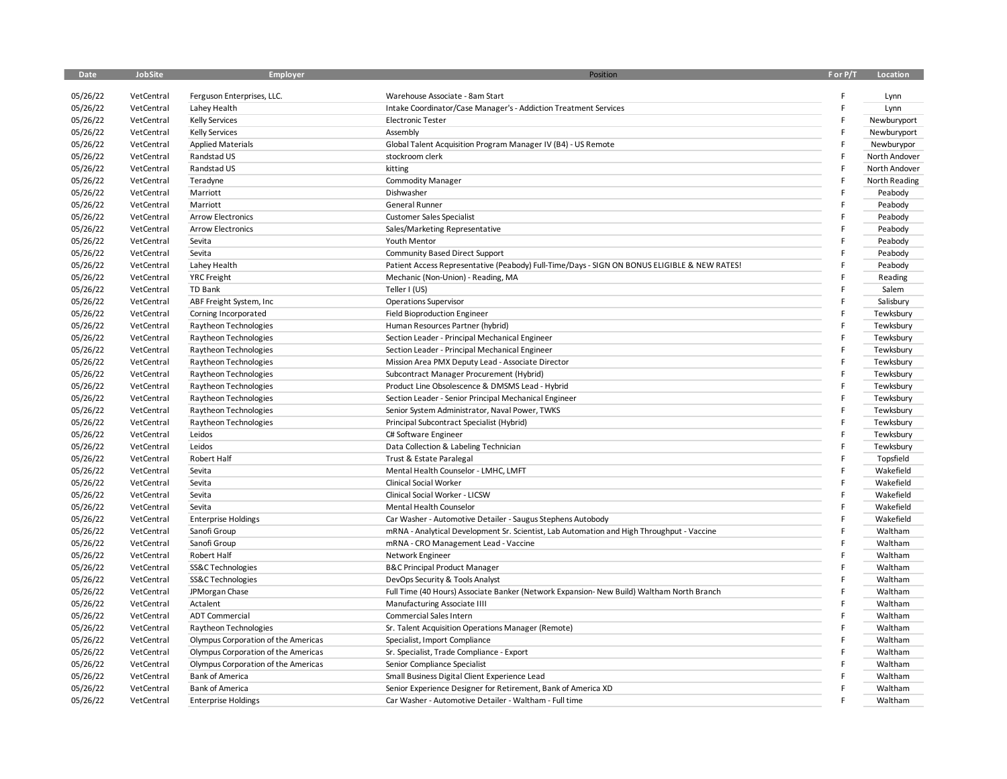| Date                 | <b>JobSite</b>           | Employer                                          | Position                                                                                            | F or P/T | Location                  |
|----------------------|--------------------------|---------------------------------------------------|-----------------------------------------------------------------------------------------------------|----------|---------------------------|
|                      |                          |                                                   |                                                                                                     |          |                           |
| 05/26/22             | VetCentral<br>VetCentral | Ferguson Enterprises, LLC.                        | Warehouse Associate - 8am Start<br>Intake Coordinator/Case Manager's - Addiction Treatment Services | F<br>F   | Lynn<br>Lynn              |
| 05/26/22             | VetCentral               | Lahey Health                                      | <b>Electronic Tester</b>                                                                            | E        |                           |
| 05/26/22<br>05/26/22 | VetCentral               | <b>Kelly Services</b>                             | Assembly                                                                                            | F        | Newburyport               |
| 05/26/22             | VetCentral               | <b>Kelly Services</b><br><b>Applied Materials</b> | Global Talent Acquisition Program Manager IV (B4) - US Remote                                       | E        | Newburyport<br>Newburypor |
|                      |                          | Randstad US                                       |                                                                                                     | F        |                           |
| 05/26/22             | VetCentral               |                                                   | stockroom clerk                                                                                     | F        | North Andover             |
| 05/26/22             | VetCentral               | Randstad US                                       | kitting                                                                                             | F        | North Andover             |
| 05/26/22             | VetCentral               | Teradyne                                          | Commodity Manager                                                                                   | F        | North Reading             |
| 05/26/22             | VetCentral               | Marriott                                          | Dishwasher                                                                                          |          | Peabody                   |
| 05/26/22             | VetCentral               | Marriott                                          | General Runner                                                                                      | F        | Peabody                   |
| 05/26/22             | VetCentral               | <b>Arrow Electronics</b>                          | <b>Customer Sales Specialist</b>                                                                    |          | Peabody                   |
| 05/26/22             | VetCentral               | <b>Arrow Electronics</b>                          | Sales/Marketing Representative                                                                      | F        | Peabody                   |
| 05/26/22             | VetCentral               | Sevita                                            | Youth Mentor                                                                                        | E        | Peabody                   |
| 05/26/22             | VetCentral               | Sevita                                            | Community Based Direct Support                                                                      |          | Peabody                   |
| 05/26/22             | VetCentral               | Lahey Health                                      | Patient Access Representative (Peabody) Full-Time/Days - SIGN ON BONUS ELIGIBLE & NEW RATES!        | Ë        | Peabody                   |
| 05/26/22             | VetCentral               | <b>YRC</b> Freight                                | Mechanic (Non-Union) - Reading, MA                                                                  | F        | Reading                   |
| 05/26/22             | VetCentral               | TD Bank                                           | Teller I (US)                                                                                       | E        | Salem                     |
| 05/26/22             | VetCentral               | ABF Freight System, Inc                           | <b>Operations Supervisor</b>                                                                        | F        | Salisbury                 |
| 05/26/22             | VetCentral               | Corning Incorporated                              | <b>Field Bioproduction Engineer</b>                                                                 | F        | Tewksbury                 |
| 05/26/22             | VetCentral               | Raytheon Technologies                             | Human Resources Partner (hybrid)                                                                    | F        | Tewksbury                 |
| 05/26/22             | VetCentral               | Raytheon Technologies                             | Section Leader - Principal Mechanical Engineer                                                      | F        | Tewksbury                 |
| 05/26/22             | VetCentral               | Raytheon Technologies                             | Section Leader - Principal Mechanical Engineer                                                      | F        | Tewksbury                 |
| 05/26/22             | VetCentral               | Raytheon Technologies                             | Mission Area PMX Deputy Lead - Associate Director                                                   | E        | Tewksbury                 |
| 05/26/22             | VetCentral               | Raytheon Technologies                             | Subcontract Manager Procurement (Hybrid)                                                            |          | Tewksbury                 |
| 05/26/22             | VetCentral               | Raytheon Technologies                             | Product Line Obsolescence & DMSMS Lead - Hybrid                                                     | F        | Tewksbury                 |
| 05/26/22             | VetCentral               | Raytheon Technologies                             | Section Leader - Senior Principal Mechanical Engineer                                               | F        | Tewksbury                 |
| 05/26/22             | VetCentral               | Raytheon Technologies                             | Senior System Administrator, Naval Power, TWKS                                                      | F        | Tewksbury                 |
| 05/26/22             | VetCentral               | Raytheon Technologies                             | Principal Subcontract Specialist (Hybrid)                                                           | F        | Tewksbury                 |
| 05/26/22             | VetCentral               | Leidos                                            | C# Software Engineer                                                                                | E        | Tewksbury                 |
| 05/26/22             | VetCentral               | Leidos                                            | Data Collection & Labeling Technician                                                               | F        | Tewksbury                 |
| 05/26/22             | VetCentral               | Robert Half                                       | Trust & Estate Paralegal                                                                            | F        | Topsfield                 |
| 05/26/22             | VetCentral               | Sevita                                            | Mental Health Counselor - LMHC, LMFT                                                                | E        | Wakefield                 |
| 05/26/22             | VetCentral               | Sevita                                            | <b>Clinical Social Worker</b>                                                                       | F        | Wakefield                 |
| 05/26/22             | VetCentral               | Sevita                                            | Clinical Social Worker - LICSW                                                                      | F        | Wakefield                 |
| 05/26/22             | VetCentral               | Sevita                                            | Mental Health Counselor                                                                             | E        | Wakefield                 |
| 05/26/22             | VetCentral               | <b>Enterprise Holdings</b>                        | Car Washer - Automotive Detailer - Saugus Stephens Autobody                                         | E        | Wakefield                 |
| 05/26/22             | VetCentral               | Sanofi Group                                      | mRNA - Analytical Development Sr. Scientist, Lab Automation and High Throughput - Vaccine           | F        | Waltham                   |
| 05/26/22             | VetCentral               | Sanofi Group                                      | mRNA - CRO Management Lead - Vaccine                                                                | F        | Waltham                   |
| 05/26/22             | VetCentral               | Robert Half                                       | Network Engineer                                                                                    | Ė        | Waltham                   |
| 05/26/22             | VetCentral               | SS&C Technologies                                 | <b>B&amp;C Principal Product Manager</b>                                                            | F        | Waltham                   |
| 05/26/22             | VetCentral               | SS&C Technologies                                 | DevOps Security & Tools Analyst                                                                     | E        | Waltham                   |
| 05/26/22             | VetCentral               | JPMorgan Chase                                    | Full Time (40 Hours) Associate Banker (Network Expansion- New Build) Waltham North Branch           | F        | Waltham                   |
| 05/26/22             | VetCentral               | Actalent                                          | Manufacturing Associate IIII                                                                        | E        | Waltham                   |
| 05/26/22             | VetCentral               | <b>ADT Commercial</b>                             | Commercial Sales Intern                                                                             | F        | Waltham                   |
| 05/26/22             | VetCentral               | Raytheon Technologies                             | Sr. Talent Acquisition Operations Manager (Remote)                                                  | Ė        | Waltham                   |
| 05/26/22             | VetCentral               | Olympus Corporation of the Americas               | Specialist, Import Compliance                                                                       | F        | Waltham                   |
| 05/26/22             | VetCentral               | Olympus Corporation of the Americas               | Sr. Specialist, Trade Compliance - Export                                                           | F        | Waltham                   |
| 05/26/22             | VetCentral               | Olympus Corporation of the Americas               | Senior Compliance Specialist                                                                        | E        | Waltham                   |
| 05/26/22             | VetCentral               | <b>Bank of America</b>                            | Small Business Digital Client Experience Lead                                                       | F        | Waltham                   |
| 05/26/22             | VetCentral               | <b>Bank of America</b>                            | Senior Experience Designer for Retirement, Bank of America XD                                       | F        | Waltham                   |
| 05/26/22             | VetCentral               | <b>Enterprise Holdings</b>                        | Car Washer - Automotive Detailer - Waltham - Full time                                              | Ė        | Waltham                   |
|                      |                          |                                                   |                                                                                                     |          |                           |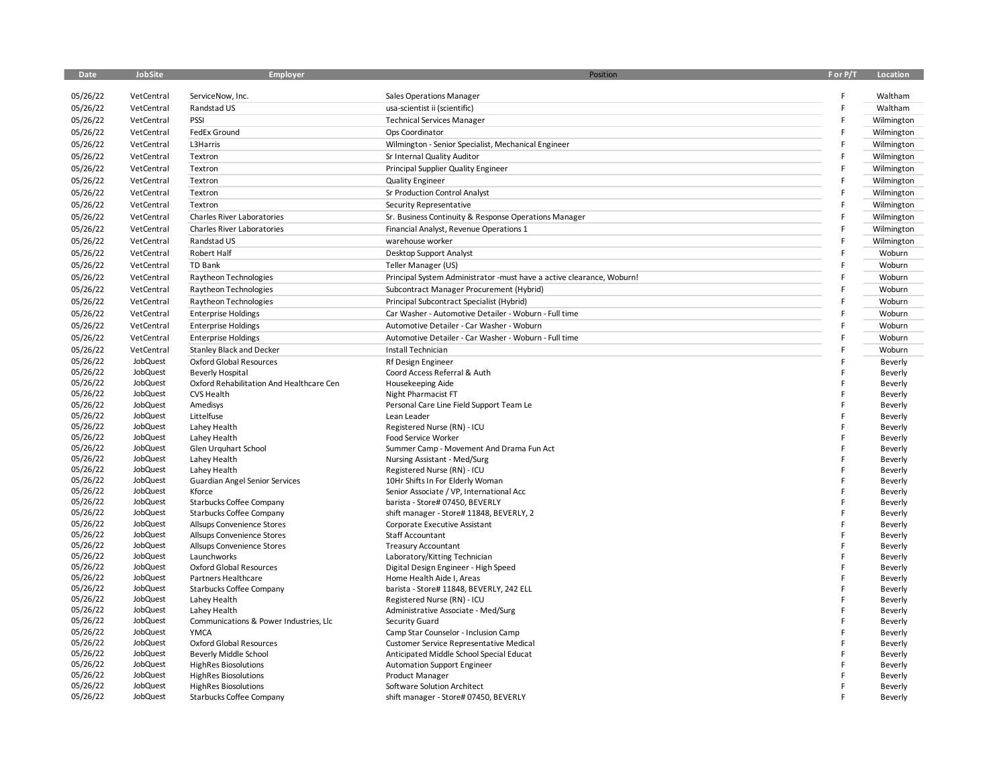| <b>Date</b>          | JobSite              | Employer                                 | Position                                                                 | F or P/T | Location           |
|----------------------|----------------------|------------------------------------------|--------------------------------------------------------------------------|----------|--------------------|
| 05/26/22             |                      |                                          |                                                                          | F        |                    |
|                      | VetCentral           | ServiceNow, Inc.                         | Sales Operations Manager                                                 |          | Waltham            |
| 05/26/22             | VetCentral           | Randstad US                              | usa-scientist ii (scientific)                                            | F        | Waltham            |
| 05/26/22             | VetCentral           | PSSI                                     | <b>Technical Services Manager</b>                                        | F        | Wilmington         |
| 05/26/22             | VetCentral           | FedEx Ground                             | Ops Coordinator                                                          | F        | Wilmington         |
| 05/26/22             | VetCentral           | L3Harris                                 | Wilmington - Senior Specialist, Mechanical Engineer                      | F        | Wilmington         |
| 05/26/22             | VetCentral           | Textron                                  | Sr Internal Quality Auditor                                              | F        | Wilmington         |
| 05/26/22             | VetCentral           | Textron                                  | Principal Supplier Quality Engineer                                      | F        | Wilmington         |
| 05/26/22             | VetCentral           | Textron                                  | <b>Quality Engineer</b>                                                  | F        | Wilmington         |
| 05/26/22             | VetCentral           | Textron                                  | Sr Production Control Analyst                                            | F        | Wilmington         |
| 05/26/22             | VetCentral           | Textron                                  | Security Representative                                                  | F        | Wilmington         |
| 05/26/22             | VetCentral           | <b>Charles River Laboratories</b>        | Sr. Business Continuity & Response Operations Manager                    | F        | Wilmington         |
| 05/26/22             | VetCentral           | Charles River Laboratories               | Financial Analyst, Revenue Operations 1                                  | F        | Wilmington         |
| 05/26/22             | VetCentral           | Randstad US                              | warehouse worker                                                         | F        | Wilmington         |
| 05/26/22             | VetCentral           | Robert Half                              | Desktop Support Analyst                                                  | F        | Woburn             |
| 05/26/22             | VetCentral           | TD Bank                                  | Teller Manager (US)                                                      | F        | Woburn             |
| 05/26/22             | VetCentral           | Raytheon Technologies                    | Principal System Administrator -must have a active clearance, Woburn!    |          | Woburn             |
| 05/26/22             | VetCentral           | Raytheon Technologies                    | Subcontract Manager Procurement (Hybrid)                                 | F        | Woburn             |
|                      |                      |                                          |                                                                          | F        |                    |
| 05/26/22             | VetCentral           | Raytheon Technologies                    | Principal Subcontract Specialist (Hybrid)                                |          | Woburn             |
| 05/26/22             | VetCentral           | <b>Enterprise Holdings</b>               | Car Washer - Automotive Detailer - Woburn - Full time                    | F        | Woburn             |
| 05/26/22             | VetCentral           | <b>Enterprise Holdings</b>               | Automotive Detailer - Car Washer - Woburn                                | F        | Woburn             |
| 05/26/22             | VetCentral           | <b>Enterprise Holdings</b>               | Automotive Detailer - Car Washer - Woburn - Full time                    | F        | Woburn             |
| 05/26/22             | VetCentral           | <b>Stanley Black and Decker</b>          | Install Technician                                                       | F        | Woburn             |
| 05/26/22             | JobQuest             | Oxford Global Resources                  | Rf Design Engineer                                                       |          | Beverly            |
| 05/26/22             | JobQuest             | <b>Beverly Hospital</b>                  | Coord Access Referral & Auth                                             | F        | Beverly            |
| 05/26/22             | JobQuest             | Oxford Rehabilitation And Healthcare Cen | Housekeeping Aide                                                        | F        | Beverly            |
| 05/26/22             | JobQuest             | <b>CVS Health</b>                        | Night Pharmacist FT                                                      |          | Beverly            |
| 05/26/22             | JobQuest             | Amedisys                                 | Personal Care Line Field Support Team Le                                 |          | Beverly            |
| 05/26/22             | JobQuest             | Littelfuse                               | Lean Leader                                                              |          | Beverly            |
| 05/26/22             | JobQuest             | Lahey Health                             | Registered Nurse (RN) - ICU                                              | F        | Beverly            |
| 05/26/22<br>05/26/22 | JobQuest<br>JobQuest | Lahey Health                             | Food Service Worker                                                      | F        | Beverly            |
| 05/26/22             | JobQuest             | Glen Urguhart School<br>Lahey Health     | Summer Camp - Movement And Drama Fun Act<br>Nursing Assistant - Med/Surg | F        | Beverly<br>Beverly |
| 05/26/22             | JobQuest             | Lahey Health                             | Registered Nurse (RN) - ICU                                              | F        | Beverly            |
| 05/26/22             | JobQuest             | <b>Guardian Angel Senior Services</b>    | 10Hr Shifts In For Elderly Woman                                         | F        | Beverly            |
| 05/26/22             | JobQuest             | Kforce                                   | Senior Associate / VP, International Acc                                 | F        | Beverly            |
| 05/26/22             | JobQuest             | Starbucks Coffee Company                 | barista - Store# 07450, BEVERLY                                          |          | Beverly            |
| 05/26/22             | JobQuest             | Starbucks Coffee Company                 | shift manager - Store# 11848, BEVERLY, 2                                 |          | Beverly            |
| 05/26/22             | JobQuest             | Allsups Convenience Stores               | Corporate Executive Assistant                                            |          | Beverly            |
| 05/26/22             | JobQuest             | Allsups Convenience Stores               | Staff Accountant                                                         |          | Beverly            |
| 05/26/22             | JobQuest             | Allsups Convenience Stores               | <b>Treasury Accountant</b>                                               |          | Beverly            |
| 05/26/22             | JobQuest             | Launchworks                              | Laboratory/Kitting Technician                                            |          | Beverly            |
| 05/26/22             | JobQuest             | Oxford Global Resources                  | Digital Design Engineer - High Speed                                     | F        | Beverly            |
| 05/26/22             | JobQuest             | Partners Healthcare                      | Home Health Aide I, Areas                                                | F        | Beverly            |
| 05/26/22             | JobQuest             | Starbucks Coffee Company                 | barista - Store# 11848, BEVERLY, 242 ELL                                 | F        | Beverly            |
| 05/26/22             | JobQuest             | Lahey Health                             | Registered Nurse (RN) - ICU                                              | F        | Beverly            |
| 05/26/22             | JobQuest             | Lahey Health                             | Administrative Associate - Med/Surg                                      | F        | Beverly            |
| 05/26/22             | JobQuest             | Communications & Power Industries, Llc   | Security Guard                                                           | F        | Beverly            |
| 05/26/22             | JobQuest             | <b>YMCA</b>                              | Camp Star Counselor - Inclusion Camp                                     |          | Beverly            |
| 05/26/22             | JobQuest             | <b>Oxford Global Resources</b>           | <b>Customer Service Representative Medical</b>                           |          | Beverly            |
| 05/26/22             | JobQuest             | Beverly Middle School                    | Anticipated Middle School Special Educat                                 |          | Beverly            |
| 05/26/22             | JobQuest             | <b>HighRes Biosolutions</b>              | Automation Support Engineer                                              |          | Beverly            |
| 05/26/22<br>05/26/22 | JobQuest             | <b>HighRes Biosolutions</b>              | Product Manager                                                          |          | Beverly            |
| 05/26/22             | JobQuest<br>JobQuest | <b>HighRes Biosolutions</b>              | Software Solution Architect                                              |          | Beverly            |
|                      |                      | Starbucks Coffee Company                 | shift manager - Store# 07450, BEVERLY                                    |          | Beverly            |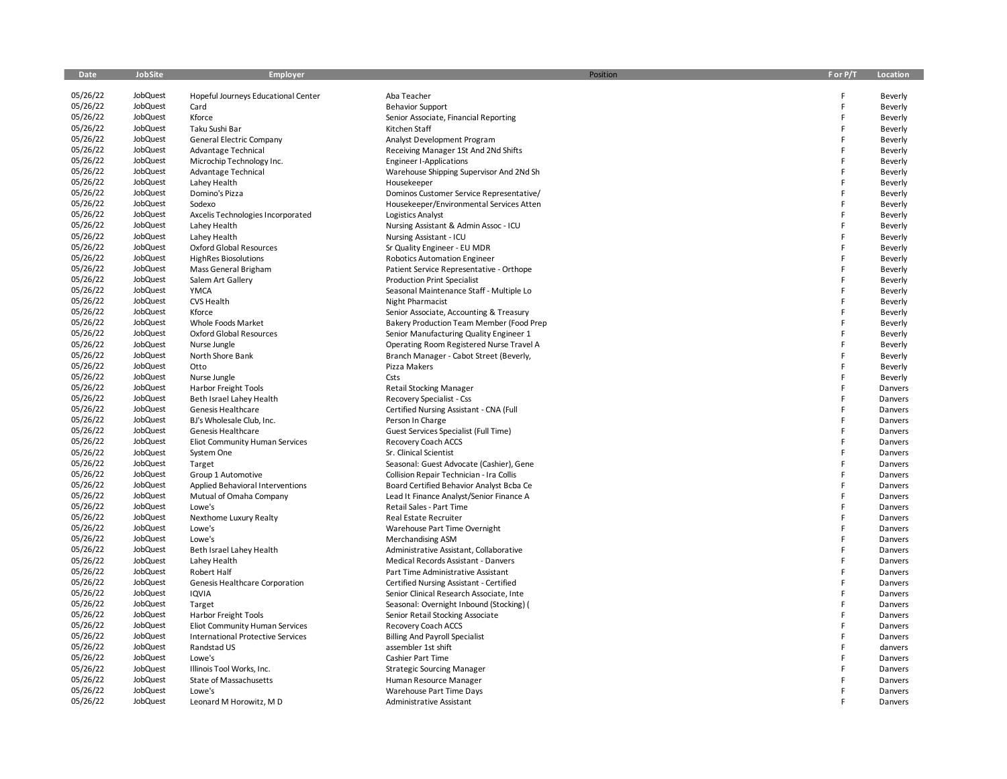| Date     | JobSite  | Employer                                 | Position                                                             | F or P/T | Location |
|----------|----------|------------------------------------------|----------------------------------------------------------------------|----------|----------|
|          |          |                                          |                                                                      |          |          |
| 05/26/22 | JobQuest | Hopeful Journeys Educational Center      | Aba Teacher                                                          | F        | Beverly  |
| 05/26/22 | JobQuest | Card                                     | <b>Behavior Support</b>                                              | E        | Beverly  |
| 05/26/22 | JobQuest | Kforce                                   | Senior Associate, Financial Reporting                                | F        | Beverly  |
| 05/26/22 | JobQuest | Taku Sushi Bar                           | Kitchen Staff                                                        | F        | Beverly  |
| 05/26/22 | JobQuest | General Electric Company                 | Analyst Development Program                                          | F        | Beverly  |
| 05/26/22 | JobQuest | Advantage Technical                      | Receiving Manager 1St And 2Nd Shifts                                 | F        | Beverly  |
| 05/26/22 | JobQuest | Microchip Technology Inc.                | <b>Engineer I-Applications</b>                                       | F        | Beverly  |
| 05/26/22 | JobQuest | Advantage Technical                      | Warehouse Shipping Supervisor And 2Nd Sh                             | F        | Beverly  |
| 05/26/22 | JobQuest | Lahey Health                             | Housekeeper                                                          | F        | Beverly  |
| 05/26/22 | JobQuest | Domino's Pizza                           | Dominos Customer Service Representative/                             | F        | Beverly  |
| 05/26/22 | JobQuest | Sodexo                                   |                                                                      | F        |          |
| 05/26/22 | JobQuest |                                          | Housekeeper/Environmental Services Atten                             | F        | Beverly  |
|          |          | Axcelis Technologies Incorporated        | Logistics Analyst                                                    | F        | Beverly  |
| 05/26/22 | JobQuest | Lahey Health                             | Nursing Assistant & Admin Assoc - ICU                                |          | Beverly  |
| 05/26/22 | JobQuest | Lahey Health                             | Nursing Assistant - ICU                                              | F        | Beverly  |
| 05/26/22 | JobQuest | Oxford Global Resources                  | Sr Quality Engineer - EU MDR                                         | F        | Beverly  |
| 05/26/22 | JobQuest | <b>HighRes Biosolutions</b>              | <b>Robotics Automation Engineer</b>                                  | F        | Beverly  |
| 05/26/22 | JobQuest | Mass General Brigham                     | Patient Service Representative - Orthope                             | F        | Beverly  |
| 05/26/22 | JobQuest | Salem Art Gallery                        | <b>Production Print Specialist</b>                                   | F        | Beverly  |
| 05/26/22 | JobQuest | <b>YMCA</b>                              | Seasonal Maintenance Staff - Multiple Lo                             | F        | Beverly  |
| 05/26/22 | JobQuest | <b>CVS Health</b>                        | <b>Night Pharmacist</b>                                              | F        | Beverly  |
| 05/26/22 | JobQuest | Kforce                                   | Senior Associate, Accounting & Treasury                              | F        | Beverly  |
| 05/26/22 | JobQuest | Whole Foods Market                       | Bakery Production Team Member (Food Prep                             | F        | Beverly  |
| 05/26/22 | JobQuest | <b>Oxford Global Resources</b>           | Senior Manufacturing Quality Engineer 1                              | F        | Beverly  |
| 05/26/22 | JobQuest | Nurse Jungle                             | Operating Room Registered Nurse Travel A                             | F        | Beverly  |
| 05/26/22 | JobQuest | North Shore Bank                         | Branch Manager - Cabot Street (Beverly,                              | F        | Beverly  |
| 05/26/22 | JobQuest | Otto                                     | Pizza Makers                                                         | F        | Beverly  |
| 05/26/22 | JobQuest | Nurse Jungle                             | Csts                                                                 | F        | Beverly  |
| 05/26/22 | JobQuest | <b>Harbor Freight Tools</b>              | <b>Retail Stocking Manager</b>                                       | F        | Danvers  |
| 05/26/22 | JobQuest | Beth Israel Lahey Health                 | Recovery Specialist - Css                                            | F        | Danvers  |
| 05/26/22 | JobQuest | Genesis Healthcare                       | Certified Nursing Assistant - CNA (Full                              | F        | Danvers  |
| 05/26/22 | JobQuest | BJ's Wholesale Club, Inc.                | Person In Charge                                                     | F        | Danvers  |
| 05/26/22 | JobQuest | Genesis Healthcare                       | Guest Services Specialist (Full Time)                                | F        | Danvers  |
| 05/26/22 | JobQuest | Eliot Community Human Services           | Recovery Coach ACCS                                                  | F        | Danvers  |
| 05/26/22 | JobQuest | System One                               | Sr. Clinical Scientist                                               | F        | Danvers  |
| 05/26/22 | JobQuest | Target                                   | Seasonal: Guest Advocate (Cashier), Gene                             | F        | Danvers  |
| 05/26/22 | JobQuest | Group 1 Automotive                       | Collision Repair Technician - Ira Collis                             | F        | Danvers  |
| 05/26/22 | JobQuest | Applied Behavioral Interventions         | Board Certified Behavior Analyst Bcba Ce                             | F        | Danvers  |
| 05/26/22 | JobQuest |                                          |                                                                      | F        | Danvers  |
| 05/26/22 | JobQuest | Mutual of Omaha Company<br>Lowe's        | Lead It Finance Analyst/Senior Finance A<br>Retail Sales - Part Time | F        | Danvers  |
|          | JobQuest |                                          |                                                                      | F        |          |
| 05/26/22 | JobQuest | Nexthome Luxury Realty                   | Real Estate Recruiter                                                | F        | Danvers  |
| 05/26/22 |          | Lowe's                                   | Warehouse Part Time Overnight                                        | F        | Danvers  |
| 05/26/22 | JobQuest | Lowe's                                   | <b>Merchandising ASM</b>                                             | F        | Danvers  |
| 05/26/22 | JobQuest | Beth Israel Lahey Health                 | Administrative Assistant, Collaborative                              |          | Danvers  |
| 05/26/22 | JobQuest | Lahey Health                             | Medical Records Assistant - Danvers                                  | F        | Danvers  |
| 05/26/22 | JobQuest | Robert Half                              | Part Time Administrative Assistant                                   | F        | Danvers  |
| 05/26/22 | JobQuest | Genesis Healthcare Corporation           | Certified Nursing Assistant - Certified                              | F        | Danvers  |
| 05/26/22 | JobQuest | <b>IQVIA</b>                             | Senior Clinical Research Associate, Inte                             | F        | Danvers  |
| 05/26/22 | JobQuest | Target                                   | Seasonal: Overnight Inbound (Stocking) (                             | F        | Danvers  |
| 05/26/22 | JobQuest | <b>Harbor Freight Tools</b>              | Senior Retail Stocking Associate                                     | F        | Danvers  |
| 05/26/22 | JobQuest | Eliot Community Human Services           | Recovery Coach ACCS                                                  | F        | Danvers  |
| 05/26/22 | JobQuest | <b>International Protective Services</b> | <b>Billing And Payroll Specialist</b>                                | F        | Danvers  |
| 05/26/22 | JobQuest | Randstad US                              | assembler 1st shift                                                  | F        | danvers  |
| 05/26/22 | JobQuest | Lowe's                                   | Cashier Part Time                                                    | F        | Danvers  |
| 05/26/22 | JobQuest | Illinois Tool Works, Inc.                | <b>Strategic Sourcing Manager</b>                                    | F        | Danvers  |
| 05/26/22 | JobQuest | State of Massachusetts                   | Human Resource Manager                                               |          | Danvers  |
| 05/26/22 | JobQuest | Lowe's                                   | Warehouse Part Time Days                                             |          | Danvers  |
| 05/26/22 | JobQuest | Leonard M Horowitz, M D                  | Administrative Assistant                                             |          | Danvers  |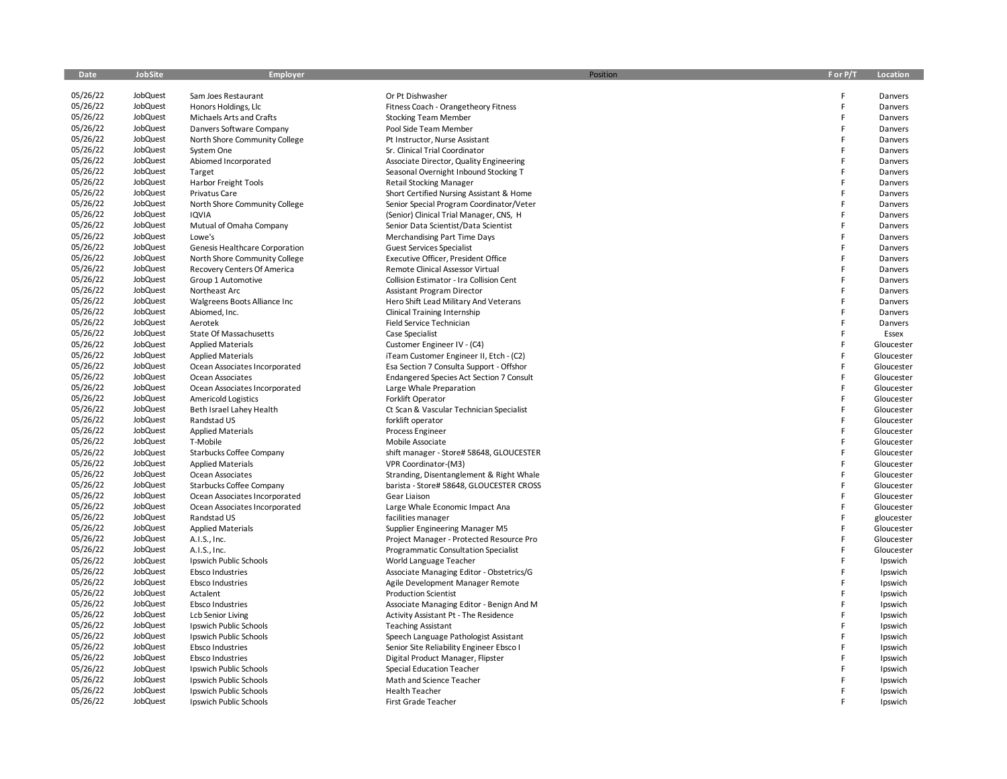| <b>Date</b> | JobSite  | Employer                       | Position                                 | F or P/T | Location   |
|-------------|----------|--------------------------------|------------------------------------------|----------|------------|
|             |          |                                |                                          |          |            |
| 05/26/22    | JobQuest | Sam Joes Restaurant            | Or Pt Dishwasher                         | F        | Danvers    |
| 05/26/22    | JobQuest | Honors Holdings, Llc           | Fitness Coach - Orangetheory Fitness     | F        | Danvers    |
| 05/26/22    | JobQuest | Michaels Arts and Crafts       | <b>Stocking Team Member</b>              | F        | Danvers    |
| 05/26/22    | JobQuest | Danvers Software Company       | Pool Side Team Member                    | F        | Danvers    |
| 05/26/22    | JobQuest | North Shore Community College  | Pt Instructor, Nurse Assistant           | F        | Danvers    |
| 05/26/22    | JobQuest | System One                     | Sr. Clinical Trial Coordinator           | F        | Danvers    |
| 05/26/22    | JobQuest | Abiomed Incorporated           | Associate Director, Quality Engineering  | F        | Danvers    |
| 05/26/22    | JobQuest | Target                         | Seasonal Overnight Inbound Stocking T    | F        | Danvers    |
| 05/26/22    | JobQuest | Harbor Freight Tools           | <b>Retail Stocking Manager</b>           | F        | Danvers    |
| 05/26/22    | JobQuest | Privatus Care                  | Short Certified Nursing Assistant & Home | F        | Danvers    |
| 05/26/22    | JobQuest | North Shore Community College  | Senior Special Program Coordinator/Veter | F        | Danvers    |
| 05/26/22    | JobQuest | IQVIA                          | (Senior) Clinical Trial Manager, CNS, H  | F        | Danvers    |
| 05/26/22    | JobQuest | Mutual of Omaha Company        | Senior Data Scientist/Data Scientist     | F        | Danvers    |
| 05/26/22    | JobQuest | Lowe's                         | Merchandising Part Time Days             | F        | Danvers    |
| 05/26/22    | JobQuest | Genesis Healthcare Corporation | <b>Guest Services Specialist</b>         | F        | Danvers    |
| 05/26/22    | JobQuest | North Shore Community College  | Executive Officer, President Office      | F        | Danvers    |
| 05/26/22    | JobQuest | Recovery Centers Of America    | Remote Clinical Assessor Virtual         | F        | Danvers    |
| 05/26/22    | JobQuest | Group 1 Automotive             | Collision Estimator - Ira Collision Cent | F        | Danvers    |
| 05/26/22    | JobQuest | Northeast Arc                  | <b>Assistant Program Director</b>        | F        | Danvers    |
| 05/26/22    | JobQuest | Walgreens Boots Alliance Inc   | Hero Shift Lead Military And Veterans    | F        | Danvers    |
| 05/26/22    | JobQuest | Abiomed, Inc.                  | <b>Clinical Training Internship</b>      | F        | Danvers    |
| 05/26/22    | JobQuest | Aerotek                        | Field Service Technician                 | F        | Danvers    |
| 05/26/22    | JobQuest | State Of Massachusetts         | Case Specialist                          | F        | Essex      |
| 05/26/22    | JobQuest | <b>Applied Materials</b>       | Customer Engineer IV - (C4)              | F        | Gloucester |
| 05/26/22    | JobQuest |                                |                                          | F        |            |
| 05/26/22    | JobQuest | <b>Applied Materials</b>       | iTeam Customer Engineer II, Etch - (C2)  | F        | Gloucester |
|             |          | Ocean Associates Incorporated  | Esa Section 7 Consulta Support - Offshor | F        | Gloucester |
| 05/26/22    | JobQuest | Ocean Associates               | Endangered Species Act Section 7 Consult | F        | Gloucester |
| 05/26/22    | JobQuest | Ocean Associates Incorporated  | Large Whale Preparation                  |          | Gloucester |
| 05/26/22    | JobQuest | <b>Americold Logistics</b>     | Forklift Operator                        | F        | Gloucester |
| 05/26/22    | JobQuest | Beth Israel Lahey Health       | Ct Scan & Vascular Technician Specialist | F        | Gloucester |
| 05/26/22    | JobQuest | Randstad US                    | forklift operator                        | F        | Gloucester |
| 05/26/22    | JobQuest | <b>Applied Materials</b>       | <b>Process Engineer</b>                  | F        | Gloucester |
| 05/26/22    | JobQuest | T-Mobile                       | Mobile Associate                         | F        | Gloucester |
| 05/26/22    | JobQuest | Starbucks Coffee Company       | shift manager - Store# 58648, GLOUCESTER | F        | Gloucester |
| 05/26/22    | JobQuest | <b>Applied Materials</b>       | VPR Coordinator-(M3)                     | F        | Gloucester |
| 05/26/22    | JobQuest | Ocean Associates               | Stranding, Disentanglement & Right Whale | F        | Gloucester |
| 05/26/22    | JobQuest | Starbucks Coffee Company       | barista - Store# 58648, GLOUCESTER CROSS | F        | Gloucester |
| 05/26/22    | JobQuest | Ocean Associates Incorporated  | Gear Liaison                             | F        | Gloucester |
| 05/26/22    | JobQuest | Ocean Associates Incorporated  | Large Whale Economic Impact Ana          | F        | Gloucester |
| 05/26/22    | JobQuest | Randstad US                    | facilities manager                       | F        | gloucester |
| 05/26/22    | JobQuest | <b>Applied Materials</b>       | Supplier Engineering Manager M5          | F        | Gloucester |
| 05/26/22    | JobQuest | A.I.S., Inc.                   | Project Manager - Protected Resource Pro | F        | Gloucester |
| 05/26/22    | JobQuest | A.I.S., Inc.                   | Programmatic Consultation Specialist     | F        | Gloucester |
| 05/26/22    | JobQuest | Ipswich Public Schools         | World Language Teacher                   | F        | Ipswich    |
| 05/26/22    | JobQuest | Ebsco Industries               | Associate Managing Editor - Obstetrics/G | F        | Ipswich    |
| 05/26/22    | JobQuest | Ebsco Industries               | Agile Development Manager Remote         | F        | Ipswich    |
| 05/26/22    | JobQuest | Actalent                       | <b>Production Scientist</b>              | F        | Ipswich    |
| 05/26/22    | JobQuest | Ebsco Industries               | Associate Managing Editor - Benign And M | F        | Ipswich    |
| 05/26/22    | JobQuest | <b>Lcb Senior Living</b>       | Activity Assistant Pt - The Residence    | F        | Ipswich    |
| 05/26/22    | JobQuest | Ipswich Public Schools         | <b>Teaching Assistant</b>                | F        | Ipswich    |
| 05/26/22    | JobQuest | Ipswich Public Schools         | Speech Language Pathologist Assistant    | F        | Ipswich    |
| 05/26/22    | JobQuest | Ebsco Industries               | Senior Site Reliability Engineer Ebsco I | F        | Ipswich    |
| 05/26/22    | JobQuest | Ebsco Industries               | Digital Product Manager, Flipster        | F        | Ipswich    |
| 05/26/22    | JobQuest | Ipswich Public Schools         | Special Education Teacher                | F        | Ipswich    |
| 05/26/22    | JobQuest | Ipswich Public Schools         | Math and Science Teacher                 | F        | Ipswich    |
| 05/26/22    | JobQuest | Ipswich Public Schools         | <b>Health Teacher</b>                    | F        | Ipswich    |
| 05/26/22    | JobQuest | Ipswich Public Schools         | First Grade Teacher                      | F        | Ipswich    |
|             |          |                                |                                          |          |            |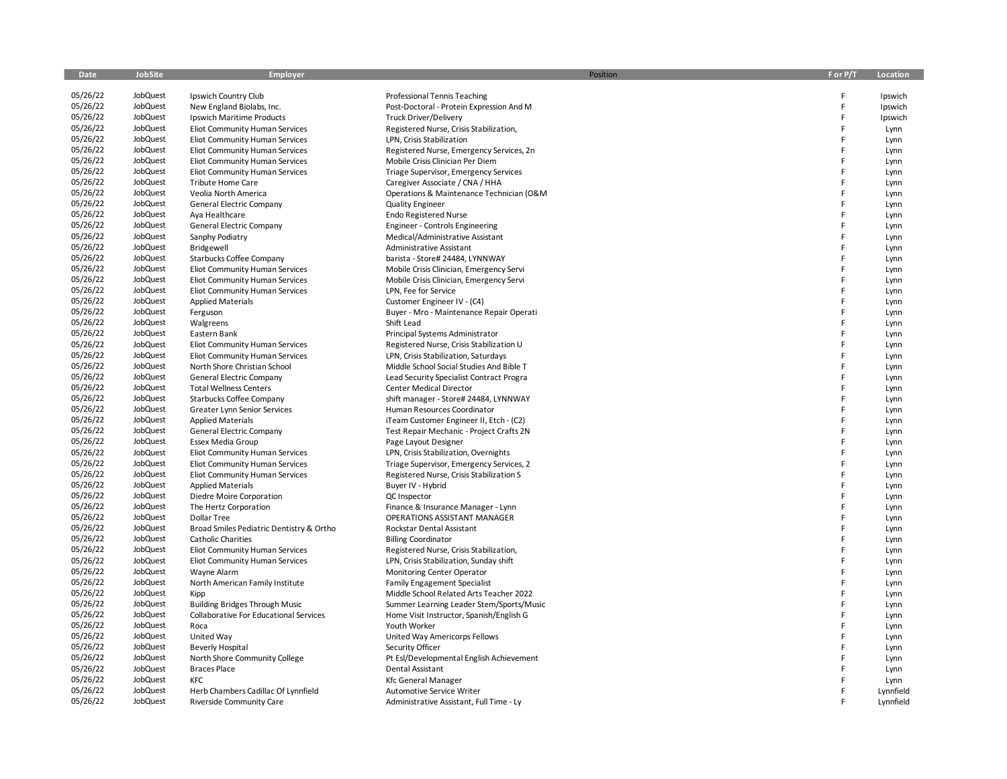| Date                 | JobSite              | Employer                                             | Position                                       | F or P/T | Location          |
|----------------------|----------------------|------------------------------------------------------|------------------------------------------------|----------|-------------------|
| 05/26/22             | JobQuest             | Ipswich Country Club                                 | Professional Tennis Teaching                   | F        | Ipswich           |
| 05/26/22             | JobQuest             | New England Biolabs, Inc.                            | Post-Doctoral - Protein Expression And M       | F        | Ipswich           |
| 05/26/22             | JobQuest             | Ipswich Maritime Products                            | <b>Truck Driver/Delivery</b>                   | F        | Ipswich           |
| 05/26/22             | JobQuest             | Eliot Community Human Services                       | Registered Nurse, Crisis Stabilization,        | F        | Lynn              |
| 05/26/22             | JobQuest             | Eliot Community Human Services                       | LPN, Crisis Stabilization                      | F        | Lynn              |
| 05/26/22             | JobQuest             | Eliot Community Human Services                       | Registered Nurse, Emergency Services, 2n       | F        | Lynn              |
| 05/26/22             | JobQuest             | Eliot Community Human Services                       | Mobile Crisis Clinician Per Diem               | F        | Lynn              |
| 05/26/22             | JobQuest             | Eliot Community Human Services                       | Triage Supervisor, Emergency Services          | F        | Lynn              |
| 05/26/22             | JobQuest             | Tribute Home Care                                    | Caregiver Associate / CNA / HHA                | F        | Lynn              |
| 05/26/22             | JobQuest             | Veolia North America                                 | Operations & Maintenance Technician (O&M       | F        | Lynn              |
| 05/26/22             | JobQuest             | General Electric Company                             | <b>Quality Engineer</b>                        | F        | Lynn              |
| 05/26/22             | JobQuest             | Aya Healthcare                                       | <b>Endo Registered Nurse</b>                   | F        | Lynn              |
| 05/26/22             | JobQuest             | General Electric Company                             | Engineer - Controls Engineering                | F        | Lynn              |
| 05/26/22             | JobQuest             | Sanphy Podiatry                                      | Medical/Administrative Assistant               | F        | Lynn              |
| 05/26/22             | JobQuest             | Bridgewell                                           | Administrative Assistant                       | F        | Lynn              |
| 05/26/22             | JobQuest             | Starbucks Coffee Company                             | barista - Store# 24484, LYNNWAY                | F        | Lynn              |
| 05/26/22             | JobQuest             | Eliot Community Human Services                       | Mobile Crisis Clinician, Emergency Servi       | F        | Lynn              |
| 05/26/22             | JobQuest             | Eliot Community Human Services                       | Mobile Crisis Clinician, Emergency Servi       | F        | Lynn              |
| 05/26/22             | JobQuest             | Eliot Community Human Services                       | LPN, Fee for Service                           | F        | Lynn              |
| 05/26/22             | JobQuest             | <b>Applied Materials</b>                             | Customer Engineer IV - (C4)                    | F        | Lynn              |
| 05/26/22             | JobQuest             | Ferguson                                             | Buyer - Mro - Maintenance Repair Operati       | F        | Lynn              |
| 05/26/22             | JobQuest             | Walgreens                                            | Shift Lead                                     | F        | Lynn              |
| 05/26/22             | JobQuest             | Eastern Bank                                         | Principal Systems Administrator                | F        | Lynn              |
| 05/26/22             | JobQuest             | Eliot Community Human Services                       | Registered Nurse, Crisis Stabilization U       | F        | Lynn              |
| 05/26/22             | JobQuest             | Eliot Community Human Services                       | LPN, Crisis Stabilization, Saturdays           | F        | Lynn              |
| 05/26/22             | JobQuest             | North Shore Christian School                         | Middle School Social Studies And Bible T       | F        | Lynn              |
| 05/26/22             | JobQuest             | General Electric Company                             | Lead Security Specialist Contract Progra       | F        | Lynn              |
| 05/26/22             | JobQuest             | <b>Total Wellness Centers</b>                        | Center Medical Director                        | F        | Lynn              |
| 05/26/22             | JobQuest             | Starbucks Coffee Company                             | shift manager - Store# 24484, LYNNWAY          | F        | Lynn              |
| 05/26/22             | JobQuest             | Greater Lynn Senior Services                         | Human Resources Coordinator                    | F        | Lynn              |
| 05/26/22             | JobQuest             | <b>Applied Materials</b>                             | iTeam Customer Engineer II, Etch - (C2)        | F        | Lynn              |
| 05/26/22             | JobQuest             | <b>General Electric Company</b>                      | Test Repair Mechanic - Project Crafts 2N       | F        | Lynn              |
| 05/26/22             | JobQuest             | Essex Media Group                                    | Page Layout Designer                           | F        | Lynn              |
| 05/26/22             | JobQuest             | Eliot Community Human Services                       | LPN, Crisis Stabilization, Overnights          | F        | Lynn              |
| 05/26/22             | JobQuest             | Eliot Community Human Services                       | Triage Supervisor, Emergency Services, 2       | F        | Lynn              |
| 05/26/22             | JobQuest             | Eliot Community Human Services                       | Registered Nurse, Crisis Stabilization S       | F        | Lynn              |
| 05/26/22             | JobQuest             | <b>Applied Materials</b>                             | Buyer IV - Hybrid                              | F        | Lynn              |
| 05/26/22             | JobQuest             | Diedre Moire Corporation                             | QC Inspector                                   | F        | Lynn              |
| 05/26/22             | JobQuest             | The Hertz Corporation                                | Finance & Insurance Manager - Lynn             | F        | Lynn              |
| 05/26/22             | JobQuest             | <b>Dollar Tree</b>                                   | OPERATIONS ASSISTANT MANAGER                   | F        | Lynn              |
| 05/26/22             | JobQuest             | Broad Smiles Pediatric Dentistry & Ortho             | Rockstar Dental Assistant                      | F        | Lynn              |
| 05/26/22             | JobQuest             | <b>Catholic Charities</b>                            | <b>Billing Coordinator</b>                     | F        | Lynn              |
| 05/26/22             | JobQuest             | Eliot Community Human Services                       | Registered Nurse, Crisis Stabilization,        | F        | Lynn              |
| 05/26/22             | JobQuest             | Eliot Community Human Services                       | LPN, Crisis Stabilization, Sunday shift        | F        | Lynn              |
| 05/26/22             | JobQuest             | Wayne Alarm                                          | Monitoring Center Operator                     | F        | Lynn              |
| 05/26/22             | JobQuest             | North American Family Institute                      | <b>Family Engagement Specialist</b>            | F        | Lynn              |
| 05/26/22             | JobQuest             | Kipp                                                 | Middle School Related Arts Teacher 2022        | F        | Lynn              |
| 05/26/22             | JobQuest             | <b>Building Bridges Through Music</b>                | Summer Learning Leader Stem/Sports/Music       | F        | Lynn              |
| 05/26/22             | JobQuest             | Collaborative For Educational Services               | Home Visit Instructor, Spanish/English G       | F        | Lynn              |
| 05/26/22<br>05/26/22 | JobQuest<br>JobQuest | Roca                                                 | Youth Worker                                   | F<br>F   | Lynn              |
| 05/26/22             | JobQuest             | United Way                                           | United Way Americorps Fellows                  | F        | Lynn              |
| 05/26/22             | JobQuest             | <b>Beverly Hospital</b>                              | Security Officer                               | F        | Lynn              |
| 05/26/22             | JobQuest             | North Shore Community College<br><b>Braces Place</b> | Pt Esl/Developmental English Achievement       | F        | Lynn              |
| 05/26/22             | JobQuest             | KFC                                                  | Dental Assistant<br><b>Kfc General Manager</b> |          | Lynn              |
| 05/26/22             | JobQuest             | Herb Chambers Cadillac Of Lynnfield                  | <b>Automotive Service Writer</b>               |          | Lynn<br>Lynnfield |
| 05/26/22             | <b>JobQuest</b>      | Riverside Community Care                             | Administrative Assistant, Full Time - Ly       |          | Lynnfield         |
|                      |                      |                                                      |                                                |          |                   |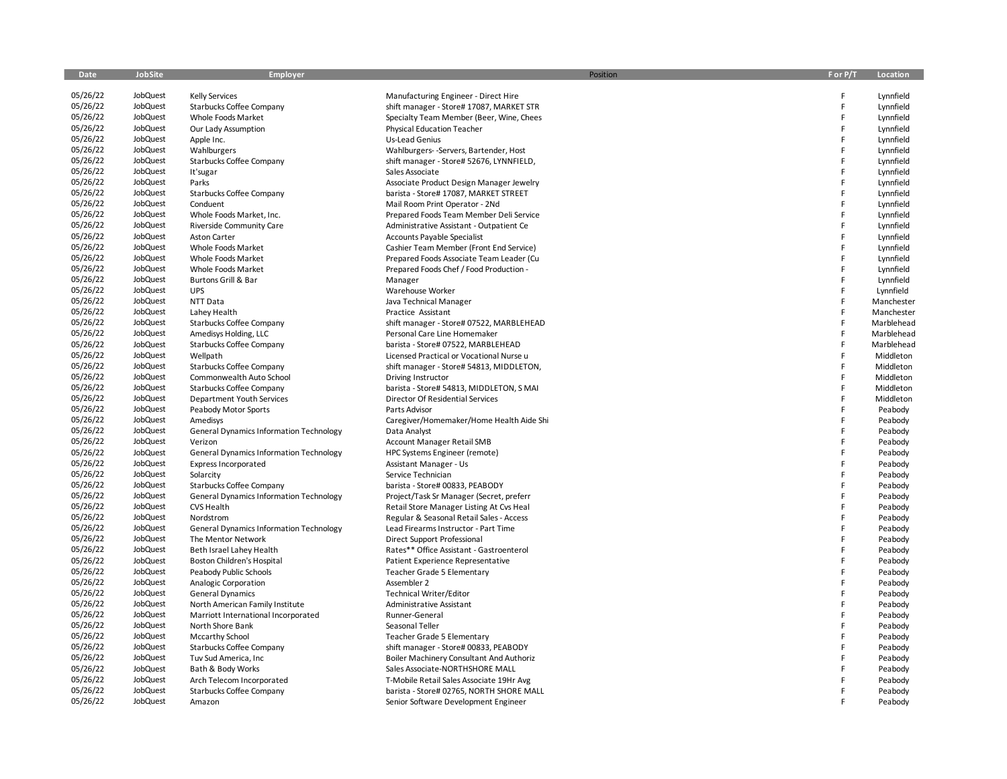| Date                 | <b>JobSite</b>       | <b>Employer</b>                                | Position                                 | F or P/T | Location   |
|----------------------|----------------------|------------------------------------------------|------------------------------------------|----------|------------|
| 05/26/22             | JobQuest             | <b>Kelly Services</b>                          | Manufacturing Engineer - Direct Hire     | F        | Lynnfield  |
| 05/26/22             | JobQuest             | Starbucks Coffee Company                       | shift manager - Store# 17087, MARKET STR | F        | Lynnfield  |
| 05/26/22             | JobQuest             | Whole Foods Market                             | Specialty Team Member (Beer, Wine, Chees | F        | Lynnfield  |
| 05/26/22             | JobQuest             | Our Lady Assumption                            | Physical Education Teacher               | F        | Lynnfield  |
| 05/26/22             | JobQuest             | Apple Inc.                                     | Us-Lead Genius                           | F        | Lynnfield  |
| 05/26/22             | JobQuest             | Wahlburgers                                    | Wahlburgers- - Servers, Bartender, Host  | F        | Lynnfield  |
| 05/26/22             | JobQuest             | Starbucks Coffee Company                       | shift manager - Store# 52676, LYNNFIELD, | F        | Lynnfield  |
| 05/26/22             | JobQuest             | It'sugar                                       | Sales Associate                          | F        | Lynnfield  |
| 05/26/22             | JobQuest             | Parks                                          | Associate Product Design Manager Jewelry | F        | Lynnfield  |
| 05/26/22             | JobQuest             | Starbucks Coffee Company                       | barista - Store# 17087, MARKET STREET    | F        | Lynnfield  |
| 05/26/22             | JobQuest             | Conduent                                       | Mail Room Print Operator - 2Nd           | F        | Lynnfield  |
| 05/26/22             | JobQuest             | Whole Foods Market, Inc.                       | Prepared Foods Team Member Deli Service  | F        | Lynnfield  |
| 05/26/22             | JobQuest             | Riverside Community Care                       | Administrative Assistant - Outpatient Ce | F        | Lynnfield  |
| 05/26/22             | JobQuest             | <b>Aston Carter</b>                            | Accounts Payable Specialist              | F        | Lynnfield  |
| 05/26/22             | JobQuest             | Whole Foods Market                             | Cashier Team Member (Front End Service)  | F        | Lynnfield  |
| 05/26/22             | JobQuest             | Whole Foods Market                             | Prepared Foods Associate Team Leader (Cu | F        | Lynnfield  |
| 05/26/22             | JobQuest             | Whole Foods Market                             | Prepared Foods Chef / Food Production -  | F        | Lynnfield  |
| 05/26/22             | JobQuest             | Burtons Grill & Bar                            | Manager                                  | F        | Lynnfield  |
| 05/26/22             | JobQuest             | <b>UPS</b>                                     | Warehouse Worker                         | F        | Lynnfield  |
| 05/26/22             | JobQuest             | NTT Data                                       | Java Technical Manager                   | F        | Manchester |
| 05/26/22             | JobQuest             | Lahey Health                                   | Practice Assistant                       | F        | Manchester |
| 05/26/22             | JobQuest             | Starbucks Coffee Company                       | shift manager - Store# 07522, MARBLEHEAD | F        | Marblehead |
| 05/26/22             | JobQuest             | Amedisys Holding, LLC                          | Personal Care Line Homemaker             | F        | Marblehead |
| 05/26/22             | JobQuest             | Starbucks Coffee Company                       | barista - Store# 07522, MARBLEHEAD       | F        | Marblehead |
| 05/26/22             | JobQuest             | Wellpath                                       | Licensed Practical or Vocational Nurse u | F        | Middleton  |
| 05/26/22             | JobQuest             | Starbucks Coffee Company                       | shift manager - Store# 54813, MIDDLETON, | F        | Middleton  |
| 05/26/22             | JobQuest             | Commonwealth Auto School                       | Driving Instructor                       | F        | Middleton  |
| 05/26/22             | JobQuest             | Starbucks Coffee Company                       | barista - Store# 54813, MIDDLETON, S MAI | F        | Middleton  |
| 05/26/22             | JobQuest             | Department Youth Services                      | Director Of Residential Services         | F        | Middleton  |
| 05/26/22             | JobQuest             | Peabody Motor Sports                           | Parts Advisor                            | F        | Peabody    |
| 05/26/22             | JobQuest             | Amedisys                                       | Caregiver/Homemaker/Home Health Aide Shi | F        | Peabody    |
| 05/26/22             | JobQuest             | <b>General Dynamics Information Technology</b> | Data Analyst                             | F        | Peabody    |
| 05/26/22             | JobQuest             | Verizon                                        | Account Manager Retail SMB               | F        | Peabody    |
| 05/26/22             | JobQuest             | <b>General Dynamics Information Technology</b> | HPC Systems Engineer (remote)            | F        | Peabody    |
| 05/26/22             | JobQuest             | Express Incorporated                           | Assistant Manager - Us                   | F        | Peabody    |
| 05/26/22             | JobQuest             | Solarcity                                      | Service Technician                       | F        | Peabody    |
| 05/26/22             | JobQuest             | Starbucks Coffee Company                       | barista - Store# 00833, PEABODY          | F        | Peabody    |
| 05/26/22             | JobQuest             | <b>General Dynamics Information Technology</b> | Project/Task Sr Manager (Secret, preferr | F        | Peabody    |
| 05/26/22             | JobQuest             | <b>CVS Health</b>                              | Retail Store Manager Listing At Cvs Heal | F        | Peabody    |
| 05/26/22             | JobQuest             | Nordstrom                                      | Regular & Seasonal Retail Sales - Access | F        | Peabody    |
| 05/26/22             | JobQuest             | <b>General Dynamics Information Technology</b> | Lead Firearms Instructor - Part Time     |          | Peabody    |
| 05/26/22             | JobQuest             | The Mentor Network                             | Direct Support Professional              | F        | Peabody    |
| 05/26/22             | JobQuest             | Beth Israel Lahey Health                       | Rates** Office Assistant - Gastroenterol | F        | Peabody    |
| 05/26/22             | JobQuest             | Boston Children's Hospital                     | Patient Experience Representative        | F        | Peabody    |
| 05/26/22             | JobQuest             | Peabody Public Schools                         | Teacher Grade 5 Elementary               | F        | Peabody    |
| 05/26/22             | JobQuest             | Analogic Corporation                           | Assembler 2                              | F        | Peabody    |
| 05/26/22             | JobQuest             | <b>General Dynamics</b>                        | <b>Technical Writer/Editor</b>           | F        | Peabody    |
| 05/26/22             | JobQuest             | North American Family Institute                | Administrative Assistant                 | F        | Peabody    |
| 05/26/22             | JobQuest             | Marriott International Incorporated            | Runner-General                           | F        | Peabody    |
| 05/26/22             | JobQuest             | North Shore Bank                               | Seasonal Teller                          | F        | Peabody    |
| 05/26/22             | JobQuest             | <b>Mccarthy School</b>                         | Teacher Grade 5 Elementary               | F        | Peabody    |
| 05/26/22<br>05/26/22 | JobQuest             | Starbucks Coffee Company                       | shift manager - Store# 00833, PEABODY    | F        | Peabody    |
|                      | JobQuest             | Tuv Sud America, Inc                           | Boiler Machinery Consultant And Authoriz | F<br>F   | Peabody    |
| 05/26/22             | JobQuest             | Bath & Body Works                              | Sales Associate-NORTHSHORE MALL          |          | Peabody    |
| 05/26/22<br>05/26/22 | JobQuest<br>JobQuest | Arch Telecom Incorporated                      | T-Mobile Retail Sales Associate 19Hr Avg | F        | Peabody    |
| 05/26/22             | JobQuest             | Starbucks Coffee Company                       | barista - Store# 02765, NORTH SHORE MALL |          | Peabody    |
|                      |                      | Amazon                                         | Senior Software Development Engineer     |          | Peabody    |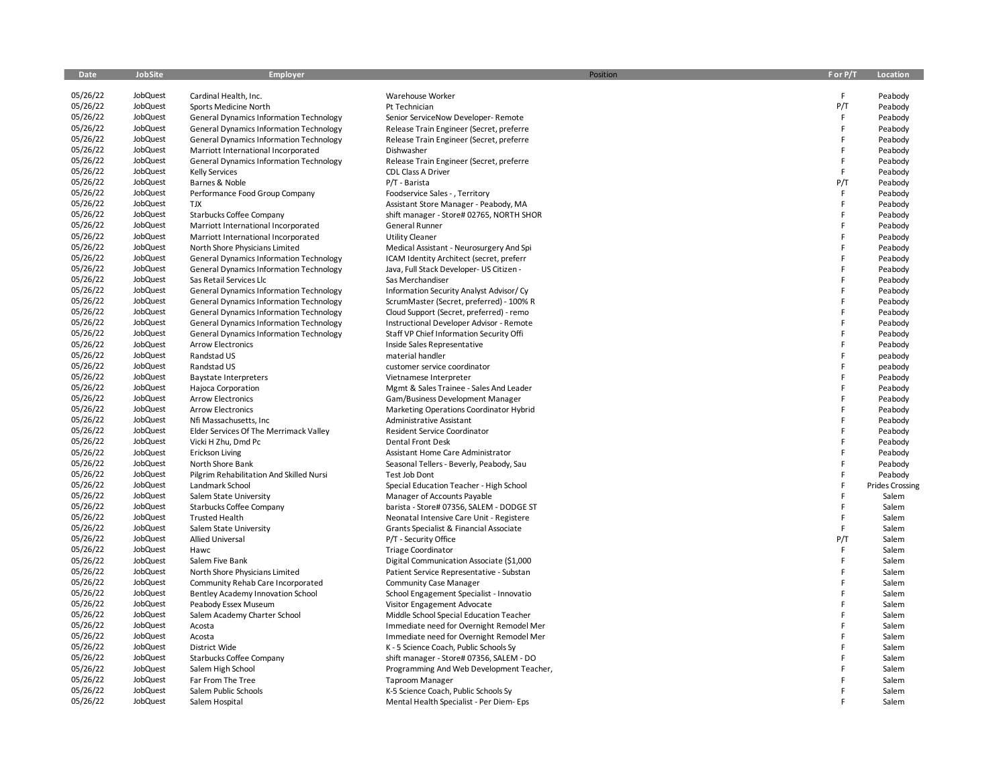| Date                 | JobSite              | <b>Employer</b>                                |                                                          | Position<br>F or P/T | Location               |
|----------------------|----------------------|------------------------------------------------|----------------------------------------------------------|----------------------|------------------------|
|                      |                      |                                                |                                                          |                      |                        |
| 05/26/22             | JobQuest             | Cardinal Health, Inc.                          | Warehouse Worker                                         | E                    | Peabody                |
| 05/26/22             | JobQuest             | Sports Medicine North                          | Pt Technician                                            | P/T                  | Peabody                |
| 05/26/22             | JobQuest             | <b>General Dynamics Information Technology</b> | Senior ServiceNow Developer-Remote                       | F                    | Peabody                |
| 05/26/22             | JobQuest             | <b>General Dynamics Information Technology</b> | Release Train Engineer (Secret, preferre                 | F                    | Peabody                |
| 05/26/22             | JobQuest             | <b>General Dynamics Information Technology</b> | Release Train Engineer (Secret, preferre                 | F                    | Peabody                |
| 05/26/22             | JobQuest             | Marriott International Incorporated            | Dishwasher                                               | F                    | Peabody                |
| 05/26/22             | JobQuest             | <b>General Dynamics Information Technology</b> | Release Train Engineer (Secret, preferre                 | F                    | Peabody                |
| 05/26/22             | JobQuest             | <b>Kelly Services</b>                          | CDL Class A Driver                                       | F                    | Peabody                |
| 05/26/22             | JobQuest             | Barnes & Noble                                 | P/T - Barista                                            | P/T                  | Peabody                |
| 05/26/22             | JobQuest             | Performance Food Group Company                 | Foodservice Sales - , Territory                          | F                    | Peabody                |
| 05/26/22             | JobQuest             | <b>TJX</b>                                     | Assistant Store Manager - Peabody, MA                    | F                    | Peabody                |
| 05/26/22             | JobQuest             | Starbucks Coffee Company                       | shift manager - Store# 02765, NORTH SHOR                 | F                    | Peabody                |
| 05/26/22             | JobQuest             | Marriott International Incorporated            | General Runner                                           | F                    | Peabody                |
| 05/26/22             | JobQuest             | Marriott International Incorporated            | <b>Utility Cleaner</b>                                   | F                    | Peabody                |
| 05/26/22             | JobQuest             | North Shore Physicians Limited                 | Medical Assistant - Neurosurgery And Spi                 | F<br>F               | Peabody                |
| 05/26/22             | JobQuest             | <b>General Dynamics Information Technology</b> | ICAM Identity Architect (secret, preferr                 |                      | Peabody                |
| 05/26/22             | JobQuest             | <b>General Dynamics Information Technology</b> | Java, Full Stack Developer- US Citizen -                 | E<br>F               | Peabody                |
| 05/26/22             | JobQuest             | Sas Retail Services Llc                        | Sas Merchandiser                                         | F                    | Peabody                |
| 05/26/22             | JobQuest             | <b>General Dynamics Information Technology</b> | Information Security Analyst Advisor/ Cy                 |                      | Peabody                |
| 05/26/22             | JobQuest             | <b>General Dynamics Information Technology</b> | ScrumMaster (Secret, preferred) - 100% R                 | F<br>F               | Peabody                |
| 05/26/22             | JobQuest             | <b>General Dynamics Information Technology</b> | Cloud Support (Secret, preferred) - remo                 | F                    | Peabody                |
| 05/26/22             | JobQuest             | <b>General Dynamics Information Technology</b> | Instructional Developer Advisor - Remote                 |                      | Peabody                |
| 05/26/22             | JobQuest             | <b>General Dynamics Information Technology</b> | Staff VP Chief Information Security Offi                 | F<br>F               | Peabody                |
| 05/26/22             | JobQuest             | <b>Arrow Electronics</b>                       | Inside Sales Representative                              | F                    | Peabody                |
| 05/26/22<br>05/26/22 | JobQuest             | Randstad US                                    | material handler                                         | F                    | peabody                |
| 05/26/22             | JobQuest<br>JobQuest | Randstad US                                    | customer service coordinator                             | F                    | peabody                |
| 05/26/22             |                      | <b>Baystate Interpreters</b>                   | Vietnamese Interpreter                                   | F                    | Peabody                |
| 05/26/22             | JobQuest             | Hajoca Corporation                             | Mgmt & Sales Trainee - Sales And Leader                  | F                    | Peabody                |
| 05/26/22             | JobQuest<br>JobQuest | <b>Arrow Electronics</b>                       | Gam/Business Development Manager                         | F                    | Peabody                |
|                      |                      | <b>Arrow Electronics</b>                       | Marketing Operations Coordinator Hybrid                  | F                    | Peabody                |
| 05/26/22<br>05/26/22 | JobQuest<br>JobQuest | Nfi Massachusetts, Inc                         | Administrative Assistant                                 | F                    | Peabody                |
| 05/26/22             | JobQuest             | Elder Services Of The Merrimack Valley         | <b>Resident Service Coordinator</b><br>Dental Front Desk | F                    | Peabody<br>Peabody     |
| 05/26/22             | JobQuest             | Vicki H Zhu, Dmd Pc<br><b>Erickson Living</b>  | Assistant Home Care Administrator                        | F                    | Peabody                |
| 05/26/22             | JobQuest             | North Shore Bank                               | Seasonal Tellers - Beverly, Peabody, Sau                 | F                    |                        |
| 05/26/22             | JobQuest             | Pilgrim Rehabilitation And Skilled Nursi       | Test Job Dont                                            | F                    | Peabody<br>Peabody     |
| 05/26/22             | JobQuest             | Landmark School                                | Special Education Teacher - High School                  | F                    | <b>Prides Crossing</b> |
| 05/26/22             | JobQuest             | Salem State University                         | Manager of Accounts Payable                              | F                    | Salem                  |
| 05/26/22             | JobQuest             | Starbucks Coffee Company                       | barista - Store# 07356, SALEM - DODGE ST                 | F                    | Salem                  |
| 05/26/22             | JobQuest             | <b>Trusted Health</b>                          | Neonatal Intensive Care Unit - Registere                 | F                    | Salem                  |
| 05/26/22             | JobQuest             | Salem State University                         | Grants Specialist & Financial Associate                  | F                    | Salem                  |
| 05/26/22             | JobQuest             | <b>Allied Universal</b>                        | P/T - Security Office                                    | P/T                  | Salem                  |
| 05/26/22             | JobQuest             | Hawc                                           | <b>Triage Coordinator</b>                                | F                    | Salem                  |
| 05/26/22             | JobQuest             | Salem Five Bank                                | Digital Communication Associate (\$1,000                 | F                    | Salem                  |
| 05/26/22             | JobQuest             | North Shore Physicians Limited                 | Patient Service Representative - Substan                 | F                    | Salem                  |
| 05/26/22             | JobQuest             | Community Rehab Care Incorporated              | <b>Community Case Manager</b>                            | F                    | Salem                  |
| 05/26/22             | JobQuest             | Bentley Academy Innovation School              | School Engagement Specialist - Innovatio                 | F                    | Salem                  |
| 05/26/22             | JobQuest             | Peabody Essex Museum                           | Visitor Engagement Advocate                              | F                    | Salem                  |
| 05/26/22             | JobQuest             | Salem Academy Charter School                   | Middle School Special Education Teacher                  | F                    | Salem                  |
| 05/26/22             | JobQuest             | Acosta                                         | Immediate need for Overnight Remodel Mer                 | F                    | Salem                  |
| 05/26/22             | JobQuest             | Acosta                                         | Immediate need for Overnight Remodel Mer                 | F                    | Salem                  |
| 05/26/22             | JobQuest             | District Wide                                  | K - 5 Science Coach, Public Schools Sy                   | F                    | Salem                  |
| 05/26/22             | JobQuest             | Starbucks Coffee Company                       | shift manager - Store# 07356, SALEM - DO                 | F                    | Salem                  |
| 05/26/22             | JobQuest             | Salem High School                              | Programming And Web Development Teacher,                 | F                    | Salem                  |
| 05/26/22             | JobQuest             | Far From The Tree                              | <b>Taproom Manager</b>                                   | F                    | Salem                  |
| 05/26/22             | JobQuest             | Salem Public Schools                           | K-5 Science Coach, Public Schools Sy                     |                      | Salem                  |
| 05/26/22             | JobQuest             | Salem Hospital                                 | Mental Health Specialist - Per Diem- Eps                 |                      | Salem                  |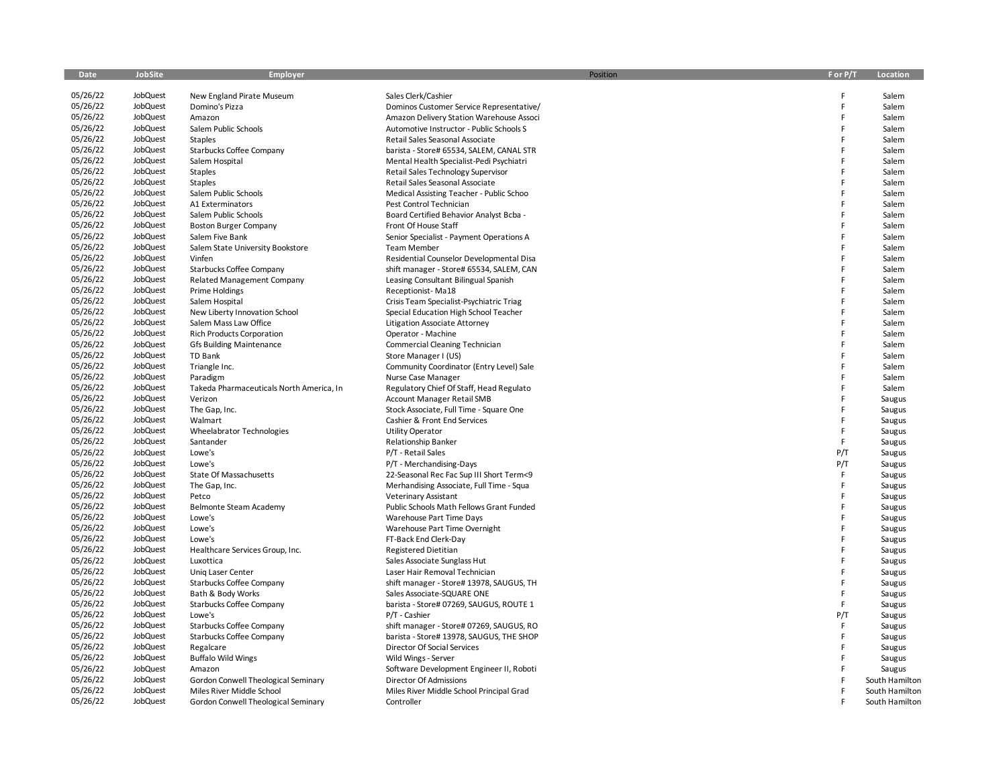| Date                 | JobSite              | Employer                                 | Position                                                                    | F or P/T | Location       |
|----------------------|----------------------|------------------------------------------|-----------------------------------------------------------------------------|----------|----------------|
|                      |                      |                                          |                                                                             |          |                |
| 05/26/22             | JobQuest             | New England Pirate Museum                | Sales Clerk/Cashier                                                         | F        | Salem          |
| 05/26/22             | JobQuest<br>JobQuest | Domino's Pizza                           | Dominos Customer Service Representative/                                    | F<br>F   | Salem          |
| 05/26/22<br>05/26/22 |                      | Amazon                                   | Amazon Delivery Station Warehouse Associ                                    | F        | Salem          |
|                      | JobQuest             | Salem Public Schools                     | Automotive Instructor - Public Schools S                                    | F        | Salem          |
| 05/26/22<br>05/26/22 | JobQuest             | Staples                                  | Retail Sales Seasonal Associate                                             | F        | Salem          |
| 05/26/22             | JobQuest             | Starbucks Coffee Company                 | barista - Store# 65534, SALEM, CANAL STR                                    | F        | Salem          |
| 05/26/22             | JobQuest<br>JobQuest | Salem Hospital                           | Mental Health Specialist-Pedi Psychiatri                                    | F        | Salem          |
| 05/26/22             | JobQuest             | Staples                                  | Retail Sales Technology Supervisor                                          | F        | Salem<br>Salem |
| 05/26/22             | JobQuest             | <b>Staples</b><br>Salem Public Schools   | Retail Sales Seasonal Associate<br>Medical Assisting Teacher - Public Schoo | F        | Salem          |
| 05/26/22             | JobQuest             | A1 Exterminators                         | Pest Control Technician                                                     | F        | Salem          |
| 05/26/22             | JobQuest             | Salem Public Schools                     | Board Certified Behavior Analyst Bcba -                                     | F        | Salem          |
| 05/26/22             | JobQuest             | <b>Boston Burger Company</b>             | Front Of House Staff                                                        | F        | Salem          |
| 05/26/22             | JobQuest             | Salem Five Bank                          | Senior Specialist - Payment Operations A                                    | F        | Salem          |
| 05/26/22             | JobQuest             | Salem State University Bookstore         | <b>Team Member</b>                                                          | F        | Salem          |
| 05/26/22             | JobQuest             | Vinfen                                   | Residential Counselor Developmental Disa                                    | F        | Salem          |
| 05/26/22             | JobQuest             | Starbucks Coffee Company                 | shift manager - Store# 65534, SALEM, CAN                                    | F        | Salem          |
| 05/26/22             | JobQuest             | <b>Related Management Company</b>        | Leasing Consultant Bilingual Spanish                                        | F        | Salem          |
| 05/26/22             | JobQuest             | Prime Holdings                           | Receptionist-Ma18                                                           | F        | Salem          |
| 05/26/22             | JobQuest             | Salem Hospital                           | Crisis Team Specialist-Psychiatric Triag                                    | F        | Salem          |
| 05/26/22             | JobQuest             | New Liberty Innovation School            | Special Education High School Teacher                                       | F        | Salem          |
| 05/26/22             | JobQuest             | Salem Mass Law Office                    | Litigation Associate Attorney                                               | F        | Salem          |
| 05/26/22             | JobQuest             | <b>Rich Products Corporation</b>         | Operator - Machine                                                          | F        | Salem          |
| 05/26/22             | JobQuest             | <b>Gfs Building Maintenance</b>          | Commercial Cleaning Technician                                              | F        | Salem          |
| 05/26/22             | JobQuest             | TD Bank                                  | Store Manager I (US)                                                        | F        | Salem          |
| 05/26/22             | JobQuest             | Triangle Inc.                            | Community Coordinator (Entry Level) Sale                                    | F        | Salem          |
| 05/26/22             | JobQuest             | Paradigm                                 | Nurse Case Manager                                                          | F        | Salem          |
| 05/26/22             | JobQuest             | Takeda Pharmaceuticals North America, In | Regulatory Chief Of Staff, Head Regulato                                    | F        | Salem          |
| 05/26/22             | JobQuest             | Verizon                                  | <b>Account Manager Retail SMB</b>                                           | F        | Saugus         |
| 05/26/22             | JobQuest             | The Gap, Inc.                            | Stock Associate, Full Time - Square One                                     | F        | Saugus         |
| 05/26/22             | JobQuest             | Walmart                                  | Cashier & Front End Services                                                | F        | Saugus         |
| 05/26/22             | JobQuest             | Wheelabrator Technologies                | <b>Utility Operator</b>                                                     | F        | Saugus         |
| 05/26/22             | JobQuest             | Santander                                | Relationship Banker                                                         | F        | Saugus         |
| 05/26/22             | JobQuest             | Lowe's                                   | P/T - Retail Sales                                                          | P/T      | Saugus         |
| 05/26/22             | JobQuest             | Lowe's                                   | P/T - Merchandising-Days                                                    | P/T      | Saugus         |
| 05/26/22             | JobQuest             | State Of Massachusetts                   | 22-Seasonal Rec Fac Sup III Short Term<9                                    | F        | Saugus         |
| 05/26/22             | JobQuest             | The Gap, Inc.                            | Merhandising Associate, Full Time - Squa                                    | F        | Saugus         |
| 05/26/22             | JobQuest             | Petco                                    | Veterinary Assistant                                                        | F        | Saugus         |
| 05/26/22             | JobQuest             | Belmonte Steam Academy                   | Public Schools Math Fellows Grant Funded                                    | F        | Saugus         |
| 05/26/22             | JobQuest             | Lowe's                                   | Warehouse Part Time Days                                                    | F        | Saugus         |
| 05/26/22             | JobQuest             | Lowe's                                   | Warehouse Part Time Overnight                                               | F        | Saugus         |
| 05/26/22             | JobQuest             | Lowe's                                   | FT-Back End Clerk-Day                                                       | F        | Saugus         |
| 05/26/22             | JobQuest             | Healthcare Services Group, Inc.          | <b>Registered Dietitian</b>                                                 | F        | Saugus         |
| 05/26/22             | JobQuest             | Luxottica                                | Sales Associate Sunglass Hut                                                | F        | Saugus         |
| 05/26/22             | JobQuest             | Unig Laser Center                        | Laser Hair Removal Technician                                               | F        | Saugus         |
| 05/26/22             | JobQuest             | Starbucks Coffee Company                 | shift manager - Store# 13978, SAUGUS, TH                                    | F        | Saugus         |
| 05/26/22             | JobQuest             | Bath & Body Works                        | Sales Associate-SQUARE ONE                                                  | F        | Saugus         |
| 05/26/22             | JobQuest             | Starbucks Coffee Company                 | barista - Store# 07269, SAUGUS, ROUTE 1                                     | F        | Saugus         |
| 05/26/22             | JobQuest             | Lowe's                                   | P/T - Cashier                                                               | P/T      | Saugus         |
| 05/26/22             | JobQuest             | Starbucks Coffee Company                 | shift manager - Store# 07269, SAUGUS, RO                                    | F        | Saugus         |
| 05/26/22             | JobQuest             | Starbucks Coffee Company                 | barista - Store# 13978, SAUGUS, THE SHOP                                    | F        | Saugus         |
| 05/26/22             | JobQuest             | Regalcare                                | Director Of Social Services                                                 | F        | Saugus         |
| 05/26/22             | JobQuest             | <b>Buffalo Wild Wings</b>                | Wild Wings - Server                                                         | F        | Saugus         |
| 05/26/22             | JobQuest             | Amazon                                   | Software Development Engineer II, Roboti                                    | F        | Saugus         |
| 05/26/22             | JobQuest             | Gordon Conwell Theological Seminary      | Director Of Admissions                                                      |          | South Hamilton |
| 05/26/22             | JobQuest             | Miles River Middle School                | Miles River Middle School Principal Grad                                    | F        | South Hamilton |
| 05/26/22             | JobQuest             | Gordon Conwell Theological Seminary      | Controller                                                                  |          | South Hamilton |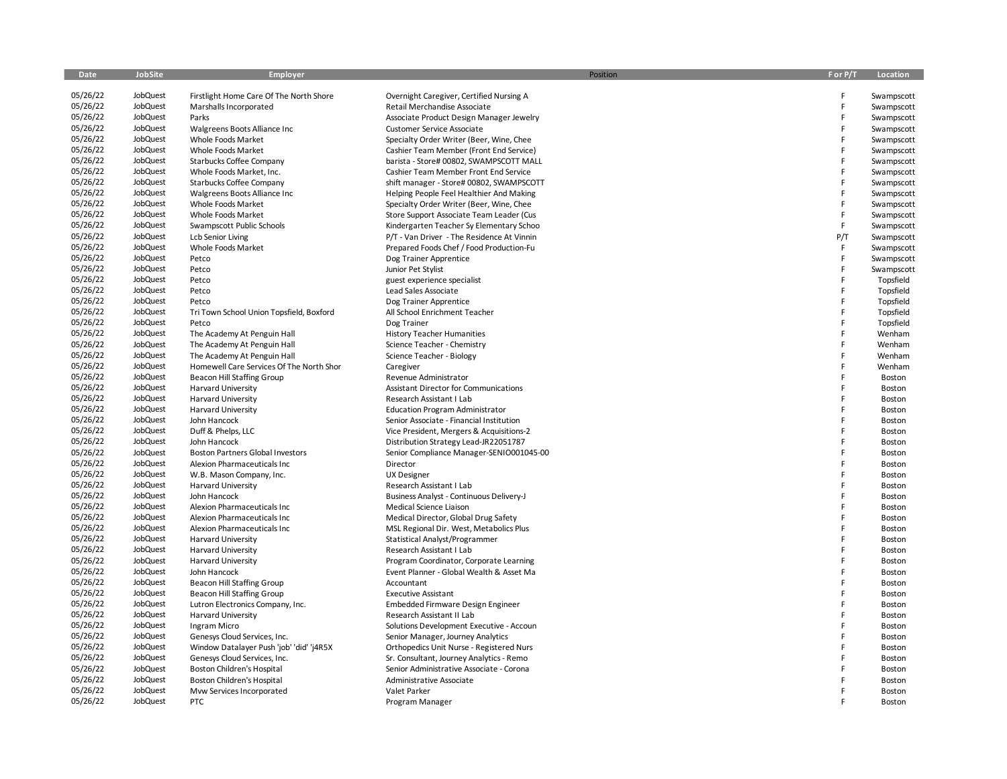| Date                 | <b>JobSite</b>       | Employer                                              | Position                                                            | F or P/T | Location         |
|----------------------|----------------------|-------------------------------------------------------|---------------------------------------------------------------------|----------|------------------|
| 05/26/22             | JobQuest             | Firstlight Home Care Of The North Shore               | Overnight Caregiver, Certified Nursing A                            | F        | Swampscott       |
| 05/26/22             | JobQuest             | Marshalls Incorporated                                | Retail Merchandise Associate                                        | F        | Swampscott       |
| 05/26/22             | JobQuest             | Parks                                                 | Associate Product Design Manager Jewelry                            | F        | Swampscott       |
| 05/26/22             | JobQuest             | Walgreens Boots Alliance Inc                          | Customer Service Associate                                          | F        | Swampscott       |
| 05/26/22             | JobQuest             | Whole Foods Market                                    | Specialty Order Writer (Beer, Wine, Chee                            | F        | Swampscott       |
| 05/26/22             | JobQuest             | Whole Foods Market                                    | Cashier Team Member (Front End Service)                             | F        | Swampscott       |
| 05/26/22             | JobQuest             | Starbucks Coffee Company                              | barista - Store# 00802, SWAMPSCOTT MALL                             | F        | Swampscott       |
| 05/26/22             | JobQuest             | Whole Foods Market, Inc.                              | Cashier Team Member Front End Service                               | F        | Swampscott       |
| 05/26/22             | JobQuest             | Starbucks Coffee Company                              | shift manager - Store# 00802, SWAMPSCOTT                            | F        | Swampscott       |
| 05/26/22             | JobQuest             | Walgreens Boots Alliance Inc                          | Helping People Feel Healthier And Making                            | F        | Swampscott       |
| 05/26/22             | JobQuest             | Whole Foods Market                                    | Specialty Order Writer (Beer, Wine, Chee                            | F        | Swampscott       |
| 05/26/22             | JobQuest             | Whole Foods Market                                    | Store Support Associate Team Leader (Cus                            | F        | Swampscott       |
| 05/26/22             | JobQuest             | Swampscott Public Schools                             | Kindergarten Teacher Sy Elementary Schoo                            | F        | Swampscott       |
| 05/26/22             | JobQuest             | <b>Lcb Senior Living</b>                              | P/T - Van Driver - The Residence At Vinnin                          | P/T      | Swampscott       |
| 05/26/22             | JobQuest             | Whole Foods Market                                    | Prepared Foods Chef / Food Production-Fu                            | F        | Swampscott       |
| 05/26/22             | JobQuest             | Petco                                                 | Dog Trainer Apprentice                                              | F        | Swampscott       |
| 05/26/22             | JobQuest             | Petco                                                 | Junior Pet Stylist                                                  | F        | Swampscott       |
| 05/26/22             | JobQuest             | Petco                                                 | guest experience specialist                                         | F        | Topsfield        |
| 05/26/22             | JobQuest             | Petco                                                 | Lead Sales Associate                                                | F        | Topsfield        |
| 05/26/22             | JobQuest             | Petco                                                 | Dog Trainer Apprentice                                              | F        | Topsfield        |
| 05/26/22             | JobQuest             | Tri Town School Union Topsfield, Boxford              | All School Enrichment Teacher                                       | F        | Topsfield        |
| 05/26/22             | JobQuest             | Petco                                                 | Dog Trainer                                                         | F        | Topsfield        |
| 05/26/22             | JobQuest             | The Academy At Penguin Hall                           | <b>History Teacher Humanities</b>                                   | F        | Wenham           |
| 05/26/22             | JobQuest             | The Academy At Penguin Hall                           | Science Teacher - Chemistry                                         | F        | Wenham           |
| 05/26/22             | JobQuest             | The Academy At Penguin Hall                           | Science Teacher - Biology                                           | F        | Wenham           |
| 05/26/22             | JobQuest             | Homewell Care Services Of The North Shor              | Caregiver                                                           | F        | Wenham           |
| 05/26/22             | JobQuest             | <b>Beacon Hill Staffing Group</b>                     | Revenue Administrator                                               | F        | Boston           |
| 05/26/22             | JobQuest             | <b>Harvard University</b>                             | Assistant Director for Communications                               | F        | Boston           |
| 05/26/22             | JobQuest             | <b>Harvard University</b>                             | Research Assistant I Lab                                            | F        | Boston           |
| 05/26/22             | JobQuest             | <b>Harvard University</b>                             | <b>Education Program Administrator</b>                              | F        | Boston           |
| 05/26/22             | JobQuest             | John Hancock                                          | Senior Associate - Financial Institution                            | F        | Boston           |
| 05/26/22             | JobQuest             | Duff & Phelps, LLC                                    | Vice President, Mergers & Acquisitions-2                            | F        | Boston           |
| 05/26/22             | JobQuest             | John Hancock                                          | Distribution Strategy Lead-JR22051787                               | F        | Boston           |
| 05/26/22             | JobQuest<br>JobQuest | <b>Boston Partners Global Investors</b>               | Senior Compliance Manager-SENIO001045-00                            | F<br>F   | Boston           |
| 05/26/22<br>05/26/22 | JobQuest             | Alexion Pharmaceuticals Inc                           | Director                                                            | F        | Boston           |
| 05/26/22             | JobQuest             | W.B. Mason Company, Inc.<br><b>Harvard University</b> | <b>UX Designer</b>                                                  | F        | Boston<br>Boston |
| 05/26/22             | JobQuest             | John Hancock                                          | Research Assistant I Lab                                            | F        |                  |
| 05/26/22             | JobQuest             | Alexion Pharmaceuticals Inc                           | Business Analyst - Continuous Delivery-J<br>Medical Science Liaison | F        | Boston<br>Boston |
| 05/26/22             | JobQuest             | Alexion Pharmaceuticals Inc                           | Medical Director, Global Drug Safety                                | F        | Boston           |
| 05/26/22             | JobQuest             | Alexion Pharmaceuticals Inc                           | MSL Regional Dir. West, Metabolics Plus                             | F        | Boston           |
| 05/26/22             | JobQuest             | <b>Harvard University</b>                             | Statistical Analyst/Programmer                                      | F        | Boston           |
| 05/26/22             | JobQuest             | Harvard University                                    | Research Assistant I Lab                                            | F        | Boston           |
| 05/26/22             | JobQuest             | <b>Harvard University</b>                             | Program Coordinator, Corporate Learning                             | F        | Boston           |
| 05/26/22             | JobQuest             | John Hancock                                          | Event Planner - Global Wealth & Asset Ma                            | F        | Boston           |
| 05/26/22             | JobQuest             | <b>Beacon Hill Staffing Group</b>                     | Accountant                                                          | F        | Boston           |
| 05/26/22             | JobQuest             | <b>Beacon Hill Staffing Group</b>                     | <b>Executive Assistant</b>                                          | F        | Boston           |
| 05/26/22             | JobQuest             | Lutron Electronics Company, Inc.                      | Embedded Firmware Design Engineer                                   | F        | Boston           |
| 05/26/22             | JobQuest             | <b>Harvard University</b>                             | Research Assistant II Lab                                           | F        | Boston           |
| 05/26/22             | JobQuest             | Ingram Micro                                          | Solutions Development Executive - Accoun                            | F        | Boston           |
| 05/26/22             | JobQuest             | Genesys Cloud Services, Inc.                          | Senior Manager, Journey Analytics                                   | F        | Boston           |
| 05/26/22             | JobQuest             | Window Datalayer Push 'job' 'did' 'j4R5X              | Orthopedics Unit Nurse - Registered Nurs                            | F        | Boston           |
| 05/26/22             | JobQuest             | Genesys Cloud Services, Inc.                          | Sr. Consultant, Journey Analytics - Remo                            | F        | Boston           |
| 05/26/22             | JobQuest             | Boston Children's Hospital                            | Senior Administrative Associate - Corona                            | F        | Boston           |
| 05/26/22             | JobQuest             | Boston Children's Hospital                            | Administrative Associate                                            |          | Boston           |
| 05/26/22             | JobQuest             | Mvw Services Incorporated                             | Valet Parker                                                        | F        | Boston           |
| 05/26/22             | JobQuest             | PTC                                                   | Program Manager                                                     |          | Boston           |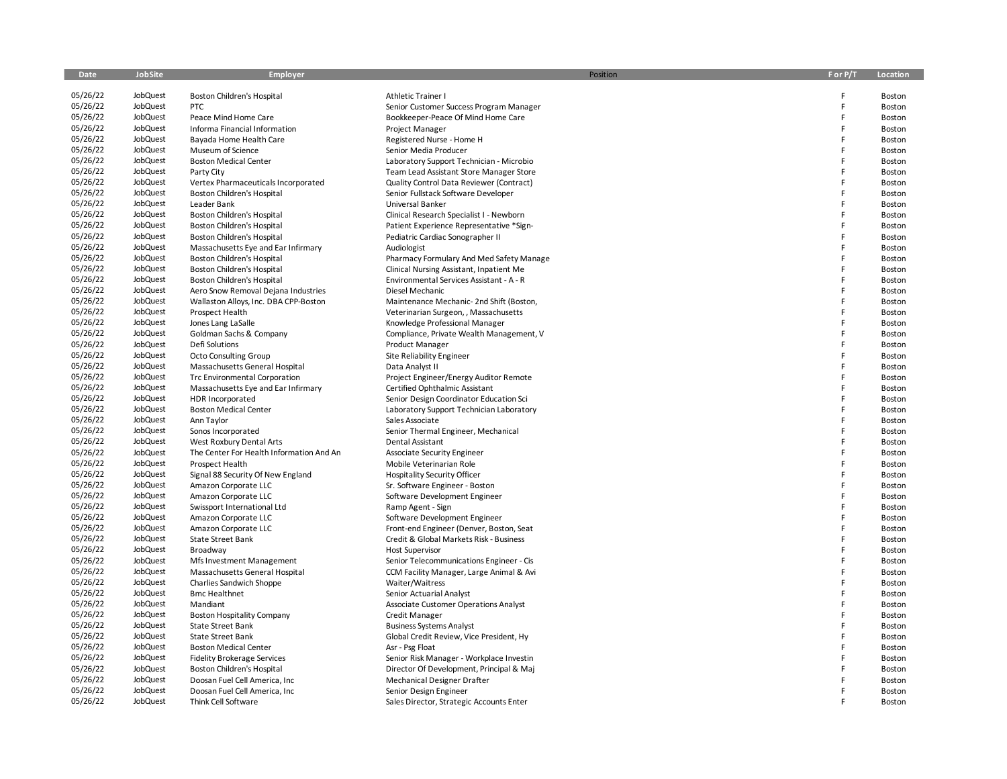| Date                 | JobSite              | <b>Employer</b>                          | Position                                 | F or P/T | Location |
|----------------------|----------------------|------------------------------------------|------------------------------------------|----------|----------|
|                      |                      |                                          |                                          |          |          |
| 05/26/22             | JobQuest             | Boston Children's Hospital               | <b>Athletic Trainer I</b>                | F        | Boston   |
| 05/26/22             | JobQuest             | <b>PTC</b>                               | Senior Customer Success Program Manager  | F        | Boston   |
| 05/26/22             | JobQuest             | Peace Mind Home Care                     | Bookkeeper-Peace Of Mind Home Care       | F        | Boston   |
| 05/26/22             | JobQuest             | Informa Financial Information            | Project Manager                          | F        | Boston   |
| 05/26/22             | JobQuest             | Bayada Home Health Care                  | Registered Nurse - Home H                | F        | Boston   |
| 05/26/22             | JobQuest             | Museum of Science                        | Senior Media Producer                    | F        | Boston   |
| 05/26/22             | JobQuest             | <b>Boston Medical Center</b>             | Laboratory Support Technician - Microbio | F        | Boston   |
| 05/26/22             | JobQuest             | Party City                               | Team Lead Assistant Store Manager Store  | F        | Boston   |
| 05/26/22             | JobQuest             | Vertex Pharmaceuticals Incorporated      | Quality Control Data Reviewer (Contract) | F        | Boston   |
| 05/26/22             | JobQuest             | Boston Children's Hospital               | Senior Fullstack Software Developer      | F        | Boston   |
| 05/26/22             | JobQuest             | Leader Bank                              | Universal Banker                         | E        | Boston   |
| 05/26/22             | JobQuest             | Boston Children's Hospital               | Clinical Research Specialist I - Newborn | F        | Boston   |
| 05/26/22             | JobQuest             | Boston Children's Hospital               | Patient Experience Representative *Sign- | F        | Boston   |
| 05/26/22             | JobQuest             | Boston Children's Hospital               | Pediatric Cardiac Sonographer II         | E        | Boston   |
| 05/26/22             | JobQuest             | Massachusetts Eye and Ear Infirmary      | Audiologist                              | F        | Boston   |
| 05/26/22             | JobQuest             | Boston Children's Hospital               | Pharmacy Formulary And Med Safety Manage | F        | Boston   |
| 05/26/22             | JobQuest             | Boston Children's Hospital               | Clinical Nursing Assistant, Inpatient Me | F        | Boston   |
| 05/26/22             | JobQuest             | Boston Children's Hospital               | Environmental Services Assistant - A - R | E        | Boston   |
| 05/26/22             | JobQuest             | Aero Snow Removal Dejana Industries      | Diesel Mechanic                          | F        | Boston   |
| 05/26/22             | JobQuest             | Wallaston Alloys, Inc. DBA CPP-Boston    | Maintenance Mechanic- 2nd Shift (Boston, | F        | Boston   |
| 05/26/22             | JobQuest             | Prospect Health                          | Veterinarian Surgeon, , Massachusetts    | E        | Boston   |
| 05/26/22             | JobQuest             | Jones Lang LaSalle                       | Knowledge Professional Manager           | F        | Boston   |
| 05/26/22             | JobQuest             | Goldman Sachs & Company                  | Compliance, Private Wealth Management, V | F        | Boston   |
| 05/26/22             | JobQuest             | Defi Solutions                           | Product Manager                          | F        | Boston   |
| 05/26/22             | JobQuest             | <b>Octo Consulting Group</b>             | Site Reliability Engineer                | F        | Boston   |
| 05/26/22             | JobQuest             | Massachusetts General Hospital           | Data Analyst II                          | F        | Boston   |
| 05/26/22             | JobQuest             | <b>Trc Environmental Corporation</b>     | Project Engineer/Energy Auditor Remote   | F        | Boston   |
| 05/26/22             | JobQuest             | Massachusetts Eye and Ear Infirmary      | Certified Ophthalmic Assistant           | F        | Boston   |
| 05/26/22             | JobQuest             | <b>HDR Incorporated</b>                  | Senior Design Coordinator Education Sci  | F        | Boston   |
| 05/26/22             | JobQuest             | <b>Boston Medical Center</b>             | Laboratory Support Technician Laboratory | F        | Boston   |
| 05/26/22             | JobQuest             | Ann Taylor                               | Sales Associate                          | F        | Boston   |
| 05/26/22             | JobQuest             | Sonos Incorporated                       | Senior Thermal Engineer, Mechanical      | F        | Boston   |
| 05/26/22             | JobQuest             | West Roxbury Dental Arts                 | Dental Assistant                         | E        | Boston   |
| 05/26/22             | JobQuest             | The Center For Health Information And An | Associate Security Engineer              | F        | Boston   |
| 05/26/22             | JobQuest             | Prospect Health                          | Mobile Veterinarian Role                 | F        | Boston   |
| 05/26/22             | JobQuest             | Signal 88 Security Of New England        | <b>Hospitality Security Officer</b>      | F        | Boston   |
| 05/26/22             | JobQuest             | Amazon Corporate LLC                     | Sr. Software Engineer - Boston           | F        | Boston   |
| 05/26/22             | JobQuest             | Amazon Corporate LLC                     | Software Development Engineer            | F        | Boston   |
| 05/26/22             | JobQuest             | Swissport International Ltd              | Ramp Agent - Sign                        | F        | Boston   |
| 05/26/22             | JobQuest             | Amazon Corporate LLC                     | Software Development Engineer            | F        | Boston   |
| 05/26/22             | JobQuest             | Amazon Corporate LLC                     | Front-end Engineer (Denver, Boston, Seat | F        | Boston   |
| 05/26/22             | JobQuest             | State Street Bank                        | Credit & Global Markets Risk - Business  | F        | Boston   |
| 05/26/22             | JobQuest             | Broadway                                 | <b>Host Supervisor</b>                   | E        | Boston   |
| 05/26/22             | JobQuest             | Mfs Investment Management                | Senior Telecommunications Engineer - Cis | F        | Boston   |
| 05/26/22             | JobQuest             | Massachusetts General Hospital           | CCM Facility Manager, Large Animal & Avi | F        | Boston   |
| 05/26/22             | JobQuest             | Charlies Sandwich Shoppe                 | Waiter/Waitress                          | F        | Boston   |
| 05/26/22             | JobQuest             | <b>Bmc Healthnet</b>                     | Senior Actuarial Analyst                 | F        | Boston   |
| 05/26/22             | JobQuest             | Mandiant                                 | Associate Customer Operations Analyst    | F        | Boston   |
| 05/26/22             | JobQuest             | <b>Boston Hospitality Company</b>        | Credit Manager                           | E<br>F   | Boston   |
| 05/26/22             | JobQuest             | <b>State Street Bank</b>                 | <b>Business Systems Analyst</b>          | F        | Boston   |
| 05/26/22             | JobQuest             | <b>State Street Bank</b>                 | Global Credit Review, Vice President, Hy | F        | Boston   |
| 05/26/22<br>05/26/22 | JobQuest<br>JobQuest | <b>Boston Medical Center</b>             | Asr - Psg Float                          | F        | Boston   |
|                      |                      | <b>Fidelity Brokerage Services</b>       | Senior Risk Manager - Workplace Investin | F        | Boston   |
| 05/26/22<br>05/26/22 | JobQuest<br>JobQuest | Boston Children's Hospital               | Director Of Development, Principal & Maj | F        | Boston   |
| 05/26/22             | JobQuest             | Doosan Fuel Cell America, Inc            | Mechanical Designer Drafter              |          | Boston   |
| 05/26/22             | JobQuest             | Doosan Fuel Cell America, Inc.           | Senior Design Engineer                   |          | Boston   |
|                      |                      | Think Cell Software                      | Sales Director, Strategic Accounts Enter |          | Boston   |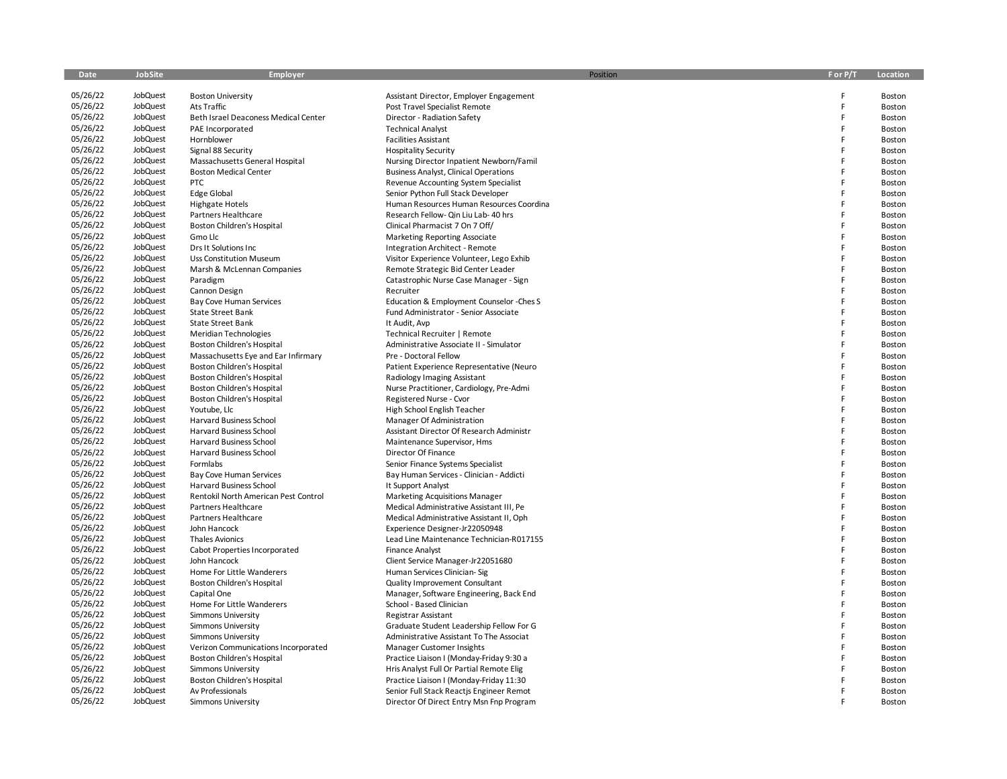| 05/26/22<br>JobQuest<br><b>Boston University</b><br>F<br>Assistant Director, Employer Engagement<br>Boston<br>05/26/22<br>JobQuest<br>F<br>Ats Traffic<br>Post Travel Specialist Remote<br>Boston<br>05/26/22<br>JobQuest<br>Beth Israel Deaconess Medical Center<br>Director - Radiation Safety<br>F<br>Boston<br>05/26/22<br>JobQuest<br>F<br>PAE Incorporated<br><b>Technical Analyst</b><br>Boston<br>05/26/22<br>JobQuest<br>Hornblower<br><b>Facilities Assistant</b><br>F<br>Boston<br>05/26/22<br>JobQuest<br>Signal 88 Security<br><b>Hospitality Security</b><br>F<br><b>Boston</b><br>05/26/22<br>JobQuest<br>Massachusetts General Hospital<br>Nursing Director Inpatient Newborn/Famil<br>F<br>Boston<br>05/26/22<br>JobQuest<br>F<br><b>Boston Medical Center</b><br><b>Business Analyst, Clinical Operations</b><br>Boston<br>05/26/22<br>JobQuest<br>PTC<br>F<br>Revenue Accounting System Specialist<br>Boston<br>05/26/22<br>JobQuest<br>F<br><b>Edge Global</b><br>Senior Python Full Stack Developer<br>Boston<br>05/26/22<br>JobQuest<br>F<br><b>Highgate Hotels</b><br>Human Resources Human Resources Coordina<br>Boston<br>05/26/22<br>JobQuest<br>F<br>Partners Healthcare<br>Research Fellow- Qin Liu Lab- 40 hrs<br>Boston<br>05/26/22<br>JobQuest<br>F<br>Boston Children's Hospital<br>Clinical Pharmacist 7 On 7 Off/<br>Boston<br>05/26/22<br>JobQuest<br>F<br>Gmo Llc<br>Marketing Reporting Associate<br>Boston<br>05/26/22<br>JobQuest<br>F<br>Drs It Solutions Inc<br>Integration Architect - Remote<br>Boston<br>05/26/22<br>JobQuest<br>F<br><b>Uss Constitution Museum</b><br>Visitor Experience Volunteer, Lego Exhib<br>Boston<br>05/26/22<br>JobQuest<br>F<br>Marsh & McLennan Companies<br>Remote Strategic Bid Center Leader<br>Boston<br>05/26/22<br>JobQuest<br>F<br>Paradigm<br>Catastrophic Nurse Case Manager - Sign<br>Boston<br>05/26/22<br>JobQuest<br>F<br>Cannon Design<br>Recruiter<br>Boston<br>05/26/22<br>JobQuest<br>Bay Cove Human Services<br>Education & Employment Counselor - Ches S<br>F<br>Boston<br>05/26/22<br>JobQuest<br>F<br><b>State Street Bank</b><br>Fund Administrator - Senior Associate<br>Boston<br>05/26/22<br>JobQuest<br><b>State Street Bank</b><br>F<br>It Audit, Avp<br>Boston<br>05/26/22<br>JobQuest<br>Meridian Technologies<br>Technical Recruiter   Remote<br>F<br>Boston<br>05/26/22<br>JobQuest<br>F<br>Boston Children's Hospital<br>Administrative Associate II - Simulator<br>Boston<br>05/26/22<br>JobQuest<br>F<br>Massachusetts Eye and Ear Infirmary<br>Pre - Doctoral Fellow<br>Boston<br>05/26/22<br>JobQuest<br>Boston Children's Hospital<br>Patient Experience Representative (Neuro<br>F<br>Boston<br>05/26/22<br>JobQuest<br>Boston Children's Hospital<br>F<br>Radiology Imaging Assistant<br><b>Boston</b><br>05/26/22<br>JobQuest<br>Boston Children's Hospital<br>F<br>Nurse Practitioner, Cardiology, Pre-Admi<br>Boston<br>05/26/22<br>JobQuest<br>F<br>Boston Children's Hospital<br>Registered Nurse - Cvor<br>Boston<br>05/26/22<br>JobQuest<br>F<br>Youtube, Llc<br>High School English Teacher<br>Boston<br>05/26/22<br>JobQuest<br>F<br>Harvard Business School<br>Manager Of Administration<br>Boston<br>05/26/22<br>JobQuest<br><b>Harvard Business School</b><br>F<br>Assistant Director Of Research Administr<br><b>Boston</b><br>05/26/22<br>JobQuest<br>F<br><b>Harvard Business School</b><br>Maintenance Supervisor, Hms<br>Boston<br>05/26/22<br>JobQuest<br>F<br>Harvard Business School<br>Director Of Finance<br>Boston<br>05/26/22<br>JobQuest<br>F<br>Formlabs<br>Senior Finance Systems Specialist<br>Boston<br>05/26/22<br>JobQuest<br>F<br>Bay Human Services - Clinician - Addicti<br><b>Bay Cove Human Services</b><br>Boston<br>05/26/22<br>JobQuest<br>F<br>Harvard Business School<br>It Support Analyst<br>Boston<br>05/26/22<br>JobQuest<br>F<br>Rentokil North American Pest Control<br><b>Marketing Acquisitions Manager</b><br>Boston<br>05/26/22<br>F<br>JobQuest<br>Partners Healthcare<br>Medical Administrative Assistant III, Pe<br>Boston<br>05/26/22<br>JobQuest<br>F<br>Partners Healthcare<br>Medical Administrative Assistant II, Oph<br>Boston<br>05/26/22<br>JobQuest<br>John Hancock<br>Experience Designer-Jr22050948<br>F<br>Boston<br>05/26/22<br>JobQuest<br>F<br><b>Thales Avionics</b><br>Lead Line Maintenance Technician-R017155<br>Boston<br>05/26/22<br>F<br>JobQuest<br>Cabot Properties Incorporated<br><b>Finance Analyst</b><br>Boston<br>05/26/22<br>JobQuest<br>F<br>John Hancock<br>Client Service Manager-Jr22051680<br>Boston<br>05/26/22<br>JobQuest<br>Home For Little Wanderers<br>Human Services Clinician-Sig<br>F<br>Boston<br>05/26/22<br>JobQuest<br>Boston Children's Hospital<br>Quality Improvement Consultant<br>F<br>Boston<br>05/26/22<br>JobQuest<br>Manager, Software Engineering, Back End<br>F<br>Capital One<br>Boston<br>05/26/22<br>JobQuest<br>Home For Little Wanderers<br>School - Based Clinician<br>F<br>Boston<br>05/26/22<br>JobQuest<br>F<br>Simmons University<br>Registrar Assistant<br>Boston<br>05/26/22<br>JobQuest<br>F<br>Simmons University<br>Graduate Student Leadership Fellow For G<br>Boston<br>05/26/22<br>JobQuest<br>F<br>Simmons University<br>Administrative Assistant To The Associat<br>Boston<br>05/26/22<br>JobQuest<br>F<br>Manager Customer Insights<br>Verizon Communications Incorporated<br>Boston<br>05/26/22<br>JobQuest<br>F<br>Boston Children's Hospital<br>Practice Liaison I (Monday-Friday 9:30 a<br>Boston<br>05/26/22<br>JobQuest<br>F<br>Simmons University<br>Hris Analyst Full Or Partial Remote Elig<br>Boston<br>05/26/22<br>JobQuest<br>Boston Children's Hospital<br>Practice Liaison I (Monday-Friday 11:30<br>F<br>Boston<br>05/26/22<br>JobQuest<br>Av Professionals<br>Senior Full Stack Reactis Engineer Remot<br>F<br>Boston | Date     | <b>JobSite</b> | Employer           | Position                                 | F or P/T | Location |
|---------------------------------------------------------------------------------------------------------------------------------------------------------------------------------------------------------------------------------------------------------------------------------------------------------------------------------------------------------------------------------------------------------------------------------------------------------------------------------------------------------------------------------------------------------------------------------------------------------------------------------------------------------------------------------------------------------------------------------------------------------------------------------------------------------------------------------------------------------------------------------------------------------------------------------------------------------------------------------------------------------------------------------------------------------------------------------------------------------------------------------------------------------------------------------------------------------------------------------------------------------------------------------------------------------------------------------------------------------------------------------------------------------------------------------------------------------------------------------------------------------------------------------------------------------------------------------------------------------------------------------------------------------------------------------------------------------------------------------------------------------------------------------------------------------------------------------------------------------------------------------------------------------------------------------------------------------------------------------------------------------------------------------------------------------------------------------------------------------------------------------------------------------------------------------------------------------------------------------------------------------------------------------------------------------------------------------------------------------------------------------------------------------------------------------------------------------------------------------------------------------------------------------------------------------------------------------------------------------------------------------------------------------------------------------------------------------------------------------------------------------------------------------------------------------------------------------------------------------------------------------------------------------------------------------------------------------------------------------------------------------------------------------------------------------------------------------------------------------------------------------------------------------------------------------------------------------------------------------------------------------------------------------------------------------------------------------------------------------------------------------------------------------------------------------------------------------------------------------------------------------------------------------------------------------------------------------------------------------------------------------------------------------------------------------------------------------------------------------------------------------------------------------------------------------------------------------------------------------------------------------------------------------------------------------------------------------------------------------------------------------------------------------------------------------------------------------------------------------------------------------------------------------------------------------------------------------------------------------------------------------------------------------------------------------------------------------------------------------------------------------------------------------------------------------------------------------------------------------------------------------------------------------------------------------------------------------------------------------------------------------------------------------------------------------------------------------------------------------------------------------------------------------------------------------------------------------------------------------------------------------------------------------------------------------------------------------------------------------------------------------------------------------------------------------------------------------------------------------------------------------------------------------------------------------------------------------------------------------------------------------------------------------------------------------------------------------------------------------------------------------------------------------------------------------------------------------------------------------------------------------------------------------------------------------------------------------------------------------------------------------------------------------------------------------------------------------------------------------------------------------------------------------------------------------------------------------------------------------------------------------------------|----------|----------------|--------------------|------------------------------------------|----------|----------|
|                                                                                                                                                                                                                                                                                                                                                                                                                                                                                                                                                                                                                                                                                                                                                                                                                                                                                                                                                                                                                                                                                                                                                                                                                                                                                                                                                                                                                                                                                                                                                                                                                                                                                                                                                                                                                                                                                                                                                                                                                                                                                                                                                                                                                                                                                                                                                                                                                                                                                                                                                                                                                                                                                                                                                                                                                                                                                                                                                                                                                                                                                                                                                                                                                                                                                                                                                                                                                                                                                                                                                                                                                                                                                                                                                                                                                                                                                                                                                                                                                                                                                                                                                                                                                                                                                                                                                                                                                                                                                                                                                                                                                                                                                                                                                                                                                                                                                                                                                                                                                                                                                                                                                                                                                                                                                                                                                                                                                                                                                                                                                                                                                                                                                                                                                                                                                                                                                             |          |                |                    |                                          |          |          |
|                                                                                                                                                                                                                                                                                                                                                                                                                                                                                                                                                                                                                                                                                                                                                                                                                                                                                                                                                                                                                                                                                                                                                                                                                                                                                                                                                                                                                                                                                                                                                                                                                                                                                                                                                                                                                                                                                                                                                                                                                                                                                                                                                                                                                                                                                                                                                                                                                                                                                                                                                                                                                                                                                                                                                                                                                                                                                                                                                                                                                                                                                                                                                                                                                                                                                                                                                                                                                                                                                                                                                                                                                                                                                                                                                                                                                                                                                                                                                                                                                                                                                                                                                                                                                                                                                                                                                                                                                                                                                                                                                                                                                                                                                                                                                                                                                                                                                                                                                                                                                                                                                                                                                                                                                                                                                                                                                                                                                                                                                                                                                                                                                                                                                                                                                                                                                                                                                             |          |                |                    |                                          |          |          |
|                                                                                                                                                                                                                                                                                                                                                                                                                                                                                                                                                                                                                                                                                                                                                                                                                                                                                                                                                                                                                                                                                                                                                                                                                                                                                                                                                                                                                                                                                                                                                                                                                                                                                                                                                                                                                                                                                                                                                                                                                                                                                                                                                                                                                                                                                                                                                                                                                                                                                                                                                                                                                                                                                                                                                                                                                                                                                                                                                                                                                                                                                                                                                                                                                                                                                                                                                                                                                                                                                                                                                                                                                                                                                                                                                                                                                                                                                                                                                                                                                                                                                                                                                                                                                                                                                                                                                                                                                                                                                                                                                                                                                                                                                                                                                                                                                                                                                                                                                                                                                                                                                                                                                                                                                                                                                                                                                                                                                                                                                                                                                                                                                                                                                                                                                                                                                                                                                             |          |                |                    |                                          |          |          |
|                                                                                                                                                                                                                                                                                                                                                                                                                                                                                                                                                                                                                                                                                                                                                                                                                                                                                                                                                                                                                                                                                                                                                                                                                                                                                                                                                                                                                                                                                                                                                                                                                                                                                                                                                                                                                                                                                                                                                                                                                                                                                                                                                                                                                                                                                                                                                                                                                                                                                                                                                                                                                                                                                                                                                                                                                                                                                                                                                                                                                                                                                                                                                                                                                                                                                                                                                                                                                                                                                                                                                                                                                                                                                                                                                                                                                                                                                                                                                                                                                                                                                                                                                                                                                                                                                                                                                                                                                                                                                                                                                                                                                                                                                                                                                                                                                                                                                                                                                                                                                                                                                                                                                                                                                                                                                                                                                                                                                                                                                                                                                                                                                                                                                                                                                                                                                                                                                             |          |                |                    |                                          |          |          |
|                                                                                                                                                                                                                                                                                                                                                                                                                                                                                                                                                                                                                                                                                                                                                                                                                                                                                                                                                                                                                                                                                                                                                                                                                                                                                                                                                                                                                                                                                                                                                                                                                                                                                                                                                                                                                                                                                                                                                                                                                                                                                                                                                                                                                                                                                                                                                                                                                                                                                                                                                                                                                                                                                                                                                                                                                                                                                                                                                                                                                                                                                                                                                                                                                                                                                                                                                                                                                                                                                                                                                                                                                                                                                                                                                                                                                                                                                                                                                                                                                                                                                                                                                                                                                                                                                                                                                                                                                                                                                                                                                                                                                                                                                                                                                                                                                                                                                                                                                                                                                                                                                                                                                                                                                                                                                                                                                                                                                                                                                                                                                                                                                                                                                                                                                                                                                                                                                             |          |                |                    |                                          |          |          |
|                                                                                                                                                                                                                                                                                                                                                                                                                                                                                                                                                                                                                                                                                                                                                                                                                                                                                                                                                                                                                                                                                                                                                                                                                                                                                                                                                                                                                                                                                                                                                                                                                                                                                                                                                                                                                                                                                                                                                                                                                                                                                                                                                                                                                                                                                                                                                                                                                                                                                                                                                                                                                                                                                                                                                                                                                                                                                                                                                                                                                                                                                                                                                                                                                                                                                                                                                                                                                                                                                                                                                                                                                                                                                                                                                                                                                                                                                                                                                                                                                                                                                                                                                                                                                                                                                                                                                                                                                                                                                                                                                                                                                                                                                                                                                                                                                                                                                                                                                                                                                                                                                                                                                                                                                                                                                                                                                                                                                                                                                                                                                                                                                                                                                                                                                                                                                                                                                             |          |                |                    |                                          |          |          |
|                                                                                                                                                                                                                                                                                                                                                                                                                                                                                                                                                                                                                                                                                                                                                                                                                                                                                                                                                                                                                                                                                                                                                                                                                                                                                                                                                                                                                                                                                                                                                                                                                                                                                                                                                                                                                                                                                                                                                                                                                                                                                                                                                                                                                                                                                                                                                                                                                                                                                                                                                                                                                                                                                                                                                                                                                                                                                                                                                                                                                                                                                                                                                                                                                                                                                                                                                                                                                                                                                                                                                                                                                                                                                                                                                                                                                                                                                                                                                                                                                                                                                                                                                                                                                                                                                                                                                                                                                                                                                                                                                                                                                                                                                                                                                                                                                                                                                                                                                                                                                                                                                                                                                                                                                                                                                                                                                                                                                                                                                                                                                                                                                                                                                                                                                                                                                                                                                             |          |                |                    |                                          |          |          |
|                                                                                                                                                                                                                                                                                                                                                                                                                                                                                                                                                                                                                                                                                                                                                                                                                                                                                                                                                                                                                                                                                                                                                                                                                                                                                                                                                                                                                                                                                                                                                                                                                                                                                                                                                                                                                                                                                                                                                                                                                                                                                                                                                                                                                                                                                                                                                                                                                                                                                                                                                                                                                                                                                                                                                                                                                                                                                                                                                                                                                                                                                                                                                                                                                                                                                                                                                                                                                                                                                                                                                                                                                                                                                                                                                                                                                                                                                                                                                                                                                                                                                                                                                                                                                                                                                                                                                                                                                                                                                                                                                                                                                                                                                                                                                                                                                                                                                                                                                                                                                                                                                                                                                                                                                                                                                                                                                                                                                                                                                                                                                                                                                                                                                                                                                                                                                                                                                             |          |                |                    |                                          |          |          |
|                                                                                                                                                                                                                                                                                                                                                                                                                                                                                                                                                                                                                                                                                                                                                                                                                                                                                                                                                                                                                                                                                                                                                                                                                                                                                                                                                                                                                                                                                                                                                                                                                                                                                                                                                                                                                                                                                                                                                                                                                                                                                                                                                                                                                                                                                                                                                                                                                                                                                                                                                                                                                                                                                                                                                                                                                                                                                                                                                                                                                                                                                                                                                                                                                                                                                                                                                                                                                                                                                                                                                                                                                                                                                                                                                                                                                                                                                                                                                                                                                                                                                                                                                                                                                                                                                                                                                                                                                                                                                                                                                                                                                                                                                                                                                                                                                                                                                                                                                                                                                                                                                                                                                                                                                                                                                                                                                                                                                                                                                                                                                                                                                                                                                                                                                                                                                                                                                             |          |                |                    |                                          |          |          |
|                                                                                                                                                                                                                                                                                                                                                                                                                                                                                                                                                                                                                                                                                                                                                                                                                                                                                                                                                                                                                                                                                                                                                                                                                                                                                                                                                                                                                                                                                                                                                                                                                                                                                                                                                                                                                                                                                                                                                                                                                                                                                                                                                                                                                                                                                                                                                                                                                                                                                                                                                                                                                                                                                                                                                                                                                                                                                                                                                                                                                                                                                                                                                                                                                                                                                                                                                                                                                                                                                                                                                                                                                                                                                                                                                                                                                                                                                                                                                                                                                                                                                                                                                                                                                                                                                                                                                                                                                                                                                                                                                                                                                                                                                                                                                                                                                                                                                                                                                                                                                                                                                                                                                                                                                                                                                                                                                                                                                                                                                                                                                                                                                                                                                                                                                                                                                                                                                             |          |                |                    |                                          |          |          |
|                                                                                                                                                                                                                                                                                                                                                                                                                                                                                                                                                                                                                                                                                                                                                                                                                                                                                                                                                                                                                                                                                                                                                                                                                                                                                                                                                                                                                                                                                                                                                                                                                                                                                                                                                                                                                                                                                                                                                                                                                                                                                                                                                                                                                                                                                                                                                                                                                                                                                                                                                                                                                                                                                                                                                                                                                                                                                                                                                                                                                                                                                                                                                                                                                                                                                                                                                                                                                                                                                                                                                                                                                                                                                                                                                                                                                                                                                                                                                                                                                                                                                                                                                                                                                                                                                                                                                                                                                                                                                                                                                                                                                                                                                                                                                                                                                                                                                                                                                                                                                                                                                                                                                                                                                                                                                                                                                                                                                                                                                                                                                                                                                                                                                                                                                                                                                                                                                             |          |                |                    |                                          |          |          |
|                                                                                                                                                                                                                                                                                                                                                                                                                                                                                                                                                                                                                                                                                                                                                                                                                                                                                                                                                                                                                                                                                                                                                                                                                                                                                                                                                                                                                                                                                                                                                                                                                                                                                                                                                                                                                                                                                                                                                                                                                                                                                                                                                                                                                                                                                                                                                                                                                                                                                                                                                                                                                                                                                                                                                                                                                                                                                                                                                                                                                                                                                                                                                                                                                                                                                                                                                                                                                                                                                                                                                                                                                                                                                                                                                                                                                                                                                                                                                                                                                                                                                                                                                                                                                                                                                                                                                                                                                                                                                                                                                                                                                                                                                                                                                                                                                                                                                                                                                                                                                                                                                                                                                                                                                                                                                                                                                                                                                                                                                                                                                                                                                                                                                                                                                                                                                                                                                             |          |                |                    |                                          |          |          |
|                                                                                                                                                                                                                                                                                                                                                                                                                                                                                                                                                                                                                                                                                                                                                                                                                                                                                                                                                                                                                                                                                                                                                                                                                                                                                                                                                                                                                                                                                                                                                                                                                                                                                                                                                                                                                                                                                                                                                                                                                                                                                                                                                                                                                                                                                                                                                                                                                                                                                                                                                                                                                                                                                                                                                                                                                                                                                                                                                                                                                                                                                                                                                                                                                                                                                                                                                                                                                                                                                                                                                                                                                                                                                                                                                                                                                                                                                                                                                                                                                                                                                                                                                                                                                                                                                                                                                                                                                                                                                                                                                                                                                                                                                                                                                                                                                                                                                                                                                                                                                                                                                                                                                                                                                                                                                                                                                                                                                                                                                                                                                                                                                                                                                                                                                                                                                                                                                             |          |                |                    |                                          |          |          |
|                                                                                                                                                                                                                                                                                                                                                                                                                                                                                                                                                                                                                                                                                                                                                                                                                                                                                                                                                                                                                                                                                                                                                                                                                                                                                                                                                                                                                                                                                                                                                                                                                                                                                                                                                                                                                                                                                                                                                                                                                                                                                                                                                                                                                                                                                                                                                                                                                                                                                                                                                                                                                                                                                                                                                                                                                                                                                                                                                                                                                                                                                                                                                                                                                                                                                                                                                                                                                                                                                                                                                                                                                                                                                                                                                                                                                                                                                                                                                                                                                                                                                                                                                                                                                                                                                                                                                                                                                                                                                                                                                                                                                                                                                                                                                                                                                                                                                                                                                                                                                                                                                                                                                                                                                                                                                                                                                                                                                                                                                                                                                                                                                                                                                                                                                                                                                                                                                             |          |                |                    |                                          |          |          |
|                                                                                                                                                                                                                                                                                                                                                                                                                                                                                                                                                                                                                                                                                                                                                                                                                                                                                                                                                                                                                                                                                                                                                                                                                                                                                                                                                                                                                                                                                                                                                                                                                                                                                                                                                                                                                                                                                                                                                                                                                                                                                                                                                                                                                                                                                                                                                                                                                                                                                                                                                                                                                                                                                                                                                                                                                                                                                                                                                                                                                                                                                                                                                                                                                                                                                                                                                                                                                                                                                                                                                                                                                                                                                                                                                                                                                                                                                                                                                                                                                                                                                                                                                                                                                                                                                                                                                                                                                                                                                                                                                                                                                                                                                                                                                                                                                                                                                                                                                                                                                                                                                                                                                                                                                                                                                                                                                                                                                                                                                                                                                                                                                                                                                                                                                                                                                                                                                             |          |                |                    |                                          |          |          |
|                                                                                                                                                                                                                                                                                                                                                                                                                                                                                                                                                                                                                                                                                                                                                                                                                                                                                                                                                                                                                                                                                                                                                                                                                                                                                                                                                                                                                                                                                                                                                                                                                                                                                                                                                                                                                                                                                                                                                                                                                                                                                                                                                                                                                                                                                                                                                                                                                                                                                                                                                                                                                                                                                                                                                                                                                                                                                                                                                                                                                                                                                                                                                                                                                                                                                                                                                                                                                                                                                                                                                                                                                                                                                                                                                                                                                                                                                                                                                                                                                                                                                                                                                                                                                                                                                                                                                                                                                                                                                                                                                                                                                                                                                                                                                                                                                                                                                                                                                                                                                                                                                                                                                                                                                                                                                                                                                                                                                                                                                                                                                                                                                                                                                                                                                                                                                                                                                             |          |                |                    |                                          |          |          |
|                                                                                                                                                                                                                                                                                                                                                                                                                                                                                                                                                                                                                                                                                                                                                                                                                                                                                                                                                                                                                                                                                                                                                                                                                                                                                                                                                                                                                                                                                                                                                                                                                                                                                                                                                                                                                                                                                                                                                                                                                                                                                                                                                                                                                                                                                                                                                                                                                                                                                                                                                                                                                                                                                                                                                                                                                                                                                                                                                                                                                                                                                                                                                                                                                                                                                                                                                                                                                                                                                                                                                                                                                                                                                                                                                                                                                                                                                                                                                                                                                                                                                                                                                                                                                                                                                                                                                                                                                                                                                                                                                                                                                                                                                                                                                                                                                                                                                                                                                                                                                                                                                                                                                                                                                                                                                                                                                                                                                                                                                                                                                                                                                                                                                                                                                                                                                                                                                             |          |                |                    |                                          |          |          |
|                                                                                                                                                                                                                                                                                                                                                                                                                                                                                                                                                                                                                                                                                                                                                                                                                                                                                                                                                                                                                                                                                                                                                                                                                                                                                                                                                                                                                                                                                                                                                                                                                                                                                                                                                                                                                                                                                                                                                                                                                                                                                                                                                                                                                                                                                                                                                                                                                                                                                                                                                                                                                                                                                                                                                                                                                                                                                                                                                                                                                                                                                                                                                                                                                                                                                                                                                                                                                                                                                                                                                                                                                                                                                                                                                                                                                                                                                                                                                                                                                                                                                                                                                                                                                                                                                                                                                                                                                                                                                                                                                                                                                                                                                                                                                                                                                                                                                                                                                                                                                                                                                                                                                                                                                                                                                                                                                                                                                                                                                                                                                                                                                                                                                                                                                                                                                                                                                             |          |                |                    |                                          |          |          |
|                                                                                                                                                                                                                                                                                                                                                                                                                                                                                                                                                                                                                                                                                                                                                                                                                                                                                                                                                                                                                                                                                                                                                                                                                                                                                                                                                                                                                                                                                                                                                                                                                                                                                                                                                                                                                                                                                                                                                                                                                                                                                                                                                                                                                                                                                                                                                                                                                                                                                                                                                                                                                                                                                                                                                                                                                                                                                                                                                                                                                                                                                                                                                                                                                                                                                                                                                                                                                                                                                                                                                                                                                                                                                                                                                                                                                                                                                                                                                                                                                                                                                                                                                                                                                                                                                                                                                                                                                                                                                                                                                                                                                                                                                                                                                                                                                                                                                                                                                                                                                                                                                                                                                                                                                                                                                                                                                                                                                                                                                                                                                                                                                                                                                                                                                                                                                                                                                             |          |                |                    |                                          |          |          |
|                                                                                                                                                                                                                                                                                                                                                                                                                                                                                                                                                                                                                                                                                                                                                                                                                                                                                                                                                                                                                                                                                                                                                                                                                                                                                                                                                                                                                                                                                                                                                                                                                                                                                                                                                                                                                                                                                                                                                                                                                                                                                                                                                                                                                                                                                                                                                                                                                                                                                                                                                                                                                                                                                                                                                                                                                                                                                                                                                                                                                                                                                                                                                                                                                                                                                                                                                                                                                                                                                                                                                                                                                                                                                                                                                                                                                                                                                                                                                                                                                                                                                                                                                                                                                                                                                                                                                                                                                                                                                                                                                                                                                                                                                                                                                                                                                                                                                                                                                                                                                                                                                                                                                                                                                                                                                                                                                                                                                                                                                                                                                                                                                                                                                                                                                                                                                                                                                             |          |                |                    |                                          |          |          |
|                                                                                                                                                                                                                                                                                                                                                                                                                                                                                                                                                                                                                                                                                                                                                                                                                                                                                                                                                                                                                                                                                                                                                                                                                                                                                                                                                                                                                                                                                                                                                                                                                                                                                                                                                                                                                                                                                                                                                                                                                                                                                                                                                                                                                                                                                                                                                                                                                                                                                                                                                                                                                                                                                                                                                                                                                                                                                                                                                                                                                                                                                                                                                                                                                                                                                                                                                                                                                                                                                                                                                                                                                                                                                                                                                                                                                                                                                                                                                                                                                                                                                                                                                                                                                                                                                                                                                                                                                                                                                                                                                                                                                                                                                                                                                                                                                                                                                                                                                                                                                                                                                                                                                                                                                                                                                                                                                                                                                                                                                                                                                                                                                                                                                                                                                                                                                                                                                             |          |                |                    |                                          |          |          |
|                                                                                                                                                                                                                                                                                                                                                                                                                                                                                                                                                                                                                                                                                                                                                                                                                                                                                                                                                                                                                                                                                                                                                                                                                                                                                                                                                                                                                                                                                                                                                                                                                                                                                                                                                                                                                                                                                                                                                                                                                                                                                                                                                                                                                                                                                                                                                                                                                                                                                                                                                                                                                                                                                                                                                                                                                                                                                                                                                                                                                                                                                                                                                                                                                                                                                                                                                                                                                                                                                                                                                                                                                                                                                                                                                                                                                                                                                                                                                                                                                                                                                                                                                                                                                                                                                                                                                                                                                                                                                                                                                                                                                                                                                                                                                                                                                                                                                                                                                                                                                                                                                                                                                                                                                                                                                                                                                                                                                                                                                                                                                                                                                                                                                                                                                                                                                                                                                             |          |                |                    |                                          |          |          |
|                                                                                                                                                                                                                                                                                                                                                                                                                                                                                                                                                                                                                                                                                                                                                                                                                                                                                                                                                                                                                                                                                                                                                                                                                                                                                                                                                                                                                                                                                                                                                                                                                                                                                                                                                                                                                                                                                                                                                                                                                                                                                                                                                                                                                                                                                                                                                                                                                                                                                                                                                                                                                                                                                                                                                                                                                                                                                                                                                                                                                                                                                                                                                                                                                                                                                                                                                                                                                                                                                                                                                                                                                                                                                                                                                                                                                                                                                                                                                                                                                                                                                                                                                                                                                                                                                                                                                                                                                                                                                                                                                                                                                                                                                                                                                                                                                                                                                                                                                                                                                                                                                                                                                                                                                                                                                                                                                                                                                                                                                                                                                                                                                                                                                                                                                                                                                                                                                             |          |                |                    |                                          |          |          |
|                                                                                                                                                                                                                                                                                                                                                                                                                                                                                                                                                                                                                                                                                                                                                                                                                                                                                                                                                                                                                                                                                                                                                                                                                                                                                                                                                                                                                                                                                                                                                                                                                                                                                                                                                                                                                                                                                                                                                                                                                                                                                                                                                                                                                                                                                                                                                                                                                                                                                                                                                                                                                                                                                                                                                                                                                                                                                                                                                                                                                                                                                                                                                                                                                                                                                                                                                                                                                                                                                                                                                                                                                                                                                                                                                                                                                                                                                                                                                                                                                                                                                                                                                                                                                                                                                                                                                                                                                                                                                                                                                                                                                                                                                                                                                                                                                                                                                                                                                                                                                                                                                                                                                                                                                                                                                                                                                                                                                                                                                                                                                                                                                                                                                                                                                                                                                                                                                             |          |                |                    |                                          |          |          |
|                                                                                                                                                                                                                                                                                                                                                                                                                                                                                                                                                                                                                                                                                                                                                                                                                                                                                                                                                                                                                                                                                                                                                                                                                                                                                                                                                                                                                                                                                                                                                                                                                                                                                                                                                                                                                                                                                                                                                                                                                                                                                                                                                                                                                                                                                                                                                                                                                                                                                                                                                                                                                                                                                                                                                                                                                                                                                                                                                                                                                                                                                                                                                                                                                                                                                                                                                                                                                                                                                                                                                                                                                                                                                                                                                                                                                                                                                                                                                                                                                                                                                                                                                                                                                                                                                                                                                                                                                                                                                                                                                                                                                                                                                                                                                                                                                                                                                                                                                                                                                                                                                                                                                                                                                                                                                                                                                                                                                                                                                                                                                                                                                                                                                                                                                                                                                                                                                             |          |                |                    |                                          |          |          |
|                                                                                                                                                                                                                                                                                                                                                                                                                                                                                                                                                                                                                                                                                                                                                                                                                                                                                                                                                                                                                                                                                                                                                                                                                                                                                                                                                                                                                                                                                                                                                                                                                                                                                                                                                                                                                                                                                                                                                                                                                                                                                                                                                                                                                                                                                                                                                                                                                                                                                                                                                                                                                                                                                                                                                                                                                                                                                                                                                                                                                                                                                                                                                                                                                                                                                                                                                                                                                                                                                                                                                                                                                                                                                                                                                                                                                                                                                                                                                                                                                                                                                                                                                                                                                                                                                                                                                                                                                                                                                                                                                                                                                                                                                                                                                                                                                                                                                                                                                                                                                                                                                                                                                                                                                                                                                                                                                                                                                                                                                                                                                                                                                                                                                                                                                                                                                                                                                             |          |                |                    |                                          |          |          |
|                                                                                                                                                                                                                                                                                                                                                                                                                                                                                                                                                                                                                                                                                                                                                                                                                                                                                                                                                                                                                                                                                                                                                                                                                                                                                                                                                                                                                                                                                                                                                                                                                                                                                                                                                                                                                                                                                                                                                                                                                                                                                                                                                                                                                                                                                                                                                                                                                                                                                                                                                                                                                                                                                                                                                                                                                                                                                                                                                                                                                                                                                                                                                                                                                                                                                                                                                                                                                                                                                                                                                                                                                                                                                                                                                                                                                                                                                                                                                                                                                                                                                                                                                                                                                                                                                                                                                                                                                                                                                                                                                                                                                                                                                                                                                                                                                                                                                                                                                                                                                                                                                                                                                                                                                                                                                                                                                                                                                                                                                                                                                                                                                                                                                                                                                                                                                                                                                             |          |                |                    |                                          |          |          |
|                                                                                                                                                                                                                                                                                                                                                                                                                                                                                                                                                                                                                                                                                                                                                                                                                                                                                                                                                                                                                                                                                                                                                                                                                                                                                                                                                                                                                                                                                                                                                                                                                                                                                                                                                                                                                                                                                                                                                                                                                                                                                                                                                                                                                                                                                                                                                                                                                                                                                                                                                                                                                                                                                                                                                                                                                                                                                                                                                                                                                                                                                                                                                                                                                                                                                                                                                                                                                                                                                                                                                                                                                                                                                                                                                                                                                                                                                                                                                                                                                                                                                                                                                                                                                                                                                                                                                                                                                                                                                                                                                                                                                                                                                                                                                                                                                                                                                                                                                                                                                                                                                                                                                                                                                                                                                                                                                                                                                                                                                                                                                                                                                                                                                                                                                                                                                                                                                             |          |                |                    |                                          |          |          |
|                                                                                                                                                                                                                                                                                                                                                                                                                                                                                                                                                                                                                                                                                                                                                                                                                                                                                                                                                                                                                                                                                                                                                                                                                                                                                                                                                                                                                                                                                                                                                                                                                                                                                                                                                                                                                                                                                                                                                                                                                                                                                                                                                                                                                                                                                                                                                                                                                                                                                                                                                                                                                                                                                                                                                                                                                                                                                                                                                                                                                                                                                                                                                                                                                                                                                                                                                                                                                                                                                                                                                                                                                                                                                                                                                                                                                                                                                                                                                                                                                                                                                                                                                                                                                                                                                                                                                                                                                                                                                                                                                                                                                                                                                                                                                                                                                                                                                                                                                                                                                                                                                                                                                                                                                                                                                                                                                                                                                                                                                                                                                                                                                                                                                                                                                                                                                                                                                             |          |                |                    |                                          |          |          |
|                                                                                                                                                                                                                                                                                                                                                                                                                                                                                                                                                                                                                                                                                                                                                                                                                                                                                                                                                                                                                                                                                                                                                                                                                                                                                                                                                                                                                                                                                                                                                                                                                                                                                                                                                                                                                                                                                                                                                                                                                                                                                                                                                                                                                                                                                                                                                                                                                                                                                                                                                                                                                                                                                                                                                                                                                                                                                                                                                                                                                                                                                                                                                                                                                                                                                                                                                                                                                                                                                                                                                                                                                                                                                                                                                                                                                                                                                                                                                                                                                                                                                                                                                                                                                                                                                                                                                                                                                                                                                                                                                                                                                                                                                                                                                                                                                                                                                                                                                                                                                                                                                                                                                                                                                                                                                                                                                                                                                                                                                                                                                                                                                                                                                                                                                                                                                                                                                             |          |                |                    |                                          |          |          |
|                                                                                                                                                                                                                                                                                                                                                                                                                                                                                                                                                                                                                                                                                                                                                                                                                                                                                                                                                                                                                                                                                                                                                                                                                                                                                                                                                                                                                                                                                                                                                                                                                                                                                                                                                                                                                                                                                                                                                                                                                                                                                                                                                                                                                                                                                                                                                                                                                                                                                                                                                                                                                                                                                                                                                                                                                                                                                                                                                                                                                                                                                                                                                                                                                                                                                                                                                                                                                                                                                                                                                                                                                                                                                                                                                                                                                                                                                                                                                                                                                                                                                                                                                                                                                                                                                                                                                                                                                                                                                                                                                                                                                                                                                                                                                                                                                                                                                                                                                                                                                                                                                                                                                                                                                                                                                                                                                                                                                                                                                                                                                                                                                                                                                                                                                                                                                                                                                             |          |                |                    |                                          |          |          |
|                                                                                                                                                                                                                                                                                                                                                                                                                                                                                                                                                                                                                                                                                                                                                                                                                                                                                                                                                                                                                                                                                                                                                                                                                                                                                                                                                                                                                                                                                                                                                                                                                                                                                                                                                                                                                                                                                                                                                                                                                                                                                                                                                                                                                                                                                                                                                                                                                                                                                                                                                                                                                                                                                                                                                                                                                                                                                                                                                                                                                                                                                                                                                                                                                                                                                                                                                                                                                                                                                                                                                                                                                                                                                                                                                                                                                                                                                                                                                                                                                                                                                                                                                                                                                                                                                                                                                                                                                                                                                                                                                                                                                                                                                                                                                                                                                                                                                                                                                                                                                                                                                                                                                                                                                                                                                                                                                                                                                                                                                                                                                                                                                                                                                                                                                                                                                                                                                             |          |                |                    |                                          |          |          |
|                                                                                                                                                                                                                                                                                                                                                                                                                                                                                                                                                                                                                                                                                                                                                                                                                                                                                                                                                                                                                                                                                                                                                                                                                                                                                                                                                                                                                                                                                                                                                                                                                                                                                                                                                                                                                                                                                                                                                                                                                                                                                                                                                                                                                                                                                                                                                                                                                                                                                                                                                                                                                                                                                                                                                                                                                                                                                                                                                                                                                                                                                                                                                                                                                                                                                                                                                                                                                                                                                                                                                                                                                                                                                                                                                                                                                                                                                                                                                                                                                                                                                                                                                                                                                                                                                                                                                                                                                                                                                                                                                                                                                                                                                                                                                                                                                                                                                                                                                                                                                                                                                                                                                                                                                                                                                                                                                                                                                                                                                                                                                                                                                                                                                                                                                                                                                                                                                             |          |                |                    |                                          |          |          |
|                                                                                                                                                                                                                                                                                                                                                                                                                                                                                                                                                                                                                                                                                                                                                                                                                                                                                                                                                                                                                                                                                                                                                                                                                                                                                                                                                                                                                                                                                                                                                                                                                                                                                                                                                                                                                                                                                                                                                                                                                                                                                                                                                                                                                                                                                                                                                                                                                                                                                                                                                                                                                                                                                                                                                                                                                                                                                                                                                                                                                                                                                                                                                                                                                                                                                                                                                                                                                                                                                                                                                                                                                                                                                                                                                                                                                                                                                                                                                                                                                                                                                                                                                                                                                                                                                                                                                                                                                                                                                                                                                                                                                                                                                                                                                                                                                                                                                                                                                                                                                                                                                                                                                                                                                                                                                                                                                                                                                                                                                                                                                                                                                                                                                                                                                                                                                                                                                             |          |                |                    |                                          |          |          |
|                                                                                                                                                                                                                                                                                                                                                                                                                                                                                                                                                                                                                                                                                                                                                                                                                                                                                                                                                                                                                                                                                                                                                                                                                                                                                                                                                                                                                                                                                                                                                                                                                                                                                                                                                                                                                                                                                                                                                                                                                                                                                                                                                                                                                                                                                                                                                                                                                                                                                                                                                                                                                                                                                                                                                                                                                                                                                                                                                                                                                                                                                                                                                                                                                                                                                                                                                                                                                                                                                                                                                                                                                                                                                                                                                                                                                                                                                                                                                                                                                                                                                                                                                                                                                                                                                                                                                                                                                                                                                                                                                                                                                                                                                                                                                                                                                                                                                                                                                                                                                                                                                                                                                                                                                                                                                                                                                                                                                                                                                                                                                                                                                                                                                                                                                                                                                                                                                             |          |                |                    |                                          |          |          |
|                                                                                                                                                                                                                                                                                                                                                                                                                                                                                                                                                                                                                                                                                                                                                                                                                                                                                                                                                                                                                                                                                                                                                                                                                                                                                                                                                                                                                                                                                                                                                                                                                                                                                                                                                                                                                                                                                                                                                                                                                                                                                                                                                                                                                                                                                                                                                                                                                                                                                                                                                                                                                                                                                                                                                                                                                                                                                                                                                                                                                                                                                                                                                                                                                                                                                                                                                                                                                                                                                                                                                                                                                                                                                                                                                                                                                                                                                                                                                                                                                                                                                                                                                                                                                                                                                                                                                                                                                                                                                                                                                                                                                                                                                                                                                                                                                                                                                                                                                                                                                                                                                                                                                                                                                                                                                                                                                                                                                                                                                                                                                                                                                                                                                                                                                                                                                                                                                             |          |                |                    |                                          |          |          |
|                                                                                                                                                                                                                                                                                                                                                                                                                                                                                                                                                                                                                                                                                                                                                                                                                                                                                                                                                                                                                                                                                                                                                                                                                                                                                                                                                                                                                                                                                                                                                                                                                                                                                                                                                                                                                                                                                                                                                                                                                                                                                                                                                                                                                                                                                                                                                                                                                                                                                                                                                                                                                                                                                                                                                                                                                                                                                                                                                                                                                                                                                                                                                                                                                                                                                                                                                                                                                                                                                                                                                                                                                                                                                                                                                                                                                                                                                                                                                                                                                                                                                                                                                                                                                                                                                                                                                                                                                                                                                                                                                                                                                                                                                                                                                                                                                                                                                                                                                                                                                                                                                                                                                                                                                                                                                                                                                                                                                                                                                                                                                                                                                                                                                                                                                                                                                                                                                             |          |                |                    |                                          |          |          |
|                                                                                                                                                                                                                                                                                                                                                                                                                                                                                                                                                                                                                                                                                                                                                                                                                                                                                                                                                                                                                                                                                                                                                                                                                                                                                                                                                                                                                                                                                                                                                                                                                                                                                                                                                                                                                                                                                                                                                                                                                                                                                                                                                                                                                                                                                                                                                                                                                                                                                                                                                                                                                                                                                                                                                                                                                                                                                                                                                                                                                                                                                                                                                                                                                                                                                                                                                                                                                                                                                                                                                                                                                                                                                                                                                                                                                                                                                                                                                                                                                                                                                                                                                                                                                                                                                                                                                                                                                                                                                                                                                                                                                                                                                                                                                                                                                                                                                                                                                                                                                                                                                                                                                                                                                                                                                                                                                                                                                                                                                                                                                                                                                                                                                                                                                                                                                                                                                             |          |                |                    |                                          |          |          |
|                                                                                                                                                                                                                                                                                                                                                                                                                                                                                                                                                                                                                                                                                                                                                                                                                                                                                                                                                                                                                                                                                                                                                                                                                                                                                                                                                                                                                                                                                                                                                                                                                                                                                                                                                                                                                                                                                                                                                                                                                                                                                                                                                                                                                                                                                                                                                                                                                                                                                                                                                                                                                                                                                                                                                                                                                                                                                                                                                                                                                                                                                                                                                                                                                                                                                                                                                                                                                                                                                                                                                                                                                                                                                                                                                                                                                                                                                                                                                                                                                                                                                                                                                                                                                                                                                                                                                                                                                                                                                                                                                                                                                                                                                                                                                                                                                                                                                                                                                                                                                                                                                                                                                                                                                                                                                                                                                                                                                                                                                                                                                                                                                                                                                                                                                                                                                                                                                             |          |                |                    |                                          |          |          |
|                                                                                                                                                                                                                                                                                                                                                                                                                                                                                                                                                                                                                                                                                                                                                                                                                                                                                                                                                                                                                                                                                                                                                                                                                                                                                                                                                                                                                                                                                                                                                                                                                                                                                                                                                                                                                                                                                                                                                                                                                                                                                                                                                                                                                                                                                                                                                                                                                                                                                                                                                                                                                                                                                                                                                                                                                                                                                                                                                                                                                                                                                                                                                                                                                                                                                                                                                                                                                                                                                                                                                                                                                                                                                                                                                                                                                                                                                                                                                                                                                                                                                                                                                                                                                                                                                                                                                                                                                                                                                                                                                                                                                                                                                                                                                                                                                                                                                                                                                                                                                                                                                                                                                                                                                                                                                                                                                                                                                                                                                                                                                                                                                                                                                                                                                                                                                                                                                             |          |                |                    |                                          |          |          |
|                                                                                                                                                                                                                                                                                                                                                                                                                                                                                                                                                                                                                                                                                                                                                                                                                                                                                                                                                                                                                                                                                                                                                                                                                                                                                                                                                                                                                                                                                                                                                                                                                                                                                                                                                                                                                                                                                                                                                                                                                                                                                                                                                                                                                                                                                                                                                                                                                                                                                                                                                                                                                                                                                                                                                                                                                                                                                                                                                                                                                                                                                                                                                                                                                                                                                                                                                                                                                                                                                                                                                                                                                                                                                                                                                                                                                                                                                                                                                                                                                                                                                                                                                                                                                                                                                                                                                                                                                                                                                                                                                                                                                                                                                                                                                                                                                                                                                                                                                                                                                                                                                                                                                                                                                                                                                                                                                                                                                                                                                                                                                                                                                                                                                                                                                                                                                                                                                             |          |                |                    |                                          |          |          |
|                                                                                                                                                                                                                                                                                                                                                                                                                                                                                                                                                                                                                                                                                                                                                                                                                                                                                                                                                                                                                                                                                                                                                                                                                                                                                                                                                                                                                                                                                                                                                                                                                                                                                                                                                                                                                                                                                                                                                                                                                                                                                                                                                                                                                                                                                                                                                                                                                                                                                                                                                                                                                                                                                                                                                                                                                                                                                                                                                                                                                                                                                                                                                                                                                                                                                                                                                                                                                                                                                                                                                                                                                                                                                                                                                                                                                                                                                                                                                                                                                                                                                                                                                                                                                                                                                                                                                                                                                                                                                                                                                                                                                                                                                                                                                                                                                                                                                                                                                                                                                                                                                                                                                                                                                                                                                                                                                                                                                                                                                                                                                                                                                                                                                                                                                                                                                                                                                             |          |                |                    |                                          |          |          |
|                                                                                                                                                                                                                                                                                                                                                                                                                                                                                                                                                                                                                                                                                                                                                                                                                                                                                                                                                                                                                                                                                                                                                                                                                                                                                                                                                                                                                                                                                                                                                                                                                                                                                                                                                                                                                                                                                                                                                                                                                                                                                                                                                                                                                                                                                                                                                                                                                                                                                                                                                                                                                                                                                                                                                                                                                                                                                                                                                                                                                                                                                                                                                                                                                                                                                                                                                                                                                                                                                                                                                                                                                                                                                                                                                                                                                                                                                                                                                                                                                                                                                                                                                                                                                                                                                                                                                                                                                                                                                                                                                                                                                                                                                                                                                                                                                                                                                                                                                                                                                                                                                                                                                                                                                                                                                                                                                                                                                                                                                                                                                                                                                                                                                                                                                                                                                                                                                             |          |                |                    |                                          |          |          |
|                                                                                                                                                                                                                                                                                                                                                                                                                                                                                                                                                                                                                                                                                                                                                                                                                                                                                                                                                                                                                                                                                                                                                                                                                                                                                                                                                                                                                                                                                                                                                                                                                                                                                                                                                                                                                                                                                                                                                                                                                                                                                                                                                                                                                                                                                                                                                                                                                                                                                                                                                                                                                                                                                                                                                                                                                                                                                                                                                                                                                                                                                                                                                                                                                                                                                                                                                                                                                                                                                                                                                                                                                                                                                                                                                                                                                                                                                                                                                                                                                                                                                                                                                                                                                                                                                                                                                                                                                                                                                                                                                                                                                                                                                                                                                                                                                                                                                                                                                                                                                                                                                                                                                                                                                                                                                                                                                                                                                                                                                                                                                                                                                                                                                                                                                                                                                                                                                             |          |                |                    |                                          |          |          |
|                                                                                                                                                                                                                                                                                                                                                                                                                                                                                                                                                                                                                                                                                                                                                                                                                                                                                                                                                                                                                                                                                                                                                                                                                                                                                                                                                                                                                                                                                                                                                                                                                                                                                                                                                                                                                                                                                                                                                                                                                                                                                                                                                                                                                                                                                                                                                                                                                                                                                                                                                                                                                                                                                                                                                                                                                                                                                                                                                                                                                                                                                                                                                                                                                                                                                                                                                                                                                                                                                                                                                                                                                                                                                                                                                                                                                                                                                                                                                                                                                                                                                                                                                                                                                                                                                                                                                                                                                                                                                                                                                                                                                                                                                                                                                                                                                                                                                                                                                                                                                                                                                                                                                                                                                                                                                                                                                                                                                                                                                                                                                                                                                                                                                                                                                                                                                                                                                             |          |                |                    |                                          |          |          |
|                                                                                                                                                                                                                                                                                                                                                                                                                                                                                                                                                                                                                                                                                                                                                                                                                                                                                                                                                                                                                                                                                                                                                                                                                                                                                                                                                                                                                                                                                                                                                                                                                                                                                                                                                                                                                                                                                                                                                                                                                                                                                                                                                                                                                                                                                                                                                                                                                                                                                                                                                                                                                                                                                                                                                                                                                                                                                                                                                                                                                                                                                                                                                                                                                                                                                                                                                                                                                                                                                                                                                                                                                                                                                                                                                                                                                                                                                                                                                                                                                                                                                                                                                                                                                                                                                                                                                                                                                                                                                                                                                                                                                                                                                                                                                                                                                                                                                                                                                                                                                                                                                                                                                                                                                                                                                                                                                                                                                                                                                                                                                                                                                                                                                                                                                                                                                                                                                             |          |                |                    |                                          |          |          |
|                                                                                                                                                                                                                                                                                                                                                                                                                                                                                                                                                                                                                                                                                                                                                                                                                                                                                                                                                                                                                                                                                                                                                                                                                                                                                                                                                                                                                                                                                                                                                                                                                                                                                                                                                                                                                                                                                                                                                                                                                                                                                                                                                                                                                                                                                                                                                                                                                                                                                                                                                                                                                                                                                                                                                                                                                                                                                                                                                                                                                                                                                                                                                                                                                                                                                                                                                                                                                                                                                                                                                                                                                                                                                                                                                                                                                                                                                                                                                                                                                                                                                                                                                                                                                                                                                                                                                                                                                                                                                                                                                                                                                                                                                                                                                                                                                                                                                                                                                                                                                                                                                                                                                                                                                                                                                                                                                                                                                                                                                                                                                                                                                                                                                                                                                                                                                                                                                             |          |                |                    |                                          |          |          |
|                                                                                                                                                                                                                                                                                                                                                                                                                                                                                                                                                                                                                                                                                                                                                                                                                                                                                                                                                                                                                                                                                                                                                                                                                                                                                                                                                                                                                                                                                                                                                                                                                                                                                                                                                                                                                                                                                                                                                                                                                                                                                                                                                                                                                                                                                                                                                                                                                                                                                                                                                                                                                                                                                                                                                                                                                                                                                                                                                                                                                                                                                                                                                                                                                                                                                                                                                                                                                                                                                                                                                                                                                                                                                                                                                                                                                                                                                                                                                                                                                                                                                                                                                                                                                                                                                                                                                                                                                                                                                                                                                                                                                                                                                                                                                                                                                                                                                                                                                                                                                                                                                                                                                                                                                                                                                                                                                                                                                                                                                                                                                                                                                                                                                                                                                                                                                                                                                             |          |                |                    |                                          |          |          |
|                                                                                                                                                                                                                                                                                                                                                                                                                                                                                                                                                                                                                                                                                                                                                                                                                                                                                                                                                                                                                                                                                                                                                                                                                                                                                                                                                                                                                                                                                                                                                                                                                                                                                                                                                                                                                                                                                                                                                                                                                                                                                                                                                                                                                                                                                                                                                                                                                                                                                                                                                                                                                                                                                                                                                                                                                                                                                                                                                                                                                                                                                                                                                                                                                                                                                                                                                                                                                                                                                                                                                                                                                                                                                                                                                                                                                                                                                                                                                                                                                                                                                                                                                                                                                                                                                                                                                                                                                                                                                                                                                                                                                                                                                                                                                                                                                                                                                                                                                                                                                                                                                                                                                                                                                                                                                                                                                                                                                                                                                                                                                                                                                                                                                                                                                                                                                                                                                             |          |                |                    |                                          |          |          |
|                                                                                                                                                                                                                                                                                                                                                                                                                                                                                                                                                                                                                                                                                                                                                                                                                                                                                                                                                                                                                                                                                                                                                                                                                                                                                                                                                                                                                                                                                                                                                                                                                                                                                                                                                                                                                                                                                                                                                                                                                                                                                                                                                                                                                                                                                                                                                                                                                                                                                                                                                                                                                                                                                                                                                                                                                                                                                                                                                                                                                                                                                                                                                                                                                                                                                                                                                                                                                                                                                                                                                                                                                                                                                                                                                                                                                                                                                                                                                                                                                                                                                                                                                                                                                                                                                                                                                                                                                                                                                                                                                                                                                                                                                                                                                                                                                                                                                                                                                                                                                                                                                                                                                                                                                                                                                                                                                                                                                                                                                                                                                                                                                                                                                                                                                                                                                                                                                             |          |                |                    |                                          |          |          |
|                                                                                                                                                                                                                                                                                                                                                                                                                                                                                                                                                                                                                                                                                                                                                                                                                                                                                                                                                                                                                                                                                                                                                                                                                                                                                                                                                                                                                                                                                                                                                                                                                                                                                                                                                                                                                                                                                                                                                                                                                                                                                                                                                                                                                                                                                                                                                                                                                                                                                                                                                                                                                                                                                                                                                                                                                                                                                                                                                                                                                                                                                                                                                                                                                                                                                                                                                                                                                                                                                                                                                                                                                                                                                                                                                                                                                                                                                                                                                                                                                                                                                                                                                                                                                                                                                                                                                                                                                                                                                                                                                                                                                                                                                                                                                                                                                                                                                                                                                                                                                                                                                                                                                                                                                                                                                                                                                                                                                                                                                                                                                                                                                                                                                                                                                                                                                                                                                             |          |                |                    |                                          |          |          |
|                                                                                                                                                                                                                                                                                                                                                                                                                                                                                                                                                                                                                                                                                                                                                                                                                                                                                                                                                                                                                                                                                                                                                                                                                                                                                                                                                                                                                                                                                                                                                                                                                                                                                                                                                                                                                                                                                                                                                                                                                                                                                                                                                                                                                                                                                                                                                                                                                                                                                                                                                                                                                                                                                                                                                                                                                                                                                                                                                                                                                                                                                                                                                                                                                                                                                                                                                                                                                                                                                                                                                                                                                                                                                                                                                                                                                                                                                                                                                                                                                                                                                                                                                                                                                                                                                                                                                                                                                                                                                                                                                                                                                                                                                                                                                                                                                                                                                                                                                                                                                                                                                                                                                                                                                                                                                                                                                                                                                                                                                                                                                                                                                                                                                                                                                                                                                                                                                             |          |                |                    |                                          |          |          |
|                                                                                                                                                                                                                                                                                                                                                                                                                                                                                                                                                                                                                                                                                                                                                                                                                                                                                                                                                                                                                                                                                                                                                                                                                                                                                                                                                                                                                                                                                                                                                                                                                                                                                                                                                                                                                                                                                                                                                                                                                                                                                                                                                                                                                                                                                                                                                                                                                                                                                                                                                                                                                                                                                                                                                                                                                                                                                                                                                                                                                                                                                                                                                                                                                                                                                                                                                                                                                                                                                                                                                                                                                                                                                                                                                                                                                                                                                                                                                                                                                                                                                                                                                                                                                                                                                                                                                                                                                                                                                                                                                                                                                                                                                                                                                                                                                                                                                                                                                                                                                                                                                                                                                                                                                                                                                                                                                                                                                                                                                                                                                                                                                                                                                                                                                                                                                                                                                             |          |                |                    |                                          |          |          |
|                                                                                                                                                                                                                                                                                                                                                                                                                                                                                                                                                                                                                                                                                                                                                                                                                                                                                                                                                                                                                                                                                                                                                                                                                                                                                                                                                                                                                                                                                                                                                                                                                                                                                                                                                                                                                                                                                                                                                                                                                                                                                                                                                                                                                                                                                                                                                                                                                                                                                                                                                                                                                                                                                                                                                                                                                                                                                                                                                                                                                                                                                                                                                                                                                                                                                                                                                                                                                                                                                                                                                                                                                                                                                                                                                                                                                                                                                                                                                                                                                                                                                                                                                                                                                                                                                                                                                                                                                                                                                                                                                                                                                                                                                                                                                                                                                                                                                                                                                                                                                                                                                                                                                                                                                                                                                                                                                                                                                                                                                                                                                                                                                                                                                                                                                                                                                                                                                             |          |                |                    |                                          |          |          |
|                                                                                                                                                                                                                                                                                                                                                                                                                                                                                                                                                                                                                                                                                                                                                                                                                                                                                                                                                                                                                                                                                                                                                                                                                                                                                                                                                                                                                                                                                                                                                                                                                                                                                                                                                                                                                                                                                                                                                                                                                                                                                                                                                                                                                                                                                                                                                                                                                                                                                                                                                                                                                                                                                                                                                                                                                                                                                                                                                                                                                                                                                                                                                                                                                                                                                                                                                                                                                                                                                                                                                                                                                                                                                                                                                                                                                                                                                                                                                                                                                                                                                                                                                                                                                                                                                                                                                                                                                                                                                                                                                                                                                                                                                                                                                                                                                                                                                                                                                                                                                                                                                                                                                                                                                                                                                                                                                                                                                                                                                                                                                                                                                                                                                                                                                                                                                                                                                             |          |                |                    |                                          |          |          |
|                                                                                                                                                                                                                                                                                                                                                                                                                                                                                                                                                                                                                                                                                                                                                                                                                                                                                                                                                                                                                                                                                                                                                                                                                                                                                                                                                                                                                                                                                                                                                                                                                                                                                                                                                                                                                                                                                                                                                                                                                                                                                                                                                                                                                                                                                                                                                                                                                                                                                                                                                                                                                                                                                                                                                                                                                                                                                                                                                                                                                                                                                                                                                                                                                                                                                                                                                                                                                                                                                                                                                                                                                                                                                                                                                                                                                                                                                                                                                                                                                                                                                                                                                                                                                                                                                                                                                                                                                                                                                                                                                                                                                                                                                                                                                                                                                                                                                                                                                                                                                                                                                                                                                                                                                                                                                                                                                                                                                                                                                                                                                                                                                                                                                                                                                                                                                                                                                             | 05/26/22 | JobQuest       | Simmons University | Director Of Direct Entry Msn Fnp Program |          | Boston   |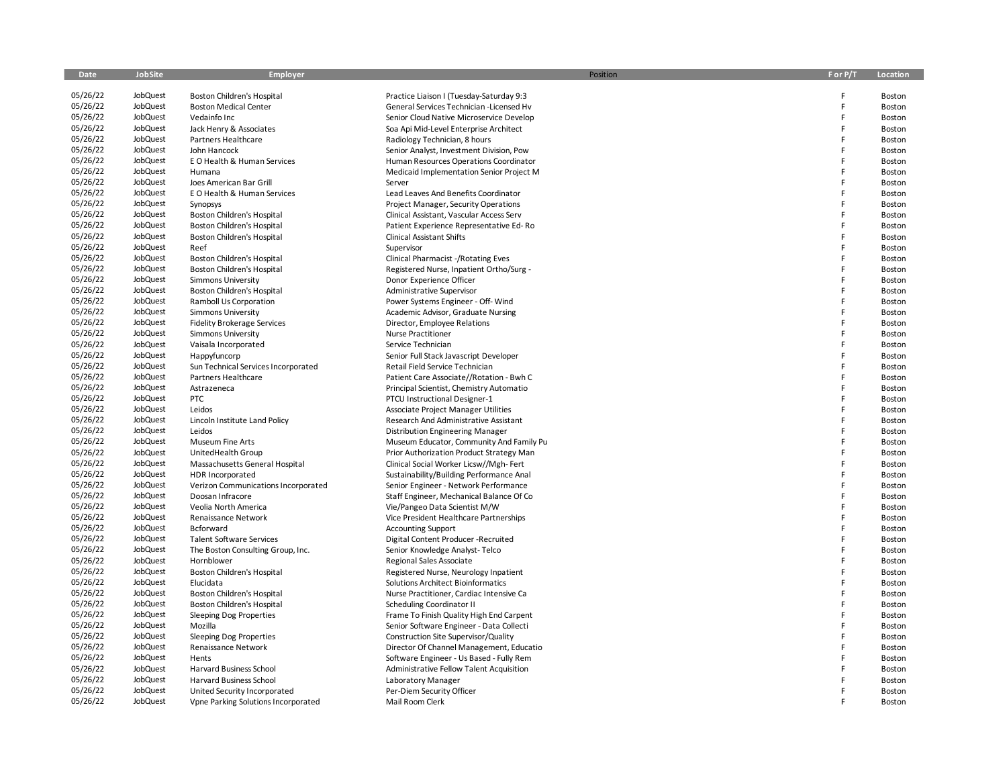| Date                 | JobSite              | Employer                                                 | Position                                       | F or P/T | Location         |
|----------------------|----------------------|----------------------------------------------------------|------------------------------------------------|----------|------------------|
|                      |                      |                                                          |                                                |          |                  |
| 05/26/22             | JobQuest             | Boston Children's Hospital                               | Practice Liaison I (Tuesday-Saturday 9:3       | F        | Boston           |
| 05/26/22             | JobQuest             | <b>Boston Medical Center</b>                             | General Services Technician -Licensed Hv       | E        | Boston           |
| 05/26/22             | JobQuest             | Vedainfo Inc                                             | Senior Cloud Native Microservice Develop       | F        | Boston           |
| 05/26/22             | JobQuest             | Jack Henry & Associates                                  | Soa Api Mid-Level Enterprise Architect         | E        | Boston           |
| 05/26/22             | JobQuest             | Partners Healthcare                                      | Radiology Technician, 8 hours                  | E        | Boston           |
| 05/26/22             | JobQuest             | John Hancock                                             | Senior Analyst, Investment Division, Pow       | E        | Boston           |
| 05/26/22             | JobQuest             | E O Health & Human Services                              | Human Resources Operations Coordinator         | F        | Boston           |
| 05/26/22             | JobQuest             | Humana                                                   | Medicaid Implementation Senior Project M       | E<br>E   | Boston           |
| 05/26/22             | JobQuest             | Joes American Bar Grill                                  | Server                                         | E        | Boston           |
| 05/26/22<br>05/26/22 | JobQuest             | E O Health & Human Services                              | Lead Leaves And Benefits Coordinator           | E        | Boston           |
| 05/26/22             | JobQuest<br>JobQuest | Synopsys                                                 | Project Manager, Security Operations           | E        | Boston           |
| 05/26/22             | JobQuest             | Boston Children's Hospital                               | Clinical Assistant, Vascular Access Serv       | E        | Boston           |
| 05/26/22             | JobQuest             | Boston Children's Hospital                               | Patient Experience Representative Ed-Ro        | E        | Boston           |
| 05/26/22             | JobQuest             | Boston Children's Hospital<br>Reef                       | <b>Clinical Assistant Shifts</b><br>Supervisor | E        | Boston<br>Boston |
| 05/26/22             | JobQuest             |                                                          | <b>Clinical Pharmacist -/Rotating Eves</b>     | F        |                  |
| 05/26/22             | JobQuest             | Boston Children's Hospital<br>Boston Children's Hospital | Registered Nurse, Inpatient Ortho/Surg -       | F        | Boston<br>Boston |
| 05/26/22             | JobQuest             | Simmons University                                       | Donor Experience Officer                       | F        | Boston           |
| 05/26/22             | JobQuest             | Boston Children's Hospital                               | Administrative Supervisor                      | F        | Boston           |
| 05/26/22             | JobQuest             | Ramboll Us Corporation                                   | Power Systems Engineer - Off- Wind             |          | Boston           |
| 05/26/22             | JobQuest             | <b>Simmons University</b>                                | Academic Advisor, Graduate Nursing             | F        | Boston           |
| 05/26/22             | JobQuest             | <b>Fidelity Brokerage Services</b>                       | Director, Employee Relations                   | E        | Boston           |
| 05/26/22             | JobQuest             | <b>Simmons University</b>                                | <b>Nurse Practitioner</b>                      | F        | Boston           |
| 05/26/22             | JobQuest             | Vaisala Incorporated                                     | Service Technician                             | E        | Boston           |
| 05/26/22             | JobQuest             | Happyfuncorp                                             | Senior Full Stack Javascript Developer         | F        | Boston           |
| 05/26/22             | JobQuest             | Sun Technical Services Incorporated                      | Retail Field Service Technician                | E        | Boston           |
| 05/26/22             | JobQuest             | Partners Healthcare                                      | Patient Care Associate//Rotation - Bwh C       | E        | Boston           |
| 05/26/22             | JobQuest             | Astrazeneca                                              | Principal Scientist, Chemistry Automatio       | E        | Boston           |
| 05/26/22             | JobQuest             | <b>PTC</b>                                               | PTCU Instructional Designer-1                  | F        | Boston           |
| 05/26/22             | JobQuest             | Leidos                                                   | Associate Project Manager Utilities            | E        | Boston           |
| 05/26/22             | JobQuest             | Lincoln Institute Land Policy                            | Research And Administrative Assistant          | F        | Boston           |
| 05/26/22             | JobQuest             | Leidos                                                   | <b>Distribution Engineering Manager</b>        | E        | Boston           |
| 05/26/22             | JobQuest             | <b>Museum Fine Arts</b>                                  | Museum Educator, Community And Family Pu       | E        | Boston           |
| 05/26/22             | JobQuest             | UnitedHealth Group                                       | Prior Authorization Product Strategy Man       | E        | Boston           |
| 05/26/22             | JobQuest             | Massachusetts General Hospital                           | Clinical Social Worker Licsw//Mgh-Fert         | F        | Boston           |
| 05/26/22             | JobQuest             | HDR Incorporated                                         | Sustainability/Building Performance Anal       | E        | Boston           |
| 05/26/22             | JobQuest             | Verizon Communications Incorporated                      | Senior Engineer - Network Performance          | E        | Boston           |
| 05/26/22             | JobQuest             | Doosan Infracore                                         | Staff Engineer, Mechanical Balance Of Co       | F        | Boston           |
| 05/26/22             | JobQuest             | Veolia North America                                     | Vie/Pangeo Data Scientist M/W                  | F        | Boston           |
| 05/26/22             | JobQuest             | Renaissance Network                                      | Vice President Healthcare Partnerships         | E        | Boston           |
| 05/26/22             | JobQuest             | Bcforward                                                | <b>Accounting Support</b>                      | E        | Boston           |
| 05/26/22             | JobQuest             | <b>Talent Software Services</b>                          | Digital Content Producer -Recruited            | E        | Boston           |
| 05/26/22             | JobQuest             | The Boston Consulting Group, Inc.                        | Senior Knowledge Analyst-Telco                 | E        | Boston           |
| 05/26/22             | JobQuest             | Hornblower                                               | Regional Sales Associate                       |          | Boston           |
| 05/26/22             | JobQuest             | Boston Children's Hospital                               | Registered Nurse, Neurology Inpatient          | E        | <b>Boston</b>    |
| 05/26/22             | JobQuest             | Elucidata                                                | Solutions Architect Bioinformatics             |          | Boston           |
| 05/26/22             | JobQuest             | Boston Children's Hospital                               | Nurse Practitioner, Cardiac Intensive Ca       | E        | Boston           |
| 05/26/22             | JobQuest             | <b>Boston Children's Hospital</b>                        | Scheduling Coordinator II                      | E        | Boston           |
| 05/26/22             | JobQuest             | Sleeping Dog Properties                                  | Frame To Finish Quality High End Carpent       | E        | Boston           |
| 05/26/22             | JobQuest             | Mozilla                                                  | Senior Software Engineer - Data Collecti       | E        | Boston           |
| 05/26/22             | JobQuest             | Sleeping Dog Properties                                  | Construction Site Supervisor/Quality           | E        | Boston           |
| 05/26/22             | JobQuest             | Renaissance Network                                      | Director Of Channel Management, Educatio       | E        | Boston           |
| 05/26/22             | JobQuest             | Hents                                                    | Software Engineer - Us Based - Fully Rem       | E        | Boston           |
| 05/26/22             | JobQuest             | Harvard Business School                                  | Administrative Fellow Talent Acquisition       | E        | Boston           |
| 05/26/22             | JobQuest             | Harvard Business School                                  | Laboratory Manager                             | E<br>E   | Boston           |
| 05/26/22             | JobQuest<br>JobQuest | United Security Incorporated                             | Per-Diem Security Officer                      | E        | Boston           |
| 05/26/22             |                      | Vpne Parking Solutions Incorporated                      | Mail Room Clerk                                |          | Boston           |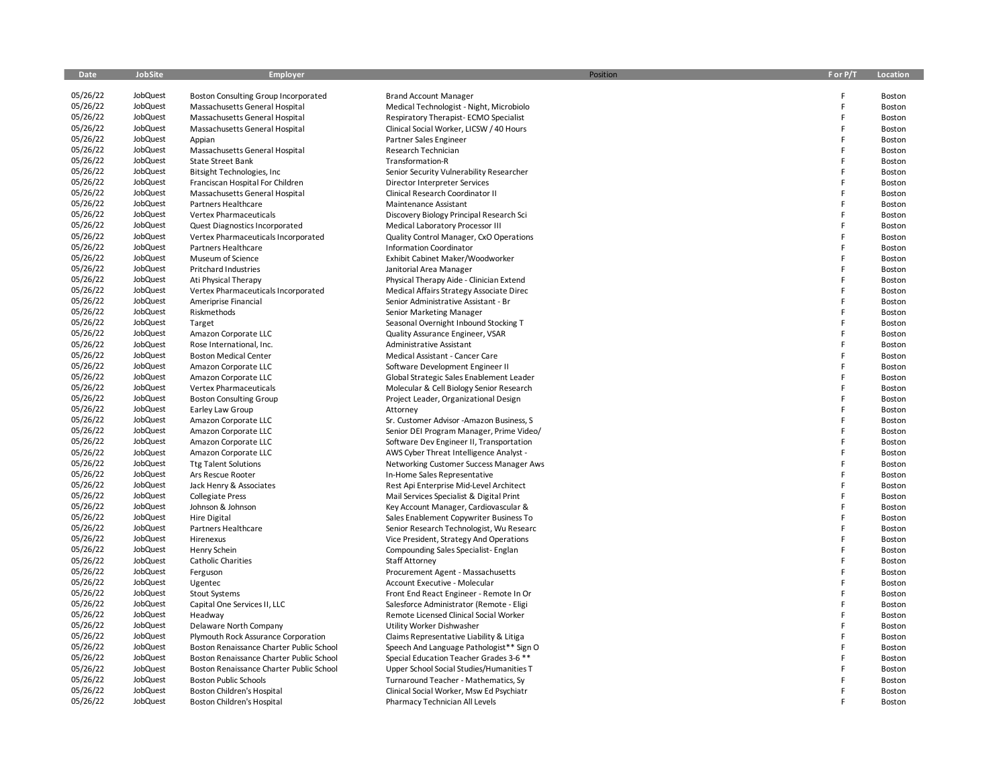| Date     | JobSite  | Employer                                 | Position                                 | F or P/T | Location |
|----------|----------|------------------------------------------|------------------------------------------|----------|----------|
|          |          |                                          |                                          |          |          |
| 05/26/22 | JobQuest | Boston Consulting Group Incorporated     | <b>Brand Account Manager</b>             | F        | Boston   |
| 05/26/22 | JobQuest | Massachusetts General Hospital           | Medical Technologist - Night, Microbiolo | F        | Boston   |
| 05/26/22 | JobQuest | Massachusetts General Hospital           | Respiratory Therapist-ECMO Specialist    | F        | Boston   |
| 05/26/22 | JobQuest | Massachusetts General Hospital           | Clinical Social Worker, LICSW / 40 Hours | F        | Boston   |
| 05/26/22 | JobQuest | Appian                                   | Partner Sales Engineer                   | F        | Boston   |
| 05/26/22 | JobQuest | Massachusetts General Hospital           | Research Technician                      | F        | Boston   |
| 05/26/22 | JobQuest | <b>State Street Bank</b>                 | Transformation-R                         | F        | Boston   |
| 05/26/22 | JobQuest | Bitsight Technologies, Inc               | Senior Security Vulnerability Researcher | F        | Boston   |
| 05/26/22 | JobQuest | Franciscan Hospital For Children         | Director Interpreter Services            | F        | Boston   |
| 05/26/22 | JobQuest | Massachusetts General Hospital           | Clinical Research Coordinator II         | F        | Boston   |
| 05/26/22 | JobQuest | Partners Healthcare                      | Maintenance Assistant                    | F        | Boston   |
| 05/26/22 | JobQuest | Vertex Pharmaceuticals                   | Discovery Biology Principal Research Sci | F        | Boston   |
| 05/26/22 | JobQuest | Quest Diagnostics Incorporated           | Medical Laboratory Processor III         | F        | Boston   |
| 05/26/22 | JobQuest | Vertex Pharmaceuticals Incorporated      | Quality Control Manager, CxO Operations  | F        | Boston   |
| 05/26/22 | JobQuest | Partners Healthcare                      | <b>Information Coordinator</b>           | F        | Boston   |
| 05/26/22 | JobQuest | Museum of Science                        | Exhibit Cabinet Maker/Woodworker         | F        | Boston   |
| 05/26/22 | JobQuest | <b>Pritchard Industries</b>              | Janitorial Area Manager                  | F        | Boston   |
| 05/26/22 | JobQuest | Ati Physical Therapy                     | Physical Therapy Aide - Clinician Extend | F        | Boston   |
| 05/26/22 | JobQuest | Vertex Pharmaceuticals Incorporated      | Medical Affairs Strategy Associate Direc | F        | Boston   |
| 05/26/22 | JobQuest | Ameriprise Financial                     | Senior Administrative Assistant - Br     | F        | Boston   |
| 05/26/22 | JobQuest | Riskmethods                              | Senior Marketing Manager                 | F        | Boston   |
| 05/26/22 | JobQuest | Target                                   | Seasonal Overnight Inbound Stocking T    | F        | Boston   |
| 05/26/22 | JobQuest | Amazon Corporate LLC                     | Quality Assurance Engineer, VSAR         | F        | Boston   |
| 05/26/22 | JobQuest | Rose International, Inc.                 | Administrative Assistant                 | F        | Boston   |
| 05/26/22 | JobQuest | <b>Boston Medical Center</b>             | Medical Assistant - Cancer Care          | F        | Boston   |
| 05/26/22 | JobQuest | Amazon Corporate LLC                     | Software Development Engineer II         | F        | Boston   |
| 05/26/22 | JobQuest | Amazon Corporate LLC                     | Global Strategic Sales Enablement Leader | F        | Boston   |
| 05/26/22 | JobQuest | <b>Vertex Pharmaceuticals</b>            | Molecular & Cell Biology Senior Research | F        | Boston   |
| 05/26/22 | JobQuest | <b>Boston Consulting Group</b>           | Project Leader, Organizational Design    | F        | Boston   |
| 05/26/22 | JobQuest | Earley Law Group                         | Attorney                                 | F        | Boston   |
| 05/26/22 | JobQuest | Amazon Corporate LLC                     | Sr. Customer Advisor -Amazon Business, S | F        | Boston   |
| 05/26/22 | JobQuest | Amazon Corporate LLC                     | Senior DEI Program Manager, Prime Video/ | F        | Boston   |
| 05/26/22 | JobQuest | Amazon Corporate LLC                     | Software Dev Engineer II, Transportation | F        | Boston   |
| 05/26/22 | JobQuest | Amazon Corporate LLC                     | AWS Cyber Threat Intelligence Analyst -  | F        | Boston   |
| 05/26/22 | JobQuest | <b>Ttg Talent Solutions</b>              | Networking Customer Success Manager Aws  | F        | Boston   |
| 05/26/22 | JobQuest | Ars Rescue Rooter                        | In-Home Sales Representative             | F        | Boston   |
| 05/26/22 | JobQuest | Jack Henry & Associates                  | Rest Api Enterprise Mid-Level Architect  | F        | Boston   |
| 05/26/22 | JobQuest | <b>Collegiate Press</b>                  | Mail Services Specialist & Digital Print | F        | Boston   |
| 05/26/22 | JobQuest | Johnson & Johnson                        | Key Account Manager, Cardiovascular &    | F        | Boston   |
| 05/26/22 | JobQuest | <b>Hire Digital</b>                      | Sales Enablement Copywriter Business To  | F        | Boston   |
| 05/26/22 | JobQuest | Partners Healthcare                      | Senior Research Technologist, Wu Researc | F        | Boston   |
| 05/26/22 | JobQuest | Hirenexus                                | Vice President, Strategy And Operations  | F        | Boston   |
| 05/26/22 | JobQuest | Henry Schein                             | Compounding Sales Specialist-Englan      | F        | Boston   |
| 05/26/22 | JobQuest | <b>Catholic Charities</b>                | <b>Staff Attorney</b>                    | F        | Boston   |
| 05/26/22 | JobQuest | Ferguson                                 | Procurement Agent - Massachusetts        | F        | Boston   |
| 05/26/22 | JobQuest | Ugentec                                  | Account Executive - Molecular            | F        | Boston   |
| 05/26/22 | JobQuest | <b>Stout Systems</b>                     | Front End React Engineer - Remote In Or  | F        | Boston   |
| 05/26/22 | JobQuest | Capital One Services II, LLC             | Salesforce Administrator (Remote - Eligi | F        | Boston   |
| 05/26/22 | JobQuest | Headway                                  | Remote Licensed Clinical Social Worker   | F        | Boston   |
| 05/26/22 | JobQuest | Delaware North Company                   | Utility Worker Dishwasher                | F<br>F   | Boston   |
| 05/26/22 | JobQuest | Plymouth Rock Assurance Corporation      | Claims Representative Liability & Litiga | F        | Boston   |
| 05/26/22 | JobQuest | Boston Renaissance Charter Public School | Speech And Language Pathologist** Sign O |          | Boston   |
| 05/26/22 | JobQuest | Boston Renaissance Charter Public School | Special Education Teacher Grades 3-6 **  | F<br>F   | Boston   |
| 05/26/22 | JobQuest | Boston Renaissance Charter Public School | Upper School Social Studies/Humanities T |          | Boston   |
| 05/26/22 | JobQuest | <b>Boston Public Schools</b>             | Turnaround Teacher - Mathematics, Sy     |          | Boston   |
| 05/26/22 | JobQuest | <b>Boston Children's Hospital</b>        | Clinical Social Worker, Msw Ed Psychiatr |          | Boston   |
| 05/26/22 | JobQuest | Boston Children's Hospital               | Pharmacy Technician All Levels           |          | Boston   |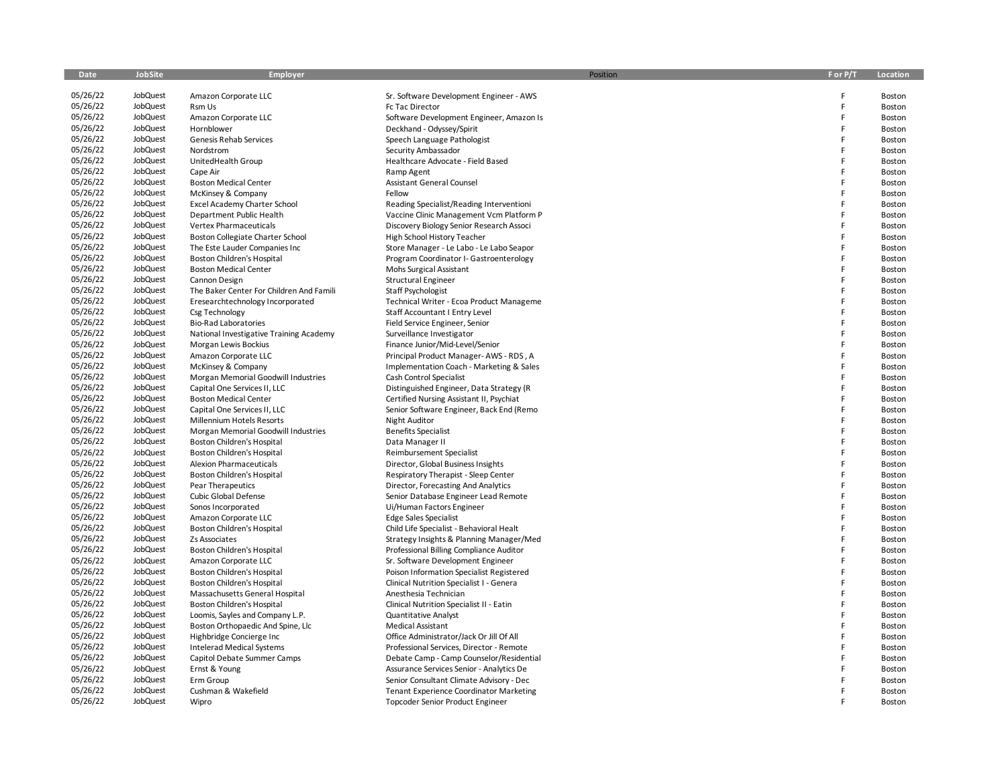| Date                 | <b>JobSite</b>       | Employer                                    | Position                                                                             | F or P/T | Location         |
|----------------------|----------------------|---------------------------------------------|--------------------------------------------------------------------------------------|----------|------------------|
| 05/26/22             | JobQuest             | Amazon Corporate LLC                        | Sr. Software Development Engineer - AWS                                              | F        | Boston           |
| 05/26/22             | JobQuest             | Rsm Us                                      | Fc Tac Director                                                                      | F        | Boston           |
| 05/26/22             | JobQuest             | Amazon Corporate LLC                        | Software Development Engineer, Amazon Is                                             | F        | Boston           |
| 05/26/22             | JobQuest             | Hornblower                                  | Deckhand - Odyssey/Spirit                                                            | F        | Boston           |
| 05/26/22             | JobQuest             | Genesis Rehab Services                      | Speech Language Pathologist                                                          | F        | Boston           |
| 05/26/22             | JobQuest             | Nordstrom                                   | Security Ambassador                                                                  | F        | Boston           |
| 05/26/22             | JobQuest             | UnitedHealth Group                          | Healthcare Advocate - Field Based                                                    | F        | Boston           |
| 05/26/22             | JobQuest             | Cape Air                                    | Ramp Agent                                                                           | F        | Boston           |
| 05/26/22             | JobQuest             | <b>Boston Medical Center</b>                | <b>Assistant General Counsel</b>                                                     | F        | Boston           |
| 05/26/22             | JobQuest             | McKinsey & Company                          | Fellow                                                                               | F        | Boston           |
| 05/26/22             | JobQuest             | Excel Academy Charter School                | Reading Specialist/Reading Interventioni                                             | F        | Boston           |
| 05/26/22             | JobQuest             | Department Public Health                    | Vaccine Clinic Management Vcm Platform P                                             | F        | Boston           |
| 05/26/22             | JobQuest             | Vertex Pharmaceuticals                      | Discovery Biology Senior Research Associ                                             | F        | Boston           |
| 05/26/22             | JobQuest             | Boston Collegiate Charter School            | High School History Teacher                                                          | F        | Boston           |
| 05/26/22             | JobQuest             | The Este Lauder Companies Inc               | Store Manager - Le Labo - Le Labo Seapor                                             | F        | <b>Boston</b>    |
| 05/26/22             | JobQuest             | Boston Children's Hospital                  | Program Coordinator I- Gastroenterology                                              | F        | Boston           |
| 05/26/22             | JobQuest             | <b>Boston Medical Center</b>                | Mohs Surgical Assistant                                                              | F        | Boston           |
| 05/26/22             | JobQuest             | Cannon Design                               | Structural Engineer                                                                  | F        | Boston           |
| 05/26/22             | JobQuest             | The Baker Center For Children And Famili    | Staff Psychologist                                                                   | F        | Boston           |
| 05/26/22             | JobQuest             | Eresearchtechnology Incorporated            | Technical Writer - Ecoa Product Manageme                                             | F        | Boston           |
| 05/26/22             | JobQuest             | Csg Technology                              | Staff Accountant I Entry Level                                                       | F        | Boston           |
| 05/26/22             | JobQuest             | <b>Bio-Rad Laboratories</b>                 | Field Service Engineer, Senior                                                       | F        | Boston           |
| 05/26/22             | JobQuest             | National Investigative Training Academy     | Surveillance Investigator                                                            | F        | Boston           |
| 05/26/22             | JobQuest             | Morgan Lewis Bockius                        | Finance Junior/Mid-Level/Senior                                                      | F        | Boston           |
| 05/26/22             | JobQuest             | Amazon Corporate LLC                        | Principal Product Manager-AWS - RDS, A                                               | F        | Boston           |
| 05/26/22             | JobQuest             | McKinsey & Company                          | Implementation Coach - Marketing & Sales                                             | F        | <b>Boston</b>    |
| 05/26/22             | JobQuest             | Morgan Memorial Goodwill Industries         | Cash Control Specialist                                                              | F        | Boston           |
| 05/26/22             | JobQuest             | Capital One Services II, LLC                | Distinguished Engineer, Data Strategy (R                                             | F        | Boston           |
| 05/26/22             | JobQuest             | <b>Boston Medical Center</b>                | Certified Nursing Assistant II, Psychiat                                             | F        | Boston           |
| 05/26/22             | JobQuest             | Capital One Services II, LLC                | Senior Software Engineer, Back End (Remo                                             | F        | Boston           |
| 05/26/22             | JobQuest             | Millennium Hotels Resorts                   | Night Auditor                                                                        | F        | Boston           |
| 05/26/22             | JobQuest             | Morgan Memorial Goodwill Industries         | <b>Benefits Specialist</b>                                                           | F        | Boston           |
| 05/26/22             | JobQuest             | Boston Children's Hospital                  | Data Manager II                                                                      | F        | Boston           |
| 05/26/22             | JobQuest             | Boston Children's Hospital                  | Reimbursement Specialist                                                             | F        | Boston           |
| 05/26/22             | JobQuest             | <b>Alexion Pharmaceuticals</b>              | Director, Global Business Insights                                                   | F        | Boston           |
| 05/26/22             | JobQuest             | Boston Children's Hospital                  | Respiratory Therapist - Sleep Center                                                 | F        | Boston           |
| 05/26/22             | JobQuest             | <b>Pear Therapeutics</b>                    | Director, Forecasting And Analytics                                                  | F        | Boston           |
| 05/26/22<br>05/26/22 | JobQuest             | Cubic Global Defense                        | Senior Database Engineer Lead Remote                                                 | F<br>F   | Boston           |
| 05/26/22             | JobQuest<br>JobQuest | Sonos Incorporated                          | Ui/Human Factors Engineer                                                            | F        | Boston           |
| 05/26/22             | JobQuest             | Amazon Corporate LLC                        | <b>Edge Sales Specialist</b>                                                         | F        | Boston           |
| 05/26/22             | JobQuest             | Boston Children's Hospital<br>Zs Associates | Child Life Specialist - Behavioral Healt<br>Strategy Insights & Planning Manager/Med | F        | Boston<br>Boston |
| 05/26/22             | JobQuest             | Boston Children's Hospital                  | Professional Billing Compliance Auditor                                              | F        | Boston           |
| 05/26/22             | JobQuest             | Amazon Corporate LLC                        | Sr. Software Development Engineer                                                    | F        | Boston           |
| 05/26/22             | JobQuest             | Boston Children's Hospital                  | Poison Information Specialist Registered                                             | F        | Boston           |
| 05/26/22             | JobQuest             | Boston Children's Hospital                  | Clinical Nutrition Specialist I - Genera                                             | F        | Boston           |
| 05/26/22             | JobQuest             | Massachusetts General Hospital              | Anesthesia Technician                                                                | F        | Boston           |
| 05/26/22             | JobQuest             | Boston Children's Hospital                  | Clinical Nutrition Specialist II - Eatin                                             | F        | Boston           |
| 05/26/22             | JobQuest             | Loomis, Sayles and Company L.P.             | <b>Quantitative Analyst</b>                                                          | F        | Boston           |
| 05/26/22             | JobQuest             | Boston Orthopaedic And Spine, Llc           | Medical Assistant                                                                    | F        | Boston           |
| 05/26/22             | JobQuest             | Highbridge Concierge Inc                    | Office Administrator/Jack Or Jill Of All                                             | F        | Boston           |
| 05/26/22             | JobQuest             | <b>Intelerad Medical Systems</b>            | Professional Services, Director - Remote                                             | F        | Boston           |
| 05/26/22             | JobQuest             | Capitol Debate Summer Camps                 | Debate Camp - Camp Counselor/Residential                                             | F        | Boston           |
| 05/26/22             | JobQuest             | Ernst & Young                               | Assurance Services Senior - Analytics De                                             | F        | Boston           |
| 05/26/22             | JobQuest             | Erm Group                                   | Senior Consultant Climate Advisory - Dec                                             | F        | Boston           |
| 05/26/22             | JobQuest             | Cushman & Wakefield                         | <b>Tenant Experience Coordinator Marketing</b>                                       | F        | Boston           |
| 05/26/22             | JobQuest             | Wipro                                       | <b>Topcoder Senior Product Engineer</b>                                              |          | Boston           |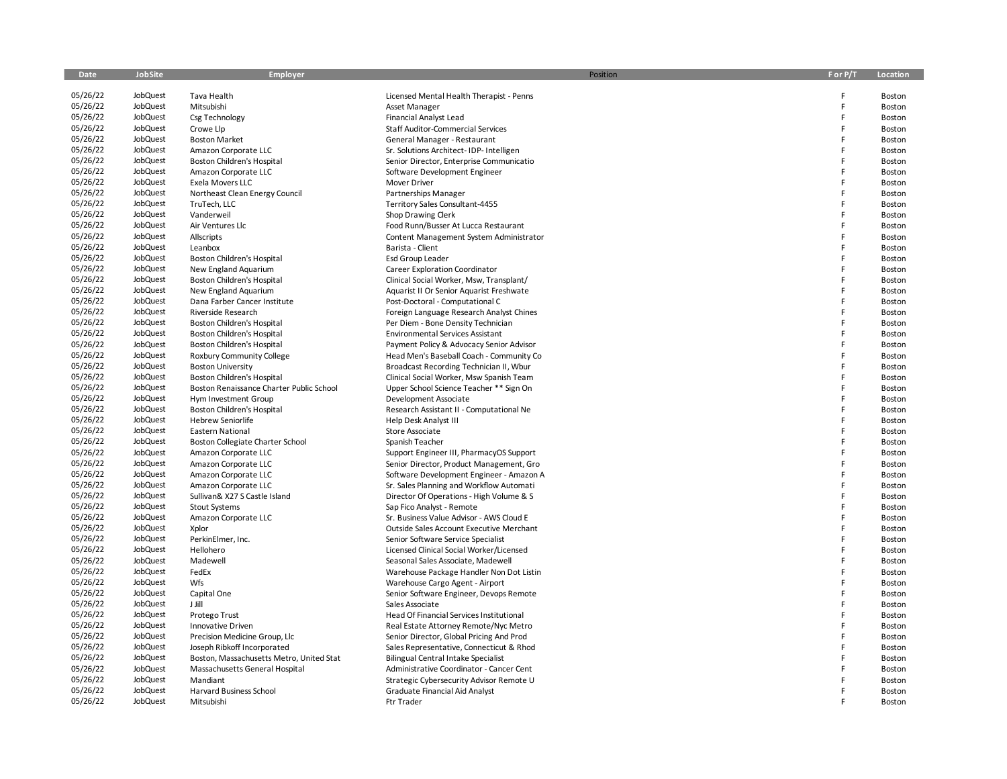| Date                 | <b>JobSite</b>       | Employer                                     | Position                                            | F or P/T | Location |
|----------------------|----------------------|----------------------------------------------|-----------------------------------------------------|----------|----------|
| 05/26/22             | JobQuest             | Tava Health                                  | Licensed Mental Health Therapist - Penns            | F        | Boston   |
| 05/26/22             | JobQuest             | Mitsubishi                                   | Asset Manager                                       | F        | Boston   |
| 05/26/22             | JobQuest             | Csg Technology                               | Financial Analyst Lead                              | F        | Boston   |
| 05/26/22             | JobQuest             | Crowe Llp                                    | Staff Auditor-Commercial Services                   | F        | Boston   |
| 05/26/22             | JobQuest             | <b>Boston Market</b>                         | General Manager - Restaurant                        | F        | Boston   |
| 05/26/22             | JobQuest             | Amazon Corporate LLC                         | Sr. Solutions Architect-IDP-Intelligen              | F        | Boston   |
| 05/26/22             | JobQuest             | Boston Children's Hospital                   | Senior Director, Enterprise Communicatio            | F        | Boston   |
| 05/26/22             | JobQuest             | Amazon Corporate LLC                         | Software Development Engineer                       | F        | Boston   |
| 05/26/22             | JobQuest             | Exela Movers LLC                             | Mover Driver                                        | F        | Boston   |
| 05/26/22             | JobQuest             | Northeast Clean Energy Council               | Partnerships Manager                                | F        | Boston   |
| 05/26/22             | JobQuest             | TruTech, LLC                                 | Territory Sales Consultant-4455                     | F        | Boston   |
| 05/26/22             | JobQuest             | Vanderweil                                   | Shop Drawing Clerk                                  | F        | Boston   |
| 05/26/22             | JobQuest             | Air Ventures Llc                             | Food Runn/Busser At Lucca Restaurant                | F        | Boston   |
| 05/26/22             | JobQuest             | Allscripts                                   | Content Management System Administrator             | F        | Boston   |
| 05/26/22             | JobQuest             | Leanbox                                      | Barista - Client                                    | F        | Boston   |
| 05/26/22             | JobQuest             | Boston Children's Hospital                   | Esd Group Leader                                    | F        | Boston   |
| 05/26/22             | JobQuest             | New England Aquarium                         | Career Exploration Coordinator                      | F        | Boston   |
| 05/26/22             | JobQuest             | Boston Children's Hospital                   | Clinical Social Worker, Msw, Transplant/            | F        | Boston   |
| 05/26/22             | JobQuest             | New England Aquarium                         | Aquarist II Or Senior Aquarist Freshwate            | F        | Boston   |
| 05/26/22             | JobQuest             | Dana Farber Cancer Institute                 | Post-Doctoral - Computational C                     | F        | Boston   |
| 05/26/22             | JobQuest             | Riverside Research                           | Foreign Language Research Analyst Chines            | F        | Boston   |
| 05/26/22             | JobQuest             | Boston Children's Hospital                   | Per Diem - Bone Density Technician                  | F        | Boston   |
| 05/26/22             | JobQuest             | Boston Children's Hospital                   | <b>Environmental Services Assistant</b>             | F        | Boston   |
| 05/26/22             | JobQuest             | Boston Children's Hospital                   | Payment Policy & Advocacy Senior Advisor            | F        | Boston   |
| 05/26/22             | JobQuest             | Roxbury Community College                    | Head Men's Baseball Coach - Community Co            | F        | Boston   |
| 05/26/22             | JobQuest             | <b>Boston University</b>                     | Broadcast Recording Technician II, Wbur             | F        | Boston   |
| 05/26/22             | JobQuest             | Boston Children's Hospital                   | Clinical Social Worker, Msw Spanish Team            | F        | Boston   |
| 05/26/22             | JobQuest             | Boston Renaissance Charter Public School     | Upper School Science Teacher ** Sign On             | F        | Boston   |
| 05/26/22             | JobQuest             | Hym Investment Group                         | Development Associate                               | F        | Boston   |
| 05/26/22             | JobQuest             | <b>Boston Children's Hospital</b>            | Research Assistant II - Computational Ne            | F        | Boston   |
| 05/26/22             | JobQuest             | <b>Hebrew Seniorlife</b>                     | Help Desk Analyst III                               | F        | Boston   |
| 05/26/22             | JobQuest             | Eastern National                             | Store Associate                                     | F        | Boston   |
| 05/26/22             | JobQuest             | Boston Collegiate Charter School             | Spanish Teacher                                     | F        | Boston   |
| 05/26/22             | JobQuest             | Amazon Corporate LLC                         | Support Engineer III, PharmacyOS Support            | F        | Boston   |
| 05/26/22             | JobQuest             | Amazon Corporate LLC                         | Senior Director, Product Management, Gro            | F        | Boston   |
| 05/26/22             | JobQuest             | Amazon Corporate LLC                         | Software Development Engineer - Amazon A            | F        | Boston   |
| 05/26/22             | JobQuest             | Amazon Corporate LLC                         | Sr. Sales Planning and Workflow Automati            | F        | Boston   |
| 05/26/22             | JobQuest             | Sullivan& X27 S Castle Island                | Director Of Operations - High Volume & S            | F        | Boston   |
| 05/26/22             | JobQuest             | Stout Systems                                | Sap Fico Analyst - Remote                           | F        | Boston   |
| 05/26/22             | JobQuest             | Amazon Corporate LLC                         | Sr. Business Value Advisor - AWS Cloud E            | F        | Boston   |
| 05/26/22             | JobQuest             | Xplor                                        | <b>Outside Sales Account Executive Merchant</b>     | F        | Boston   |
| 05/26/22             | JobQuest             | PerkinElmer, Inc.                            | Senior Software Service Specialist                  | F        | Boston   |
| 05/26/22             | JobQuest             | Hellohero                                    | Licensed Clinical Social Worker/Licensed            | F        | Boston   |
| 05/26/22             | JobQuest             | Madewell                                     | Seasonal Sales Associate, Madewell                  | F        | Boston   |
| 05/26/22             | JobQuest             | FedEx                                        | Warehouse Package Handler Non Dot Listin            | F        | Boston   |
| 05/26/22             | JobQuest             | Wfs                                          | Warehouse Cargo Agent - Airport                     | F        | Boston   |
| 05/26/22             | JobQuest             | Capital One                                  | Senior Software Engineer, Devops Remote             | F        | Boston   |
| 05/26/22             | JobQuest             | J Jill                                       | Sales Associate                                     | F        | Boston   |
| 05/26/22             | JobQuest             | Protego Trust                                | Head Of Financial Services Institutional            | F        | Boston   |
| 05/26/22             | JobQuest             | Innovative Driven                            | Real Estate Attorney Remote/Nyc Metro               | F<br>F   | Boston   |
| 05/26/22             | JobQuest             | Precision Medicine Group, Llc                | Senior Director, Global Pricing And Prod            | F        | Boston   |
| 05/26/22<br>05/26/22 | JobQuest             | Joseph Ribkoff Incorporated                  | Sales Representative, Connecticut & Rhod            |          | Boston   |
|                      | JobQuest<br>JobQuest | Boston, Massachusetts Metro, United Stat     | <b>Bilingual Central Intake Specialist</b>          | F<br>F   | Boston   |
| 05/26/22<br>05/26/22 |                      | Massachusetts General Hospital               | Administrative Coordinator - Cancer Cent            | F        | Boston   |
| 05/26/22             | JobQuest<br>JobQuest | Mandiant                                     | Strategic Cybersecurity Advisor Remote U            | F        | Boston   |
| 05/26/22             | JobQuest             | <b>Harvard Business School</b><br>Mitsubishi | Graduate Financial Aid Analyst<br><b>Ftr Trader</b> |          | Boston   |
|                      |                      |                                              |                                                     |          | Boston   |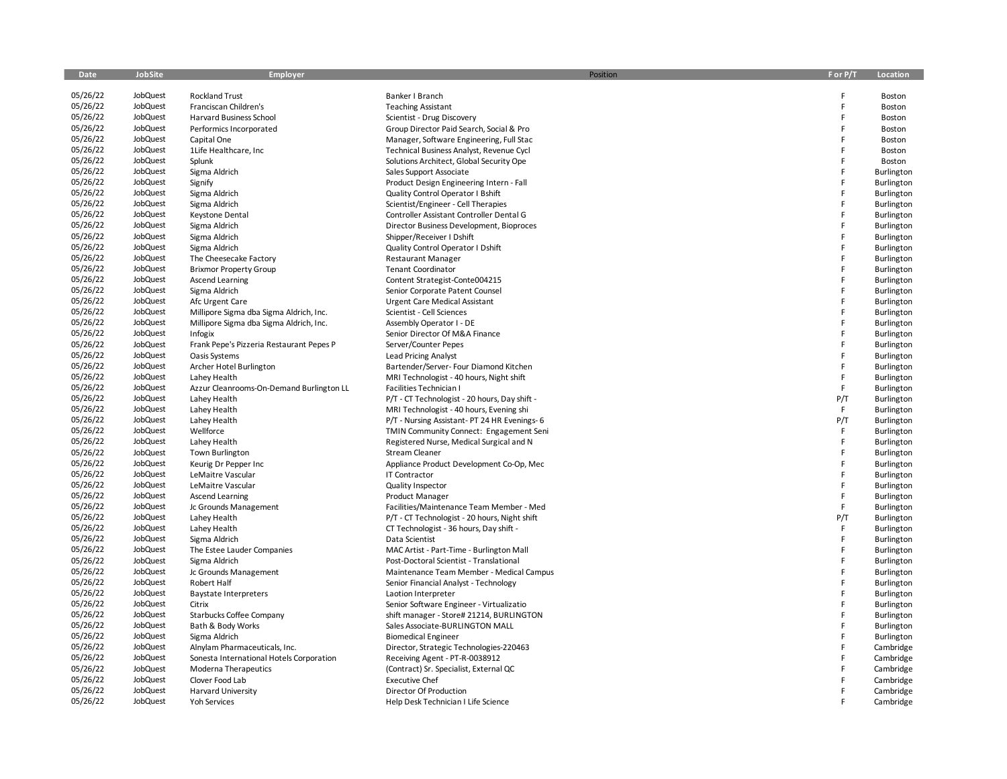| Date     | <b>JobSite</b>  | Employer                                 | Position                                      | F or P/T | Location          |
|----------|-----------------|------------------------------------------|-----------------------------------------------|----------|-------------------|
| 05/26/22 | JobQuest        | <b>Rockland Trust</b>                    | Banker I Branch                               | F        | Boston            |
| 05/26/22 | JobQuest        | Franciscan Children's                    | <b>Teaching Assistant</b>                     | F        | Boston            |
| 05/26/22 | JobQuest        | Harvard Business School                  | Scientist - Drug Discovery                    | F        | Boston            |
| 05/26/22 | JobQuest        | Performics Incorporated                  | Group Director Paid Search, Social & Pro      | F        | Boston            |
| 05/26/22 | JobQuest        | Capital One                              | Manager, Software Engineering, Full Stac      | F        | Boston            |
| 05/26/22 | JobQuest        | 1Life Healthcare, Inc                    | Technical Business Analyst, Revenue Cycl      | F        | Boston            |
| 05/26/22 | JobQuest        | Splunk                                   | Solutions Architect, Global Security Ope      | F        | Boston            |
| 05/26/22 | JobQuest        | Sigma Aldrich                            | Sales Support Associate                       | F        | Burlington        |
| 05/26/22 | JobQuest        | Signify                                  | Product Design Engineering Intern - Fall      | F        | Burlington        |
| 05/26/22 | JobQuest        | Sigma Aldrich                            | Quality Control Operator I Bshift             | F        | Burlington        |
| 05/26/22 | JobQuest        | Sigma Aldrich                            | Scientist/Engineer - Cell Therapies           | F        | Burlington        |
| 05/26/22 | JobQuest        | Keystone Dental                          | Controller Assistant Controller Dental G      | F        | Burlington        |
| 05/26/22 | JobQuest        | Sigma Aldrich                            | Director Business Development, Bioproces      | F        | <b>Burlington</b> |
| 05/26/22 | JobQuest        | Sigma Aldrich                            | Shipper/Receiver I Dshift                     | F        | Burlington        |
| 05/26/22 | JobQuest        | Sigma Aldrich                            | Quality Control Operator I Dshift             | F        | Burlington        |
| 05/26/22 | JobQuest        | The Cheesecake Factory                   | <b>Restaurant Manager</b>                     | F        | Burlington        |
| 05/26/22 | JobQuest        | <b>Brixmor Property Group</b>            | <b>Tenant Coordinator</b>                     | F        | <b>Burlington</b> |
| 05/26/22 | JobQuest        | <b>Ascend Learning</b>                   | Content Strategist-Conte004215                | F        | Burlington        |
| 05/26/22 | JobQuest        | Sigma Aldrich                            | Senior Corporate Patent Counsel               | F        | <b>Burlington</b> |
| 05/26/22 | JobQuest        | Afc Urgent Care                          | <b>Urgent Care Medical Assistant</b>          | F        | Burlington        |
| 05/26/22 | JobQuest        | Millipore Sigma dba Sigma Aldrich, Inc.  | Scientist - Cell Sciences                     | F        | Burlington        |
| 05/26/22 | JobQuest        | Millipore Sigma dba Sigma Aldrich, Inc.  | Assembly Operator I - DE                      | F        | Burlington        |
| 05/26/22 | JobQuest        | Infogix                                  | Senior Director Of M&A Finance                | F        | Burlington        |
| 05/26/22 | JobQuest        | Frank Pepe's Pizzeria Restaurant Pepes P | Server/Counter Pepes                          | F        | Burlington        |
| 05/26/22 | JobQuest        | Oasis Systems                            | <b>Lead Pricing Analyst</b>                   | F        | Burlington        |
| 05/26/22 | JobQuest        | Archer Hotel Burlington                  | Bartender/Server- Four Diamond Kitchen        | F        | Burlington        |
| 05/26/22 | JobQuest        | Lahey Health                             | MRI Technologist - 40 hours, Night shift      | F        | Burlington        |
| 05/26/22 | JobQuest        | Azzur Cleanrooms-On-Demand Burlington LL | Facilities Technician I                       | F        | Burlington        |
| 05/26/22 | JobQuest        | Lahey Health                             | P/T - CT Technologist - 20 hours, Day shift - | P/T      | Burlington        |
| 05/26/22 | JobQuest        | Lahey Health                             | MRI Technologist - 40 hours, Evening shi      | F        | Burlington        |
| 05/26/22 | JobQuest        | Lahey Health                             | P/T - Nursing Assistant- PT 24 HR Evenings- 6 | P/T      | Burlington        |
| 05/26/22 | JobQuest        | Wellforce                                | TMIN Community Connect: Engagement Seni       | F        | Burlington        |
| 05/26/22 | JobQuest        | Lahey Health                             | Registered Nurse, Medical Surgical and N      | F        | Burlington        |
| 05/26/22 | JobQuest        | <b>Town Burlington</b>                   | Stream Cleaner                                | F        | <b>Burlington</b> |
| 05/26/22 | JobQuest        | Keurig Dr Pepper Inc                     | Appliance Product Development Co-Op, Mec      | F        | Burlington        |
| 05/26/22 | JobQuest        | LeMaitre Vascular                        | <b>IT Contractor</b>                          | F        | Burlington        |
| 05/26/22 | JobQuest        | LeMaitre Vascular                        | Quality Inspector                             | F        | Burlington        |
| 05/26/22 | JobQuest        | Ascend Learning                          | <b>Product Manager</b>                        | F        | Burlington        |
| 05/26/22 | JobQuest        | Jc Grounds Management                    | Facilities/Maintenance Team Member - Med      | F        | Burlington        |
| 05/26/22 | JobQuest        | Lahey Health                             | P/T - CT Technologist - 20 hours, Night shift | P/T      | Burlington        |
| 05/26/22 | JobQuest        | Lahey Health                             | CT Technologist - 36 hours, Day shift -       | F        | Burlington        |
| 05/26/22 | JobQuest        | Sigma Aldrich                            | Data Scientist                                | F        | Burlington        |
| 05/26/22 | JobQuest        | The Estee Lauder Companies               | MAC Artist - Part-Time - Burlington Mall      | F        | Burlington        |
| 05/26/22 | JobQuest        | Sigma Aldrich                            | Post-Doctoral Scientist - Translational       | F        | Burlington        |
| 05/26/22 | JobQuest        | Jc Grounds Management                    | Maintenance Team Member - Medical Campus      | F        | Burlington        |
| 05/26/22 | JobQuest        | Robert Half                              | Senior Financial Analyst - Technology         | F        | Burlington        |
| 05/26/22 | JobQuest        | <b>Baystate Interpreters</b>             | Laotion Interpreter                           | F        | Burlington        |
| 05/26/22 | JobQuest        | Citrix                                   | Senior Software Engineer - Virtualizatio      | F        | Burlington        |
| 05/26/22 | JobQuest        | Starbucks Coffee Company                 | shift manager - Store# 21214, BURLINGTON      | F        | Burlington        |
| 05/26/22 | JobQuest        | Bath & Body Works                        | Sales Associate-BURLINGTON MALL               | F        | Burlington        |
| 05/26/22 | JobQuest        | Sigma Aldrich                            | <b>Biomedical Engineer</b>                    | F        | Burlington        |
| 05/26/22 | JobQuest        | Alnylam Pharmaceuticals, Inc.            | Director, Strategic Technologies-220463       | F        | Cambridge         |
| 05/26/22 | JobQuest        | Sonesta International Hotels Corporation | Receiving Agent - PT-R-0038912                | F        | Cambridge         |
| 05/26/22 | JobQuest        | Moderna Therapeutics                     | (Contract) Sr. Specialist, External QC        | F        | Cambridge         |
| 05/26/22 | JobQuest        | Clover Food Lab                          | <b>Executive Chef</b>                         | F        | Cambridge         |
| 05/26/22 | JobQuest        | <b>Harvard University</b>                | Director Of Production                        | F        | Cambridge         |
| 05/26/22 | <b>JobQuest</b> | <b>Yoh Services</b>                      | Help Desk Technician I Life Science           |          | Cambridge         |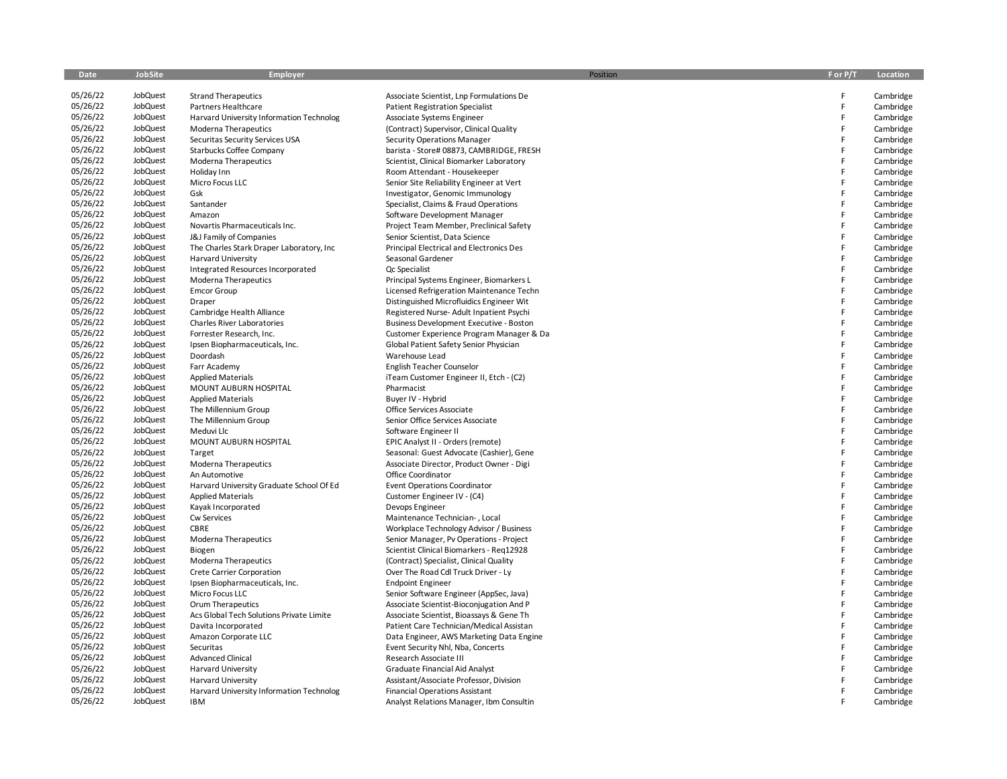| Date     | JobSite         | Employer                                  | Position                                       | F or P/T | Location  |
|----------|-----------------|-------------------------------------------|------------------------------------------------|----------|-----------|
| 05/26/22 | JobQuest        | <b>Strand Therapeutics</b>                | Associate Scientist, Lnp Formulations De       | F        | Cambridge |
| 05/26/22 | JobQuest        | Partners Healthcare                       | <b>Patient Registration Specialist</b>         | F        | Cambridge |
| 05/26/22 | JobQuest        | Harvard University Information Technolog  | Associate Systems Engineer                     | F        | Cambridge |
| 05/26/22 | JobQuest        | Moderna Therapeutics                      | (Contract) Supervisor, Clinical Quality        | F        | Cambridge |
| 05/26/22 | JobQuest        | Securitas Security Services USA           | Security Operations Manager                    | F        | Cambridge |
| 05/26/22 | JobQuest        | Starbucks Coffee Company                  | barista - Store# 08873, CAMBRIDGE, FRESH       | F        | Cambridge |
| 05/26/22 | JobQuest        | Moderna Therapeutics                      | Scientist, Clinical Biomarker Laboratory       | F        | Cambridge |
| 05/26/22 | JobQuest        | Holiday Inn                               | Room Attendant - Housekeeper                   | F        | Cambridge |
| 05/26/22 | JobQuest        | Micro Focus LLC                           | Senior Site Reliability Engineer at Vert       | F        | Cambridge |
| 05/26/22 | JobQuest        | Gsk                                       | Investigator, Genomic Immunology               | F        | Cambridge |
| 05/26/22 | JobQuest        | Santander                                 | Specialist, Claims & Fraud Operations          | F        | Cambridge |
| 05/26/22 | JobQuest        | Amazon                                    | Software Development Manager                   | F        | Cambridge |
| 05/26/22 | JobQuest        | Novartis Pharmaceuticals Inc.             | Project Team Member, Preclinical Safety        | F        | Cambridge |
| 05/26/22 | JobQuest        | J&J Family of Companies                   | Senior Scientist, Data Science                 | F        | Cambridge |
| 05/26/22 | JobQuest        | The Charles Stark Draper Laboratory, Inc. | Principal Electrical and Electronics Des       | F        | Cambridge |
| 05/26/22 | JobQuest        | <b>Harvard University</b>                 | Seasonal Gardener                              | F        | Cambridge |
| 05/26/22 | JobQuest        | Integrated Resources Incorporated         | Qc Specialist                                  | F        | Cambridge |
| 05/26/22 | JobQuest        | Moderna Therapeutics                      | Principal Systems Engineer, Biomarkers L       | F        | Cambridge |
| 05/26/22 | JobQuest        | <b>Emcor Group</b>                        | Licensed Refrigeration Maintenance Techn       | F        | Cambridge |
| 05/26/22 | JobQuest        | Draper                                    | Distinguished Microfluidics Engineer Wit       | F        | Cambridge |
| 05/26/22 | JobQuest        | Cambridge Health Alliance                 | Registered Nurse-Adult Inpatient Psychi        | F        | Cambridge |
| 05/26/22 | JobQuest        | <b>Charles River Laboratories</b>         | <b>Business Development Executive - Boston</b> | F        | Cambridge |
| 05/26/22 | JobQuest        | Forrester Research, Inc.                  | Customer Experience Program Manager & Da       | F        | Cambridge |
| 05/26/22 | JobQuest        | Ipsen Biopharmaceuticals, Inc.            | Global Patient Safety Senior Physician         | F        | Cambridge |
| 05/26/22 | JobQuest        | Doordash                                  | Warehouse Lead                                 | F        | Cambridge |
| 05/26/22 | JobQuest        | Farr Academy                              | English Teacher Counselor                      | F        | Cambridge |
| 05/26/22 | JobQuest        | <b>Applied Materials</b>                  | iTeam Customer Engineer II, Etch - (C2)        | F        | Cambridge |
| 05/26/22 | JobQuest        | MOUNT AUBURN HOSPITAL                     | Pharmacist                                     | F        | Cambridge |
| 05/26/22 | JobQuest        | <b>Applied Materials</b>                  | Buyer IV - Hybrid                              | F        | Cambridge |
| 05/26/22 | JobQuest        | The Millennium Group                      | Office Services Associate                      | F        | Cambridge |
| 05/26/22 | JobQuest        | The Millennium Group                      | Senior Office Services Associate               | F        | Cambridge |
| 05/26/22 | JobQuest        | Meduvi Llc                                | Software Engineer II                           | F        | Cambridge |
| 05/26/22 | JobQuest        | MOUNT AUBURN HOSPITAL                     | EPIC Analyst II - Orders (remote)              | F        | Cambridge |
| 05/26/22 | JobQuest        | Target                                    | Seasonal: Guest Advocate (Cashier), Gene       | F        | Cambridge |
| 05/26/22 | JobQuest        | Moderna Therapeutics                      | Associate Director, Product Owner - Digi       | F        | Cambridge |
| 05/26/22 | JobQuest        | An Automotive                             | Office Coordinator                             | F        | Cambridge |
| 05/26/22 | JobQuest        | Harvard University Graduate School Of Ed  | <b>Event Operations Coordinator</b>            | F        | Cambridge |
| 05/26/22 | JobQuest        | <b>Applied Materials</b>                  | Customer Engineer IV - (C4)                    | F        | Cambridge |
| 05/26/22 | JobQuest        | Kayak Incorporated                        | Devops Engineer                                | F        | Cambridge |
| 05/26/22 | JobQuest        | Cw Services                               | Maintenance Technician-, Local                 | F        | Cambridge |
| 05/26/22 | JobQuest        | CBRE                                      | Workplace Technology Advisor / Business        | F        | Cambridge |
| 05/26/22 | JobQuest        | Moderna Therapeutics                      | Senior Manager, Pv Operations - Project        | F        | Cambridge |
| 05/26/22 | JobQuest        | Biogen                                    | Scientist Clinical Biomarkers - Reg12928       | F        | Cambridge |
| 05/26/22 | JobQuest        | Moderna Therapeutics                      | (Contract) Specialist, Clinical Quality        | F        | Cambridge |
| 05/26/22 | JobQuest        | Crete Carrier Corporation                 | Over The Road Cdl Truck Driver - Ly            | F        | Cambridge |
| 05/26/22 | JobQuest        | Ipsen Biopharmaceuticals, Inc.            | <b>Endpoint Engineer</b>                       | F        | Cambridge |
| 05/26/22 | JobQuest        | Micro Focus LLC                           | Senior Software Engineer (AppSec, Java)        | F        | Cambridge |
| 05/26/22 | JobQuest        | Orum Therapeutics                         | Associate Scientist-Bioconjugation And P       | F        | Cambridge |
| 05/26/22 | JobQuest        | Acs Global Tech Solutions Private Limite  | Associate Scientist, Bioassays & Gene Th       | F        | Cambridge |
| 05/26/22 | JobQuest        | Davita Incorporated                       | Patient Care Technician/Medical Assistan       | F        | Cambridge |
| 05/26/22 | JobQuest        | Amazon Corporate LLC                      | Data Engineer, AWS Marketing Data Engine       | F        | Cambridge |
| 05/26/22 | JobQuest        | Securitas                                 | Event Security Nhl, Nba, Concerts              | F        | Cambridge |
| 05/26/22 | JobQuest        | <b>Advanced Clinical</b>                  | Research Associate III                         | F        | Cambridge |
| 05/26/22 | JobQuest        | <b>Harvard University</b>                 | Graduate Financial Aid Analyst                 | F        | Cambridge |
| 05/26/22 | JobQuest        | <b>Harvard University</b>                 | Assistant/Associate Professor, Division        | F        | Cambridge |
| 05/26/22 | JobQuest        | Harvard University Information Technolog  | <b>Financial Operations Assistant</b>          |          | Cambridge |
| 05/26/22 | <b>JobQuest</b> | IBM                                       | Analyst Relations Manager, Ibm Consultin       |          | Cambridge |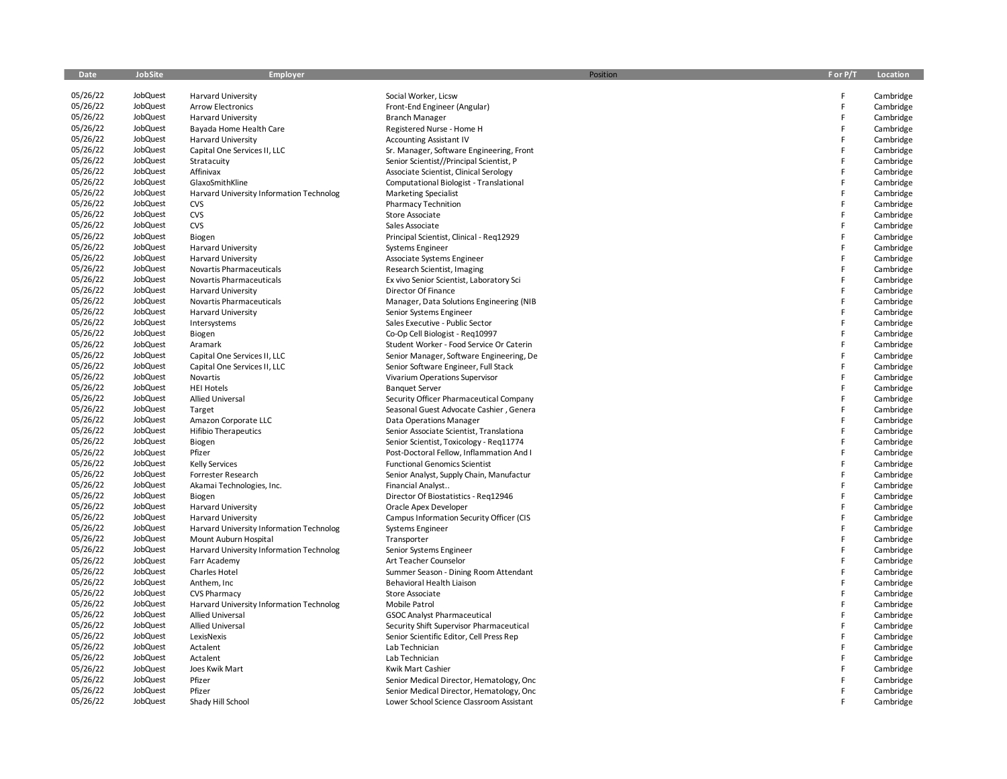| Date     | JobSite  | <b>Employer</b>                          | Position                                 | F or P/T | Location  |
|----------|----------|------------------------------------------|------------------------------------------|----------|-----------|
|          |          |                                          |                                          |          |           |
| 05/26/22 | JobQuest | <b>Harvard University</b>                | Social Worker, Licsw                     | E        | Cambridge |
| 05/26/22 | JobQuest | <b>Arrow Electronics</b>                 | Front-End Engineer (Angular)             | F.       | Cambridge |
| 05/26/22 | JobQuest | <b>Harvard University</b>                | <b>Branch Manager</b>                    | F        | Cambridge |
| 05/26/22 | JobQuest | Bayada Home Health Care                  | Registered Nurse - Home H                | F        | Cambridge |
| 05/26/22 | JobQuest | <b>Harvard University</b>                | <b>Accounting Assistant IV</b>           | F        | Cambridge |
| 05/26/22 | JobQuest | Capital One Services II, LLC             | Sr. Manager, Software Engineering, Front | F        | Cambridge |
| 05/26/22 | JobQuest | Stratacuity                              | Senior Scientist//Principal Scientist, P | F        | Cambridge |
| 05/26/22 | JobQuest | Affinivax                                | Associate Scientist, Clinical Serology   | F        | Cambridge |
| 05/26/22 | JobQuest | GlaxoSmithKline                          | Computational Biologist - Translational  | E        | Cambridge |
| 05/26/22 | JobQuest | Harvard University Information Technolog | <b>Marketing Specialist</b>              | F        | Cambridge |
| 05/26/22 | JobQuest | <b>CVS</b>                               | <b>Pharmacy Technition</b>               | F        | Cambridge |
| 05/26/22 | JobQuest | CVS                                      | <b>Store Associate</b>                   | F        | Cambridge |
| 05/26/22 | JobQuest | CVS                                      | Sales Associate                          | F        | Cambridge |
| 05/26/22 | JobQuest | Biogen                                   | Principal Scientist, Clinical - Reg12929 | F        | Cambridge |
| 05/26/22 | JobQuest | <b>Harvard University</b>                | Systems Engineer                         | F        | Cambridge |
| 05/26/22 | JobQuest | <b>Harvard University</b>                | Associate Systems Engineer               | F        | Cambridge |
| 05/26/22 | JobQuest | Novartis Pharmaceuticals                 | Research Scientist, Imaging              | E        | Cambridge |
| 05/26/22 | JobQuest | Novartis Pharmaceuticals                 | Ex vivo Senior Scientist, Laboratory Sci | F        | Cambridge |
| 05/26/22 | JobQuest | <b>Harvard University</b>                | Director Of Finance                      | F        | Cambridge |
| 05/26/22 | JobQuest | Novartis Pharmaceuticals                 | Manager, Data Solutions Engineering (NIB | F        | Cambridge |
| 05/26/22 | JobQuest | <b>Harvard University</b>                | Senior Systems Engineer                  | E        | Cambridge |
| 05/26/22 | JobQuest | Intersystems                             | Sales Executive - Public Sector          | F        | Cambridge |
| 05/26/22 | JobQuest | Biogen                                   | Co-Op Cell Biologist - Reg10997          | F        | Cambridge |
| 05/26/22 | JobQuest | Aramark                                  | Student Worker - Food Service Or Caterin | E        | Cambridge |
| 05/26/22 | JobQuest | Capital One Services II, LLC             | Senior Manager, Software Engineering, De | F        | Cambridge |
| 05/26/22 | JobQuest | Capital One Services II, LLC             | Senior Software Engineer, Full Stack     | F        | Cambridge |
| 05/26/22 | JobQuest | Novartis                                 | Vivarium Operations Supervisor           | F        | Cambridge |
| 05/26/22 | JobQuest | <b>HEI Hotels</b>                        | <b>Banquet Server</b>                    | F        | Cambridge |
| 05/26/22 | JobQuest | Allied Universal                         | Security Officer Pharmaceutical Company  | F        | Cambridge |
| 05/26/22 | JobQuest | Target                                   | Seasonal Guest Advocate Cashier, Genera  | F        | Cambridge |
| 05/26/22 | JobQuest | Amazon Corporate LLC                     | Data Operations Manager                  | F        | Cambridge |
| 05/26/22 | JobQuest | <b>Hifibio Therapeutics</b>              | Senior Associate Scientist, Translationa | F        | Cambridge |
| 05/26/22 | JobQuest | Biogen                                   | Senior Scientist, Toxicology - Reg11774  | E        | Cambridge |
| 05/26/22 | JobQuest | Pfizer                                   | Post-Doctoral Fellow, Inflammation And I | F        | Cambridge |
| 05/26/22 | JobQuest | <b>Kelly Services</b>                    | <b>Functional Genomics Scientist</b>     | E        | Cambridge |
| 05/26/22 | JobQuest | Forrester Research                       | Senior Analyst, Supply Chain, Manufactur | F        | Cambridge |
| 05/26/22 | JobQuest | Akamai Technologies, Inc.                | Financial Analyst                        | F        | Cambridge |
| 05/26/22 | JobQuest | Biogen                                   | Director Of Biostatistics - Req12946     | F        | Cambridge |
| 05/26/22 | JobQuest | <b>Harvard University</b>                | Oracle Apex Developer                    | F        | Cambridge |
| 05/26/22 | JobQuest | <b>Harvard University</b>                | Campus Information Security Officer (CIS | F        | Cambridge |
| 05/26/22 | JobQuest | Harvard University Information Technolog | Systems Engineer                         | F        | Cambridge |
| 05/26/22 | JobQuest | Mount Auburn Hospital                    | Transporter                              | F        | Cambridge |
| 05/26/22 | JobQuest | Harvard University Information Technolog | Senior Systems Engineer                  | E        | Cambridge |
| 05/26/22 | JobQuest | Farr Academy                             | Art Teacher Counselor                    | F        | Cambridge |
| 05/26/22 | JobQuest | <b>Charles Hotel</b>                     | Summer Season - Dining Room Attendant    | F        | Cambridge |
| 05/26/22 | JobQuest | Anthem, Inc.                             | Behavioral Health Liaison                | F        | Cambridge |
| 05/26/22 | JobQuest | <b>CVS Pharmacy</b>                      | Store Associate                          | F        | Cambridge |
| 05/26/22 | JobQuest | Harvard University Information Technolog | Mobile Patrol                            | F        | Cambridge |
| 05/26/22 | JobQuest | <b>Allied Universal</b>                  | <b>GSOC Analyst Pharmaceutical</b>       | E        | Cambridge |
| 05/26/22 | JobQuest | Allied Universal                         | Security Shift Supervisor Pharmaceutical | F        | Cambridge |
| 05/26/22 | JobQuest | LexisNexis                               | Senior Scientific Editor, Cell Press Rep | F        | Cambridge |
| 05/26/22 | JobQuest | Actalent                                 | Lab Technician                           | F        | Cambridge |
| 05/26/22 | JobQuest | Actalent                                 | Lab Technician                           | F        | Cambridge |
| 05/26/22 | JobQuest | Joes Kwik Mart                           | Kwik Mart Cashier                        | F        | Cambridge |
| 05/26/22 | JobQuest | Pfizer                                   | Senior Medical Director, Hematology, Onc | F        | Cambridge |
| 05/26/22 | JobQuest | Pfizer                                   | Senior Medical Director, Hematology, Onc |          | Cambridge |
| 05/26/22 | JobQuest | Shady Hill School                        | Lower School Science Classroom Assistant |          | Cambridge |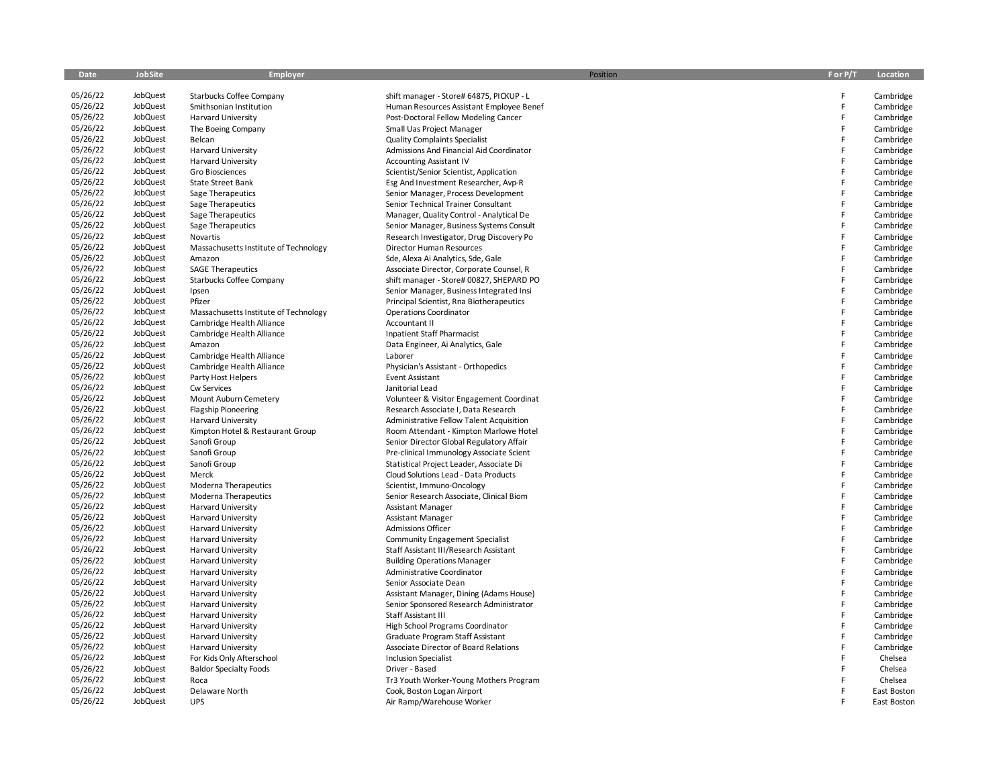| Date                 | JobSite  | Employer                              | Position                                 | F or P/T | Location    |
|----------------------|----------|---------------------------------------|------------------------------------------|----------|-------------|
| 05/26/22             | JobQuest | Starbucks Coffee Company              | shift manager - Store# 64875, PICKUP - L | F        | Cambridge   |
| 05/26/22             | JobQuest | Smithsonian Institution               | Human Resources Assistant Employee Benef | F        | Cambridge   |
| 05/26/22             | JobQuest | <b>Harvard University</b>             | Post-Doctoral Fellow Modeling Cancer     | F        | Cambridge   |
| 05/26/22             | JobQuest |                                       |                                          | F        |             |
| 05/26/22             | JobQuest | The Boeing Company                    | Small Uas Project Manager                | F        | Cambridge   |
| 05/26/22             | JobQuest | Belcan                                | <b>Quality Complaints Specialist</b>     | F        | Cambridge   |
|                      |          | <b>Harvard University</b>             | Admissions And Financial Aid Coordinator | F        | Cambridge   |
| 05/26/22<br>05/26/22 | JobQuest | <b>Harvard University</b>             | <b>Accounting Assistant IV</b>           |          | Cambridge   |
|                      | JobQuest | Gro Biosciences                       | Scientist/Senior Scientist, Application  | F        | Cambridge   |
| 05/26/22             | JobQuest | State Street Bank                     | Esg And Investment Researcher, Avp-R     | F        | Cambridge   |
| 05/26/22             | JobQuest | Sage Therapeutics                     | Senior Manager, Process Development      | F        | Cambridge   |
| 05/26/22             | JobQuest | Sage Therapeutics                     | Senior Technical Trainer Consultant      | F        | Cambridge   |
| 05/26/22             | JobQuest | Sage Therapeutics                     | Manager, Quality Control - Analytical De | F        | Cambridge   |
| 05/26/22             | JobQuest | Sage Therapeutics                     | Senior Manager, Business Systems Consult | F        | Cambridge   |
| 05/26/22             | JobQuest | Novartis                              | Research Investigator, Drug Discovery Po | F        | Cambridge   |
| 05/26/22             | JobQuest | Massachusetts Institute of Technology | Director Human Resources                 | F        | Cambridge   |
| 05/26/22             | JobQuest | Amazon                                | Sde, Alexa Ai Analytics, Sde, Gale       | F        | Cambridge   |
| 05/26/22             | JobQuest | <b>SAGE Therapeutics</b>              | Associate Director, Corporate Counsel, R | F        | Cambridge   |
| 05/26/22             | JobQuest | Starbucks Coffee Company              | shift manager - Store# 00827, SHEPARD PO | F        | Cambridge   |
| 05/26/22             | JobQuest | Ipsen                                 | Senior Manager, Business Integrated Insi | F        | Cambridge   |
| 05/26/22             | JobQuest | Pfizer                                | Principal Scientist, Rna Biotherapeutics | F        | Cambridge   |
| 05/26/22             | JobQuest | Massachusetts Institute of Technology | <b>Operations Coordinator</b>            | F        | Cambridge   |
| 05/26/22             | JobQuest | Cambridge Health Alliance             | <b>Accountant II</b>                     | F        | Cambridge   |
| 05/26/22             | JobQuest | Cambridge Health Alliance             | <b>Inpatient Staff Pharmacist</b>        | F        | Cambridge   |
| 05/26/22             | JobQuest | Amazon                                | Data Engineer, Ai Analytics, Gale        | F        | Cambridge   |
| 05/26/22             | JobQuest | Cambridge Health Alliance             | Laborer                                  | F        | Cambridge   |
| 05/26/22             | JobQuest | Cambridge Health Alliance             | Physician's Assistant - Orthopedics      | F        | Cambridge   |
| 05/26/22             | JobQuest | Party Host Helpers                    | <b>Event Assistant</b>                   | F        | Cambridge   |
| 05/26/22             | JobQuest | Cw Services                           | Janitorial Lead                          | F        | Cambridge   |
| 05/26/22             | JobQuest | Mount Auburn Cemetery                 | Volunteer & Visitor Engagement Coordinat | F        | Cambridge   |
| 05/26/22             | JobQuest | <b>Flagship Pioneering</b>            | Research Associate I, Data Research      | F        | Cambridge   |
| 05/26/22             | JobQuest | Harvard University                    | Administrative Fellow Talent Acquisition | F        | Cambridge   |
| 05/26/22             | JobQuest | Kimpton Hotel & Restaurant Group      | Room Attendant - Kimpton Marlowe Hotel   | F        | Cambridge   |
| 05/26/22             | JobQuest | Sanofi Group                          | Senior Director Global Regulatory Affair | F        | Cambridge   |
| 05/26/22             | JobQuest | Sanofi Group                          | Pre-clinical Immunology Associate Scient | F        | Cambridge   |
| 05/26/22             | JobQuest | Sanofi Group                          | Statistical Project Leader, Associate Di | F        | Cambridge   |
| 05/26/22             | JobQuest | Merck                                 | Cloud Solutions Lead - Data Products     | F        | Cambridge   |
| 05/26/22             | JobQuest | Moderna Therapeutics                  | Scientist, Immuno-Oncology               | F        | Cambridge   |
| 05/26/22             | JobQuest | Moderna Therapeutics                  | Senior Research Associate, Clinical Biom | F        | Cambridge   |
| 05/26/22             | JobQuest | <b>Harvard University</b>             | <b>Assistant Manager</b>                 | F        | Cambridge   |
| 05/26/22             | JobQuest | <b>Harvard University</b>             | Assistant Manager                        | F        | Cambridge   |
| 05/26/22             | JobQuest | <b>Harvard University</b>             | <b>Admissions Officer</b>                | F        | Cambridge   |
| 05/26/22             | JobQuest | <b>Harvard University</b>             | <b>Community Engagement Specialist</b>   | F        | Cambridge   |
| 05/26/22             | JobQuest | <b>Harvard University</b>             | Staff Assistant III/Research Assistant   | F        | Cambridge   |
| 05/26/22             | JobQuest | <b>Harvard University</b>             | <b>Building Operations Manager</b>       | F        | Cambridge   |
| 05/26/22             | JobQuest | <b>Harvard University</b>             | Administrative Coordinator               | F        | Cambridge   |
| 05/26/22             | JobQuest | <b>Harvard University</b>             | Senior Associate Dean                    | F        | Cambridge   |
| 05/26/22             | JobQuest | <b>Harvard University</b>             | Assistant Manager, Dining (Adams House)  | F        | Cambridge   |
| 05/26/22             | JobQuest | <b>Harvard University</b>             | Senior Sponsored Research Administrator  | F        | Cambridge   |
| 05/26/22             | JobQuest | <b>Harvard University</b>             | Staff Assistant III                      | F        | Cambridge   |
| 05/26/22             | JobQuest | <b>Harvard University</b>             | High School Programs Coordinator         | F        | Cambridge   |
| 05/26/22             | JobQuest | <b>Harvard University</b>             | Graduate Program Staff Assistant         | F        | Cambridge   |
| 05/26/22             | JobQuest | <b>Harvard University</b>             | Associate Director of Board Relations    | F        | Cambridge   |
| 05/26/22             | JobQuest | For Kids Only Afterschool             | <b>Inclusion Specialist</b>              | F        | Chelsea     |
| 05/26/22             | JobQuest | <b>Baldor Specialty Foods</b>         | Driver - Based                           | F        | Chelsea     |
| 05/26/22             | JobQuest | Roca                                  | Tr3 Youth Worker-Young Mothers Program   | F        | Chelsea     |
| 05/26/22             | JobQuest | Delaware North                        | Cook, Boston Logan Airport               | F        | East Boston |
| 05/26/22             | JobQuest | <b>UPS</b>                            | Air Ramp/Warehouse Worker                | F        | East Boston |
|                      |          |                                       |                                          |          |             |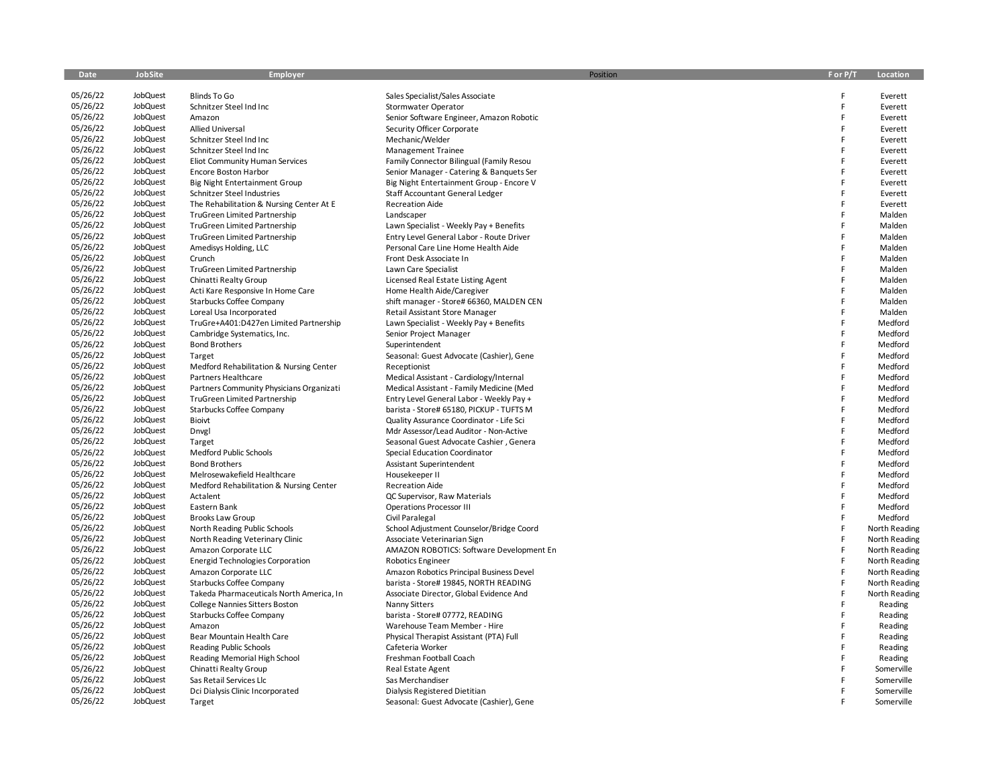| Date                 | JobSite              | <b>Employer</b>                                            |                                                             | Position | F or P/T | Location           |
|----------------------|----------------------|------------------------------------------------------------|-------------------------------------------------------------|----------|----------|--------------------|
|                      |                      |                                                            |                                                             |          |          |                    |
| 05/26/22             | JobQuest             | Blinds To Go                                               | Sales Specialist/Sales Associate                            |          | F        | Everett            |
| 05/26/22             | JobQuest             | Schnitzer Steel Ind Inc                                    | Stormwater Operator                                         |          | F        | Everett            |
| 05/26/22             | JobQuest             | Amazon                                                     | Senior Software Engineer, Amazon Robotic                    |          | F        | Everett            |
| 05/26/22             | JobQuest             | <b>Allied Universal</b>                                    | Security Officer Corporate                                  |          | F        | Everett            |
| 05/26/22             | JobQuest             | Schnitzer Steel Ind Inc                                    | Mechanic/Welder                                             |          | F        | Everett            |
| 05/26/22             | JobQuest             | Schnitzer Steel Ind Inc                                    | <b>Management Trainee</b>                                   |          | F        | Everett            |
| 05/26/22             | JobQuest             | <b>Eliot Community Human Services</b>                      | Family Connector Bilingual (Family Resou                    |          | F        | Everett            |
| 05/26/22             | JobQuest             | <b>Encore Boston Harbor</b>                                | Senior Manager - Catering & Banquets Ser                    |          | F        | Everett            |
| 05/26/22             | JobQuest             | <b>Big Night Entertainment Group</b>                       | Big Night Entertainment Group - Encore V                    |          | F        | Everett            |
| 05/26/22             | JobQuest             | Schnitzer Steel Industries                                 | Staff Accountant General Ledger                             |          | F        | Everett            |
| 05/26/22             | JobQuest             | The Rehabilitation & Nursing Center At E                   | <b>Recreation Aide</b>                                      |          | F        | Everett            |
| 05/26/22             | JobQuest             | TruGreen Limited Partnership                               | Landscaper                                                  |          | E        | Malden             |
| 05/26/22             | JobQuest             | TruGreen Limited Partnership                               | Lawn Specialist - Weekly Pay + Benefits                     |          | F        | Malden             |
| 05/26/22             | JobQuest             | <b>TruGreen Limited Partnership</b>                        | Entry Level General Labor - Route Driver                    |          | F        | Malden             |
| 05/26/22             | JobQuest             | Amedisys Holding, LLC                                      | Personal Care Line Home Health Aide                         |          | F        | Malden             |
| 05/26/22             | JobQuest             | Crunch                                                     | Front Desk Associate In                                     |          | F        | Malden             |
| 05/26/22             | JobQuest             | <b>TruGreen Limited Partnership</b>                        | Lawn Care Specialist                                        |          | F        | Malden             |
| 05/26/22             | JobQuest             | Chinatti Realty Group                                      | Licensed Real Estate Listing Agent                          |          | F        | Malden             |
| 05/26/22             | JobQuest             | Acti Kare Responsive In Home Care                          | Home Health Aide/Caregiver                                  |          | F        | Malden             |
| 05/26/22             | JobQuest             | Starbucks Coffee Company                                   | shift manager - Store# 66360, MALDEN CEN                    |          |          | Malden             |
| 05/26/22             | JobQuest             | Loreal Usa Incorporated                                    | Retail Assistant Store Manager                              |          | F        | Malden             |
| 05/26/22             | JobQuest             | TruGre+A401:D427en Limited Partnership                     | Lawn Specialist - Weekly Pay + Benefits                     |          | F        | Medford            |
| 05/26/22             | JobQuest             | Cambridge Systematics, Inc.                                | Senior Project Manager                                      |          | F        | Medford            |
| 05/26/22             | JobQuest             | <b>Bond Brothers</b>                                       | Superintendent                                              |          | F        | Medford            |
| 05/26/22             | JobQuest             | Target                                                     | Seasonal: Guest Advocate (Cashier), Gene                    |          | F        | Medford            |
| 05/26/22             | JobQuest             | Medford Rehabilitation & Nursing Center                    | Receptionist                                                |          | F        | Medford            |
| 05/26/22             | JobQuest             | Partners Healthcare                                        | Medical Assistant - Cardiology/Internal                     |          |          | Medford            |
| 05/26/22             | JobQuest             | Partners Community Physicians Organizati                   | Medical Assistant - Family Medicine (Med                    |          | F        | Medford            |
| 05/26/22             | JobQuest             | TruGreen Limited Partnership                               | Entry Level General Labor - Weekly Pay +                    |          | F        | Medford            |
| 05/26/22             | JobQuest             | Starbucks Coffee Company                                   | barista - Store# 65180, PICKUP - TUFTS M                    |          | F        | Medford            |
| 05/26/22             | JobQuest             | Bioivt                                                     | Quality Assurance Coordinator - Life Sci                    |          |          | Medford            |
| 05/26/22             | JobQuest             | Dnvgl                                                      | Mdr Assessor/Lead Auditor - Non-Active                      |          | F        | Medford            |
| 05/26/22             | JobQuest             | Target                                                     | Seasonal Guest Advocate Cashier, Genera                     |          |          | Medford            |
| 05/26/22             | JobQuest             | Medford Public Schools                                     | Special Education Coordinator                               |          | F        | Medford            |
| 05/26/22             | JobQuest             | <b>Bond Brothers</b>                                       | Assistant Superintendent                                    |          | F        | Medford            |
| 05/26/22             | JobQuest             | Melrosewakefield Healthcare                                | Housekeeper II                                              |          |          | Medford            |
| 05/26/22             | JobQuest             | Medford Rehabilitation & Nursing Center                    | <b>Recreation Aide</b>                                      |          | F        | Medford            |
| 05/26/22             | JobQuest             | Actalent                                                   | QC Supervisor, Raw Materials                                |          | F<br>F   | Medford            |
| 05/26/22             | JobQuest             | Eastern Bank                                               | <b>Operations Processor III</b>                             |          | F        | Medford            |
| 05/26/22             | JobQuest             | <b>Brooks Law Group</b>                                    | Civil Paralegal                                             |          | F        | Medford            |
| 05/26/22             | JobQuest             | North Reading Public Schools                               | School Adjustment Counselor/Bridge Coord                    |          | F        | North Reading      |
| 05/26/22             | JobQuest             | North Reading Veterinary Clinic                            | Associate Veterinarian Sign                                 |          |          | North Reading      |
| 05/26/22<br>05/26/22 | JobQuest             | Amazon Corporate LLC                                       | AMAZON ROBOTICS: Software Development En                    |          | F<br>F   | North Reading      |
|                      | JobQuest<br>JobQuest | <b>Energid Technologies Corporation</b>                    | <b>Robotics Engineer</b>                                    |          | F        | North Reading      |
| 05/26/22<br>05/26/22 |                      | Amazon Corporate LLC                                       | Amazon Robotics Principal Business Devel                    |          | F        | North Reading      |
| 05/26/22             | JobQuest<br>JobQuest | Starbucks Coffee Company                                   | barista - Store# 19845, NORTH READING                       |          | F        | North Reading      |
| 05/26/22             | JobQuest             | Takeda Pharmaceuticals North America, In                   | Associate Director, Global Evidence And                     |          | F        | North Reading      |
|                      | JobQuest             | College Nannies Sitters Boston                             | <b>Nanny Sitters</b>                                        |          | F        | Reading            |
| 05/26/22<br>05/26/22 | JobQuest             | Starbucks Coffee Company<br>Amazon                         | barista - Store# 07772, READING                             |          | F        | Reading            |
| 05/26/22             | JobQuest             |                                                            | Warehouse Team Member - Hire                                |          | F        | Reading            |
| 05/26/22             | JobQuest             | Bear Mountain Health Care<br><b>Reading Public Schools</b> | Physical Therapist Assistant (PTA) Full<br>Cafeteria Worker |          |          | Reading<br>Reading |
| 05/26/22             | JobQuest             |                                                            | Freshman Football Coach                                     |          | F        | Reading            |
| 05/26/22             | JobQuest             | Reading Memorial High School<br>Chinatti Realty Group      | Real Estate Agent                                           |          | F        | Somerville         |
| 05/26/22             | JobQuest             | Sas Retail Services Llc                                    | Sas Merchandiser                                            |          |          | Somerville         |
| 05/26/22             | JobQuest             | Dci Dialysis Clinic Incorporated                           | Dialysis Registered Dietitian                               |          |          | Somerville         |
| 05/26/22             | JobQuest             | Target                                                     | Seasonal: Guest Advocate (Cashier), Gene                    |          |          | Somerville         |
|                      |                      |                                                            |                                                             |          |          |                    |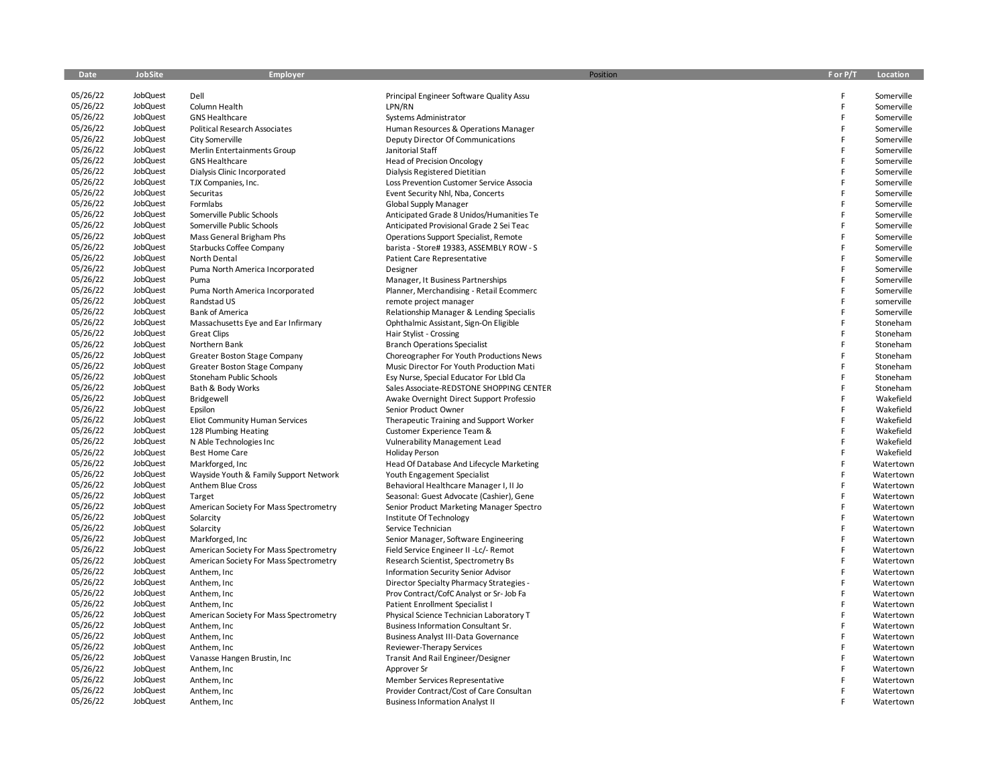| Date                 | <b>JobSite</b>       | Employer                                             | Position                                                                          | F or P/T | Location                 |
|----------------------|----------------------|------------------------------------------------------|-----------------------------------------------------------------------------------|----------|--------------------------|
|                      |                      |                                                      |                                                                                   |          |                          |
| 05/26/22             | JobQuest             | Dell                                                 | Principal Engineer Software Quality Assu                                          | F        | Somerville               |
| 05/26/22<br>05/26/22 | JobQuest             | Column Health                                        | LPN/RN                                                                            | F<br>F   | Somerville               |
|                      | JobQuest             | <b>GNS Healthcare</b>                                | Systems Administrator                                                             |          | Somerville               |
| 05/26/22<br>05/26/22 | JobQuest             | <b>Political Research Associates</b>                 | Human Resources & Operations Manager                                              | F        | Somerville               |
| 05/26/22             | JobQuest             | City Somerville                                      | Deputy Director Of Communications                                                 | F<br>F   | Somerville               |
| 05/26/22             | JobQuest<br>JobQuest | Merlin Entertainments Group                          | Janitorial Staff                                                                  | F        | Somerville               |
| 05/26/22             |                      | <b>GNS Healthcare</b>                                | <b>Head of Precision Oncology</b>                                                 | F        | Somerville               |
| 05/26/22             | JobQuest             | Dialysis Clinic Incorporated                         | Dialysis Registered Dietitian                                                     | F        | Somerville               |
| 05/26/22             | JobQuest             | TJX Companies, Inc.                                  | Loss Prevention Customer Service Associa                                          | F        | Somerville               |
| 05/26/22             | JobQuest<br>JobQuest | Securitas                                            | Event Security Nhl, Nba, Concerts                                                 |          | Somerville               |
| 05/26/22             | JobQuest             | Formlabs<br>Somerville Public Schools                | Global Supply Manager                                                             | F<br>F   | Somerville<br>Somerville |
| 05/26/22             | JobQuest             |                                                      | Anticipated Grade 8 Unidos/Humanities Te                                          | F        | Somerville               |
| 05/26/22             | JobQuest             | Somerville Public Schools                            | Anticipated Provisional Grade 2 Sei Teac                                          | F        |                          |
| 05/26/22             | JobQuest             | Mass General Brigham Phs<br>Starbucks Coffee Company | Operations Support Specialist, Remote<br>barista - Store# 19383, ASSEMBLY ROW - S | F        | Somerville<br>Somerville |
| 05/26/22             | JobQuest             | North Dental                                         | Patient Care Representative                                                       | F        | Somerville               |
| 05/26/22             | JobQuest             |                                                      |                                                                                   | F        |                          |
| 05/26/22             | JobQuest             | Puma North America Incorporated<br>Puma              | Designer<br>Manager, It Business Partnerships                                     | F        | Somerville<br>Somerville |
| 05/26/22             | JobQuest             |                                                      | Planner, Merchandising - Retail Ecommerc                                          | F        | Somerville               |
| 05/26/22             | JobQuest             | Puma North America Incorporated<br>Randstad US       | remote project manager                                                            | F        | somerville               |
| 05/26/22             | JobQuest             | <b>Bank of America</b>                               | Relationship Manager & Lending Specialis                                          | F        | Somerville               |
| 05/26/22             | JobQuest             | Massachusetts Eye and Ear Infirmary                  | Ophthalmic Assistant, Sign-On Eligible                                            | F        | Stoneham                 |
| 05/26/22             | JobQuest             | <b>Great Clips</b>                                   | Hair Stylist - Crossing                                                           | F        | Stoneham                 |
| 05/26/22             | JobQuest             | Northern Bank                                        | <b>Branch Operations Specialist</b>                                               | F        | Stoneham                 |
| 05/26/22             | JobQuest             | Greater Boston Stage Company                         | Choreographer For Youth Productions News                                          | F        | Stoneham                 |
| 05/26/22             | JobQuest             | Greater Boston Stage Company                         | Music Director For Youth Production Mati                                          | F        | Stoneham                 |
| 05/26/22             | JobQuest             | Stoneham Public Schools                              | Esy Nurse, Special Educator For Lbld Cla                                          | F        | Stoneham                 |
| 05/26/22             | JobQuest             | Bath & Body Works                                    | Sales Associate-REDSTONE SHOPPING CENTER                                          | F        | Stoneham                 |
| 05/26/22             | JobQuest             | Bridgewell                                           | Awake Overnight Direct Support Professio                                          | F        | Wakefield                |
| 05/26/22             | JobQuest             | Epsilon                                              | Senior Product Owner                                                              | F        | Wakefield                |
| 05/26/22             | JobQuest             | Eliot Community Human Services                       | Therapeutic Training and Support Worker                                           | F        | Wakefield                |
| 05/26/22             | JobQuest             | 128 Plumbing Heating                                 | Customer Experience Team &                                                        | F        | Wakefield                |
| 05/26/22             | JobQuest             | N Able Technologies Inc                              | <b>Vulnerability Management Lead</b>                                              | F        | Wakefield                |
| 05/26/22             | JobQuest             | <b>Best Home Care</b>                                | <b>Holiday Person</b>                                                             | F        | Wakefield                |
| 05/26/22             | JobQuest             | Markforged, Inc.                                     | Head Of Database And Lifecycle Marketing                                          | F        | Watertown                |
| 05/26/22             | JobQuest             | Wayside Youth & Family Support Network               | Youth Engagement Specialist                                                       | F        | Watertown                |
| 05/26/22             | JobQuest             | Anthem Blue Cross                                    | Behavioral Healthcare Manager I, II Jo                                            | F        | Watertown                |
| 05/26/22             | JobQuest             | Target                                               | Seasonal: Guest Advocate (Cashier), Gene                                          | F        | Watertown                |
| 05/26/22             | JobQuest             | American Society For Mass Spectrometry               | Senior Product Marketing Manager Spectro                                          | F        | Watertown                |
| 05/26/22             | JobQuest             | Solarcity                                            | Institute Of Technology                                                           | F        | Watertown                |
| 05/26/22             | JobQuest             | Solarcity                                            | Service Technician                                                                | F        | Watertown                |
| 05/26/22             | JobQuest             | Markforged, Inc.                                     | Senior Manager, Software Engineering                                              | F        | Watertown                |
| 05/26/22             | JobQuest             | American Society For Mass Spectrometry               | Field Service Engineer II -Lc/- Remot                                             | F        | Watertown                |
| 05/26/22             | JobQuest             | American Society For Mass Spectrometry               | Research Scientist, Spectrometry Bs                                               | F        | Watertown                |
| 05/26/22             | JobQuest             | Anthem, Inc                                          | Information Security Senior Advisor                                               | F        | Watertown                |
| 05/26/22             | JobQuest             | Anthem, Inc                                          | Director Specialty Pharmacy Strategies -                                          | F        | Watertown                |
| 05/26/22             | JobQuest             | Anthem, Inc                                          | Prov Contract/CofC Analyst or Sr- Job Fa                                          | F        | Watertown                |
| 05/26/22             | JobQuest             | Anthem, Inc                                          | Patient Enrollment Specialist I                                                   | F        | Watertown                |
| 05/26/22             | JobQuest             | American Society For Mass Spectrometry               | Physical Science Technician Laboratory T                                          | F        | Watertown                |
| 05/26/22             | JobQuest             | Anthem, Inc                                          | Business Information Consultant Sr.                                               | F        | Watertown                |
| 05/26/22             | JobQuest             | Anthem, Inc                                          | <b>Business Analyst III-Data Governance</b>                                       | F        | Watertown                |
| 05/26/22             | JobQuest             | Anthem, Inc                                          | Reviewer-Therapy Services                                                         | F        | Watertown                |
| 05/26/22             | JobQuest             | Vanasse Hangen Brustin, Inc                          | Transit And Rail Engineer/Designer                                                | F        | Watertown                |
| 05/26/22             | JobQuest             | Anthem, Inc                                          | Approver Sr                                                                       | F        | Watertown                |
| 05/26/22             | JobQuest             | Anthem, Inc.                                         | Member Services Representative                                                    | F        | Watertown                |
| 05/26/22             | JobQuest             | Anthem, Inc.                                         | Provider Contract/Cost of Care Consultan                                          | F        | Watertown                |
| 05/26/22             | JobQuest             | Anthem, Inc.                                         | <b>Business Information Analyst II</b>                                            |          | Watertown                |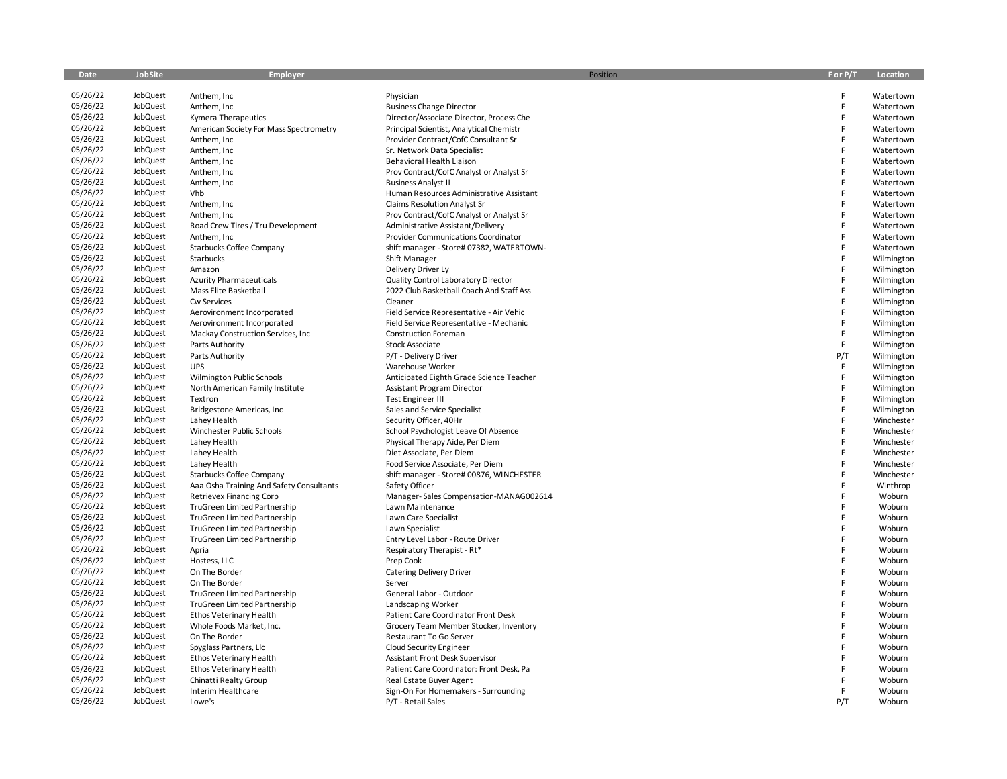| Date     | <b>JobSite</b> | <b>Employer</b>                          |                                            | Position | F or P/T | Location   |
|----------|----------------|------------------------------------------|--------------------------------------------|----------|----------|------------|
|          |                |                                          |                                            |          |          |            |
| 05/26/22 | JobQuest       | Anthem, Inc                              | Physician                                  |          | E        | Watertown  |
| 05/26/22 | JobQuest       | Anthem, Inc                              | <b>Business Change Director</b>            |          | F        | Watertown  |
| 05/26/22 | JobQuest       | Kymera Therapeutics                      | Director/Associate Director, Process Che   |          | E        | Watertown  |
| 05/26/22 | JobQuest       | American Society For Mass Spectrometry   | Principal Scientist, Analytical Chemistr   |          | F        | Watertown  |
| 05/26/22 | JobQuest       | Anthem, Inc                              | Provider Contract/CofC Consultant Sr       |          | E        | Watertown  |
| 05/26/22 | JobQuest       | Anthem, Inc                              | Sr. Network Data Specialist                |          | E        | Watertown  |
| 05/26/22 | JobQuest       | Anthem, Inc                              | Behavioral Health Liaison                  |          | E        | Watertown  |
| 05/26/22 | JobQuest       | Anthem, Inc                              | Prov Contract/CofC Analyst or Analyst Sr   |          | F        | Watertown  |
| 05/26/22 | JobQuest       | Anthem, Inc                              | <b>Business Analyst II</b>                 |          |          | Watertown  |
| 05/26/22 | JobQuest       | Vhb                                      | Human Resources Administrative Assistant   |          | E        | Watertown  |
| 05/26/22 | JobQuest       | Anthem, Inc                              | Claims Resolution Analyst Sr               |          | F        | Watertown  |
| 05/26/22 | JobQuest       | Anthem, Inc                              | Prov Contract/CofC Analyst or Analyst Sr   |          | E        | Watertown  |
| 05/26/22 | JobQuest       | Road Crew Tires / Tru Development        | Administrative Assistant/Delivery          |          | F        | Watertown  |
| 05/26/22 | JobQuest       | Anthem, Inc                              | <b>Provider Communications Coordinator</b> |          | F        | Watertown  |
| 05/26/22 | JobQuest       | Starbucks Coffee Company                 | shift manager - Store# 07382, WATERTOWN-   |          | F        | Watertown  |
| 05/26/22 | JobQuest       | Starbucks                                | Shift Manager                              |          | F        | Wilmington |
| 05/26/22 | JobQuest       | Amazon                                   | Delivery Driver Ly                         |          | E        | Wilmington |
| 05/26/22 | JobQuest       | <b>Azurity Pharmaceuticals</b>           | Quality Control Laboratory Director        |          | F        | Wilmington |
| 05/26/22 | JobQuest       | Mass Elite Basketball                    | 2022 Club Basketball Coach And Staff Ass   |          | E        | Wilmington |
| 05/26/22 | JobQuest       | Cw Services                              | Cleaner                                    |          | F        | Wilmington |
| 05/26/22 | JobQuest       | Aerovironment Incorporated               | Field Service Representative - Air Vehic   |          | E        | Wilmington |
| 05/26/22 | JobQuest       | Aerovironment Incorporated               | Field Service Representative - Mechanic    |          | F        | Wilmington |
| 05/26/22 | JobQuest       | Mackay Construction Services, Inc.       | <b>Construction Foreman</b>                |          | F        | Wilmington |
| 05/26/22 | JobQuest       | Parts Authority                          | Stock Associate                            |          | E        | Wilmington |
| 05/26/22 | JobQuest       | Parts Authority                          | P/T - Delivery Driver                      |          | P/T      | Wilmington |
| 05/26/22 | JobQuest       | <b>UPS</b>                               | Warehouse Worker                           |          | F.       | Wilmington |
| 05/26/22 | JobQuest       | Wilmington Public Schools                | Anticipated Eighth Grade Science Teacher   |          | F        | Wilmington |
| 05/26/22 | JobQuest       | North American Family Institute          | <b>Assistant Program Director</b>          |          | F        | Wilmington |
| 05/26/22 | JobQuest       | Textron                                  | <b>Test Engineer III</b>                   |          | F        | Wilmington |
| 05/26/22 | JobQuest       | Bridgestone Americas, Inc                | Sales and Service Specialist               |          | E        | Wilmington |
| 05/26/22 | JobQuest       | Lahey Health                             | Security Officer, 40Hr                     |          | F        | Winchester |
| 05/26/22 | JobQuest       | Winchester Public Schools                | School Psychologist Leave Of Absence       |          | E        | Winchester |
| 05/26/22 | JobQuest       | Lahey Health                             | Physical Therapy Aide, Per Diem            |          | F        | Winchester |
| 05/26/22 | JobQuest       | Lahey Health                             | Diet Associate, Per Diem                   |          |          | Winchester |
| 05/26/22 | JobQuest       | Lahey Health                             | Food Service Associate, Per Diem           |          | F        | Winchester |
| 05/26/22 | JobQuest       | Starbucks Coffee Company                 | shift manager - Store# 00876, WINCHESTER   |          |          | Winchester |
| 05/26/22 | JobQuest       | Aaa Osha Training And Safety Consultants | Safety Officer                             |          | E        | Winthrop   |
| 05/26/22 | JobQuest       | <b>Retrievex Financing Corp</b>          | Manager-Sales Compensation-MANAG002614     |          | E        | Woburn     |
| 05/26/22 | JobQuest       | TruGreen Limited Partnership             | Lawn Maintenance                           |          | F        | Woburn     |
| 05/26/22 | JobQuest       | TruGreen Limited Partnership             | Lawn Care Specialist                       |          | E        | Woburn     |
| 05/26/22 | JobQuest       | TruGreen Limited Partnership             | Lawn Specialist                            |          | E        | Woburn     |
| 05/26/22 | JobQuest       | TruGreen Limited Partnership             | Entry Level Labor - Route Driver           |          |          | Woburn     |
| 05/26/22 | JobQuest       | Apria                                    | Respiratory Therapist - Rt*                |          | E        | Woburn     |
| 05/26/22 | JobQuest       | Hostess, LLC                             | Prep Cook                                  |          |          | Woburn     |
| 05/26/22 | JobQuest       | On The Border                            | <b>Catering Delivery Driver</b>            |          |          | Woburn     |
| 05/26/22 | JobQuest       | On The Border                            | Server                                     |          |          | Woburn     |
| 05/26/22 | JobQuest       | <b>TruGreen Limited Partnership</b>      | General Labor - Outdoor                    |          | F        | Woburn     |
| 05/26/22 | JobQuest       | TruGreen Limited Partnership             | Landscaping Worker                         |          | F        | Woburn     |
| 05/26/22 | JobQuest       | <b>Ethos Veterinary Health</b>           | Patient Care Coordinator Front Desk        |          | F        | Woburn     |
| 05/26/22 | JobQuest       | Whole Foods Market, Inc.                 | Grocery Team Member Stocker, Inventory     |          | F        | Woburn     |
| 05/26/22 | JobQuest       | On The Border                            | Restaurant To Go Server                    |          | F        | Woburn     |
| 05/26/22 | JobQuest       | Spyglass Partners, Llc                   | Cloud Security Engineer                    |          |          | Woburn     |
| 05/26/22 | JobQuest       | Ethos Veterinary Health                  | Assistant Front Desk Supervisor            |          | F        | Woburn     |
| 05/26/22 | JobQuest       | Ethos Veterinary Health                  | Patient Care Coordinator: Front Desk, Pa   |          | E        | Woburn     |
| 05/26/22 | JobQuest       | Chinatti Realty Group                    | Real Estate Buyer Agent                    |          | F        | Woburn     |
| 05/26/22 | JobQuest       | Interim Healthcare                       | Sign-On For Homemakers - Surrounding       |          |          | Woburn     |
| 05/26/22 | JobQuest       | Lowe's                                   | P/T - Retail Sales                         |          | P/T      | Woburn     |